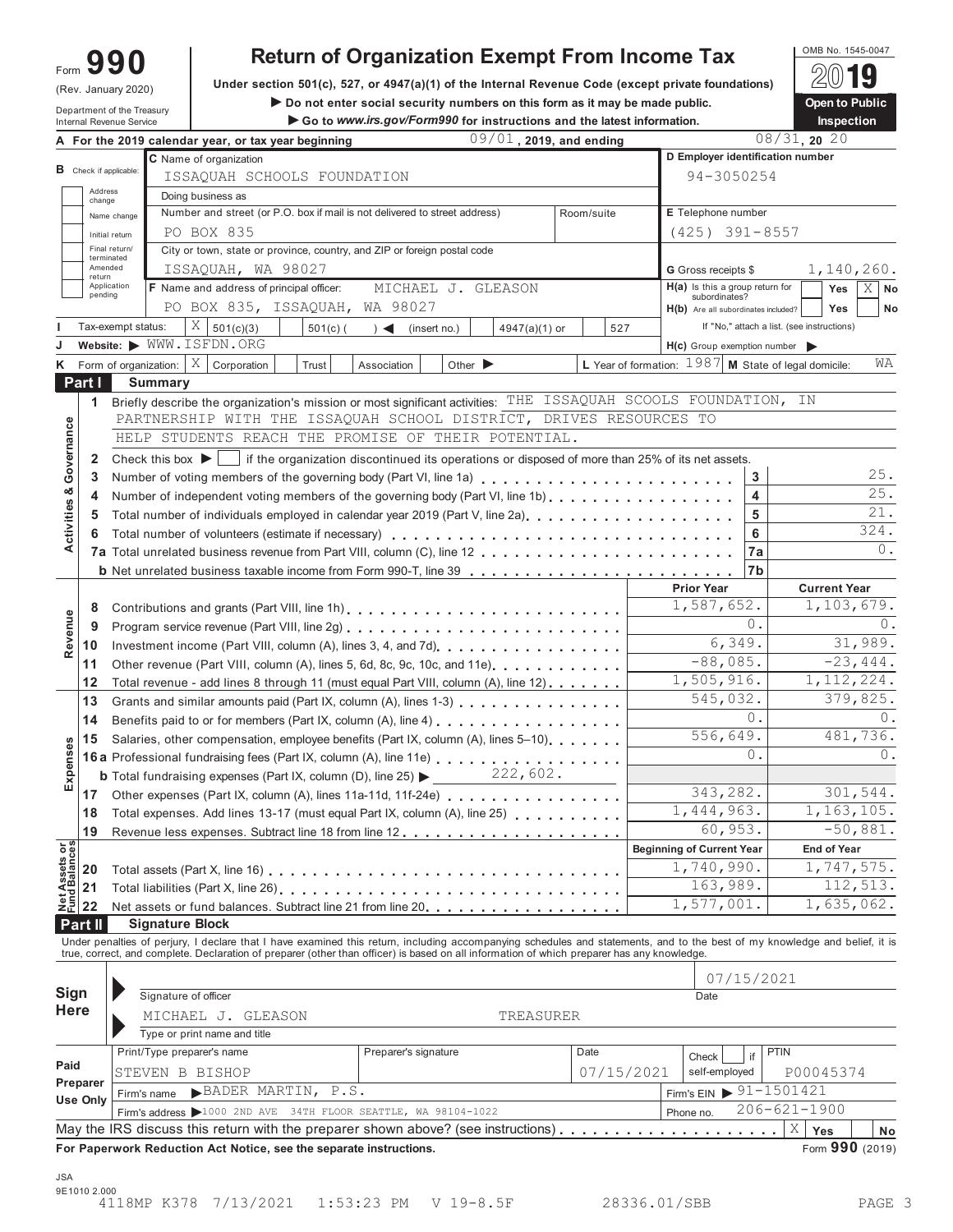# **990**

(Rev. January 2020)

OMB No. 1545-0047 **Return of Organization Exempt From Income Tax** Form

**UNDER SECTION CONSERVATION CONSERVATION CONSERVATION CONSERVATION CONSERVATION** DURING THE UNIT UNCOLLETED ASSESSMENT PURSUAL DURING THE UNIT OF THE UNIT OF THE UNIT OF THE UNIT OF THE UNIT OF THE UNIT OF THE UNIT OF THE

(Rev. January 2020) Under section 501(c), 527, or 4947(a)(1) of the Internal Revenue Code (except private foundations) <u>(</u>△ヅ ■<br>Department of the Treasury Departo Public **Internal Revenue Service Service Service Service Internal Revenue Service Instructions and the Service Service Service Service Service Service Service Service Service Service Service Service Service Service Service Servi** 

|                                |                   | Department of the Treasury<br>Internal Revenue Service |                                                                                                                                                                            |            | Go to www.irs.gov/Form990 for instructions and the latest information. |                             |                         |            |                                                        |           |                                                        |       |                                            | Inspection          |                 |
|--------------------------------|-------------------|--------------------------------------------------------|----------------------------------------------------------------------------------------------------------------------------------------------------------------------------|------------|------------------------------------------------------------------------|-----------------------------|-------------------------|------------|--------------------------------------------------------|-----------|--------------------------------------------------------|-------|--------------------------------------------|---------------------|-----------------|
|                                |                   |                                                        | A For the 2019 calendar year, or tax year beginning                                                                                                                        |            |                                                                        |                             | 09/01, 2019, and ending |            |                                                        |           |                                                        |       | $08/31$ , 20 20                            |                     |                 |
|                                |                   |                                                        | C Name of organization                                                                                                                                                     |            |                                                                        |                             |                         |            |                                                        |           |                                                        |       | D Employer identification number           |                     |                 |
|                                |                   | <b>B</b> Check if applicable:                          | ISSAQUAH SCHOOLS FOUNDATION                                                                                                                                                |            |                                                                        |                             |                         |            |                                                        |           | 94-3050254                                             |       |                                            |                     |                 |
|                                | Address<br>change |                                                        | Doing business as                                                                                                                                                          |            |                                                                        |                             |                         |            |                                                        |           |                                                        |       |                                            |                     |                 |
|                                |                   | Name change                                            | Number and street (or P.O. box if mail is not delivered to street address)                                                                                                 |            |                                                                        |                             |                         | Room/suite |                                                        |           | E Telephone number                                     |       |                                            |                     |                 |
|                                |                   | Initial return                                         | PO BOX 835                                                                                                                                                                 |            |                                                                        |                             |                         |            |                                                        |           | $(425)$ 391-8557                                       |       |                                            |                     |                 |
|                                |                   | Final return/<br>terminated                            | City or town, state or province, country, and ZIP or foreign postal code                                                                                                   |            |                                                                        |                             |                         |            |                                                        |           |                                                        |       |                                            |                     |                 |
|                                | Amended<br>return |                                                        | ISSAQUAH, WA 98027                                                                                                                                                         |            |                                                                        |                             |                         |            |                                                        |           | <b>G</b> Gross receipts \$                             |       |                                            |                     | 1,140,260.      |
|                                | pending           | Application                                            | F Name and address of principal officer:                                                                                                                                   |            |                                                                        | MICHAEL J. GLEASON          |                         |            |                                                        |           | $H(a)$ is this a group return for                      |       |                                            | <b>Yes</b>          | $X \mid$ No     |
|                                |                   |                                                        | PO BOX 835, ISSAQUAH, WA 98027                                                                                                                                             |            |                                                                        |                             |                         |            |                                                        |           | subordinates?<br>$H(b)$ Are all subordinates included? |       |                                            | Yes                 | No              |
|                                |                   | Tax-exempt status:                                     | $X \big  501(c)(3)$                                                                                                                                                        | $501(c)$ ( | $\rightarrow$                                                          | (insert no.)                | 4947(a)(1) or           |            | 527                                                    |           |                                                        |       | If "No," attach a list. (see instructions) |                     |                 |
|                                |                   | Website: WWW.ISFDN.ORG                                 |                                                                                                                                                                            |            |                                                                        |                             |                         |            |                                                        |           |                                                        |       | $H(c)$ Group exemption number              |                     |                 |
|                                |                   | $K$ Form of organization:                              | $X$ Corporation                                                                                                                                                            | Trust      | Association                                                            | Other $\blacktriangleright$ |                         |            | L Year of formation: $1987$ M State of legal domicile: |           |                                                        |       |                                            |                     | WA              |
|                                | Part I            | <b>Summary</b>                                         |                                                                                                                                                                            |            |                                                                        |                             |                         |            |                                                        |           |                                                        |       |                                            |                     |                 |
|                                |                   |                                                        | 1 Briefly describe the organization's mission or most significant activities: THE ISSAQUAH SCOOLS FOUNDATION, IN                                                           |            |                                                                        |                             |                         |            |                                                        |           |                                                        |       |                                            |                     |                 |
|                                |                   |                                                        | PARTNERSHIP WITH THE ISSAQUAH SCHOOL DISTRICT, DRIVES RESOURCES TO                                                                                                         |            |                                                                        |                             |                         |            |                                                        |           |                                                        |       |                                            |                     |                 |
|                                |                   |                                                        | HELP STUDENTS REACH THE PROMISE OF THEIR POTENTIAL.                                                                                                                        |            |                                                                        |                             |                         |            |                                                        |           |                                                        |       |                                            |                     |                 |
|                                | $\mathbf{2}$      |                                                        | Check this box $\blacktriangleright$   if the organization discontinued its operations or disposed of more than 25% of its net assets.                                     |            |                                                                        |                             |                         |            |                                                        |           |                                                        |       |                                            |                     |                 |
|                                | 3                 |                                                        |                                                                                                                                                                            |            |                                                                        |                             |                         |            |                                                        |           |                                                        | 3     |                                            |                     | 25.             |
|                                | 4                 |                                                        | Number of independent voting members of the governing body (Part VI, line 1b)                                                                                              |            |                                                                        |                             |                         |            |                                                        |           |                                                        | 4     |                                            |                     | 25.             |
|                                |                   |                                                        | Total number of individuals employed in calendar year 2019 (Part V, line 2a)                                                                                               |            |                                                                        |                             |                         |            |                                                        |           |                                                        | 5     |                                            |                     | 21.             |
| Activities & Governance        |                   |                                                        |                                                                                                                                                                            |            |                                                                        |                             |                         |            |                                                        |           |                                                        | 6     |                                            |                     | 324.            |
|                                |                   |                                                        |                                                                                                                                                                            |            |                                                                        |                             |                         |            |                                                        |           |                                                        | 7a    |                                            |                     | 0.              |
|                                |                   |                                                        |                                                                                                                                                                            |            |                                                                        |                             |                         |            |                                                        |           |                                                        | 7b    |                                            |                     |                 |
|                                |                   |                                                        |                                                                                                                                                                            |            |                                                                        |                             |                         |            |                                                        |           | <b>Prior Year</b>                                      |       |                                            | <b>Current Year</b> |                 |
|                                | 8                 | 1,587,652.                                             |                                                                                                                                                                            |            |                                                                        |                             |                         |            |                                                        |           |                                                        |       |                                            |                     | 1,103,679.      |
| Revenue                        |                   | 0.<br>9                                                |                                                                                                                                                                            |            |                                                                        |                             |                         |            |                                                        |           |                                                        |       |                                            |                     | $\theta$ .      |
|                                | 10                |                                                        | Investment income (Part VIII, column (A), lines 3, 4, and 7d)<br>[2010]                                                                                                    |            |                                                                        |                             |                         |            |                                                        |           | 6,349.                                                 |       |                                            |                     | 31,989.         |
|                                | 11                |                                                        | Other revenue (Part VIII, column (A), lines 5, 6d, 8c, 9c, 10c, and 11e)                                                                                                   |            |                                                                        |                             |                         |            |                                                        |           | $-88,085.$                                             |       |                                            |                     | $-23,444.$      |
|                                | 12                |                                                        | Total revenue - add lines 8 through 11 (must equal Part VIII, column (A), line 12)                                                                                         |            |                                                                        |                             |                         |            |                                                        |           | 1,505,916.                                             |       |                                            |                     | 1, 112, 224.    |
|                                | 13                |                                                        | Grants and similar amounts paid (Part IX, column (A), lines 1-3)                                                                                                           |            |                                                                        |                             |                         |            |                                                        |           | 545,032.                                               |       |                                            |                     | 379,825.        |
|                                | 14                |                                                        | Benefits paid to or for members (Part IX, column (A), line 4)                                                                                                              |            |                                                                        |                             |                         |            |                                                        |           |                                                        | $0$ . |                                            |                     | $()$ .          |
|                                | 15                |                                                        | Salaries, other compensation, employee benefits (Part IX, column (A), lines 5-10).                                                                                         |            |                                                                        |                             |                         |            |                                                        |           | 556,649.                                               |       |                                            |                     | 481,736.        |
| Expenses                       |                   |                                                        | 16a Professional fundraising fees (Part IX, column (A), line 11e)                                                                                                          |            |                                                                        |                             |                         |            |                                                        |           |                                                        | 0.    |                                            |                     | 0.              |
|                                |                   |                                                        | <b>b</b> Total fundraising expenses (Part IX, column (D), line 25) $\triangleright$ 222, 602.                                                                              |            |                                                                        |                             |                         |            |                                                        |           |                                                        |       |                                            |                     |                 |
|                                |                   |                                                        | 17 Other expenses (Part IX, column (A), lines 11a-11d, 11f-24e)                                                                                                            |            |                                                                        |                             |                         |            |                                                        |           | 343,282.                                               |       |                                            |                     | 301,544.        |
|                                | 18                |                                                        | Total expenses. Add lines 13-17 (must equal Part IX, column (A), line 25)                                                                                                  |            |                                                                        |                             |                         |            |                                                        |           | 1,444,963.                                             |       |                                            |                     | 1,163,105.      |
|                                | 19                |                                                        |                                                                                                                                                                            |            |                                                                        |                             |                         |            |                                                        |           | 60,953.                                                |       |                                            |                     | $-50,881.$      |
|                                |                   |                                                        |                                                                                                                                                                            |            |                                                                        |                             |                         |            |                                                        |           | <b>Beginning of Current Year</b>                       |       |                                            | <b>End of Year</b>  |                 |
| Net Assets or<br>Fund Balances | 20                |                                                        |                                                                                                                                                                            |            |                                                                        |                             |                         |            |                                                        |           | 1,740,990.                                             |       |                                            |                     | 1,747,575.      |
|                                | 21                |                                                        |                                                                                                                                                                            |            |                                                                        |                             |                         |            |                                                        |           | 163,989.                                               |       |                                            |                     | 112,513.        |
|                                | 22                |                                                        | Net assets or fund balances. Subtract line 21 from line 20                                                                                                                 |            |                                                                        |                             |                         |            |                                                        |           | 1,577,001.                                             |       |                                            |                     | 1,635,062.      |
|                                | <b>Part II</b>    | <b>Signature Block</b>                                 |                                                                                                                                                                            |            |                                                                        |                             |                         |            |                                                        |           |                                                        |       |                                            |                     |                 |
|                                |                   |                                                        | Under penalties of perjury, I declare that I have examined this return, including accompanying schedules and statements, and to the best of my knowledge and belief, it is |            |                                                                        |                             |                         |            |                                                        |           |                                                        |       |                                            |                     |                 |
|                                |                   |                                                        | true, correct, and complete. Declaration of preparer (other than officer) is based on all information of which preparer has any knowledge.                                 |            |                                                                        |                             |                         |            |                                                        |           |                                                        |       |                                            |                     |                 |
|                                |                   |                                                        |                                                                                                                                                                            |            |                                                                        |                             |                         |            |                                                        |           | 07/15/2021                                             |       |                                            |                     |                 |
| <b>Sign</b>                    |                   | Signature of officer                                   |                                                                                                                                                                            |            |                                                                        |                             |                         |            |                                                        |           | Date                                                   |       |                                            |                     |                 |
| <b>Here</b>                    |                   |                                                        | MICHAEL J. GLEASON                                                                                                                                                         |            |                                                                        |                             | TREASURER               |            |                                                        |           |                                                        |       |                                            |                     |                 |
|                                |                   |                                                        | Type or print name and title                                                                                                                                               |            |                                                                        |                             |                         |            |                                                        |           |                                                        |       |                                            |                     |                 |
|                                |                   | Print/Type preparer's name                             |                                                                                                                                                                            |            | Preparer's signature                                                   |                             |                         | Date       |                                                        |           | Check                                                  | if    | <b>PTIN</b>                                |                     |                 |
| Paid                           |                   | STEVEN B BISHOP                                        |                                                                                                                                                                            |            |                                                                        |                             |                         |            | 07/15/2021                                             |           | self-employed                                          |       |                                            | P00045374           |                 |
|                                | Preparer          | Firm's name                                            | BADER MARTIN,                                                                                                                                                              | P.S.       |                                                                        |                             |                         |            |                                                        |           |                                                        |       | Firm's EIN $\triangleright$ 91-1501421     |                     |                 |
|                                | Use Only          |                                                        | Firm's address >1000 2ND AVE 34TH FLOOR SEATTLE, WA 98104-1022                                                                                                             |            |                                                                        |                             |                         |            |                                                        | Phone no. |                                                        |       | $206 - 621 - 1900$                         |                     |                 |
|                                |                   |                                                        | May the IRS discuss this return with the preparer shown above? (see instructions)                                                                                          |            |                                                                        |                             |                         |            |                                                        |           |                                                        |       | Χ                                          | Yes                 | No              |
|                                |                   |                                                        | For Paperwork Reduction Act Notice, see the separate instructions.                                                                                                         |            |                                                                        |                             |                         |            |                                                        |           |                                                        |       |                                            |                     | Form 990 (2019) |
|                                |                   |                                                        |                                                                                                                                                                            |            |                                                                        |                             |                         |            |                                                        |           |                                                        |       |                                            |                     |                 |
| <b>JSA</b>                     |                   |                                                        |                                                                                                                                                                            |            |                                                                        |                             |                         |            |                                                        |           |                                                        |       |                                            |                     |                 |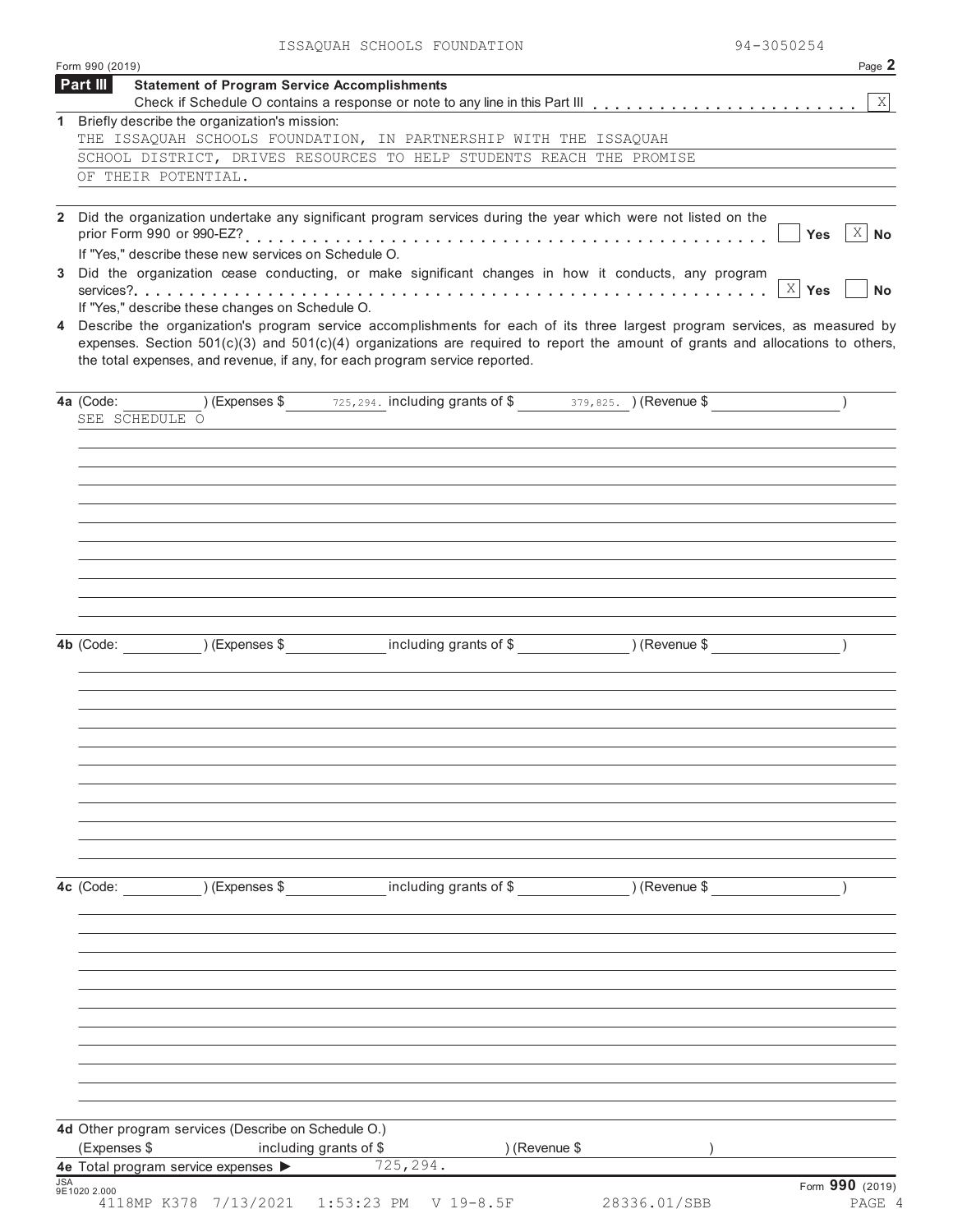|            | Form 990 (2019)                                                                                                                                                                                                                                                                                                                             | Page 2                    |
|------------|---------------------------------------------------------------------------------------------------------------------------------------------------------------------------------------------------------------------------------------------------------------------------------------------------------------------------------------------|---------------------------|
|            | Part III<br><b>Statement of Program Service Accomplishments</b>                                                                                                                                                                                                                                                                             | $\vert X \vert$           |
| 1          | Briefly describe the organization's mission:                                                                                                                                                                                                                                                                                                |                           |
|            | THE ISSAQUAH SCHOOLS FOUNDATION, IN PARTNERSHIP WITH THE ISSAQUAH                                                                                                                                                                                                                                                                           |                           |
|            | SCHOOL DISTRICT, DRIVES RESOURCES TO HELP STUDENTS REACH THE PROMISE                                                                                                                                                                                                                                                                        |                           |
|            | OF THEIR POTENTIAL.                                                                                                                                                                                                                                                                                                                         |                           |
|            |                                                                                                                                                                                                                                                                                                                                             |                           |
|            | 2 Did the organization undertake any significant program services during the year which were not listed on the<br>If "Yes," describe these new services on Schedule O.                                                                                                                                                                      | X No<br>Yes               |
|            | 3 Did the organization cease conducting, or make significant changes in how it conducts, any program                                                                                                                                                                                                                                        | $X$ Yes<br><b>No</b>      |
|            | If "Yes," describe these changes on Schedule O.                                                                                                                                                                                                                                                                                             |                           |
| 4          | Describe the organization's program service accomplishments for each of its three largest program services, as measured by<br>expenses. Section 501(c)(3) and 501(c)(4) organizations are required to report the amount of grants and allocations to others,<br>the total expenses, and revenue, if any, for each program service reported. |                           |
|            | (Expenses \$ 725, 294. including grants of \$ 379, 825. ) (Revenue \$<br>4a (Code:<br>SEE SCHEDULE O                                                                                                                                                                                                                                        |                           |
|            |                                                                                                                                                                                                                                                                                                                                             |                           |
|            |                                                                                                                                                                                                                                                                                                                                             |                           |
|            |                                                                                                                                                                                                                                                                                                                                             |                           |
|            |                                                                                                                                                                                                                                                                                                                                             |                           |
|            | including grants of \$ (Revenue \$)<br>4b (Code: ) (Expenses \$                                                                                                                                                                                                                                                                             |                           |
|            |                                                                                                                                                                                                                                                                                                                                             |                           |
|            |                                                                                                                                                                                                                                                                                                                                             |                           |
|            |                                                                                                                                                                                                                                                                                                                                             |                           |
|            |                                                                                                                                                                                                                                                                                                                                             |                           |
|            |                                                                                                                                                                                                                                                                                                                                             |                           |
|            | 4c (Code: ) (Expenses \$ including grants of \$ ) (Revenue \$                                                                                                                                                                                                                                                                               |                           |
|            |                                                                                                                                                                                                                                                                                                                                             |                           |
|            |                                                                                                                                                                                                                                                                                                                                             |                           |
|            |                                                                                                                                                                                                                                                                                                                                             |                           |
|            |                                                                                                                                                                                                                                                                                                                                             |                           |
|            |                                                                                                                                                                                                                                                                                                                                             |                           |
|            | 4d Other program services (Describe on Schedule O.)<br>(Expenses \$<br>including grants of \$<br>) (Revenue \$                                                                                                                                                                                                                              |                           |
|            | 725, 294.<br>4e Total program service expenses >                                                                                                                                                                                                                                                                                            |                           |
| <b>JSA</b> | 9E1020 2.000<br>4118MP K378 7/13/2021 1:53:23 PM<br>28336.01/SBB<br>$V$ 19-8.5F                                                                                                                                                                                                                                                             | Form 990 (2019)<br>PAGE 4 |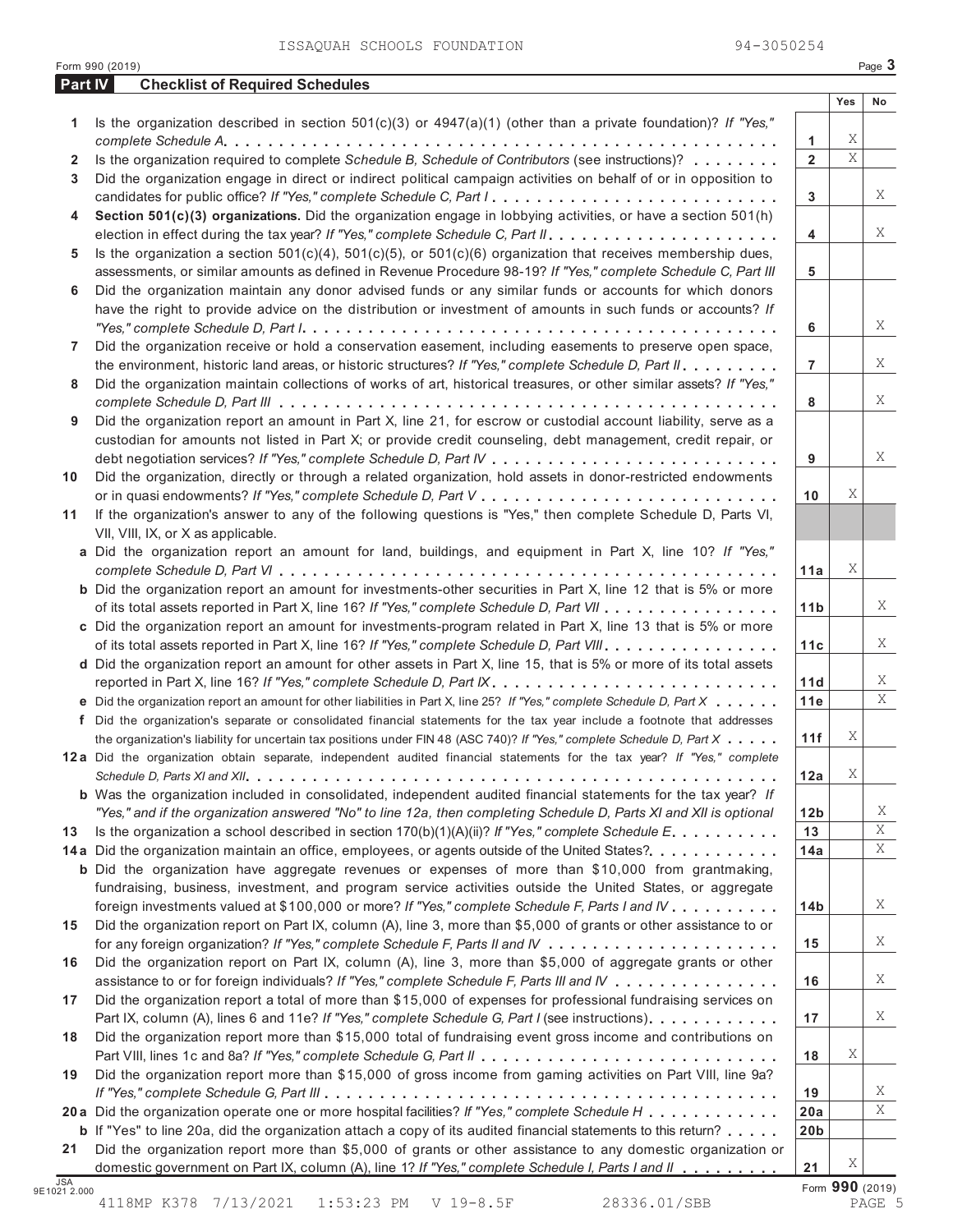|         | Form 990 (2019)                                                                                                                                                                                               |                 |        | Page 3 |
|---------|---------------------------------------------------------------------------------------------------------------------------------------------------------------------------------------------------------------|-----------------|--------|--------|
| Part IV | <b>Checklist of Required Schedules</b>                                                                                                                                                                        |                 |        |        |
|         |                                                                                                                                                                                                               |                 | Yes    | No     |
| 1       | Is the organization described in section $501(c)(3)$ or $4947(a)(1)$ (other than a private foundation)? If "Yes,"                                                                                             |                 |        |        |
|         |                                                                                                                                                                                                               | 1               | Χ<br>X |        |
| 2       | Is the organization required to complete Schedule B, Schedule of Contributors (see instructions)?                                                                                                             | $\overline{2}$  |        |        |
| 3       | Did the organization engage in direct or indirect political campaign activities on behalf of or in opposition to                                                                                              |                 |        | Χ      |
|         |                                                                                                                                                                                                               | 3               |        |        |
| 4       | Section 501(c)(3) organizations. Did the organization engage in lobbying activities, or have a section 501(h)                                                                                                 | $\overline{4}$  |        | Χ      |
| 5       | Is the organization a section $501(c)(4)$ , $501(c)(5)$ , or $501(c)(6)$ organization that receives membership dues,                                                                                          |                 |        |        |
|         | assessments, or similar amounts as defined in Revenue Procedure 98-19? If "Yes," complete Schedule C, Part III                                                                                                | 5               |        |        |
| 6       | Did the organization maintain any donor advised funds or any similar funds or accounts for which donors                                                                                                       |                 |        |        |
|         | have the right to provide advice on the distribution or investment of amounts in such funds or accounts? If                                                                                                   |                 |        |        |
|         |                                                                                                                                                                                                               | 6               |        | X      |
| 7       | Did the organization receive or hold a conservation easement, including easements to preserve open space,                                                                                                     |                 |        |        |
|         | the environment, historic land areas, or historic structures? If "Yes," complete Schedule D, Part II.                                                                                                         | $\overline{7}$  |        | Χ      |
| 8       | Did the organization maintain collections of works of art, historical treasures, or other similar assets? If "Yes,"                                                                                           |                 |        |        |
|         |                                                                                                                                                                                                               | 8               |        | Χ      |
| 9       | Did the organization report an amount in Part X, line 21, for escrow or custodial account liability, serve as a                                                                                               |                 |        |        |
|         | custodian for amounts not listed in Part X; or provide credit counseling, debt management, credit repair, or                                                                                                  |                 |        |        |
|         |                                                                                                                                                                                                               | 9               |        | Χ      |
| 10      | Did the organization, directly or through a related organization, hold assets in donor-restricted endowments                                                                                                  |                 |        |        |
|         |                                                                                                                                                                                                               | 10              | Χ      |        |
| 11      | If the organization's answer to any of the following questions is "Yes," then complete Schedule D, Parts VI,                                                                                                  |                 |        |        |
|         | VII, VIII, IX, or X as applicable.                                                                                                                                                                            |                 |        |        |
|         | a Did the organization report an amount for land, buildings, and equipment in Part X, line 10? If "Yes,"                                                                                                      |                 |        |        |
|         |                                                                                                                                                                                                               | 11a             | Χ      |        |
|         | <b>b</b> Did the organization report an amount for investments-other securities in Part X, line 12 that is 5% or more                                                                                         |                 |        |        |
|         | of its total assets reported in Part X, line 16? If "Yes," complete Schedule D, Part VII                                                                                                                      | 11 <sub>b</sub> |        | X      |
|         | c Did the organization report an amount for investments-program related in Part X, line 13 that is 5% or more                                                                                                 |                 |        |        |
|         | of its total assets reported in Part X, line 16? If "Yes," complete Schedule D, Part VIII.                                                                                                                    | 11c             |        | Χ      |
|         | d Did the organization report an amount for other assets in Part X, line 15, that is 5% or more of its total assets                                                                                           |                 |        |        |
|         |                                                                                                                                                                                                               | 11d             |        | Χ      |
|         | e Did the organization report an amount for other liabilities in Part X, line 25? If "Yes," complete Schedule D, Part X                                                                                       | 11e             |        | X      |
|         | f Did the organization's separate or consolidated financial statements for the tax year include a footnote that addresses                                                                                     |                 |        |        |
|         | the organization's liability for uncertain tax positions under FIN 48 (ASC 740)? If "Yes," complete Schedule D, Part X                                                                                        | 11f             | Χ      |        |
|         | 12a Did the organization obtain separate, independent audited financial statements for the tax year? If "Yes," complete                                                                                       |                 |        |        |
|         |                                                                                                                                                                                                               | 12a             | Χ      |        |
|         | <b>b</b> Was the organization included in consolidated, independent audited financial statements for the tax year? If                                                                                         |                 |        |        |
|         | "Yes," and if the organization answered "No" to line 12a, then completing Schedule D, Parts XI and XII is optional                                                                                            | 12 <sub>b</sub> |        | Χ      |
| 13      | Is the organization a school described in section $170(b)(1)(A)(ii)$ ? If "Yes," complete Schedule E.                                                                                                         | 13              |        | Χ      |
|         | 14a Did the organization maintain an office, employees, or agents outside of the United States?.                                                                                                              | 14a             |        | X      |
|         | <b>b</b> Did the organization have aggregate revenues or expenses of more than \$10,000 from grantmaking,                                                                                                     |                 |        |        |
|         | fundraising, business, investment, and program service activities outside the United States, or aggregate                                                                                                     |                 |        |        |
|         | foreign investments valued at \$100,000 or more? If "Yes," complete Schedule F, Parts I and IV                                                                                                                | 14 <sub>b</sub> |        | X      |
| 15      | Did the organization report on Part IX, column (A), line 3, more than \$5,000 of grants or other assistance to or                                                                                             |                 |        | X      |
|         |                                                                                                                                                                                                               | 15              |        |        |
| 16      | Did the organization report on Part IX, column (A), line 3, more than \$5,000 of aggregate grants or other                                                                                                    |                 |        | Χ      |
|         | assistance to or for foreign individuals? If "Yes," complete Schedule F, Parts III and IV                                                                                                                     | 16              |        |        |
| 17      | Did the organization report a total of more than \$15,000 of expenses for professional fundraising services on                                                                                                |                 |        | X      |
|         | Part IX, column (A), lines 6 and 11e? If "Yes," complete Schedule G, Part I (see instructions)<br>Did the organization report more than \$15,000 total of fundraising event gross income and contributions on | 17              |        |        |
| 18      |                                                                                                                                                                                                               | 18              | Χ      |        |
| 19      | Did the organization report more than \$15,000 of gross income from gaming activities on Part VIII, line 9a?                                                                                                  |                 |        |        |
|         |                                                                                                                                                                                                               | 19              |        | X      |
|         | 20 a Did the organization operate one or more hospital facilities? If "Yes," complete Schedule H                                                                                                              | 20a             |        | Χ      |
|         | <b>b</b> If "Yes" to line 20a, did the organization attach a copy of its audited financial statements to this return?                                                                                         | 20 <sub>b</sub> |        |        |
|         |                                                                                                                                                                                                               |                 |        |        |

**21** Did the organization report more than \$5,000 of grants or other assistance to any domestic organization or domestic government on Part IX, column (A), line 1? If "Yes," complete Schedule I, Parts I and II JSA<br>9E1021 2.000

**21**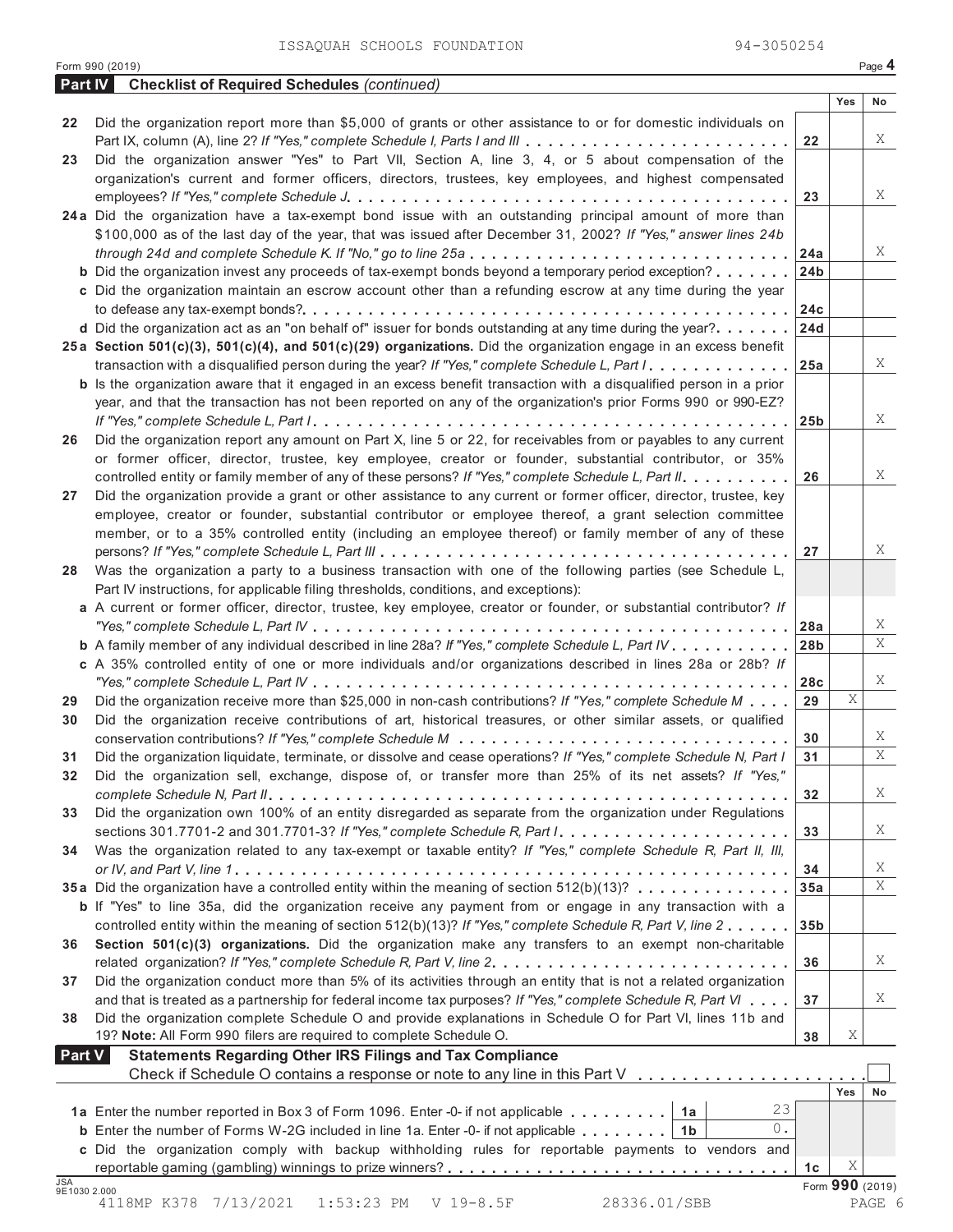| Part IV      | <b>Checklist of Required Schedules (continued)</b>                                                                        |                 |                      |    |
|--------------|---------------------------------------------------------------------------------------------------------------------------|-----------------|----------------------|----|
|              |                                                                                                                           |                 | Yes                  | No |
| 22           | Did the organization report more than \$5,000 of grants or other assistance to or for domestic individuals on             |                 |                      |    |
|              |                                                                                                                           | 22              |                      | Χ  |
| 23           | Did the organization answer "Yes" to Part VII, Section A, line 3, 4, or 5 about compensation of the                       |                 |                      |    |
|              | organization's current and former officers, directors, trustees, key employees, and highest compensated                   |                 |                      |    |
|              |                                                                                                                           | 23              |                      | X  |
|              | 24a Did the organization have a tax-exempt bond issue with an outstanding principal amount of more than                   |                 |                      |    |
|              | \$100,000 as of the last day of the year, that was issued after December 31, 2002? If "Yes," answer lines 24b             |                 |                      |    |
|              |                                                                                                                           | 24a             |                      | Χ  |
|              | <b>b</b> Did the organization invest any proceeds of tax-exempt bonds beyond a temporary period exception?                | 24 <sub>b</sub> |                      |    |
|              | c Did the organization maintain an escrow account other than a refunding escrow at any time during the year               |                 |                      |    |
|              |                                                                                                                           | 24c             |                      |    |
|              | d Did the organization act as an "on behalf of" issuer for bonds outstanding at any time during the year?                 | 24d             |                      |    |
|              | 25a Section 501(c)(3), 501(c)(4), and 501(c)(29) organizations. Did the organization engage in an excess benefit          |                 |                      |    |
|              | transaction with a disqualified person during the year? If "Yes," complete Schedule L, Part I.                            | 25a             |                      | Χ  |
|              | <b>b</b> Is the organization aware that it engaged in an excess benefit transaction with a disqualified person in a prior |                 |                      |    |
|              | year, and that the transaction has not been reported on any of the organization's prior Forms 990 or 990-EZ?              |                 |                      |    |
|              |                                                                                                                           | 25 <sub>b</sub> |                      | Χ  |
| 26           | Did the organization report any amount on Part X, line 5 or 22, for receivables from or payables to any current           |                 |                      |    |
|              | or former officer, director, trustee, key employee, creator or founder, substantial contributor, or 35%                   |                 |                      |    |
|              | controlled entity or family member of any of these persons? If "Yes," complete Schedule L, Part II.                       | 26              |                      | Χ  |
|              |                                                                                                                           |                 |                      |    |
| 27           | Did the organization provide a grant or other assistance to any current or former officer, director, trustee, key         |                 |                      |    |
|              | employee, creator or founder, substantial contributor or employee thereof, a grant selection committee                    |                 |                      |    |
|              | member, or to a 35% controlled entity (including an employee thereof) or family member of any of these                    |                 |                      | Χ  |
|              |                                                                                                                           | 27              |                      |    |
| 28           | Was the organization a party to a business transaction with one of the following parties (see Schedule L,                 |                 |                      |    |
|              | Part IV instructions, for applicable filing thresholds, conditions, and exceptions):                                      |                 |                      |    |
|              | a A current or former officer, director, trustee, key employee, creator or founder, or substantial contributor? If        |                 |                      | X  |
|              |                                                                                                                           | 28a             |                      | Χ  |
|              | <b>b</b> A family member of any individual described in line 28a? If "Yes," complete Schedule L, Part IV                  | 28 <sub>b</sub> |                      |    |
|              | c A 35% controlled entity of one or more individuals and/or organizations described in lines 28a or 28b? If               |                 |                      | Χ  |
|              |                                                                                                                           | 28c             | Χ                    |    |
| 29           | Did the organization receive more than \$25,000 in non-cash contributions? If "Yes," complete Schedule M                  | 29              |                      |    |
| 30           | Did the organization receive contributions of art, historical treasures, or other similar assets, or qualified            |                 |                      | X  |
|              |                                                                                                                           | 30              |                      | Χ  |
| 31           | Did the organization liquidate, terminate, or dissolve and cease operations? If "Yes," complete Schedule N, Part I        | 31              |                      |    |
| 32           | Did the organization sell, exchange, dispose of, or transfer more than 25% of its net assets? If "Yes,"                   |                 |                      | Χ  |
|              |                                                                                                                           | 32              |                      |    |
| 33           | Did the organization own 100% of an entity disregarded as separate from the organization under Regulations                |                 |                      | X  |
|              |                                                                                                                           | 33              |                      |    |
| 34           | Was the organization related to any tax-exempt or taxable entity? If "Yes," complete Schedule R, Part II, III,            |                 |                      | X  |
|              | 35a Did the organization have a controlled entity within the meaning of section 512(b)(13)?                               | 34              |                      | Χ  |
|              |                                                                                                                           | 35a             |                      |    |
|              | <b>b</b> If "Yes" to line 35a, did the organization receive any payment from or engage in any transaction with a          |                 |                      |    |
|              | controlled entity within the meaning of section 512(b)(13)? If "Yes," complete Schedule R, Part V, line 2                 | 35 <sub>b</sub> |                      |    |
| 36           | Section 501(c)(3) organizations. Did the organization make any transfers to an exempt non-charitable                      |                 |                      | Χ  |
|              | related organization? If "Yes," complete Schedule R, Part V, line 2.                                                      | 36              |                      |    |
| 37           | Did the organization conduct more than 5% of its activities through an entity that is not a related organization          |                 |                      | Χ  |
|              | and that is treated as a partnership for federal income tax purposes? If "Yes," complete Schedule R, Part VI              | 37              |                      |    |
| 38           | Did the organization complete Schedule O and provide explanations in Schedule O for Part VI, lines 11b and                |                 |                      |    |
|              | 19? Note: All Form 990 filers are required to complete Schedule O.                                                        | 38              | Χ                    |    |
| Part V       | <b>Statements Regarding Other IRS Filings and Tax Compliance</b>                                                          |                 |                      |    |
|              | Check if Schedule O contains a response or note to any line in this Part V                                                |                 |                      |    |
|              | 23                                                                                                                        |                 | <b>Yes</b>           | No |
|              | 1a Enter the number reported in Box 3 of Form 1096. Enter -0- if not applicable   1a<br>0.                                |                 |                      |    |
|              | <b>b</b> Enter the number of Forms W-2G included in line 1a. Enter -0- if not applicable $\ldots \ldots \ldots$<br>1b     |                 |                      |    |
|              | c Did the organization comply with backup withholding rules for reportable payments to vendors and                        |                 |                      |    |
| <b>JSA</b>   |                                                                                                                           | 1 <sub>c</sub>  | Χ<br>Form 990 (2019) |    |
| 9E1030 2.000 |                                                                                                                           |                 |                      |    |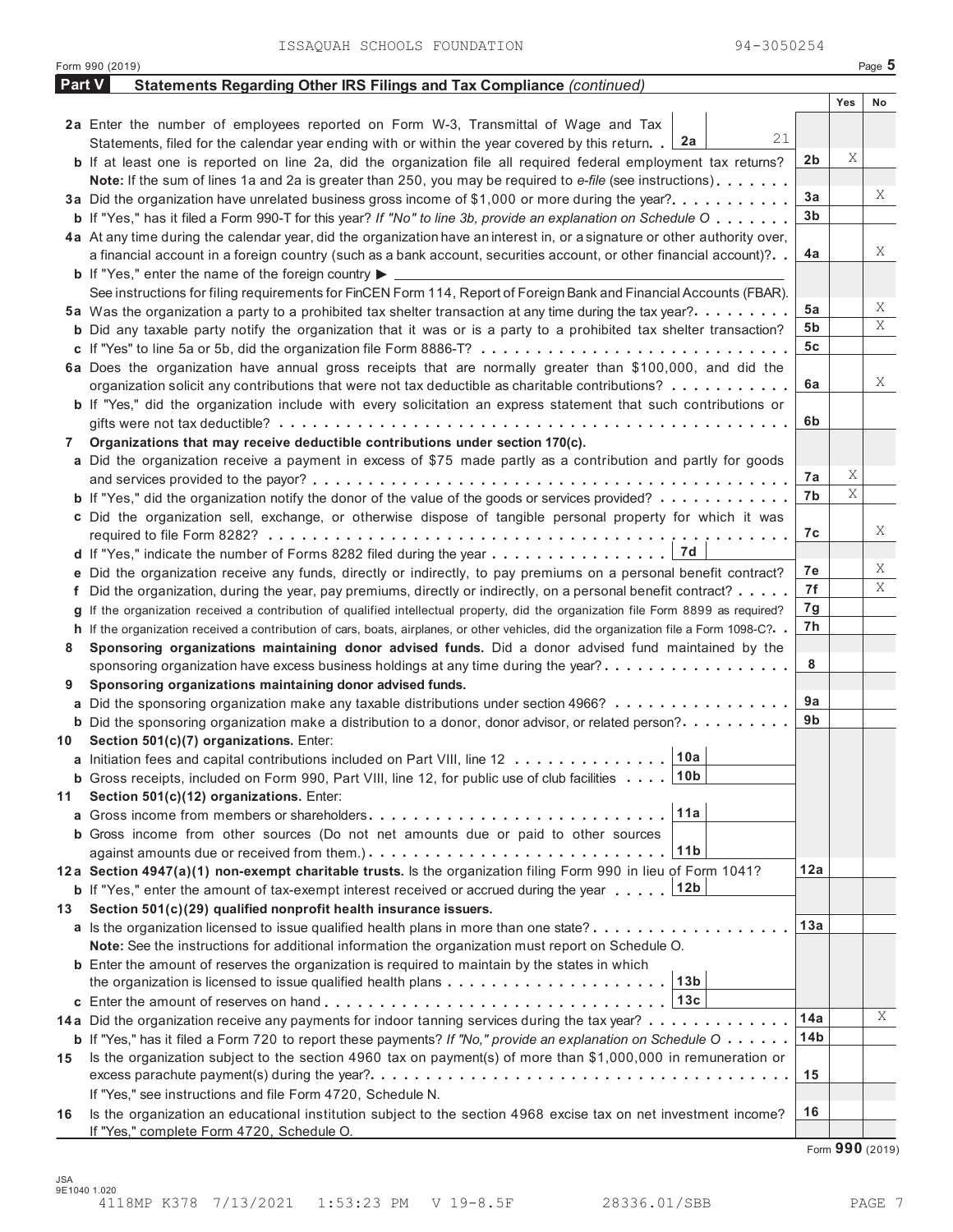|        | Form 990 (2019)                                                                                                                         |     |     | Page 5 |
|--------|-----------------------------------------------------------------------------------------------------------------------------------------|-----|-----|--------|
| Part V | <b>Statements Regarding Other IRS Filings and Tax Compliance (continued)</b>                                                            |     |     |        |
|        |                                                                                                                                         |     | Yes | No     |
|        | 2a Enter the number of employees reported on Form W-3, Transmittal of Wage and Tax                                                      |     |     |        |
|        | 21<br>2a<br>Statements, filed for the calendar year ending with or within the year covered by this return. .                            |     |     |        |
|        | <b>b</b> If at least one is reported on line 2a, did the organization file all required federal employment tax returns?                 | 2b  | Χ   |        |
|        | Note: If the sum of lines 1a and 2a is greater than 250, you may be required to e-file (see instructions)                               |     |     |        |
|        | 3a Did the organization have unrelated business gross income of \$1,000 or more during the year?                                        | 3a  |     | X      |
|        | <b>b</b> If "Yes," has it filed a Form 990-T for this year? If "No" to line 3b, provide an explanation on Schedule O                    | 3b  |     |        |
|        | 4a At any time during the calendar year, did the organization have an interest in, or a signature or other authority over,              |     |     |        |
|        | a financial account in a foreign country (such as a bank account, securities account, or other financial account)?                      | 4a  |     | X      |
|        | <b>b</b> If "Yes," enter the name of the foreign country $\blacktriangleright$ $\equiv$                                                 |     |     |        |
|        | See instructions for filing requirements for FinCEN Form 114, Report of Foreign Bank and Financial Accounts (FBAR).                     |     |     |        |
|        | 5a Was the organization a party to a prohibited tax shelter transaction at any time during the tax year?.                               | 5а  |     | X      |
|        | <b>b</b> Did any taxable party notify the organization that it was or is a party to a prohibited tax shelter transaction?               | 5b  |     | Χ      |
|        |                                                                                                                                         | 5с  |     |        |
|        | 6a Does the organization have annual gross receipts that are normally greater than \$100,000, and did the                               |     |     |        |
|        | organization solicit any contributions that were not tax deductible as charitable contributions?                                        | 6a  |     | X      |
|        | <b>b</b> If "Yes," did the organization include with every solicitation an express statement that such contributions or                 |     |     |        |
|        |                                                                                                                                         | 6b  |     |        |
| 7      | Organizations that may receive deductible contributions under section 170(c).                                                           |     |     |        |
|        | a Did the organization receive a payment in excess of \$75 made partly as a contribution and partly for goods                           |     |     |        |
|        |                                                                                                                                         | 7a  | Χ   |        |
|        | <b>b</b> If "Yes," did the organization notify the donor of the value of the goods or services provided?                                | 7b  | Χ   |        |
|        | c Did the organization sell, exchange, or otherwise dispose of tangible personal property for which it was                              |     |     |        |
|        |                                                                                                                                         | 7с  |     | X      |
|        | 7d                                                                                                                                      |     |     |        |
|        | e Did the organization receive any funds, directly or indirectly, to pay premiums on a personal benefit contract?                       | 7е  |     | X      |
|        | f Did the organization, during the year, pay premiums, directly or indirectly, on a personal benefit contract?                          | 7f  |     | Χ      |
|        | If the organization received a contribution of qualified intellectual property, did the organization file Form 8899 as required?        | 7g  |     |        |
|        | h If the organization received a contribution of cars, boats, airplanes, or other vehicles, did the organization file a Form 1098-C?. . | 7h  |     |        |
| 8      | Sponsoring organizations maintaining donor advised funds. Did a donor advised fund maintained by the                                    |     |     |        |
|        | sponsoring organization have excess business holdings at any time during the year?                                                      | 8   |     |        |
| 9      | Sponsoring organizations maintaining donor advised funds.                                                                               |     |     |        |
|        | <b>a</b> Did the sponsoring organization make any taxable distributions under section 4966?                                             | 9a  |     |        |
|        | <b>b</b> Did the sponsoring organization make a distribution to a donor, donor advisor, or related person?                              | 9b  |     |        |
| 10     | Section 501(c)(7) organizations. Enter:<br>10a                                                                                          |     |     |        |
|        | a Initiation fees and capital contributions included on Part VIII, line 12                                                              |     |     |        |
|        | 10 <sub>b</sub><br><b>b</b> Gross receipts, included on Form 990, Part VIII, line 12, for public use of club facilities                 |     |     |        |
| 11     | Section 501(c)(12) organizations. Enter:<br>11a                                                                                         |     |     |        |
|        | <b>a</b> Gross income from members or shareholders                                                                                      |     |     |        |
|        | b Gross income from other sources (Do not net amounts due or paid to other sources<br> 11b                                              |     |     |        |
|        | 12a Section 4947(a)(1) non-exempt charitable trusts. Is the organization filing Form 990 in lieu of Form 1041?                          | 12a |     |        |
|        | 12b<br><b>b</b> If "Yes," enter the amount of tax-exempt interest received or accrued during the year                                   |     |     |        |
| 13     | Section 501(c)(29) qualified nonprofit health insurance issuers.                                                                        |     |     |        |
|        | a Is the organization licensed to issue qualified health plans in more than one state?                                                  | 13a |     |        |
|        | Note: See the instructions for additional information the organization must report on Schedule O.                                       |     |     |        |
|        | <b>b</b> Enter the amount of reserves the organization is required to maintain by the states in which                                   |     |     |        |
|        | 13 <sub>b</sub>                                                                                                                         |     |     |        |
|        |                                                                                                                                         |     |     |        |
|        | 14a Did the organization receive any payments for indoor tanning services during the tax year?                                          | 14a |     | Χ      |
|        | <b>b</b> If "Yes," has it filed a Form 720 to report these payments? If "No," provide an explanation on Schedule O $\cdots$             | 14b |     |        |
| 15     | Is the organization subject to the section 4960 tax on payment(s) of more than \$1,000,000 in remuneration or                           |     |     |        |
|        |                                                                                                                                         | 15  |     |        |
|        | If "Yes," see instructions and file Form 4720, Schedule N.                                                                              |     |     |        |
| 16     | Is the organization an educational institution subject to the section 4968 excise tax on net investment income?                         | 16  |     |        |
|        | If "Yes," complete Form 4720, Schedule O.                                                                                               |     |     |        |

Form **990** (2019)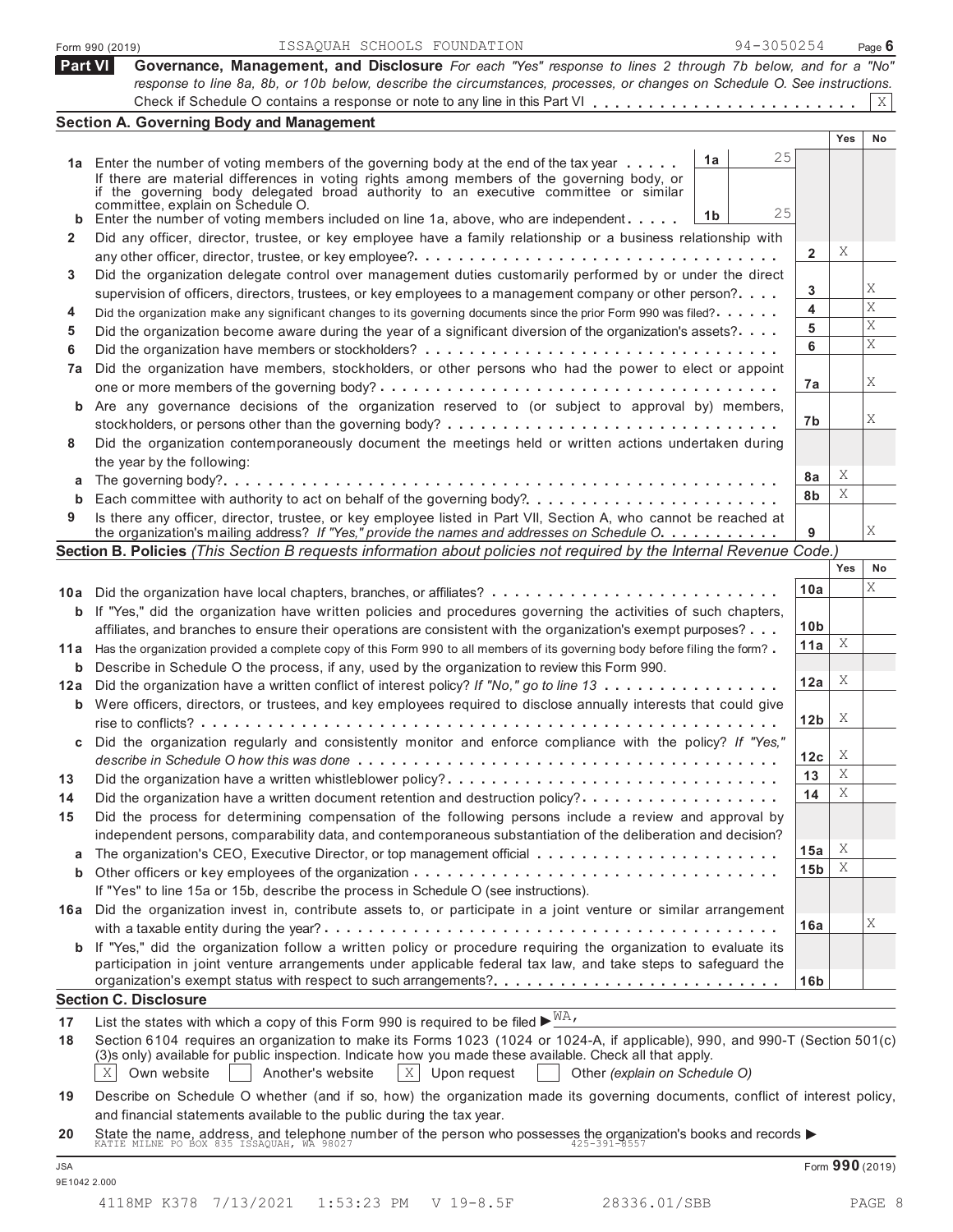|            | 94-3050254<br>ISSAQUAH SCHOOLS FOUNDATION<br>Form 990 (2019)                                                                                                                                                                                                                                                                                       |                 |     | Page $6$        |
|------------|----------------------------------------------------------------------------------------------------------------------------------------------------------------------------------------------------------------------------------------------------------------------------------------------------------------------------------------------------|-----------------|-----|-----------------|
| Part VI    | Governance, Management, and Disclosure For each "Yes" response to lines 2 through 7b below, and for a "No"                                                                                                                                                                                                                                         |                 |     |                 |
|            | response to line 8a, 8b, or 10b below, describe the circumstances, processes, or changes on Schedule O. See instructions.                                                                                                                                                                                                                          |                 |     |                 |
|            |                                                                                                                                                                                                                                                                                                                                                    |                 |     | Χ               |
|            | <b>Section A. Governing Body and Management</b>                                                                                                                                                                                                                                                                                                    |                 | Yes | No              |
|            | 25                                                                                                                                                                                                                                                                                                                                                 |                 |     |                 |
|            | 1a<br>1a Enter the number of voting members of the governing body at the end of the tax year<br>If there are material differences in voting rights among members of the governing body, or<br>if the governing body delegated broad authority to an executive committee or similar                                                                 |                 |     |                 |
| b          | committée, explain on Schedule O.<br>25<br>1 <sub>b</sub><br>Enter the number of voting members included on line 1a, above, who are independent                                                                                                                                                                                                    |                 |     |                 |
| 2          | Did any officer, director, trustee, or key employee have a family relationship or a business relationship with                                                                                                                                                                                                                                     | $\mathbf 2$     | Χ   |                 |
| 3          | Did the organization delegate control over management duties customarily performed by or under the direct                                                                                                                                                                                                                                          |                 |     |                 |
|            | supervision of officers, directors, trustees, or key employees to a management company or other person?                                                                                                                                                                                                                                            | 3               |     | Χ               |
| 4          | Did the organization make any significant changes to its governing documents since the prior Form 990 was filed?                                                                                                                                                                                                                                   | 4               |     | X               |
| 5          | Did the organization become aware during the year of a significant diversion of the organization's assets?                                                                                                                                                                                                                                         | 5               |     | Χ               |
| 6          |                                                                                                                                                                                                                                                                                                                                                    | 6               |     | X               |
| 7a         | Did the organization have members, stockholders, or other persons who had the power to elect or appoint                                                                                                                                                                                                                                            |                 |     |                 |
|            |                                                                                                                                                                                                                                                                                                                                                    | 7a              |     | Χ               |
|            | <b>b</b> Are any governance decisions of the organization reserved to (or subject to approval by) members,                                                                                                                                                                                                                                         |                 |     |                 |
|            |                                                                                                                                                                                                                                                                                                                                                    | 7b              |     | Χ               |
| 8          | Did the organization contemporaneously document the meetings held or written actions undertaken during                                                                                                                                                                                                                                             |                 |     |                 |
|            | the year by the following:                                                                                                                                                                                                                                                                                                                         | 8a              | Χ   |                 |
| а          |                                                                                                                                                                                                                                                                                                                                                    | 8b              | X   |                 |
| b          |                                                                                                                                                                                                                                                                                                                                                    |                 |     |                 |
| 9          | Is there any officer, director, trustee, or key employee listed in Part VII, Section A, who cannot be reached at<br>the organization's mailing address? If "Yes," provide the names and addresses on Schedule O.                                                                                                                                   | 9               |     | Χ               |
|            | Section B. Policies (This Section B requests information about policies not required by the Internal Revenue Code.)                                                                                                                                                                                                                                |                 |     |                 |
|            |                                                                                                                                                                                                                                                                                                                                                    |                 | Yes | No              |
| 10a        |                                                                                                                                                                                                                                                                                                                                                    | 10a             |     | X               |
| b          | If "Yes," did the organization have written policies and procedures governing the activities of such chapters,                                                                                                                                                                                                                                     |                 |     |                 |
|            | affiliates, and branches to ensure their operations are consistent with the organization's exempt purposes?                                                                                                                                                                                                                                        | 10 <sub>b</sub> |     |                 |
| 11 a       | Has the organization provided a complete copy of this Form 990 to all members of its governing body before filing the form?                                                                                                                                                                                                                        | 11a             | X   |                 |
| b          | Describe in Schedule O the process, if any, used by the organization to review this Form 990.                                                                                                                                                                                                                                                      |                 |     |                 |
| 12a        | Did the organization have a written conflict of interest policy? If "No," go to line 13                                                                                                                                                                                                                                                            | 12a             | X   |                 |
|            | <b>b</b> Were officers, directors, or trustees, and key employees required to disclose annually interests that could give                                                                                                                                                                                                                          | 12 <sub>b</sub> | X   |                 |
|            | Did the organization regularly and consistently monitor and enforce compliance with the policy? If "Yes,"                                                                                                                                                                                                                                          | 12c             | Χ   |                 |
|            |                                                                                                                                                                                                                                                                                                                                                    | 13              | Χ   |                 |
| 13         | Did the organization have a written whistleblower policy?                                                                                                                                                                                                                                                                                          | 14              | Χ   |                 |
| 14         | Did the organization have a written document retention and destruction policy?<br>Did the process for determining compensation of the following persons include a review and approval by                                                                                                                                                           |                 |     |                 |
| 15         | independent persons, comparability data, and contemporaneous substantiation of the deliberation and decision?                                                                                                                                                                                                                                      |                 |     |                 |
| a          |                                                                                                                                                                                                                                                                                                                                                    | 15a             | X   |                 |
| b          |                                                                                                                                                                                                                                                                                                                                                    | 15 <sub>b</sub> | Χ   |                 |
|            | If "Yes" to line 15a or 15b, describe the process in Schedule O (see instructions).                                                                                                                                                                                                                                                                |                 |     |                 |
|            | 16a Did the organization invest in, contribute assets to, or participate in a joint venture or similar arrangement                                                                                                                                                                                                                                 |                 |     |                 |
|            |                                                                                                                                                                                                                                                                                                                                                    | 16a             |     | Χ               |
|            | <b>b</b> If "Yes," did the organization follow a written policy or procedure requiring the organization to evaluate its<br>participation in joint venture arrangements under applicable federal tax law, and take steps to safeguard the                                                                                                           |                 |     |                 |
|            |                                                                                                                                                                                                                                                                                                                                                    | 16 <sub>b</sub> |     |                 |
|            | <b>Section C. Disclosure</b>                                                                                                                                                                                                                                                                                                                       |                 |     |                 |
| 17         | List the states with which a copy of this Form 990 is required to be filed $\blacktriangleright^{\text{MA}}$ ,                                                                                                                                                                                                                                     |                 |     |                 |
| 18         | Section 6104 requires an organization to make its Forms 1023 (1024 or 1024-A, if applicable), 990, and 990-T (Section 501(c)<br>(3)s only) available for public inspection. Indicate how you made these available. Check all that apply.<br>X<br>$\mathbf{X}$<br>Own website<br>Another's website<br>Upon request<br>Other (explain on Schedule O) |                 |     |                 |
| 19         | Describe on Schedule O whether (and if so, how) the organization made its governing documents, conflict of interest policy,<br>and financial statements available to the public during the tax year.                                                                                                                                               |                 |     |                 |
| 20         | State the name, address, and telephone number of the person who possesses the organization's books and records $\blacktriangleright$<br>KATIE MILNE PO BOX 835 ISSAQUAH, WA 98027                                                                                                                                                                  |                 |     |                 |
| <b>JSA</b> |                                                                                                                                                                                                                                                                                                                                                    |                 |     | Form 990 (2019) |
|            |                                                                                                                                                                                                                                                                                                                                                    |                 |     |                 |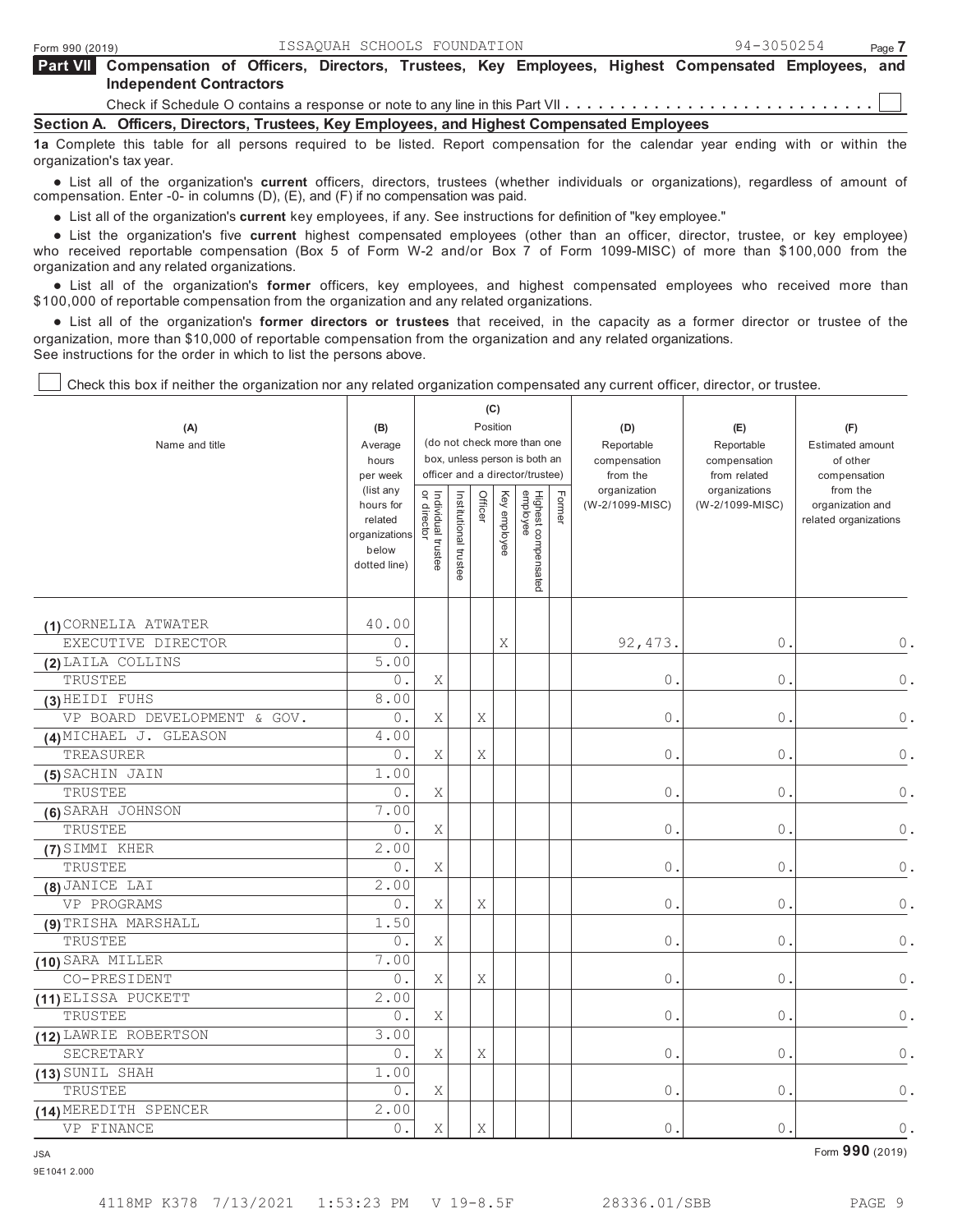| <b>Part VII</b> Compensation of Officers, Directors, Trustees, Key Employees, Highest Compensated Employees, and |  |  |  |  |  |  |  |  |  |
|------------------------------------------------------------------------------------------------------------------|--|--|--|--|--|--|--|--|--|
| <b>Independent Contractors</b>                                                                                   |  |  |  |  |  |  |  |  |  |
|                                                                                                                  |  |  |  |  |  |  |  |  |  |

**Section A. Officers, Directors, Trustees, Key Employees, and Highest Compensated Employees**

**1a** Complete this table for all persons required to be listed. Report compensation for the calendar year ending with or within the organization's tax year.

 List all of the organization's **current** officers, directors, trustees (whether individuals or organizations), regardless of amount of compensation. Enter -0- in columns (D), (E), and (F) if no compensation was paid.

npensation. Enter -∪- in columns (י), (ב), and (ד) if no compensation was paid.<br>● List all of the organization's **current** key employees, if any. See instructions for definition of "key employee."

● List all of the organization's **current** key employees, if any. See instructions for definition of "key employee."<br>● List the organization's five **current** highest compensated employees (other than an officer, who received reportable compensation (Box 5 of Form W-2 and/or Box 7 of Form 1099-MISC) of more than \$100,000 from the organization and any related organizations.

anization and any related organizations.<br>● List all of the organization's **former** officers, key employees, and highest compensated employees who received more than \$100,000 of reportable compensation from the organization and any related organizations.

00,000 of reportable compensation from the organization and any related organizations.<br>● List all of the organization's **former directors or trustees** that received, in the capacity as a former director or trustee of the organization, more than \$10,000 of reportable compensation from the organization and any related organizations. See instructions for the order in which to list the persons above.

Check this box if neither the organization nor any related organization compensated any current officer, director, or trustee.

| (A)<br>Name and title       | (B)<br>Average<br>hours<br>per week<br>(list any               |                                   |                       |         | (C)<br>Position | (do not check more than one<br>box, unless person is both an<br>officer and a director/trustee) |        | (D)<br>Reportable<br>compensation<br>from the<br>organization | (E)<br>Reportable<br>compensation<br>from related<br>organizations | (F)<br><b>Estimated amount</b><br>of other<br>compensation<br>from the |
|-----------------------------|----------------------------------------------------------------|-----------------------------------|-----------------------|---------|-----------------|-------------------------------------------------------------------------------------------------|--------|---------------------------------------------------------------|--------------------------------------------------------------------|------------------------------------------------------------------------|
|                             | hours for<br>related<br>organizations<br>below<br>dotted line) | Individual trustee<br>or director | Institutional trustee | Officer | Key employee    | Highest compensated<br>employee                                                                 | Former | (W-2/1099-MISC)                                               | (W-2/1099-MISC)                                                    | organization and<br>related organizations                              |
| (1) CORNELIA ATWATER        | 40.00                                                          |                                   |                       |         |                 |                                                                                                 |        |                                                               |                                                                    |                                                                        |
| EXECUTIVE DIRECTOR          | 0.                                                             |                                   |                       |         | Χ               |                                                                                                 |        | 92, 473.                                                      | 0.                                                                 | $0$ .                                                                  |
| (2) LAILA COLLINS           | 5.00                                                           |                                   |                       |         |                 |                                                                                                 |        |                                                               |                                                                    |                                                                        |
| TRUSTEE                     | $0$ .                                                          | Χ                                 |                       |         |                 |                                                                                                 |        | $0$ .                                                         | $0$ .                                                              | 0.                                                                     |
| (3) HEIDI FUHS              | 8.00                                                           |                                   |                       |         |                 |                                                                                                 |        |                                                               |                                                                    |                                                                        |
| VP BOARD DEVELOPMENT & GOV. | 0.                                                             | Χ                                 |                       | Χ       |                 |                                                                                                 |        | $\mathbb O$ .                                                 | 0.                                                                 | $\mathbb O$ .                                                          |
| (4) MICHAEL J. GLEASON      | 4.00                                                           |                                   |                       |         |                 |                                                                                                 |        |                                                               |                                                                    |                                                                        |
| TREASURER                   | $0$ .                                                          | X                                 |                       | Χ       |                 |                                                                                                 |        | $0$ .                                                         | $0$ .                                                              | $\mathbf 0$ .                                                          |
| (5) SACHIN JAIN             | 1.00                                                           |                                   |                       |         |                 |                                                                                                 |        |                                                               |                                                                    |                                                                        |
| TRUSTEE                     | $0$ .                                                          | Χ                                 |                       |         |                 |                                                                                                 |        | 0.                                                            | 0.                                                                 | $0$ .                                                                  |
| (6) SARAH JOHNSON           | 7.00                                                           |                                   |                       |         |                 |                                                                                                 |        |                                                               |                                                                    |                                                                        |
| TRUSTEE                     | 0.                                                             | Χ                                 |                       |         |                 |                                                                                                 |        | 0.                                                            | 0.                                                                 | 0.                                                                     |
| (7) SIMMI KHER              | 2.00                                                           |                                   |                       |         |                 |                                                                                                 |        |                                                               |                                                                    |                                                                        |
| TRUSTEE                     | 0.                                                             | Χ                                 |                       |         |                 |                                                                                                 |        | $0$ .                                                         | 0.                                                                 | 0.                                                                     |
| (8) JANICE LAI              | 2.00                                                           |                                   |                       |         |                 |                                                                                                 |        |                                                               |                                                                    |                                                                        |
| VP PROGRAMS                 | $0$ .                                                          | X                                 |                       | Χ       |                 |                                                                                                 |        | $0$ .                                                         | $\overline{0}$ .                                                   | $\mathbb O$ .                                                          |
| (9) TRISHA MARSHALL         | 1.50                                                           |                                   |                       |         |                 |                                                                                                 |        |                                                               |                                                                    |                                                                        |
| TRUSTEE                     | $0$ .                                                          | Χ                                 |                       |         |                 |                                                                                                 |        | 0.                                                            | 0.                                                                 | 0.                                                                     |
| (10) SARA MILLER            | 7.00                                                           |                                   |                       |         |                 |                                                                                                 |        |                                                               |                                                                    |                                                                        |
| CO-PRESIDENT                | $0$ .                                                          | Χ                                 |                       | Χ       |                 |                                                                                                 |        | $0$ .                                                         | 0.                                                                 | 0.                                                                     |
| (11) ELISSA PUCKETT         | 2.00                                                           |                                   |                       |         |                 |                                                                                                 |        |                                                               |                                                                    |                                                                        |
| TRUSTEE                     | $0$ .                                                          | Χ                                 |                       |         |                 |                                                                                                 |        | $0$ .                                                         | 0.                                                                 | $\mathbb O$ .                                                          |
| (12) LAWRIE ROBERTSON       | 3.00                                                           |                                   |                       |         |                 |                                                                                                 |        |                                                               |                                                                    |                                                                        |
| SECRETARY                   | $\overline{0}$ .                                               | Χ                                 |                       | Χ       |                 |                                                                                                 |        | $0$ .                                                         | $\overline{0}$ .                                                   | $\mathbf 0$ .                                                          |
| (13) SUNIL SHAH             | 1.00                                                           |                                   |                       |         |                 |                                                                                                 |        |                                                               |                                                                    |                                                                        |
| TRUSTEE                     | $\overline{0}$ .                                               | Χ                                 |                       |         |                 |                                                                                                 |        | $0$ .                                                         | 0.                                                                 | $\bullet$ .                                                            |
| (14) MEREDITH SPENCER       | 2.00                                                           |                                   |                       |         |                 |                                                                                                 |        |                                                               |                                                                    |                                                                        |
| VP FINANCE                  | $\overline{0}$ .                                               | Χ                                 |                       | Χ       |                 |                                                                                                 |        | 0.                                                            | $\overline{0}$ .                                                   | $\mathbb O$ .                                                          |

JSA Form **990** (2019)

4118MP K378 7/13/2021 1:53:23 PM V 19-8.5F 28336.01/SBB PAGE 9

<sup>9</sup>E1041 2.000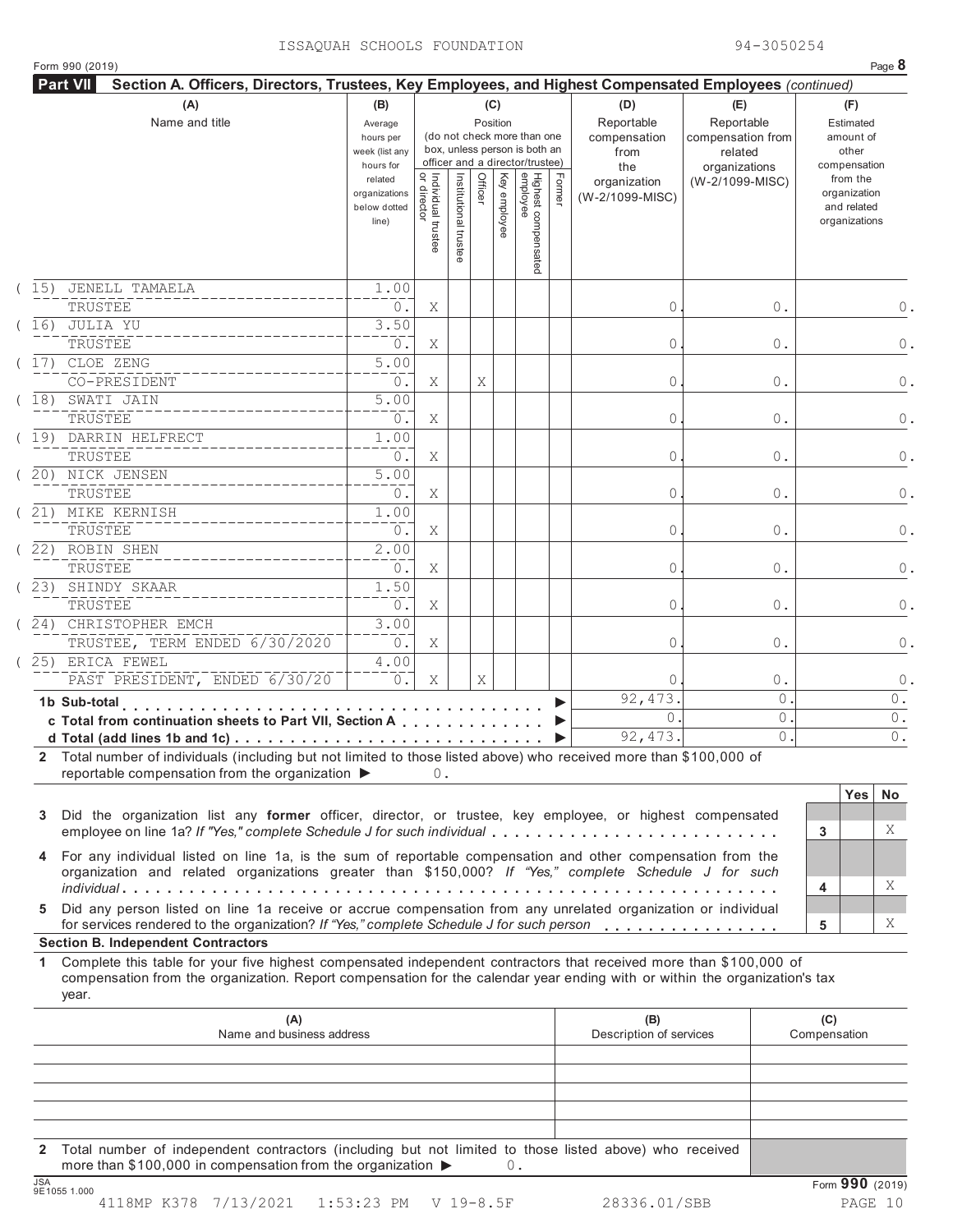|      | Form 990 (2019)                                                                                                                                                                                                                                                                                        |                                                            |                                   |                       |         |                 |                                                                                                 |        |                                                  |                                                                    |         | Page 8                                                   |
|------|--------------------------------------------------------------------------------------------------------------------------------------------------------------------------------------------------------------------------------------------------------------------------------------------------------|------------------------------------------------------------|-----------------------------------|-----------------------|---------|-----------------|-------------------------------------------------------------------------------------------------|--------|--------------------------------------------------|--------------------------------------------------------------------|---------|----------------------------------------------------------|
|      | Section A. Officers, Directors, Trustees, Key Employees, and Highest Compensated Employees (continued)<br><b>Part VII</b>                                                                                                                                                                              |                                                            |                                   |                       |         |                 |                                                                                                 |        |                                                  |                                                                    |         |                                                          |
|      | (A)<br>Name and title                                                                                                                                                                                                                                                                                  | (B)<br>Average<br>hours per<br>week (list any<br>hours for |                                   |                       |         | (C)<br>Position | (do not check more than one<br>box, unless person is both an<br>officer and a director/trustee) |        | (D)<br>Reportable<br>compensation<br>from<br>the | (E)<br>Reportable<br>compensation from<br>related<br>organizations |         | (F)<br>Estimated<br>amount of<br>other<br>compensation   |
|      |                                                                                                                                                                                                                                                                                                        | related<br>organizations<br>below dotted<br>line)          | Individual trustee<br>or director | Institutional trustee | Officer | Key employee    | Highest compensated<br>employee                                                                 | Former | organization<br>(W-2/1099-MISC)                  | (W-2/1099-MISC)                                                    |         | from the<br>organization<br>and related<br>organizations |
| (15) | JENELL TAMAELA<br>TRUSTEE                                                                                                                                                                                                                                                                              | 1.00<br>0.                                                 | Χ                                 |                       |         |                 |                                                                                                 |        | 0                                                |                                                                    | 0.      | 0.                                                       |
| 16)  | JULIA YU<br>TRUSTEE                                                                                                                                                                                                                                                                                    | 3.50<br>$0$ .                                              | Χ                                 |                       |         |                 |                                                                                                 |        | 0                                                |                                                                    | 0.      | 0.                                                       |
| 17)  | CLOE ZENG<br>CO-PRESIDENT                                                                                                                                                                                                                                                                              | 5.00<br>$0$ .                                              | Χ                                 |                       | Χ       |                 |                                                                                                 |        | 0                                                |                                                                    | 0.      | 0.                                                       |
| 18)  | SWATI JAIN<br>TRUSTEE                                                                                                                                                                                                                                                                                  | 5.00<br>$0$ .                                              | Χ                                 |                       |         |                 |                                                                                                 |        | 0                                                |                                                                    | 0.      | 0.                                                       |
| 19)  | DARRIN HELFRECT<br>TRUSTEE                                                                                                                                                                                                                                                                             | 1.00<br>$0$ .                                              | Χ                                 |                       |         |                 |                                                                                                 |        | 0                                                |                                                                    | 0.      | 0.                                                       |
|      | 20) NICK JENSEN<br>TRUSTEE                                                                                                                                                                                                                                                                             | 5.00<br>0.                                                 | Χ                                 |                       |         |                 |                                                                                                 |        | 0                                                |                                                                    | 0.      | 0.                                                       |
|      | 21) MIKE KERNISH<br>TRUSTEE                                                                                                                                                                                                                                                                            | 1.00<br>$0$ .                                              | Χ                                 |                       |         |                 |                                                                                                 |        | 0                                                |                                                                    | 0.      | 0.                                                       |
|      | 22) ROBIN SHEN<br>TRUSTEE                                                                                                                                                                                                                                                                              | 2.00<br>$0$ .                                              | Χ                                 |                       |         |                 |                                                                                                 |        | 0                                                |                                                                    | 0.      | 0.                                                       |
| 23)  | SHINDY SKAAR<br>TRUSTEE                                                                                                                                                                                                                                                                                | 1.50<br>$0$ .                                              | Χ                                 |                       |         |                 |                                                                                                 |        | 0                                                |                                                                    | 0.      | 0.                                                       |
| 24)  | CHRISTOPHER EMCH<br>TRUSTEE, TERM ENDED 6/30/2020                                                                                                                                                                                                                                                      | 3.00<br>$0$ .                                              | Χ                                 |                       |         |                 |                                                                                                 |        | 0                                                |                                                                    | 0.      | 0.                                                       |
|      | 25) ERICA FEWEL<br>PAST PRESIDENT, ENDED 6/30/20                                                                                                                                                                                                                                                       | 4.00<br>$0$ .                                              | Χ                                 |                       |         |                 |                                                                                                 |        | $\Omega$                                         |                                                                    |         |                                                          |
|      | 1b Sub-total                                                                                                                                                                                                                                                                                           |                                                            |                                   |                       | Χ       |                 |                                                                                                 |        | 92, 473.                                         |                                                                    | 0.<br>0 | $\circ$<br>0.                                            |
|      | de la caractería de la caractería de la caractería<br>c Total from continuation sheets to Part VII, Section A                                                                                                                                                                                          |                                                            |                                   |                       |         |                 |                                                                                                 |        | $\Omega$                                         |                                                                    | $\circ$ | $0$ .                                                    |
|      | d Total (add lines 1b and 1c) $\cdots$ $\cdots$ $\cdots$ $\cdots$ $\cdots$ $\cdots$ $\cdots$ $\cdots$ $\cdots$ $\cdots$ $\cdots$                                                                                                                                                                       |                                                            |                                   |                       |         |                 |                                                                                                 |        | 92, 473.                                         |                                                                    | $\circ$ | $0$ .                                                    |
|      | 2 Total number of individuals (including but not limited to those listed above) who received more than \$100,000 of<br>reportable compensation from the organization ▶                                                                                                                                 |                                                            | 0.                                |                       |         |                 |                                                                                                 |        |                                                  |                                                                    |         |                                                          |
| 3    | Did the organization list any former officer, director, or trustee, key employee, or highest compensated                                                                                                                                                                                               |                                                            |                                   |                       |         |                 |                                                                                                 |        |                                                  |                                                                    |         | <b>Yes</b><br>No                                         |
|      | employee on line 1a? If "Yes," complete Schedule J for such individual                                                                                                                                                                                                                                 |                                                            |                                   |                       |         |                 |                                                                                                 |        |                                                  |                                                                    |         | Χ<br>3                                                   |
|      | 4 For any individual listed on line 1a, is the sum of reportable compensation and other compensation from the<br>organization and related organizations greater than \$150,000? If "Yes," complete Schedule J for such                                                                                 |                                                            |                                   |                       |         |                 |                                                                                                 |        |                                                  |                                                                    |         | Χ<br>4                                                   |
| 5.   | Did any person listed on line 1a receive or accrue compensation from any unrelated organization or individual<br>for services rendered to the organization? If "Yes," complete Schedule J for such person                                                                                              |                                                            |                                   |                       |         |                 |                                                                                                 |        |                                                  |                                                                    |         | X<br>5                                                   |
| 1.   | <b>Section B. Independent Contractors</b><br>Complete this table for your five highest compensated independent contractors that received more than \$100,000 of<br>compensation from the organization. Report compensation for the calendar year ending with or within the organization's tax<br>year. |                                                            |                                   |                       |         |                 |                                                                                                 |        |                                                  |                                                                    |         |                                                          |
|      | (A)<br>Name and business address                                                                                                                                                                                                                                                                       |                                                            |                                   |                       |         |                 |                                                                                                 |        | (B)<br>Description of services                   |                                                                    |         | (C)<br>Compensation                                      |
|      |                                                                                                                                                                                                                                                                                                        |                                                            |                                   |                       |         |                 |                                                                                                 |        |                                                  |                                                                    |         |                                                          |

**2** Total number of independent contractors (including but not limited to those listed above) who received more than \$100,000 in compensation from the organization ▶ 0.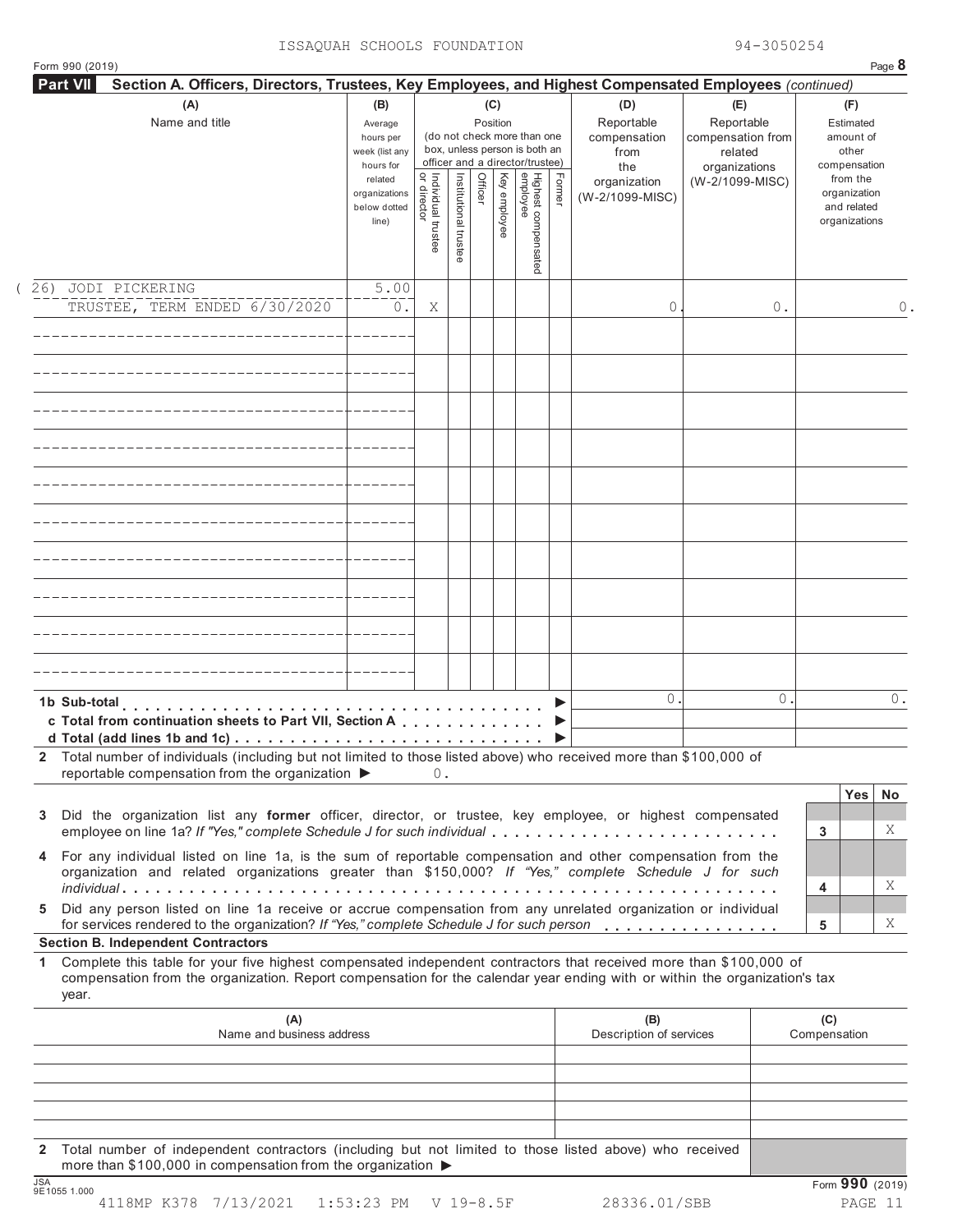| (A)<br>Name and title                                                                                                                                                                                                                                           | (B)<br>Average<br>hours per<br>week (list any<br>hours for |                                   |                       |         | (C)<br>Position | (do not check more than one<br>box, unless person is both an<br>officer and a director/trustee) |        | (D)<br>Reportable<br>compensation<br>from<br>the | (E)<br>Reportable<br>compensation from<br>related<br>organizations |         |                     | (F)<br>Estimated<br>amount of<br>other<br>compensation   |         |
|-----------------------------------------------------------------------------------------------------------------------------------------------------------------------------------------------------------------------------------------------------------------|------------------------------------------------------------|-----------------------------------|-----------------------|---------|-----------------|-------------------------------------------------------------------------------------------------|--------|--------------------------------------------------|--------------------------------------------------------------------|---------|---------------------|----------------------------------------------------------|---------|
|                                                                                                                                                                                                                                                                 | related<br>organizations<br>below dotted<br>line)          | Individual trustee<br>or director | Institutional trustee | Officer | Key employee    | Highest compensated<br>employee                                                                 | Former | organization<br>(W-2/1099-MISC)                  | (W-2/1099-MISC)                                                    |         |                     | from the<br>organization<br>and related<br>organizations |         |
| 26) JODI PICKERING                                                                                                                                                                                                                                              | 5.00                                                       |                                   |                       |         |                 |                                                                                                 |        |                                                  |                                                                    |         |                     |                                                          |         |
| TRUSTEE, TERM ENDED 6/30/2020                                                                                                                                                                                                                                   | 0.                                                         | Χ                                 |                       |         |                 |                                                                                                 |        | 0                                                |                                                                    | 0.      |                     |                                                          |         |
|                                                                                                                                                                                                                                                                 |                                                            |                                   |                       |         |                 |                                                                                                 |        |                                                  |                                                                    |         |                     |                                                          |         |
|                                                                                                                                                                                                                                                                 |                                                            |                                   |                       |         |                 |                                                                                                 |        |                                                  |                                                                    |         |                     |                                                          |         |
|                                                                                                                                                                                                                                                                 |                                                            |                                   |                       |         |                 |                                                                                                 |        |                                                  |                                                                    |         |                     |                                                          |         |
|                                                                                                                                                                                                                                                                 |                                                            |                                   |                       |         |                 |                                                                                                 |        |                                                  |                                                                    |         |                     |                                                          |         |
|                                                                                                                                                                                                                                                                 |                                                            |                                   |                       |         |                 |                                                                                                 |        |                                                  |                                                                    |         |                     |                                                          |         |
|                                                                                                                                                                                                                                                                 |                                                            |                                   |                       |         |                 |                                                                                                 |        |                                                  |                                                                    |         |                     |                                                          |         |
|                                                                                                                                                                                                                                                                 |                                                            |                                   |                       |         |                 |                                                                                                 |        |                                                  |                                                                    |         |                     |                                                          |         |
|                                                                                                                                                                                                                                                                 |                                                            |                                   |                       |         |                 |                                                                                                 |        |                                                  |                                                                    |         |                     |                                                          |         |
|                                                                                                                                                                                                                                                                 |                                                            |                                   |                       |         |                 |                                                                                                 |        |                                                  |                                                                    |         |                     |                                                          |         |
| c Total from continuation sheets to Part VII, Section A                                                                                                                                                                                                         |                                                            |                                   |                       |         |                 |                                                                                                 | ▶      | $\circ$                                          |                                                                    | $\circ$ |                     |                                                          |         |
| 2 Total number of individuals (including but not limited to those listed above) who received more than \$100,000 of<br>reportable compensation from the organization $\blacktriangleright$ 0.                                                                   |                                                            |                                   |                       |         |                 |                                                                                                 |        |                                                  |                                                                    |         |                     |                                                          |         |
| Did the organization list any former officer, director, or trustee, key employee, or highest compensated<br>3<br>employee on line 1a? If "Yes," complete Schedule J for such individual                                                                         |                                                            |                                   |                       |         |                 |                                                                                                 |        |                                                  |                                                                    |         | $\mathbf{3}$        | <b>Yes</b>                                               | No<br>Χ |
| 4 For any individual listed on line 1a, is the sum of reportable compensation and other compensation from the<br>organization and related organizations greater than \$150,000? If "Yes," complete Schedule J for such                                          |                                                            |                                   |                       |         |                 |                                                                                                 |        |                                                  |                                                                    |         |                     |                                                          |         |
| Did any person listed on line 1a receive or accrue compensation from any unrelated organization or individual<br>5<br>for services rendered to the organization? If "Yes," complete Schedule J for such person                                                  |                                                            |                                   |                       |         |                 |                                                                                                 |        |                                                  |                                                                    |         | 4<br>5              |                                                          | Χ<br>X  |
| <b>Section B. Independent Contractors</b>                                                                                                                                                                                                                       |                                                            |                                   |                       |         |                 |                                                                                                 |        |                                                  |                                                                    |         |                     |                                                          |         |
| Complete this table for your five highest compensated independent contractors that received more than \$100,000 of<br>1.<br>compensation from the organization. Report compensation for the calendar year ending with or within the organization's tax<br>year. |                                                            |                                   |                       |         |                 |                                                                                                 |        |                                                  |                                                                    |         |                     |                                                          |         |
| (A)<br>Name and business address                                                                                                                                                                                                                                |                                                            |                                   |                       |         |                 |                                                                                                 |        | (B)<br>Description of services                   |                                                                    |         | (C)<br>Compensation |                                                          |         |
|                                                                                                                                                                                                                                                                 |                                                            |                                   |                       |         |                 |                                                                                                 |        |                                                  |                                                                    |         |                     |                                                          |         |
|                                                                                                                                                                                                                                                                 |                                                            |                                   |                       |         |                 |                                                                                                 |        |                                                  |                                                                    |         |                     |                                                          |         |
|                                                                                                                                                                                                                                                                 |                                                            |                                   |                       |         |                 |                                                                                                 |        |                                                  |                                                                    |         |                     |                                                          |         |

**2** Total number of independent contractors (including but not limited to those listed above) who received more than \$100,000 in compensation from the organization  $\triangleright$ <br>  $\frac{\text{JSA}}{9510551.000}$ 

Form 990 (2019) Page **8**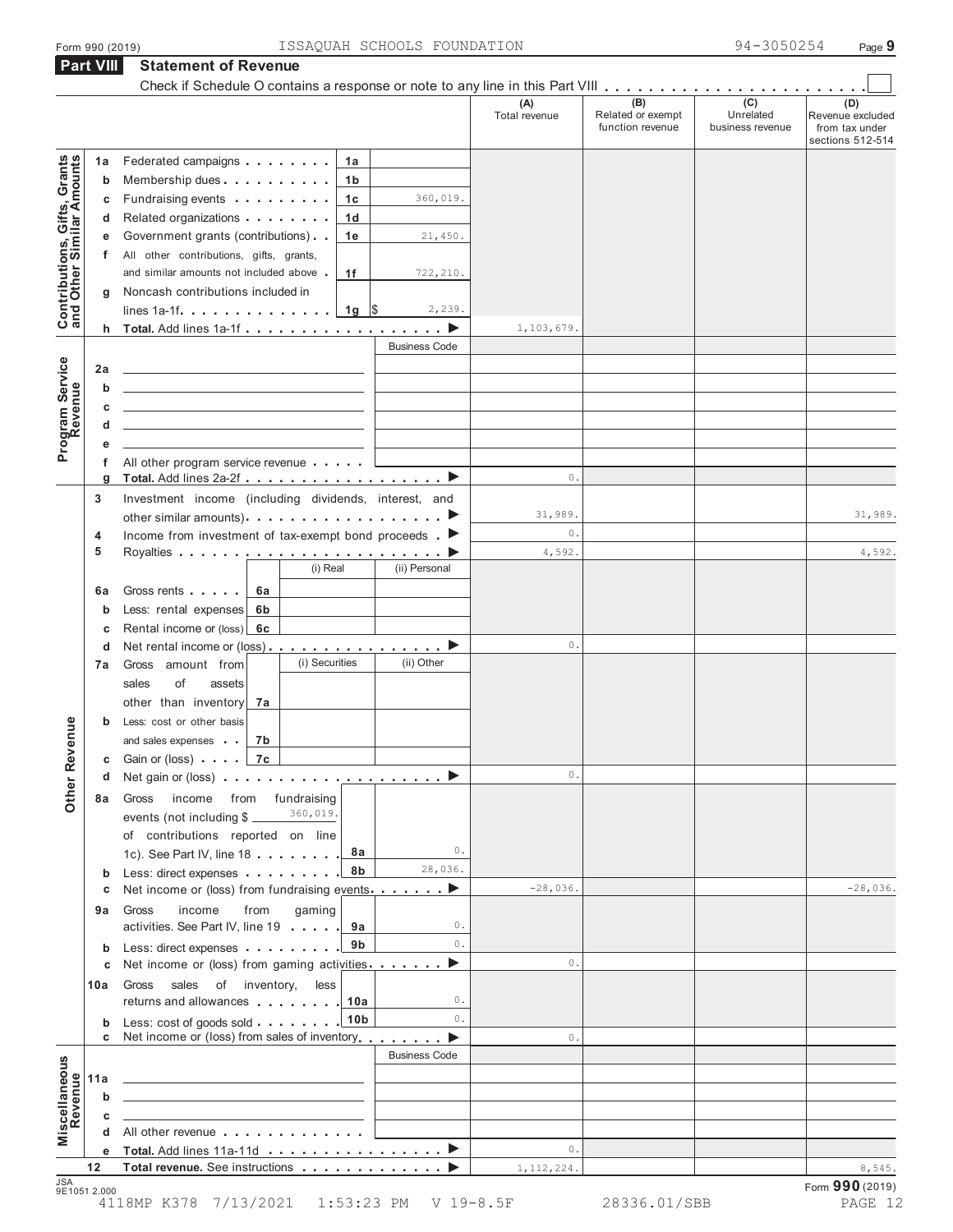|                                                           |         |                                                                                                                       | (A)           | (B)                                   | (C)                           | (D)                                                    |
|-----------------------------------------------------------|---------|-----------------------------------------------------------------------------------------------------------------------|---------------|---------------------------------------|-------------------------------|--------------------------------------------------------|
|                                                           |         |                                                                                                                       | Total revenue | Related or exempt<br>function revenue | Unrelated<br>business revenue | Revenue excluded<br>from tax under<br>sections 512-514 |
|                                                           | 1a      | Federated campaigns<br>1a                                                                                             |               |                                       |                               |                                                        |
| Contributions, Gifts, Grants<br>and Other Similar Amounts | b       | 1 <sub>b</sub><br>Membership dues                                                                                     |               |                                       |                               |                                                        |
|                                                           | С       | Fundraising events<br>1 <sub>c</sub><br>360,019.                                                                      |               |                                       |                               |                                                        |
|                                                           | d       | Related organizations<br>1 <sub>d</sub>                                                                               |               |                                       |                               |                                                        |
|                                                           | е       | Government grants (contributions)<br>1e<br>21,450.                                                                    |               |                                       |                               |                                                        |
|                                                           | f.      | All other contributions, gifts, grants,                                                                               |               |                                       |                               |                                                        |
|                                                           |         | and similar amounts not included above<br>1f<br>722,210.                                                              |               |                                       |                               |                                                        |
|                                                           | g       | Noncash contributions included in                                                                                     |               |                                       |                               |                                                        |
|                                                           |         | 2,239.                                                                                                                |               |                                       |                               |                                                        |
|                                                           |         |                                                                                                                       | 1,103,679.    |                                       |                               |                                                        |
|                                                           |         | <b>Business Code</b>                                                                                                  |               |                                       |                               |                                                        |
| Program Service                                           | 2a      | the control of the control of the control of the control of the control of the control of                             |               |                                       |                               |                                                        |
|                                                           | b       | the control of the control of the control of the control of the control of the control of                             |               |                                       |                               |                                                        |
|                                                           | С       | the control of the control of the control of the control of the control of the control of                             |               |                                       |                               |                                                        |
|                                                           | d       | the control of the control of the control of the control of the control of the control of                             |               |                                       |                               |                                                        |
|                                                           | е       |                                                                                                                       |               |                                       |                               |                                                        |
|                                                           | f       | All other program service revenue                                                                                     |               |                                       |                               |                                                        |
|                                                           | g       |                                                                                                                       | 0.            |                                       |                               |                                                        |
|                                                           | 3       | Investment income (including dividends, interest, and                                                                 |               |                                       |                               | 31,989.                                                |
|                                                           |         | other similar amounts). $\ldots$ $\ldots$ $\ldots$ $\ldots$ $\ldots$ $\ldots$ $\ldots$                                | 31,989.<br>0. |                                       |                               |                                                        |
|                                                           | 4<br>5  | Income from investment of tax-exempt bond proceeds $\blacktriangleright$                                              | 4,592.        |                                       |                               | 4,592.                                                 |
|                                                           |         | (i) Real<br>(ii) Personal                                                                                             |               |                                       |                               |                                                        |
|                                                           |         |                                                                                                                       |               |                                       |                               |                                                        |
|                                                           | 6а      | Gross rents<br>6а                                                                                                     |               |                                       |                               |                                                        |
|                                                           | b       | Less: rental expenses<br>6b                                                                                           |               |                                       |                               |                                                        |
|                                                           | С       | Rental income or (loss) 6c                                                                                            | 0.            |                                       |                               |                                                        |
|                                                           | d<br>7a | (i) Securities<br>(ii) Other<br>Gross amount from                                                                     |               |                                       |                               |                                                        |
|                                                           |         | sales<br>of<br>assets                                                                                                 |               |                                       |                               |                                                        |
|                                                           |         | other than inventory<br>7а                                                                                            |               |                                       |                               |                                                        |
|                                                           |         | Less: cost or other basis                                                                                             |               |                                       |                               |                                                        |
| venue                                                     |         | 7b<br>and sales expenses                                                                                              |               |                                       |                               |                                                        |
|                                                           |         | Gain or (loss)   7c                                                                                                   |               |                                       |                               |                                                        |
|                                                           | d       | Net gain or (loss) $\ldots$ ,                                                                                         | $\circ$ .     |                                       |                               |                                                        |
| Other <sub>R</sub>                                        | 8а      | from fundraising<br>Gross<br>income                                                                                   |               |                                       |                               |                                                        |
|                                                           |         | 360,019.<br>events (not including \$                                                                                  |               |                                       |                               |                                                        |
|                                                           |         | of contributions reported on line                                                                                     |               |                                       |                               |                                                        |
|                                                           |         | 0.<br>8а<br>1c). See Part IV, line 18                                                                                 |               |                                       |                               |                                                        |
|                                                           | b       | 28,036.<br>8b<br>Less: direct expenses                                                                                |               |                                       |                               |                                                        |
|                                                           | С       | Net income or (loss) from fundraising events <b></b> ▶                                                                | $-28,036.$    |                                       |                               | $-28,036.$                                             |
|                                                           | 9a      | income<br>from<br>gaming<br>Gross                                                                                     |               |                                       |                               |                                                        |
|                                                           |         | activities. See Part IV, line 19 9a<br>0.                                                                             |               |                                       |                               |                                                        |
|                                                           | b       | 0.<br>9b<br>Less: direct expenses                                                                                     |               |                                       |                               |                                                        |
|                                                           | С       | Net income or (loss) from gaming activities<br>▶                                                                      | $\circ$ .     |                                       |                               |                                                        |
|                                                           | 10a     | Gross<br>sales of inventory,<br>less                                                                                  |               |                                       |                               |                                                        |
|                                                           |         | returns and allowances 1.10a<br>0.                                                                                    |               |                                       |                               |                                                        |
|                                                           |         | 0.<br>Less: cost of goods sold 10b                                                                                    |               |                                       |                               |                                                        |
|                                                           | С       | Net income or (loss) from sales of inventory<br>▶                                                                     | $\circ$ .     |                                       |                               |                                                        |
|                                                           |         | <b>Business Code</b>                                                                                                  |               |                                       |                               |                                                        |
|                                                           | 11a     | <u> 1989 - Johann Harry Barn, mars and de Barn, mars and de Barn, mars and de Barn, mars and de Barn, mars and de</u> |               |                                       |                               |                                                        |
|                                                           | b       | <u> 1989 - Johann Harry Harry Harry Harry Harry Harry Harry Harry Harry Harry Harry Harry Harry Harry Harry Harry</u> |               |                                       |                               |                                                        |
|                                                           | c       | <u> 1989 - Johann Harry Harry Harry Harry Harry Harry Harry Harry Harry Harry Harry Harry Harry Harry Harry Harry</u> |               |                                       |                               |                                                        |
| Miscellaneous<br>Revenue                                  | d       | All other revenue                                                                                                     |               |                                       |                               |                                                        |
|                                                           |         | e Total. Add lines 11a-11d ▶                                                                                          | $\circ$ .     |                                       |                               |                                                        |
|                                                           |         | Total revenue. See instructions                                                                                       |               |                                       |                               |                                                        |

4118MP K378 7/13/2021 1:53:23 PM V 19-8.5F 28336.01/SBB PAGE 12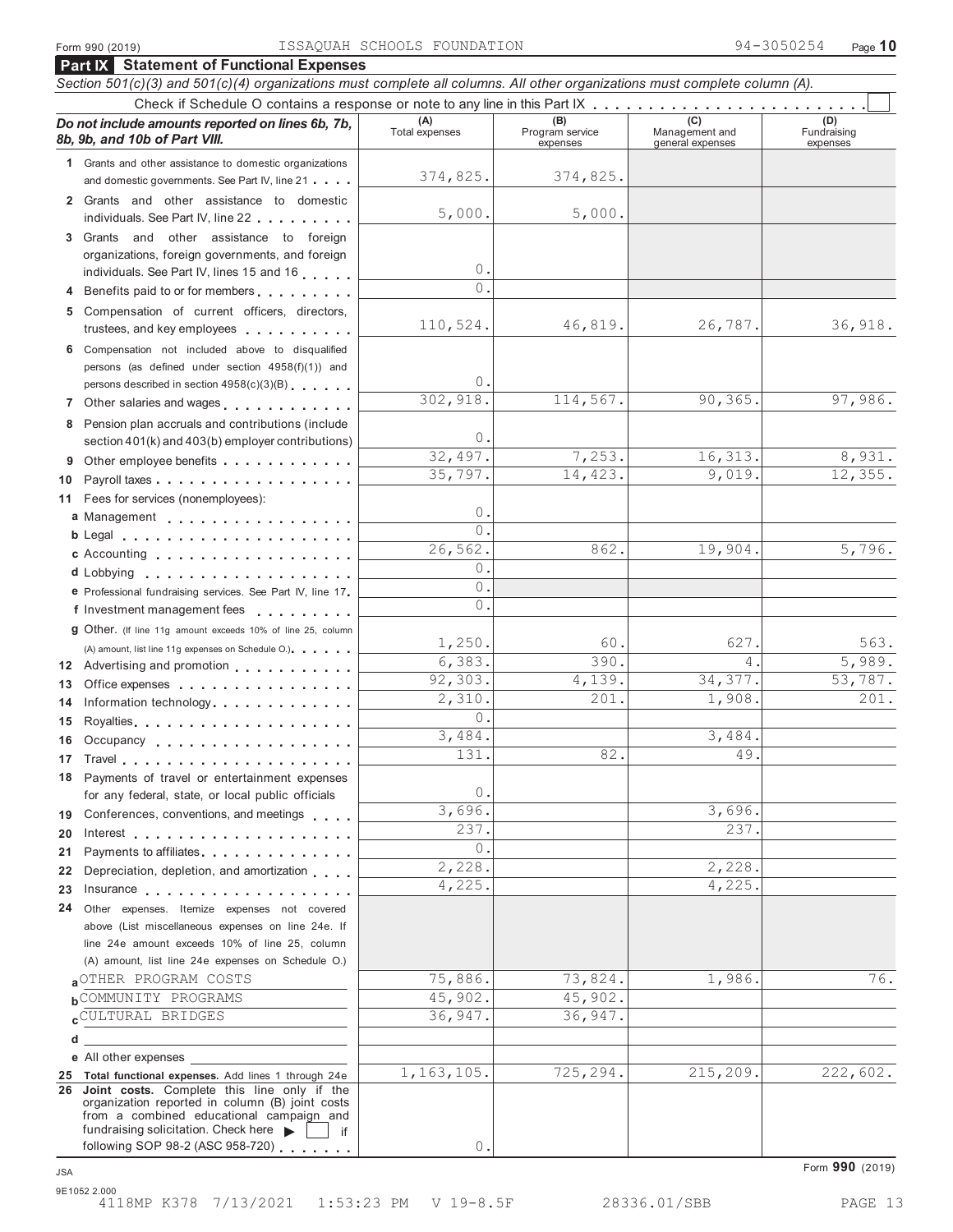|    | <b>Part IX</b> Statement of Functional Expenses                                                                                                                |                       |                                    |                                    |                                |  |  |  |  |  |  |  |
|----|----------------------------------------------------------------------------------------------------------------------------------------------------------------|-----------------------|------------------------------------|------------------------------------|--------------------------------|--|--|--|--|--|--|--|
|    | Section 501(c)(3) and 501(c)(4) organizations must complete all columns. All other organizations must complete column (A).                                     |                       |                                    |                                    |                                |  |  |  |  |  |  |  |
|    |                                                                                                                                                                |                       |                                    |                                    |                                |  |  |  |  |  |  |  |
|    | Do not include amounts reported on lines 6b, 7b,<br>8b, 9b, and 10b of Part VIII.                                                                              | (A)<br>Total expenses | (B)<br>Program service<br>expenses | Management and<br>general expenses | (D)<br>Fundraising<br>expenses |  |  |  |  |  |  |  |
|    | 1 Grants and other assistance to domestic organizations                                                                                                        |                       |                                    |                                    |                                |  |  |  |  |  |  |  |
|    | and domestic governments. See Part IV, line 21                                                                                                                 | 374,825.              | 374,825.                           |                                    |                                |  |  |  |  |  |  |  |
|    | 2 Grants and other assistance to domestic                                                                                                                      |                       |                                    |                                    |                                |  |  |  |  |  |  |  |
|    | individuals. See Part IV, line 22                                                                                                                              | 5,000.                | 5,000.                             |                                    |                                |  |  |  |  |  |  |  |
|    | 3 Grants and other assistance to foreign                                                                                                                       |                       |                                    |                                    |                                |  |  |  |  |  |  |  |
|    | organizations, foreign governments, and foreign                                                                                                                | $\theta$ .            |                                    |                                    |                                |  |  |  |  |  |  |  |
|    | individuals. See Part IV, lines 15 and 16                                                                                                                      | $\Omega$ .            |                                    |                                    |                                |  |  |  |  |  |  |  |
| 4  | Benefits paid to or for members                                                                                                                                |                       |                                    |                                    |                                |  |  |  |  |  |  |  |
| 5. | Compensation of current officers, directors,<br>trustees, and key employees entitled and the set of the set of the set of the set of the set of the set of the | 110,524.              | 46,819.                            | 26,787.                            | 36,918.                        |  |  |  |  |  |  |  |
|    | 6 Compensation not included above to disqualified                                                                                                              |                       |                                    |                                    |                                |  |  |  |  |  |  |  |
|    | persons (as defined under section 4958(f)(1)) and                                                                                                              |                       |                                    |                                    |                                |  |  |  |  |  |  |  |
|    | persons described in section 4958(c)(3)(B)                                                                                                                     | 0.                    |                                    |                                    |                                |  |  |  |  |  |  |  |
|    | 7 Other salaries and wages<br>1.1.1.1.1.1.1                                                                                                                    | 302,918.              | 114,567.                           | 90,365.                            | 97,986.                        |  |  |  |  |  |  |  |
| 8  | Pension plan accruals and contributions (include                                                                                                               |                       |                                    |                                    |                                |  |  |  |  |  |  |  |
|    | section 401(k) and 403(b) employer contributions)                                                                                                              | 0.                    |                                    |                                    |                                |  |  |  |  |  |  |  |
| 9  | Other employee benefits                                                                                                                                        | 32,497.               | 7,253.                             | 16,313.                            | 8,931.                         |  |  |  |  |  |  |  |
| 10 |                                                                                                                                                                | 35,797.               | 14,423.                            | 9,019.                             | 12,355.                        |  |  |  |  |  |  |  |
| 11 | Fees for services (nonemployees):                                                                                                                              |                       |                                    |                                    |                                |  |  |  |  |  |  |  |
|    | a Management                                                                                                                                                   | $\circ$ .             |                                    |                                    |                                |  |  |  |  |  |  |  |
|    |                                                                                                                                                                | $\Omega$ .<br>26,562. | 862.                               | 19,904.                            | 5,796.                         |  |  |  |  |  |  |  |
|    | c Accounting                                                                                                                                                   | 0.                    |                                    |                                    |                                |  |  |  |  |  |  |  |
|    | d Lobbying<br>.                                                                                                                                                | 0.                    |                                    |                                    |                                |  |  |  |  |  |  |  |
|    | e Professional fundraising services. See Part IV, line 17                                                                                                      | $^{\circ}$ .          |                                    |                                    |                                |  |  |  |  |  |  |  |
|    | f Investment management fees                                                                                                                                   |                       |                                    |                                    |                                |  |  |  |  |  |  |  |
|    | 9 Other. (If line 11g amount exceeds 10% of line 25, column                                                                                                    | 1,250.                | 60.                                | 627                                | 563.                           |  |  |  |  |  |  |  |
|    | (A) amount, list line 11g expenses on Schedule O.).<br>12 Advertising and promotion <b>contains a state of the Advertising</b> and promotion                   | 6,383.                | 390.                               | 4                                  | 5,989.                         |  |  |  |  |  |  |  |
| 13 | Office expenses                                                                                                                                                | 92,303.               | 4,139.                             | 34,377.                            | 53,787.                        |  |  |  |  |  |  |  |
| 14 | Information technology                                                                                                                                         | 2,310.                | 201.                               | 1,908.                             | 201.                           |  |  |  |  |  |  |  |
| 15 |                                                                                                                                                                | $\mathbf{0}$ .        |                                    |                                    |                                |  |  |  |  |  |  |  |
| 16 | Occupancy                                                                                                                                                      | 3,484.                |                                    | 3,484.                             |                                |  |  |  |  |  |  |  |
|    |                                                                                                                                                                | 131.                  | 82.                                | 49                                 |                                |  |  |  |  |  |  |  |
|    | 18 Payments of travel or entertainment expenses                                                                                                                |                       |                                    |                                    |                                |  |  |  |  |  |  |  |
|    | for any federal, state, or local public officials                                                                                                              | 0.                    |                                    |                                    |                                |  |  |  |  |  |  |  |
|    | 19 Conferences, conventions, and meetings                                                                                                                      | 3,696.                |                                    | 3,696.                             |                                |  |  |  |  |  |  |  |
| 20 |                                                                                                                                                                | 237.                  |                                    | 237.                               |                                |  |  |  |  |  |  |  |
| 21 | Payments to affiliates                                                                                                                                         | $\circ$ .             |                                    |                                    |                                |  |  |  |  |  |  |  |
| 22 | Depreciation, depletion, and amortization                                                                                                                      | 2,228.                |                                    | 2,228.                             |                                |  |  |  |  |  |  |  |
| 23 |                                                                                                                                                                | 4,225.                |                                    | 4,225.                             |                                |  |  |  |  |  |  |  |
| 24 | Other expenses. Itemize expenses not covered                                                                                                                   |                       |                                    |                                    |                                |  |  |  |  |  |  |  |
|    | above (List miscellaneous expenses on line 24e. If<br>line 24e amount exceeds 10% of line 25, column                                                           |                       |                                    |                                    |                                |  |  |  |  |  |  |  |
|    | (A) amount, list line 24e expenses on Schedule O.)                                                                                                             |                       |                                    |                                    |                                |  |  |  |  |  |  |  |
|    | aOTHER PROGRAM COSTS                                                                                                                                           | 75,886.               | 73,824.                            | 1,986.                             | 76.                            |  |  |  |  |  |  |  |
|    | <b>b</b> COMMUNITY PROGRAMS                                                                                                                                    | 45,902.               | 45,902.                            |                                    |                                |  |  |  |  |  |  |  |
|    | CULTURAL BRIDGES                                                                                                                                               | 36,947.               | 36,947.                            |                                    |                                |  |  |  |  |  |  |  |
| d  |                                                                                                                                                                |                       |                                    |                                    |                                |  |  |  |  |  |  |  |
|    | e All other expenses                                                                                                                                           |                       |                                    |                                    |                                |  |  |  |  |  |  |  |
|    | 25 Total functional expenses. Add lines 1 through 24e                                                                                                          | 1, 163, 105.          | 725,294.                           | 215,209.                           | 222,602.                       |  |  |  |  |  |  |  |
|    | 26 Joint costs. Complete this line only if the                                                                                                                 |                       |                                    |                                    |                                |  |  |  |  |  |  |  |
|    | organization reported in column (B) joint costs<br>from a combined educational campaign and                                                                    |                       |                                    |                                    |                                |  |  |  |  |  |  |  |
|    | fundraising solicitation. Check here<br>if                                                                                                                     |                       |                                    |                                    |                                |  |  |  |  |  |  |  |
|    | following SOP 98-2 (ASC 958-720)                                                                                                                               | 0                     |                                    |                                    |                                |  |  |  |  |  |  |  |

Form **990** (2019) JSA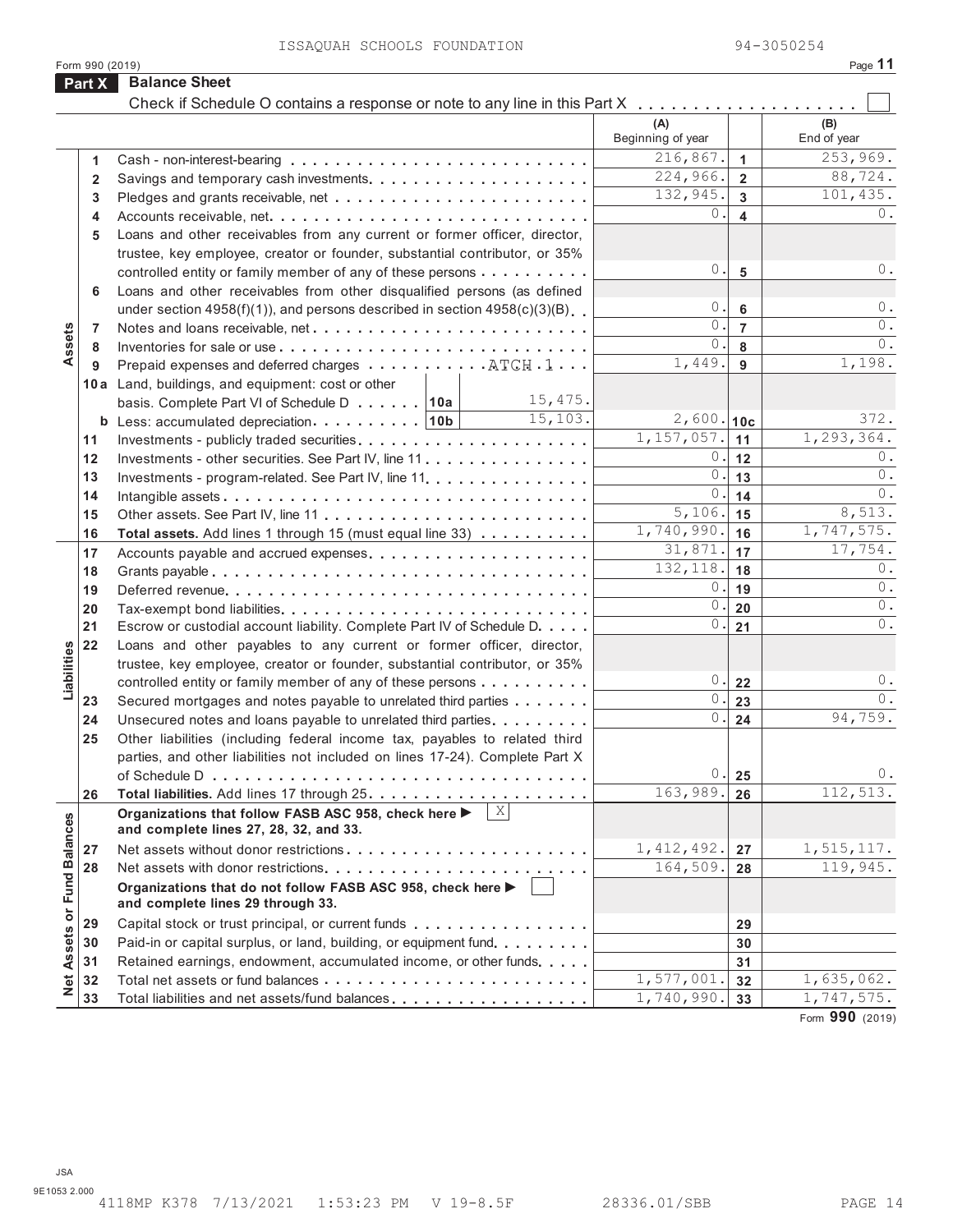| <b>Balance Sheet</b><br>Part X<br>Check if Schedule O contains a response or note to any line in this Part X<br>(A)<br>(B)<br>Beginning of year<br>End of year<br>216,867.<br>253,969.<br>$\mathbf{1}$<br>1<br>224,966.<br>88,724.<br>$\overline{2}$<br>$\mathbf{2}$<br>132,945.<br>101,435.<br>$\mathbf{3}$<br>3<br>0.<br>0.<br>4<br>4<br>Loans and other receivables from any current or former officer, director,<br>5<br>trustee, key employee, creator or founder, substantial contributor, or 35%<br>$\mathbb O$ .<br>0.<br>$5\phantom{1}$<br>controlled entity or family member of any of these persons<br>Loans and other receivables from other disqualified persons (as defined<br>6<br>$0$ .<br>$0$ .<br>$\bf 6$<br>under section $4958(f)(1)$ ), and persons described in section $4958(c)(3)(B)$<br>0.<br>$\overline{7}$<br>0.<br>Assets<br>7<br>0.<br>0.<br>8<br>8<br>1,198.<br>1,449.<br>9<br>Prepaid expenses and deferred charges $\dots \dots \dots \dots$ ATCH $.1 \dots$<br>9<br>10a Land, buildings, and equipment: cost or other<br>15,475.<br>basis. Complete Part VI of Schedule D 10a<br>15, 103.<br>372.<br>$2,600.$ 10c<br><b>b</b> Less: accumulated depreciation   10b<br>1,157,057.<br>1,293,364.<br>11<br>11<br>0.<br>0.<br>12<br>12<br>Investments - other securities. See Part IV, line 11.<br>$0$ .<br>$0$ .<br>13<br>13<br>Investments - program-related. See Part IV, line 11.<br>$0$ .<br>0.<br>14<br>14<br>5,106.<br>8,513.<br>15<br>15<br>1,740,990.<br>1,747,575.<br>16<br>16<br>Total assets. Add lines 1 through 15 (must equal line 33)<br>31,871.<br>17,754.<br>17<br>17<br>Accounts payable and accrued expenses<br>132, 118.<br>$0$ .<br>18<br>18<br>$0$ .<br>0.<br>19<br>19<br>0.<br>$0$ .<br>20<br>20<br>Tax-exempt bond liabilities<br>0.1<br>$0$ .<br>21<br>21<br>Escrow or custodial account liability. Complete Part IV of Schedule D.<br>22<br>Loans and other payables to any current or former officer, director,<br>Liabilities<br>trustee, key employee, creator or founder, substantial contributor, or 35%<br>0.<br>0.<br>controlled entity or family member of any of these persons<br>22<br>0.<br>$0$ .<br>23<br>Secured mortgages and notes payable to unrelated third parties<br>23<br>94,759.<br>0.<br>Unsecured notes and loans payable to unrelated third parties.<br>24<br>24<br>Other liabilities (including federal income tax, payables to related third<br>25<br>parties, and other liabilities not included on lines 17-24). Complete Part X<br>$0$ .<br>$0$ .<br>25<br>112,513.<br>163,989.<br>26<br>26<br> X <br>Organizations that follow FASB ASC 958, check here ▶<br><b>Fund Balances</b><br>and complete lines 27, 28, 32, and 33.<br>1, 412, 492.<br>1,515,117.<br>27<br>27<br>164,509.<br>119,945.<br>28<br>28<br>Organizations that do not follow FASB ASC 958, check here ▶<br>and complete lines 29 through 33.<br>Net Assets or<br>29<br>Capital stock or trust principal, or current funds<br>29<br>30<br>Paid-in or capital surplus, or land, building, or equipment fund.<br>30<br>Retained earnings, endowment, accumulated income, or other funds<br>31<br>31<br>1,577,001<br>1,635,062.<br>32<br>32<br>1,740,990.<br>1,747,575.<br>33<br>Total liabilities and net assets/fund balances<br>33 | Form 990 (2019) |  | Page 11 |
|------------------------------------------------------------------------------------------------------------------------------------------------------------------------------------------------------------------------------------------------------------------------------------------------------------------------------------------------------------------------------------------------------------------------------------------------------------------------------------------------------------------------------------------------------------------------------------------------------------------------------------------------------------------------------------------------------------------------------------------------------------------------------------------------------------------------------------------------------------------------------------------------------------------------------------------------------------------------------------------------------------------------------------------------------------------------------------------------------------------------------------------------------------------------------------------------------------------------------------------------------------------------------------------------------------------------------------------------------------------------------------------------------------------------------------------------------------------------------------------------------------------------------------------------------------------------------------------------------------------------------------------------------------------------------------------------------------------------------------------------------------------------------------------------------------------------------------------------------------------------------------------------------------------------------------------------------------------------------------------------------------------------------------------------------------------------------------------------------------------------------------------------------------------------------------------------------------------------------------------------------------------------------------------------------------------------------------------------------------------------------------------------------------------------------------------------------------------------------------------------------------------------------------------------------------------------------------------------------------------------------------------------------------------------------------------------------------------------------------------------------------------------------------------------------------------------------------------------------------------------------------------------------------------------------------------------------------------------------------------------------------------------------------------------------------------------------------------------------------------------------------------------------------------------------------------------------------------------------------------------------------------------------------------|-----------------|--|---------|
|                                                                                                                                                                                                                                                                                                                                                                                                                                                                                                                                                                                                                                                                                                                                                                                                                                                                                                                                                                                                                                                                                                                                                                                                                                                                                                                                                                                                                                                                                                                                                                                                                                                                                                                                                                                                                                                                                                                                                                                                                                                                                                                                                                                                                                                                                                                                                                                                                                                                                                                                                                                                                                                                                                                                                                                                                                                                                                                                                                                                                                                                                                                                                                                                                                                                                          |                 |  |         |
|                                                                                                                                                                                                                                                                                                                                                                                                                                                                                                                                                                                                                                                                                                                                                                                                                                                                                                                                                                                                                                                                                                                                                                                                                                                                                                                                                                                                                                                                                                                                                                                                                                                                                                                                                                                                                                                                                                                                                                                                                                                                                                                                                                                                                                                                                                                                                                                                                                                                                                                                                                                                                                                                                                                                                                                                                                                                                                                                                                                                                                                                                                                                                                                                                                                                                          |                 |  |         |
|                                                                                                                                                                                                                                                                                                                                                                                                                                                                                                                                                                                                                                                                                                                                                                                                                                                                                                                                                                                                                                                                                                                                                                                                                                                                                                                                                                                                                                                                                                                                                                                                                                                                                                                                                                                                                                                                                                                                                                                                                                                                                                                                                                                                                                                                                                                                                                                                                                                                                                                                                                                                                                                                                                                                                                                                                                                                                                                                                                                                                                                                                                                                                                                                                                                                                          |                 |  |         |
|                                                                                                                                                                                                                                                                                                                                                                                                                                                                                                                                                                                                                                                                                                                                                                                                                                                                                                                                                                                                                                                                                                                                                                                                                                                                                                                                                                                                                                                                                                                                                                                                                                                                                                                                                                                                                                                                                                                                                                                                                                                                                                                                                                                                                                                                                                                                                                                                                                                                                                                                                                                                                                                                                                                                                                                                                                                                                                                                                                                                                                                                                                                                                                                                                                                                                          |                 |  |         |
|                                                                                                                                                                                                                                                                                                                                                                                                                                                                                                                                                                                                                                                                                                                                                                                                                                                                                                                                                                                                                                                                                                                                                                                                                                                                                                                                                                                                                                                                                                                                                                                                                                                                                                                                                                                                                                                                                                                                                                                                                                                                                                                                                                                                                                                                                                                                                                                                                                                                                                                                                                                                                                                                                                                                                                                                                                                                                                                                                                                                                                                                                                                                                                                                                                                                                          |                 |  |         |
|                                                                                                                                                                                                                                                                                                                                                                                                                                                                                                                                                                                                                                                                                                                                                                                                                                                                                                                                                                                                                                                                                                                                                                                                                                                                                                                                                                                                                                                                                                                                                                                                                                                                                                                                                                                                                                                                                                                                                                                                                                                                                                                                                                                                                                                                                                                                                                                                                                                                                                                                                                                                                                                                                                                                                                                                                                                                                                                                                                                                                                                                                                                                                                                                                                                                                          |                 |  |         |
|                                                                                                                                                                                                                                                                                                                                                                                                                                                                                                                                                                                                                                                                                                                                                                                                                                                                                                                                                                                                                                                                                                                                                                                                                                                                                                                                                                                                                                                                                                                                                                                                                                                                                                                                                                                                                                                                                                                                                                                                                                                                                                                                                                                                                                                                                                                                                                                                                                                                                                                                                                                                                                                                                                                                                                                                                                                                                                                                                                                                                                                                                                                                                                                                                                                                                          |                 |  |         |
|                                                                                                                                                                                                                                                                                                                                                                                                                                                                                                                                                                                                                                                                                                                                                                                                                                                                                                                                                                                                                                                                                                                                                                                                                                                                                                                                                                                                                                                                                                                                                                                                                                                                                                                                                                                                                                                                                                                                                                                                                                                                                                                                                                                                                                                                                                                                                                                                                                                                                                                                                                                                                                                                                                                                                                                                                                                                                                                                                                                                                                                                                                                                                                                                                                                                                          |                 |  |         |
|                                                                                                                                                                                                                                                                                                                                                                                                                                                                                                                                                                                                                                                                                                                                                                                                                                                                                                                                                                                                                                                                                                                                                                                                                                                                                                                                                                                                                                                                                                                                                                                                                                                                                                                                                                                                                                                                                                                                                                                                                                                                                                                                                                                                                                                                                                                                                                                                                                                                                                                                                                                                                                                                                                                                                                                                                                                                                                                                                                                                                                                                                                                                                                                                                                                                                          |                 |  |         |
|                                                                                                                                                                                                                                                                                                                                                                                                                                                                                                                                                                                                                                                                                                                                                                                                                                                                                                                                                                                                                                                                                                                                                                                                                                                                                                                                                                                                                                                                                                                                                                                                                                                                                                                                                                                                                                                                                                                                                                                                                                                                                                                                                                                                                                                                                                                                                                                                                                                                                                                                                                                                                                                                                                                                                                                                                                                                                                                                                                                                                                                                                                                                                                                                                                                                                          |                 |  |         |
|                                                                                                                                                                                                                                                                                                                                                                                                                                                                                                                                                                                                                                                                                                                                                                                                                                                                                                                                                                                                                                                                                                                                                                                                                                                                                                                                                                                                                                                                                                                                                                                                                                                                                                                                                                                                                                                                                                                                                                                                                                                                                                                                                                                                                                                                                                                                                                                                                                                                                                                                                                                                                                                                                                                                                                                                                                                                                                                                                                                                                                                                                                                                                                                                                                                                                          |                 |  |         |
|                                                                                                                                                                                                                                                                                                                                                                                                                                                                                                                                                                                                                                                                                                                                                                                                                                                                                                                                                                                                                                                                                                                                                                                                                                                                                                                                                                                                                                                                                                                                                                                                                                                                                                                                                                                                                                                                                                                                                                                                                                                                                                                                                                                                                                                                                                                                                                                                                                                                                                                                                                                                                                                                                                                                                                                                                                                                                                                                                                                                                                                                                                                                                                                                                                                                                          |                 |  |         |
|                                                                                                                                                                                                                                                                                                                                                                                                                                                                                                                                                                                                                                                                                                                                                                                                                                                                                                                                                                                                                                                                                                                                                                                                                                                                                                                                                                                                                                                                                                                                                                                                                                                                                                                                                                                                                                                                                                                                                                                                                                                                                                                                                                                                                                                                                                                                                                                                                                                                                                                                                                                                                                                                                                                                                                                                                                                                                                                                                                                                                                                                                                                                                                                                                                                                                          |                 |  |         |
|                                                                                                                                                                                                                                                                                                                                                                                                                                                                                                                                                                                                                                                                                                                                                                                                                                                                                                                                                                                                                                                                                                                                                                                                                                                                                                                                                                                                                                                                                                                                                                                                                                                                                                                                                                                                                                                                                                                                                                                                                                                                                                                                                                                                                                                                                                                                                                                                                                                                                                                                                                                                                                                                                                                                                                                                                                                                                                                                                                                                                                                                                                                                                                                                                                                                                          |                 |  |         |
|                                                                                                                                                                                                                                                                                                                                                                                                                                                                                                                                                                                                                                                                                                                                                                                                                                                                                                                                                                                                                                                                                                                                                                                                                                                                                                                                                                                                                                                                                                                                                                                                                                                                                                                                                                                                                                                                                                                                                                                                                                                                                                                                                                                                                                                                                                                                                                                                                                                                                                                                                                                                                                                                                                                                                                                                                                                                                                                                                                                                                                                                                                                                                                                                                                                                                          |                 |  |         |
|                                                                                                                                                                                                                                                                                                                                                                                                                                                                                                                                                                                                                                                                                                                                                                                                                                                                                                                                                                                                                                                                                                                                                                                                                                                                                                                                                                                                                                                                                                                                                                                                                                                                                                                                                                                                                                                                                                                                                                                                                                                                                                                                                                                                                                                                                                                                                                                                                                                                                                                                                                                                                                                                                                                                                                                                                                                                                                                                                                                                                                                                                                                                                                                                                                                                                          |                 |  |         |
|                                                                                                                                                                                                                                                                                                                                                                                                                                                                                                                                                                                                                                                                                                                                                                                                                                                                                                                                                                                                                                                                                                                                                                                                                                                                                                                                                                                                                                                                                                                                                                                                                                                                                                                                                                                                                                                                                                                                                                                                                                                                                                                                                                                                                                                                                                                                                                                                                                                                                                                                                                                                                                                                                                                                                                                                                                                                                                                                                                                                                                                                                                                                                                                                                                                                                          |                 |  |         |
|                                                                                                                                                                                                                                                                                                                                                                                                                                                                                                                                                                                                                                                                                                                                                                                                                                                                                                                                                                                                                                                                                                                                                                                                                                                                                                                                                                                                                                                                                                                                                                                                                                                                                                                                                                                                                                                                                                                                                                                                                                                                                                                                                                                                                                                                                                                                                                                                                                                                                                                                                                                                                                                                                                                                                                                                                                                                                                                                                                                                                                                                                                                                                                                                                                                                                          |                 |  |         |
|                                                                                                                                                                                                                                                                                                                                                                                                                                                                                                                                                                                                                                                                                                                                                                                                                                                                                                                                                                                                                                                                                                                                                                                                                                                                                                                                                                                                                                                                                                                                                                                                                                                                                                                                                                                                                                                                                                                                                                                                                                                                                                                                                                                                                                                                                                                                                                                                                                                                                                                                                                                                                                                                                                                                                                                                                                                                                                                                                                                                                                                                                                                                                                                                                                                                                          |                 |  |         |
|                                                                                                                                                                                                                                                                                                                                                                                                                                                                                                                                                                                                                                                                                                                                                                                                                                                                                                                                                                                                                                                                                                                                                                                                                                                                                                                                                                                                                                                                                                                                                                                                                                                                                                                                                                                                                                                                                                                                                                                                                                                                                                                                                                                                                                                                                                                                                                                                                                                                                                                                                                                                                                                                                                                                                                                                                                                                                                                                                                                                                                                                                                                                                                                                                                                                                          |                 |  |         |
|                                                                                                                                                                                                                                                                                                                                                                                                                                                                                                                                                                                                                                                                                                                                                                                                                                                                                                                                                                                                                                                                                                                                                                                                                                                                                                                                                                                                                                                                                                                                                                                                                                                                                                                                                                                                                                                                                                                                                                                                                                                                                                                                                                                                                                                                                                                                                                                                                                                                                                                                                                                                                                                                                                                                                                                                                                                                                                                                                                                                                                                                                                                                                                                                                                                                                          |                 |  |         |
|                                                                                                                                                                                                                                                                                                                                                                                                                                                                                                                                                                                                                                                                                                                                                                                                                                                                                                                                                                                                                                                                                                                                                                                                                                                                                                                                                                                                                                                                                                                                                                                                                                                                                                                                                                                                                                                                                                                                                                                                                                                                                                                                                                                                                                                                                                                                                                                                                                                                                                                                                                                                                                                                                                                                                                                                                                                                                                                                                                                                                                                                                                                                                                                                                                                                                          |                 |  |         |
|                                                                                                                                                                                                                                                                                                                                                                                                                                                                                                                                                                                                                                                                                                                                                                                                                                                                                                                                                                                                                                                                                                                                                                                                                                                                                                                                                                                                                                                                                                                                                                                                                                                                                                                                                                                                                                                                                                                                                                                                                                                                                                                                                                                                                                                                                                                                                                                                                                                                                                                                                                                                                                                                                                                                                                                                                                                                                                                                                                                                                                                                                                                                                                                                                                                                                          |                 |  |         |
|                                                                                                                                                                                                                                                                                                                                                                                                                                                                                                                                                                                                                                                                                                                                                                                                                                                                                                                                                                                                                                                                                                                                                                                                                                                                                                                                                                                                                                                                                                                                                                                                                                                                                                                                                                                                                                                                                                                                                                                                                                                                                                                                                                                                                                                                                                                                                                                                                                                                                                                                                                                                                                                                                                                                                                                                                                                                                                                                                                                                                                                                                                                                                                                                                                                                                          |                 |  |         |
|                                                                                                                                                                                                                                                                                                                                                                                                                                                                                                                                                                                                                                                                                                                                                                                                                                                                                                                                                                                                                                                                                                                                                                                                                                                                                                                                                                                                                                                                                                                                                                                                                                                                                                                                                                                                                                                                                                                                                                                                                                                                                                                                                                                                                                                                                                                                                                                                                                                                                                                                                                                                                                                                                                                                                                                                                                                                                                                                                                                                                                                                                                                                                                                                                                                                                          |                 |  |         |
|                                                                                                                                                                                                                                                                                                                                                                                                                                                                                                                                                                                                                                                                                                                                                                                                                                                                                                                                                                                                                                                                                                                                                                                                                                                                                                                                                                                                                                                                                                                                                                                                                                                                                                                                                                                                                                                                                                                                                                                                                                                                                                                                                                                                                                                                                                                                                                                                                                                                                                                                                                                                                                                                                                                                                                                                                                                                                                                                                                                                                                                                                                                                                                                                                                                                                          |                 |  |         |
|                                                                                                                                                                                                                                                                                                                                                                                                                                                                                                                                                                                                                                                                                                                                                                                                                                                                                                                                                                                                                                                                                                                                                                                                                                                                                                                                                                                                                                                                                                                                                                                                                                                                                                                                                                                                                                                                                                                                                                                                                                                                                                                                                                                                                                                                                                                                                                                                                                                                                                                                                                                                                                                                                                                                                                                                                                                                                                                                                                                                                                                                                                                                                                                                                                                                                          |                 |  |         |
|                                                                                                                                                                                                                                                                                                                                                                                                                                                                                                                                                                                                                                                                                                                                                                                                                                                                                                                                                                                                                                                                                                                                                                                                                                                                                                                                                                                                                                                                                                                                                                                                                                                                                                                                                                                                                                                                                                                                                                                                                                                                                                                                                                                                                                                                                                                                                                                                                                                                                                                                                                                                                                                                                                                                                                                                                                                                                                                                                                                                                                                                                                                                                                                                                                                                                          |                 |  |         |
|                                                                                                                                                                                                                                                                                                                                                                                                                                                                                                                                                                                                                                                                                                                                                                                                                                                                                                                                                                                                                                                                                                                                                                                                                                                                                                                                                                                                                                                                                                                                                                                                                                                                                                                                                                                                                                                                                                                                                                                                                                                                                                                                                                                                                                                                                                                                                                                                                                                                                                                                                                                                                                                                                                                                                                                                                                                                                                                                                                                                                                                                                                                                                                                                                                                                                          |                 |  |         |
|                                                                                                                                                                                                                                                                                                                                                                                                                                                                                                                                                                                                                                                                                                                                                                                                                                                                                                                                                                                                                                                                                                                                                                                                                                                                                                                                                                                                                                                                                                                                                                                                                                                                                                                                                                                                                                                                                                                                                                                                                                                                                                                                                                                                                                                                                                                                                                                                                                                                                                                                                                                                                                                                                                                                                                                                                                                                                                                                                                                                                                                                                                                                                                                                                                                                                          |                 |  |         |
|                                                                                                                                                                                                                                                                                                                                                                                                                                                                                                                                                                                                                                                                                                                                                                                                                                                                                                                                                                                                                                                                                                                                                                                                                                                                                                                                                                                                                                                                                                                                                                                                                                                                                                                                                                                                                                                                                                                                                                                                                                                                                                                                                                                                                                                                                                                                                                                                                                                                                                                                                                                                                                                                                                                                                                                                                                                                                                                                                                                                                                                                                                                                                                                                                                                                                          |                 |  |         |
|                                                                                                                                                                                                                                                                                                                                                                                                                                                                                                                                                                                                                                                                                                                                                                                                                                                                                                                                                                                                                                                                                                                                                                                                                                                                                                                                                                                                                                                                                                                                                                                                                                                                                                                                                                                                                                                                                                                                                                                                                                                                                                                                                                                                                                                                                                                                                                                                                                                                                                                                                                                                                                                                                                                                                                                                                                                                                                                                                                                                                                                                                                                                                                                                                                                                                          |                 |  |         |
|                                                                                                                                                                                                                                                                                                                                                                                                                                                                                                                                                                                                                                                                                                                                                                                                                                                                                                                                                                                                                                                                                                                                                                                                                                                                                                                                                                                                                                                                                                                                                                                                                                                                                                                                                                                                                                                                                                                                                                                                                                                                                                                                                                                                                                                                                                                                                                                                                                                                                                                                                                                                                                                                                                                                                                                                                                                                                                                                                                                                                                                                                                                                                                                                                                                                                          |                 |  |         |
|                                                                                                                                                                                                                                                                                                                                                                                                                                                                                                                                                                                                                                                                                                                                                                                                                                                                                                                                                                                                                                                                                                                                                                                                                                                                                                                                                                                                                                                                                                                                                                                                                                                                                                                                                                                                                                                                                                                                                                                                                                                                                                                                                                                                                                                                                                                                                                                                                                                                                                                                                                                                                                                                                                                                                                                                                                                                                                                                                                                                                                                                                                                                                                                                                                                                                          |                 |  |         |
|                                                                                                                                                                                                                                                                                                                                                                                                                                                                                                                                                                                                                                                                                                                                                                                                                                                                                                                                                                                                                                                                                                                                                                                                                                                                                                                                                                                                                                                                                                                                                                                                                                                                                                                                                                                                                                                                                                                                                                                                                                                                                                                                                                                                                                                                                                                                                                                                                                                                                                                                                                                                                                                                                                                                                                                                                                                                                                                                                                                                                                                                                                                                                                                                                                                                                          |                 |  |         |
|                                                                                                                                                                                                                                                                                                                                                                                                                                                                                                                                                                                                                                                                                                                                                                                                                                                                                                                                                                                                                                                                                                                                                                                                                                                                                                                                                                                                                                                                                                                                                                                                                                                                                                                                                                                                                                                                                                                                                                                                                                                                                                                                                                                                                                                                                                                                                                                                                                                                                                                                                                                                                                                                                                                                                                                                                                                                                                                                                                                                                                                                                                                                                                                                                                                                                          |                 |  |         |
|                                                                                                                                                                                                                                                                                                                                                                                                                                                                                                                                                                                                                                                                                                                                                                                                                                                                                                                                                                                                                                                                                                                                                                                                                                                                                                                                                                                                                                                                                                                                                                                                                                                                                                                                                                                                                                                                                                                                                                                                                                                                                                                                                                                                                                                                                                                                                                                                                                                                                                                                                                                                                                                                                                                                                                                                                                                                                                                                                                                                                                                                                                                                                                                                                                                                                          |                 |  |         |
|                                                                                                                                                                                                                                                                                                                                                                                                                                                                                                                                                                                                                                                                                                                                                                                                                                                                                                                                                                                                                                                                                                                                                                                                                                                                                                                                                                                                                                                                                                                                                                                                                                                                                                                                                                                                                                                                                                                                                                                                                                                                                                                                                                                                                                                                                                                                                                                                                                                                                                                                                                                                                                                                                                                                                                                                                                                                                                                                                                                                                                                                                                                                                                                                                                                                                          |                 |  |         |
|                                                                                                                                                                                                                                                                                                                                                                                                                                                                                                                                                                                                                                                                                                                                                                                                                                                                                                                                                                                                                                                                                                                                                                                                                                                                                                                                                                                                                                                                                                                                                                                                                                                                                                                                                                                                                                                                                                                                                                                                                                                                                                                                                                                                                                                                                                                                                                                                                                                                                                                                                                                                                                                                                                                                                                                                                                                                                                                                                                                                                                                                                                                                                                                                                                                                                          |                 |  |         |
|                                                                                                                                                                                                                                                                                                                                                                                                                                                                                                                                                                                                                                                                                                                                                                                                                                                                                                                                                                                                                                                                                                                                                                                                                                                                                                                                                                                                                                                                                                                                                                                                                                                                                                                                                                                                                                                                                                                                                                                                                                                                                                                                                                                                                                                                                                                                                                                                                                                                                                                                                                                                                                                                                                                                                                                                                                                                                                                                                                                                                                                                                                                                                                                                                                                                                          |                 |  |         |
|                                                                                                                                                                                                                                                                                                                                                                                                                                                                                                                                                                                                                                                                                                                                                                                                                                                                                                                                                                                                                                                                                                                                                                                                                                                                                                                                                                                                                                                                                                                                                                                                                                                                                                                                                                                                                                                                                                                                                                                                                                                                                                                                                                                                                                                                                                                                                                                                                                                                                                                                                                                                                                                                                                                                                                                                                                                                                                                                                                                                                                                                                                                                                                                                                                                                                          |                 |  |         |
|                                                                                                                                                                                                                                                                                                                                                                                                                                                                                                                                                                                                                                                                                                                                                                                                                                                                                                                                                                                                                                                                                                                                                                                                                                                                                                                                                                                                                                                                                                                                                                                                                                                                                                                                                                                                                                                                                                                                                                                                                                                                                                                                                                                                                                                                                                                                                                                                                                                                                                                                                                                                                                                                                                                                                                                                                                                                                                                                                                                                                                                                                                                                                                                                                                                                                          |                 |  |         |
|                                                                                                                                                                                                                                                                                                                                                                                                                                                                                                                                                                                                                                                                                                                                                                                                                                                                                                                                                                                                                                                                                                                                                                                                                                                                                                                                                                                                                                                                                                                                                                                                                                                                                                                                                                                                                                                                                                                                                                                                                                                                                                                                                                                                                                                                                                                                                                                                                                                                                                                                                                                                                                                                                                                                                                                                                                                                                                                                                                                                                                                                                                                                                                                                                                                                                          |                 |  |         |
|                                                                                                                                                                                                                                                                                                                                                                                                                                                                                                                                                                                                                                                                                                                                                                                                                                                                                                                                                                                                                                                                                                                                                                                                                                                                                                                                                                                                                                                                                                                                                                                                                                                                                                                                                                                                                                                                                                                                                                                                                                                                                                                                                                                                                                                                                                                                                                                                                                                                                                                                                                                                                                                                                                                                                                                                                                                                                                                                                                                                                                                                                                                                                                                                                                                                                          |                 |  |         |
|                                                                                                                                                                                                                                                                                                                                                                                                                                                                                                                                                                                                                                                                                                                                                                                                                                                                                                                                                                                                                                                                                                                                                                                                                                                                                                                                                                                                                                                                                                                                                                                                                                                                                                                                                                                                                                                                                                                                                                                                                                                                                                                                                                                                                                                                                                                                                                                                                                                                                                                                                                                                                                                                                                                                                                                                                                                                                                                                                                                                                                                                                                                                                                                                                                                                                          |                 |  |         |
|                                                                                                                                                                                                                                                                                                                                                                                                                                                                                                                                                                                                                                                                                                                                                                                                                                                                                                                                                                                                                                                                                                                                                                                                                                                                                                                                                                                                                                                                                                                                                                                                                                                                                                                                                                                                                                                                                                                                                                                                                                                                                                                                                                                                                                                                                                                                                                                                                                                                                                                                                                                                                                                                                                                                                                                                                                                                                                                                                                                                                                                                                                                                                                                                                                                                                          |                 |  |         |
|                                                                                                                                                                                                                                                                                                                                                                                                                                                                                                                                                                                                                                                                                                                                                                                                                                                                                                                                                                                                                                                                                                                                                                                                                                                                                                                                                                                                                                                                                                                                                                                                                                                                                                                                                                                                                                                                                                                                                                                                                                                                                                                                                                                                                                                                                                                                                                                                                                                                                                                                                                                                                                                                                                                                                                                                                                                                                                                                                                                                                                                                                                                                                                                                                                                                                          |                 |  |         |
|                                                                                                                                                                                                                                                                                                                                                                                                                                                                                                                                                                                                                                                                                                                                                                                                                                                                                                                                                                                                                                                                                                                                                                                                                                                                                                                                                                                                                                                                                                                                                                                                                                                                                                                                                                                                                                                                                                                                                                                                                                                                                                                                                                                                                                                                                                                                                                                                                                                                                                                                                                                                                                                                                                                                                                                                                                                                                                                                                                                                                                                                                                                                                                                                                                                                                          |                 |  |         |

Form **990** (2019)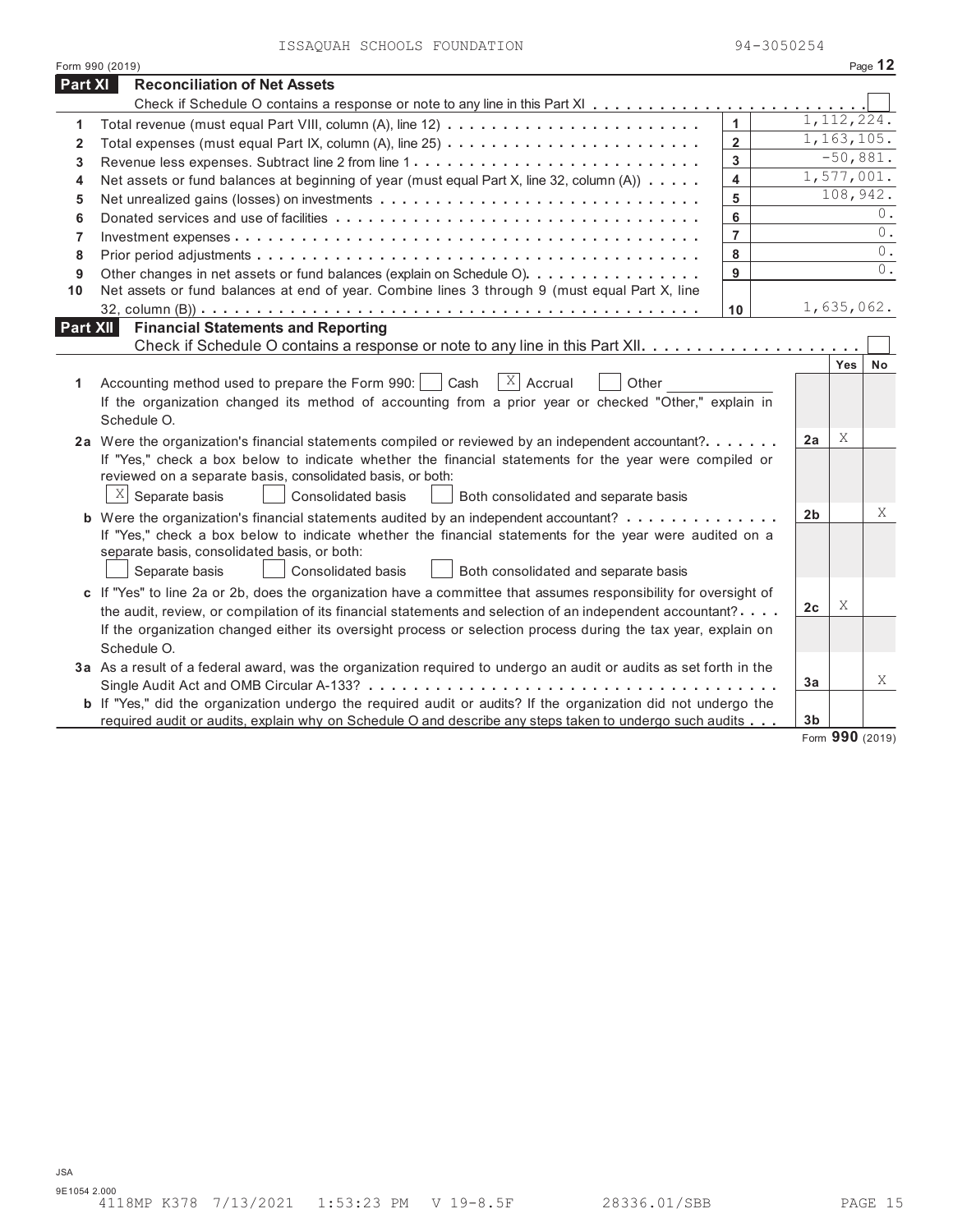|                | Form 990 (2019)                                                                                                                                                                                        |                |                |                 | Page 12    |
|----------------|--------------------------------------------------------------------------------------------------------------------------------------------------------------------------------------------------------|----------------|----------------|-----------------|------------|
| Part XI        | <b>Reconciliation of Net Assets</b>                                                                                                                                                                    |                |                |                 |            |
|                |                                                                                                                                                                                                        |                |                |                 |            |
| 1              |                                                                                                                                                                                                        | $\mathbf{1}$   |                | 1, 112, 224.    |            |
| $\mathbf{2}$   |                                                                                                                                                                                                        | $\overline{2}$ |                | 1, 163, 105.    |            |
| 3              | Revenue less expenses. Subtract line 2 from line 1                                                                                                                                                     | 3              |                | $-50,881.$      |            |
| 4              | Net assets or fund balances at beginning of year (must equal Part X, line 32, column (A))                                                                                                              | 4              |                |                 | 1,577,001. |
| 5              |                                                                                                                                                                                                        | 5              |                | 108,942.        |            |
| 6              |                                                                                                                                                                                                        | 6              |                |                 | 0.         |
| $\overline{7}$ |                                                                                                                                                                                                        | $\overline{7}$ |                |                 | 0.         |
| 8              |                                                                                                                                                                                                        | 8              |                |                 | 0.         |
| 9              | Other changes in net assets or fund balances (explain on Schedule O)                                                                                                                                   | 9              |                |                 | $0$ .      |
| 10             | Net assets or fund balances at end of year. Combine lines 3 through 9 (must equal Part X, line                                                                                                         |                |                |                 |            |
|                |                                                                                                                                                                                                        | 10             |                | 1,635,062.      |            |
| Part XII       | <b>Financial Statements and Reporting</b>                                                                                                                                                              |                |                |                 |            |
|                |                                                                                                                                                                                                        |                |                |                 |            |
|                |                                                                                                                                                                                                        |                |                | Yes             | <b>No</b>  |
| 1              | $X$ Accrual<br>Accounting method used to prepare the Form 990:<br>Cash<br>Other                                                                                                                        |                |                |                 |            |
|                | If the organization changed its method of accounting from a prior year or checked "Other," explain in<br>Schedule O.                                                                                   |                |                |                 |            |
|                |                                                                                                                                                                                                        |                | 2a             | X               |            |
|                | 2a Were the organization's financial statements compiled or reviewed by an independent accountant?                                                                                                     |                |                |                 |            |
|                | If "Yes," check a box below to indicate whether the financial statements for the year were compiled or<br>reviewed on a separate basis, consolidated basis, or both:                                   |                |                |                 |            |
|                | X<br>Separate basis<br><b>Consolidated basis</b><br>Both consolidated and separate basis                                                                                                               |                |                |                 |            |
|                |                                                                                                                                                                                                        |                | 2 <sub>b</sub> |                 | Χ          |
|                | <b>b</b> Were the organization's financial statements audited by an independent accountant?<br>If "Yes," check a box below to indicate whether the financial statements for the year were audited on a |                |                |                 |            |
|                | separate basis, consolidated basis, or both:                                                                                                                                                           |                |                |                 |            |
|                | Consolidated basis<br>Separate basis<br>Both consolidated and separate basis                                                                                                                           |                |                |                 |            |
|                | c If "Yes" to line 2a or 2b, does the organization have a committee that assumes responsibility for oversight of                                                                                       |                |                |                 |            |
|                | the audit, review, or compilation of its financial statements and selection of an independent accountant?                                                                                              |                | 2c             | Χ               |            |
|                | If the organization changed either its oversight process or selection process during the tax year, explain on                                                                                          |                |                |                 |            |
|                | Schedule O.                                                                                                                                                                                            |                |                |                 |            |
|                | 3a As a result of a federal award, was the organization required to undergo an audit or audits as set forth in the                                                                                     |                |                |                 |            |
|                |                                                                                                                                                                                                        |                | 3a             |                 | X          |
|                | b If "Yes," did the organization undergo the required audit or audits? If the organization did not undergo the                                                                                         |                |                |                 |            |
|                | required audit or audits, explain why on Schedule O and describe any steps taken to undergo such audits                                                                                                |                | 3 <sub>b</sub> |                 |            |
|                |                                                                                                                                                                                                        |                | $\mathbf{r}$   | $000 \text{ m}$ |            |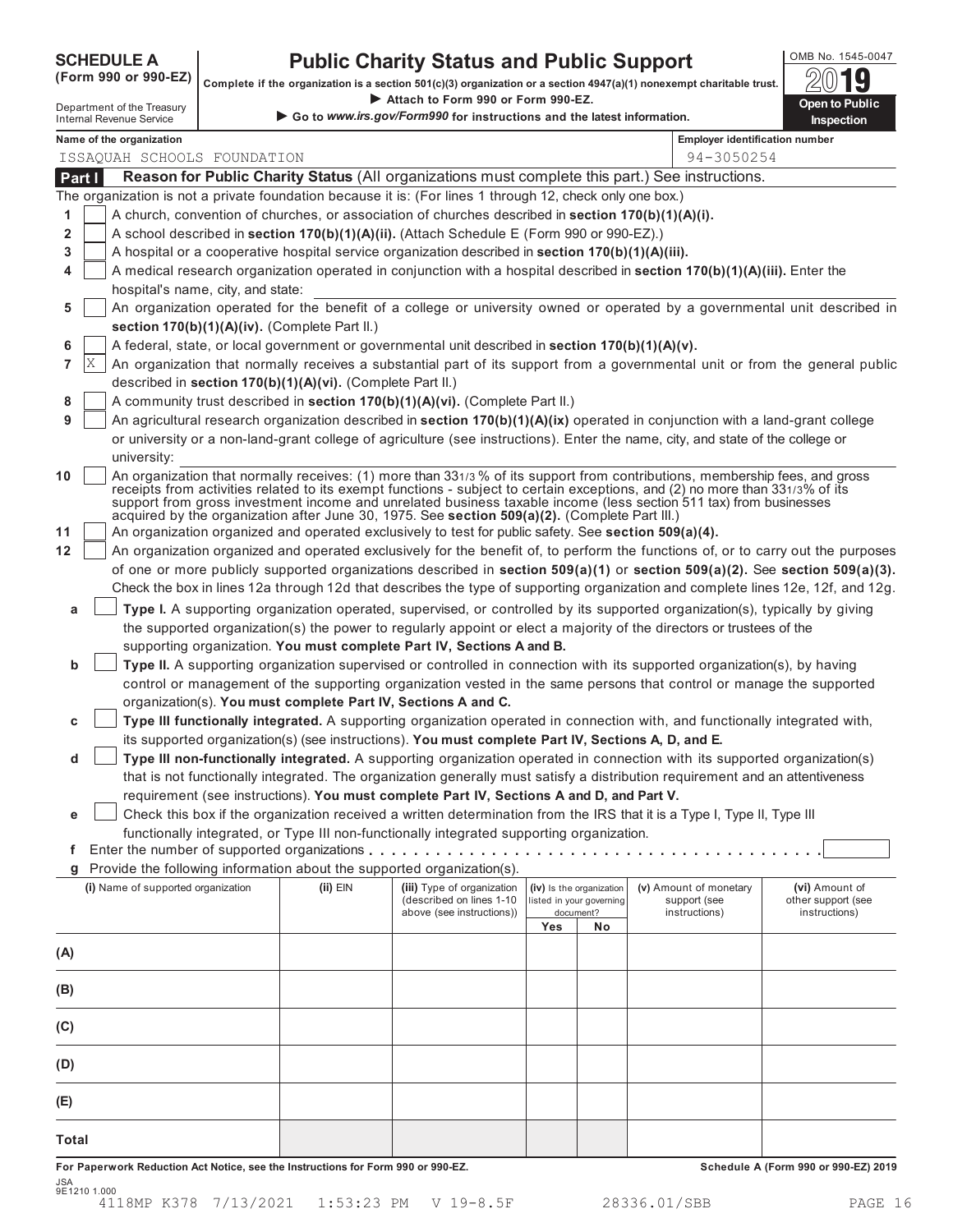SCHEDULE A **Public Charity Status and Public Support**<br>(Form 990 or 990-EZ) complete if the organization is a section 501(c)(3) organization or a section 4947(a)(1) nonexempt charitable trust. **Attach 501(c)(3) organization or a section 4**<br>► Attach to Form 990 or Form 990-EZ.

|                |    | Department of the Treasury         |                                                            | Attach to Form 990 or Form 990-EZ.                                                                                                                                                                                                                                                                                                                 |     |                                       |                                       | Open to Public                                                                                                                      |
|----------------|----|------------------------------------|------------------------------------------------------------|----------------------------------------------------------------------------------------------------------------------------------------------------------------------------------------------------------------------------------------------------------------------------------------------------------------------------------------------------|-----|---------------------------------------|---------------------------------------|-------------------------------------------------------------------------------------------------------------------------------------|
|                |    | <b>Internal Revenue Service</b>    |                                                            | Go to www.irs.gov/Form990 for instructions and the latest information.                                                                                                                                                                                                                                                                             |     |                                       |                                       | Inspection                                                                                                                          |
|                |    | Name of the organization           |                                                            |                                                                                                                                                                                                                                                                                                                                                    |     |                                       | <b>Employer identification number</b> |                                                                                                                                     |
|                |    | ISSAQUAH SCHOOLS FOUNDATION        |                                                            |                                                                                                                                                                                                                                                                                                                                                    |     |                                       | 94-3050254                            |                                                                                                                                     |
| Part I         |    |                                    |                                                            | Reason for Public Charity Status (All organizations must complete this part.) See instructions.                                                                                                                                                                                                                                                    |     |                                       |                                       |                                                                                                                                     |
|                |    |                                    |                                                            | The organization is not a private foundation because it is: (For lines 1 through 12, check only one box.)                                                                                                                                                                                                                                          |     |                                       |                                       |                                                                                                                                     |
| 1              |    |                                    |                                                            | A church, convention of churches, or association of churches described in section 170(b)(1)(A)(i).                                                                                                                                                                                                                                                 |     |                                       |                                       |                                                                                                                                     |
| $\overline{2}$ |    |                                    |                                                            | A school described in section 170(b)(1)(A)(ii). (Attach Schedule E (Form 990 or 990-EZ).)                                                                                                                                                                                                                                                          |     |                                       |                                       |                                                                                                                                     |
| 3              |    |                                    |                                                            | A hospital or a cooperative hospital service organization described in section 170(b)(1)(A)(iii).                                                                                                                                                                                                                                                  |     |                                       |                                       |                                                                                                                                     |
| 4              |    |                                    |                                                            | A medical research organization operated in conjunction with a hospital described in section 170(b)(1)(A)(iii). Enter the                                                                                                                                                                                                                          |     |                                       |                                       |                                                                                                                                     |
|                |    | hospital's name, city, and state:  |                                                            |                                                                                                                                                                                                                                                                                                                                                    |     |                                       |                                       |                                                                                                                                     |
| 5              |    |                                    |                                                            |                                                                                                                                                                                                                                                                                                                                                    |     |                                       |                                       | An organization operated for the benefit of a college or university owned or operated by a governmental unit described in           |
|                |    |                                    | section 170(b)(1)(A)(iv). (Complete Part II.)              |                                                                                                                                                                                                                                                                                                                                                    |     |                                       |                                       |                                                                                                                                     |
| 6              |    |                                    |                                                            | A federal, state, or local government or governmental unit described in section 170(b)(1)(A)(v).                                                                                                                                                                                                                                                   |     |                                       |                                       |                                                                                                                                     |
| 7              | ΙX |                                    |                                                            |                                                                                                                                                                                                                                                                                                                                                    |     |                                       |                                       | An organization that normally receives a substantial part of its support from a governmental unit or from the general public        |
|                |    |                                    | described in section 170(b)(1)(A)(vi). (Complete Part II.) |                                                                                                                                                                                                                                                                                                                                                    |     |                                       |                                       |                                                                                                                                     |
| 8              |    |                                    |                                                            | A community trust described in section 170(b)(1)(A)(vi). (Complete Part II.)                                                                                                                                                                                                                                                                       |     |                                       |                                       |                                                                                                                                     |
| 9              |    |                                    |                                                            | An agricultural research organization described in section 170(b)(1)(A)(ix) operated in conjunction with a land-grant college                                                                                                                                                                                                                      |     |                                       |                                       |                                                                                                                                     |
|                |    |                                    |                                                            | or university or a non-land-grant college of agriculture (see instructions). Enter the name, city, and state of the college or                                                                                                                                                                                                                     |     |                                       |                                       |                                                                                                                                     |
|                |    | university:                        |                                                            | An organization that normally receives: (1) more than 331/3 % of its support from contributions, membership fees, and gross                                                                                                                                                                                                                        |     |                                       |                                       |                                                                                                                                     |
| 10             |    |                                    |                                                            | receipts from activities related to its exempt functions - subject to certain exceptions, and (2) no more than 331/3% of its<br>support from gross investment income and unrelated business taxable income (less section 511 tax) from businesses<br>acquired by the organization after June 30, 1975. See section 509(a)(2). (Complete Part III.) |     |                                       |                                       |                                                                                                                                     |
| 11             |    |                                    |                                                            | An organization organized and operated exclusively to test for public safety. See section 509(a)(4).                                                                                                                                                                                                                                               |     |                                       |                                       |                                                                                                                                     |
| 12             |    |                                    |                                                            |                                                                                                                                                                                                                                                                                                                                                    |     |                                       |                                       | An organization organized and operated exclusively for the benefit of, to perform the functions of, or to carry out the purposes    |
|                |    |                                    |                                                            |                                                                                                                                                                                                                                                                                                                                                    |     |                                       |                                       | of one or more publicly supported organizations described in section $509(a)(1)$ or section $509(a)(2)$ . See section $509(a)(3)$ . |
|                |    |                                    |                                                            |                                                                                                                                                                                                                                                                                                                                                    |     |                                       |                                       | Check the box in lines 12a through 12d that describes the type of supporting organization and complete lines 12e, 12f, and 12g.     |
| a              |    |                                    |                                                            | Type I. A supporting organization operated, supervised, or controlled by its supported organization(s), typically by giving                                                                                                                                                                                                                        |     |                                       |                                       |                                                                                                                                     |
|                |    |                                    |                                                            | the supported organization(s) the power to regularly appoint or elect a majority of the directors or trustees of the                                                                                                                                                                                                                               |     |                                       |                                       |                                                                                                                                     |
|                |    |                                    |                                                            | supporting organization. You must complete Part IV, Sections A and B.                                                                                                                                                                                                                                                                              |     |                                       |                                       |                                                                                                                                     |
| b              |    |                                    |                                                            | Type II. A supporting organization supervised or controlled in connection with its supported organization(s), by having                                                                                                                                                                                                                            |     |                                       |                                       |                                                                                                                                     |
|                |    |                                    |                                                            | control or management of the supporting organization vested in the same persons that control or manage the supported                                                                                                                                                                                                                               |     |                                       |                                       |                                                                                                                                     |
|                |    |                                    |                                                            | organization(s). You must complete Part IV, Sections A and C.<br>Type III functionally integrated. A supporting organization operated in connection with, and functionally integrated with,                                                                                                                                                        |     |                                       |                                       |                                                                                                                                     |
| с              |    |                                    |                                                            | its supported organization(s) (see instructions). You must complete Part IV, Sections A, D, and E.                                                                                                                                                                                                                                                 |     |                                       |                                       |                                                                                                                                     |
| d              |    |                                    |                                                            | Type III non-functionally integrated. A supporting organization operated in connection with its supported organization(s)                                                                                                                                                                                                                          |     |                                       |                                       |                                                                                                                                     |
|                |    |                                    |                                                            | that is not functionally integrated. The organization generally must satisfy a distribution requirement and an attentiveness                                                                                                                                                                                                                       |     |                                       |                                       |                                                                                                                                     |
|                |    |                                    |                                                            | requirement (see instructions). You must complete Part IV, Sections A and D, and Part V.                                                                                                                                                                                                                                                           |     |                                       |                                       |                                                                                                                                     |
| е              |    |                                    |                                                            | Check this box if the organization received a written determination from the IRS that it is a Type I, Type II, Type III                                                                                                                                                                                                                            |     |                                       |                                       |                                                                                                                                     |
|                |    |                                    |                                                            | functionally integrated, or Type III non-functionally integrated supporting organization.                                                                                                                                                                                                                                                          |     |                                       |                                       |                                                                                                                                     |
| f              |    |                                    |                                                            |                                                                                                                                                                                                                                                                                                                                                    |     |                                       |                                       |                                                                                                                                     |
| g              |    |                                    |                                                            | Provide the following information about the supported organization(s).                                                                                                                                                                                                                                                                             |     |                                       |                                       |                                                                                                                                     |
|                |    | (i) Name of supported organization | (ii) EIN                                                   | (iii) Type of organization                                                                                                                                                                                                                                                                                                                         |     | (iv) Is the organization              | (v) Amount of monetary                | (vi) Amount of                                                                                                                      |
|                |    |                                    |                                                            | (described on lines 1-10<br>above (see instructions))                                                                                                                                                                                                                                                                                              |     | listed in your governing<br>document? | support (see<br>instructions)         | other support (see<br>instructions)                                                                                                 |
|                |    |                                    |                                                            |                                                                                                                                                                                                                                                                                                                                                    | Yes | No                                    |                                       |                                                                                                                                     |
| (A)            |    |                                    |                                                            |                                                                                                                                                                                                                                                                                                                                                    |     |                                       |                                       |                                                                                                                                     |
| (B)            |    |                                    |                                                            |                                                                                                                                                                                                                                                                                                                                                    |     |                                       |                                       |                                                                                                                                     |
| (C)            |    |                                    |                                                            |                                                                                                                                                                                                                                                                                                                                                    |     |                                       |                                       |                                                                                                                                     |
| (D)            |    |                                    |                                                            |                                                                                                                                                                                                                                                                                                                                                    |     |                                       |                                       |                                                                                                                                     |
|                |    |                                    |                                                            |                                                                                                                                                                                                                                                                                                                                                    |     |                                       |                                       |                                                                                                                                     |
| (E)            |    |                                    |                                                            |                                                                                                                                                                                                                                                                                                                                                    |     |                                       |                                       |                                                                                                                                     |
| <b>Total</b>   |    |                                    |                                                            |                                                                                                                                                                                                                                                                                                                                                    |     |                                       |                                       |                                                                                                                                     |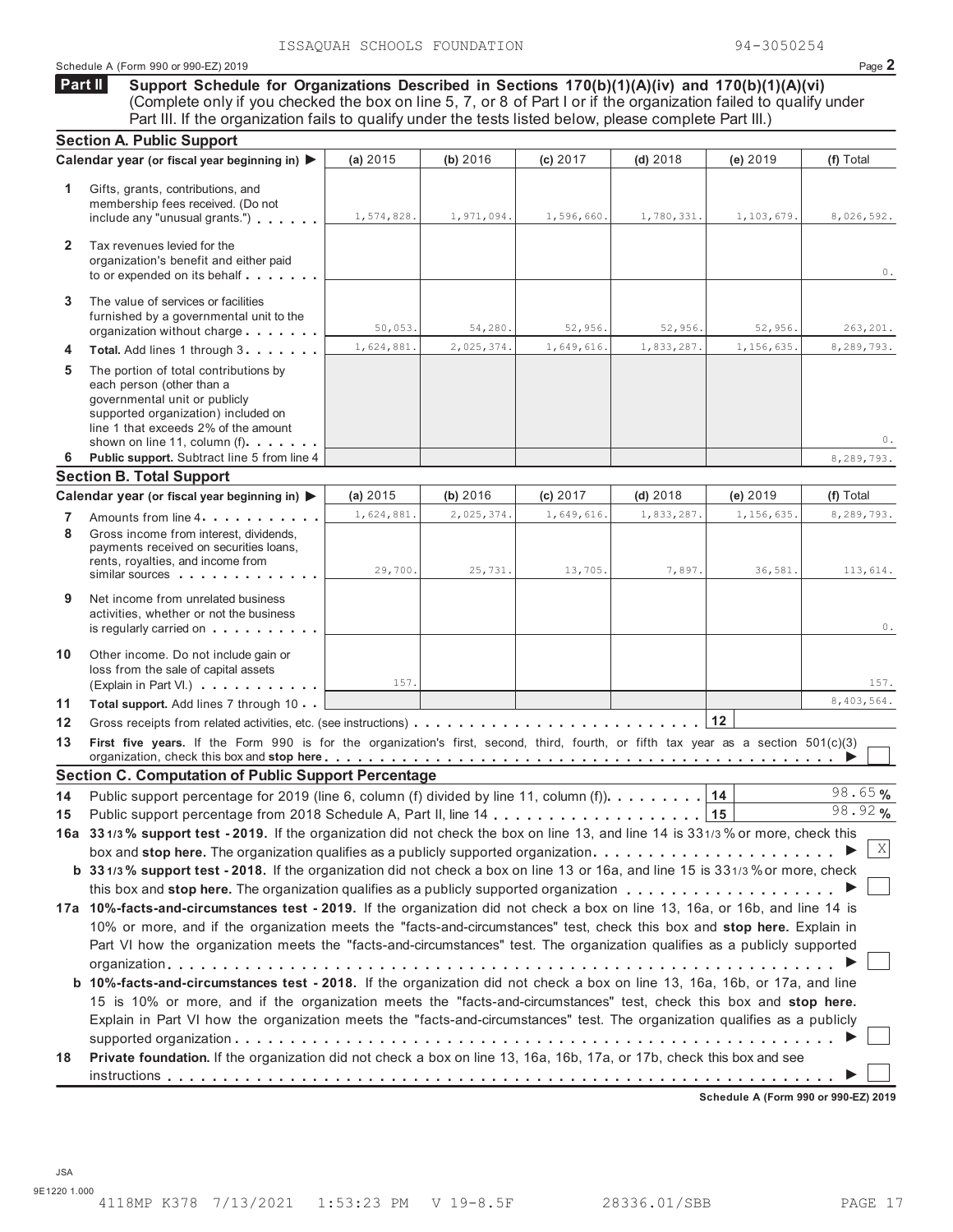#### Schedule A (Form 990 or 990-EZ) 2019 Page **2**

**Support Schedule for Organizations Described in Sections 170(b)(1)(A)(iv) and 170(b)(1)(A)(vi)** (Complete only if you checked the box on line 5, 7, or 8 of Part I or if the organization failed to qualify under Part III. If the organization fails to qualify under the tests listed below, please complete Part III.) **Part II**

| Calendar year (or fiscal year beginning in) ▶<br>(a) 2015<br>(b) 2016<br>$(d)$ 2018<br>(e) 2019<br>(f) Total<br>(c) 2017<br>1.<br>Gifts, grants, contributions, and<br>membership fees received. (Do not<br>1,574,828.<br>1,971,094.<br>1,596,660.<br>1,780,331.<br>1,103,679.<br>include any "unusual grants.") $\ldots$<br>$\mathbf{2}$<br>Tax revenues levied for the<br>organization's benefit and either paid<br>The value of services or facilities<br>3<br>furnished by a governmental unit to the<br>50,053.<br>54,280.<br>52,956.<br>52,956.<br>52,956.<br>organization without charge<br>1,624,881.<br>2,025,374.<br>1,649,616.<br>1,833,287.<br>1,156,635<br>Total. Add lines 1 through 3.<br>4<br>5<br>The portion of total contributions by<br>each person (other than a<br>governmental unit or publicly<br>supported organization) included on<br>line 1 that exceeds 2% of the amount<br>shown on line 11, column (f)<br>Public support. Subtract line 5 from line 4<br>6<br>8,289,793.<br><b>Section B. Total Support</b><br>Calendar year (or fiscal year beginning in) ▶<br>(a) 2015<br>(b) 2016<br>(c) 2017<br>(e) 2019<br>(f) Total<br>$(d)$ 2018<br>1,624,881.<br>2,025,374.<br>1,649,616.<br>1,833,287.<br>1,156,635<br>8,289,793.<br>7<br>Amounts from line 4<br>8<br>Gross income from interest, dividends.<br>payments received on securities loans,<br>rents, royalties, and income from<br>29,700.<br>25,731.<br>13,705.<br>7,897.<br>36,581.<br>similar sources<br>Net income from unrelated business<br>9<br>activities, whether or not the business<br>is regularly carried on<br>10<br>Other income. Do not include gain or<br>loss from the sale of capital assets<br>157.<br>(Explain in Part VI.)<br>8,403,564.<br>11<br>Total support. Add lines 7 through 10<br>12<br>First five years. If the Form 990 is for the organization's first, second, third, fourth, or fifth tax year as a section 501(c)(3)<br>13<br><b>Section C. Computation of Public Support Percentage</b><br>98.65%<br>Public support percentage for 2019 (line 6, column (f) divided by line 11, column (f)).<br>14<br>14<br>98.92%<br>15<br>X<br>box and stop here. The organization qualifies as a publicly supported organization<br>b 331/3% support test - 2018. If the organization did not check a box on line 13 or 16a, and line 15 is 331/3% or more, check<br>17a 10%-facts-and-circumstances test - 2019. If the organization did not check a box on line 13, 16a, or 16b, and line 14 is<br>10% or more, and if the organization meets the "facts-and-circumstances" test, check this box and stop here. Explain in<br>Part VI how the organization meets the "facts-and-circumstances" test. The organization qualifies as a publicly supported<br>b 10%-facts-and-circumstances test - 2018. If the organization did not check a box on line 13, 16a, 16b, or 17a, and line<br>15 is 10% or more, and if the organization meets the "facts-and-circumstances" test, check this box and stop here.<br>Explain in Part VI how the organization meets the "facts-and-circumstances" test. The organization qualifies as a publicly<br>Private foundation. If the organization did not check a box on line 13, 16a, 16b, 17a, or 17b, check this box and see<br>18<br><b>Cohodule A (Form 000 or 000 F7)</b> | <b>Section A. Public Support</b> |  |  |  |  |  |            |
|----------------------------------------------------------------------------------------------------------------------------------------------------------------------------------------------------------------------------------------------------------------------------------------------------------------------------------------------------------------------------------------------------------------------------------------------------------------------------------------------------------------------------------------------------------------------------------------------------------------------------------------------------------------------------------------------------------------------------------------------------------------------------------------------------------------------------------------------------------------------------------------------------------------------------------------------------------------------------------------------------------------------------------------------------------------------------------------------------------------------------------------------------------------------------------------------------------------------------------------------------------------------------------------------------------------------------------------------------------------------------------------------------------------------------------------------------------------------------------------------------------------------------------------------------------------------------------------------------------------------------------------------------------------------------------------------------------------------------------------------------------------------------------------------------------------------------------------------------------------------------------------------------------------------------------------------------------------------------------------------------------------------------------------------------------------------------------------------------------------------------------------------------------------------------------------------------------------------------------------------------------------------------------------------------------------------------------------------------------------------------------------------------------------------------------------------------------------------------------------------------------------------------------------------------------------------------------------------------------------------------------------------------------------------------------------------------------------------------------------------------------------------------------------------------------------------------------------------------------------------------------------------------------------------------------------------------------------------------------------------------------------------------------------------------------------------------------------------------------------------------------------------------------------------------------------------------------------------------------------------------------------------------------------------------------------------------------|----------------------------------|--|--|--|--|--|------------|
|                                                                                                                                                                                                                                                                                                                                                                                                                                                                                                                                                                                                                                                                                                                                                                                                                                                                                                                                                                                                                                                                                                                                                                                                                                                                                                                                                                                                                                                                                                                                                                                                                                                                                                                                                                                                                                                                                                                                                                                                                                                                                                                                                                                                                                                                                                                                                                                                                                                                                                                                                                                                                                                                                                                                                                                                                                                                                                                                                                                                                                                                                                                                                                                                                                                                                                                                  |                                  |  |  |  |  |  |            |
|                                                                                                                                                                                                                                                                                                                                                                                                                                                                                                                                                                                                                                                                                                                                                                                                                                                                                                                                                                                                                                                                                                                                                                                                                                                                                                                                                                                                                                                                                                                                                                                                                                                                                                                                                                                                                                                                                                                                                                                                                                                                                                                                                                                                                                                                                                                                                                                                                                                                                                                                                                                                                                                                                                                                                                                                                                                                                                                                                                                                                                                                                                                                                                                                                                                                                                                                  |                                  |  |  |  |  |  | 8,026,592. |
|                                                                                                                                                                                                                                                                                                                                                                                                                                                                                                                                                                                                                                                                                                                                                                                                                                                                                                                                                                                                                                                                                                                                                                                                                                                                                                                                                                                                                                                                                                                                                                                                                                                                                                                                                                                                                                                                                                                                                                                                                                                                                                                                                                                                                                                                                                                                                                                                                                                                                                                                                                                                                                                                                                                                                                                                                                                                                                                                                                                                                                                                                                                                                                                                                                                                                                                                  |                                  |  |  |  |  |  | 0.         |
|                                                                                                                                                                                                                                                                                                                                                                                                                                                                                                                                                                                                                                                                                                                                                                                                                                                                                                                                                                                                                                                                                                                                                                                                                                                                                                                                                                                                                                                                                                                                                                                                                                                                                                                                                                                                                                                                                                                                                                                                                                                                                                                                                                                                                                                                                                                                                                                                                                                                                                                                                                                                                                                                                                                                                                                                                                                                                                                                                                                                                                                                                                                                                                                                                                                                                                                                  |                                  |  |  |  |  |  | 263,201.   |
|                                                                                                                                                                                                                                                                                                                                                                                                                                                                                                                                                                                                                                                                                                                                                                                                                                                                                                                                                                                                                                                                                                                                                                                                                                                                                                                                                                                                                                                                                                                                                                                                                                                                                                                                                                                                                                                                                                                                                                                                                                                                                                                                                                                                                                                                                                                                                                                                                                                                                                                                                                                                                                                                                                                                                                                                                                                                                                                                                                                                                                                                                                                                                                                                                                                                                                                                  |                                  |  |  |  |  |  | 8,289,793. |
|                                                                                                                                                                                                                                                                                                                                                                                                                                                                                                                                                                                                                                                                                                                                                                                                                                                                                                                                                                                                                                                                                                                                                                                                                                                                                                                                                                                                                                                                                                                                                                                                                                                                                                                                                                                                                                                                                                                                                                                                                                                                                                                                                                                                                                                                                                                                                                                                                                                                                                                                                                                                                                                                                                                                                                                                                                                                                                                                                                                                                                                                                                                                                                                                                                                                                                                                  |                                  |  |  |  |  |  | 0.         |
|                                                                                                                                                                                                                                                                                                                                                                                                                                                                                                                                                                                                                                                                                                                                                                                                                                                                                                                                                                                                                                                                                                                                                                                                                                                                                                                                                                                                                                                                                                                                                                                                                                                                                                                                                                                                                                                                                                                                                                                                                                                                                                                                                                                                                                                                                                                                                                                                                                                                                                                                                                                                                                                                                                                                                                                                                                                                                                                                                                                                                                                                                                                                                                                                                                                                                                                                  |                                  |  |  |  |  |  |            |
|                                                                                                                                                                                                                                                                                                                                                                                                                                                                                                                                                                                                                                                                                                                                                                                                                                                                                                                                                                                                                                                                                                                                                                                                                                                                                                                                                                                                                                                                                                                                                                                                                                                                                                                                                                                                                                                                                                                                                                                                                                                                                                                                                                                                                                                                                                                                                                                                                                                                                                                                                                                                                                                                                                                                                                                                                                                                                                                                                                                                                                                                                                                                                                                                                                                                                                                                  |                                  |  |  |  |  |  |            |
|                                                                                                                                                                                                                                                                                                                                                                                                                                                                                                                                                                                                                                                                                                                                                                                                                                                                                                                                                                                                                                                                                                                                                                                                                                                                                                                                                                                                                                                                                                                                                                                                                                                                                                                                                                                                                                                                                                                                                                                                                                                                                                                                                                                                                                                                                                                                                                                                                                                                                                                                                                                                                                                                                                                                                                                                                                                                                                                                                                                                                                                                                                                                                                                                                                                                                                                                  |                                  |  |  |  |  |  |            |
|                                                                                                                                                                                                                                                                                                                                                                                                                                                                                                                                                                                                                                                                                                                                                                                                                                                                                                                                                                                                                                                                                                                                                                                                                                                                                                                                                                                                                                                                                                                                                                                                                                                                                                                                                                                                                                                                                                                                                                                                                                                                                                                                                                                                                                                                                                                                                                                                                                                                                                                                                                                                                                                                                                                                                                                                                                                                                                                                                                                                                                                                                                                                                                                                                                                                                                                                  |                                  |  |  |  |  |  |            |
|                                                                                                                                                                                                                                                                                                                                                                                                                                                                                                                                                                                                                                                                                                                                                                                                                                                                                                                                                                                                                                                                                                                                                                                                                                                                                                                                                                                                                                                                                                                                                                                                                                                                                                                                                                                                                                                                                                                                                                                                                                                                                                                                                                                                                                                                                                                                                                                                                                                                                                                                                                                                                                                                                                                                                                                                                                                                                                                                                                                                                                                                                                                                                                                                                                                                                                                                  |                                  |  |  |  |  |  | 113,614.   |
|                                                                                                                                                                                                                                                                                                                                                                                                                                                                                                                                                                                                                                                                                                                                                                                                                                                                                                                                                                                                                                                                                                                                                                                                                                                                                                                                                                                                                                                                                                                                                                                                                                                                                                                                                                                                                                                                                                                                                                                                                                                                                                                                                                                                                                                                                                                                                                                                                                                                                                                                                                                                                                                                                                                                                                                                                                                                                                                                                                                                                                                                                                                                                                                                                                                                                                                                  |                                  |  |  |  |  |  | 0.         |
|                                                                                                                                                                                                                                                                                                                                                                                                                                                                                                                                                                                                                                                                                                                                                                                                                                                                                                                                                                                                                                                                                                                                                                                                                                                                                                                                                                                                                                                                                                                                                                                                                                                                                                                                                                                                                                                                                                                                                                                                                                                                                                                                                                                                                                                                                                                                                                                                                                                                                                                                                                                                                                                                                                                                                                                                                                                                                                                                                                                                                                                                                                                                                                                                                                                                                                                                  |                                  |  |  |  |  |  | 157.       |
| 16a 331/3% support test - 2019. If the organization did not check the box on line 13, and line 14 is 331/3% or more, check this                                                                                                                                                                                                                                                                                                                                                                                                                                                                                                                                                                                                                                                                                                                                                                                                                                                                                                                                                                                                                                                                                                                                                                                                                                                                                                                                                                                                                                                                                                                                                                                                                                                                                                                                                                                                                                                                                                                                                                                                                                                                                                                                                                                                                                                                                                                                                                                                                                                                                                                                                                                                                                                                                                                                                                                                                                                                                                                                                                                                                                                                                                                                                                                                  |                                  |  |  |  |  |  |            |
|                                                                                                                                                                                                                                                                                                                                                                                                                                                                                                                                                                                                                                                                                                                                                                                                                                                                                                                                                                                                                                                                                                                                                                                                                                                                                                                                                                                                                                                                                                                                                                                                                                                                                                                                                                                                                                                                                                                                                                                                                                                                                                                                                                                                                                                                                                                                                                                                                                                                                                                                                                                                                                                                                                                                                                                                                                                                                                                                                                                                                                                                                                                                                                                                                                                                                                                                  |                                  |  |  |  |  |  |            |
|                                                                                                                                                                                                                                                                                                                                                                                                                                                                                                                                                                                                                                                                                                                                                                                                                                                                                                                                                                                                                                                                                                                                                                                                                                                                                                                                                                                                                                                                                                                                                                                                                                                                                                                                                                                                                                                                                                                                                                                                                                                                                                                                                                                                                                                                                                                                                                                                                                                                                                                                                                                                                                                                                                                                                                                                                                                                                                                                                                                                                                                                                                                                                                                                                                                                                                                                  |                                  |  |  |  |  |  |            |
|                                                                                                                                                                                                                                                                                                                                                                                                                                                                                                                                                                                                                                                                                                                                                                                                                                                                                                                                                                                                                                                                                                                                                                                                                                                                                                                                                                                                                                                                                                                                                                                                                                                                                                                                                                                                                                                                                                                                                                                                                                                                                                                                                                                                                                                                                                                                                                                                                                                                                                                                                                                                                                                                                                                                                                                                                                                                                                                                                                                                                                                                                                                                                                                                                                                                                                                                  |                                  |  |  |  |  |  |            |
|                                                                                                                                                                                                                                                                                                                                                                                                                                                                                                                                                                                                                                                                                                                                                                                                                                                                                                                                                                                                                                                                                                                                                                                                                                                                                                                                                                                                                                                                                                                                                                                                                                                                                                                                                                                                                                                                                                                                                                                                                                                                                                                                                                                                                                                                                                                                                                                                                                                                                                                                                                                                                                                                                                                                                                                                                                                                                                                                                                                                                                                                                                                                                                                                                                                                                                                                  |                                  |  |  |  |  |  |            |
|                                                                                                                                                                                                                                                                                                                                                                                                                                                                                                                                                                                                                                                                                                                                                                                                                                                                                                                                                                                                                                                                                                                                                                                                                                                                                                                                                                                                                                                                                                                                                                                                                                                                                                                                                                                                                                                                                                                                                                                                                                                                                                                                                                                                                                                                                                                                                                                                                                                                                                                                                                                                                                                                                                                                                                                                                                                                                                                                                                                                                                                                                                                                                                                                                                                                                                                                  |                                  |  |  |  |  |  |            |
|                                                                                                                                                                                                                                                                                                                                                                                                                                                                                                                                                                                                                                                                                                                                                                                                                                                                                                                                                                                                                                                                                                                                                                                                                                                                                                                                                                                                                                                                                                                                                                                                                                                                                                                                                                                                                                                                                                                                                                                                                                                                                                                                                                                                                                                                                                                                                                                                                                                                                                                                                                                                                                                                                                                                                                                                                                                                                                                                                                                                                                                                                                                                                                                                                                                                                                                                  |                                  |  |  |  |  |  |            |
|                                                                                                                                                                                                                                                                                                                                                                                                                                                                                                                                                                                                                                                                                                                                                                                                                                                                                                                                                                                                                                                                                                                                                                                                                                                                                                                                                                                                                                                                                                                                                                                                                                                                                                                                                                                                                                                                                                                                                                                                                                                                                                                                                                                                                                                                                                                                                                                                                                                                                                                                                                                                                                                                                                                                                                                                                                                                                                                                                                                                                                                                                                                                                                                                                                                                                                                                  |                                  |  |  |  |  |  |            |
|                                                                                                                                                                                                                                                                                                                                                                                                                                                                                                                                                                                                                                                                                                                                                                                                                                                                                                                                                                                                                                                                                                                                                                                                                                                                                                                                                                                                                                                                                                                                                                                                                                                                                                                                                                                                                                                                                                                                                                                                                                                                                                                                                                                                                                                                                                                                                                                                                                                                                                                                                                                                                                                                                                                                                                                                                                                                                                                                                                                                                                                                                                                                                                                                                                                                                                                                  |                                  |  |  |  |  |  |            |
|                                                                                                                                                                                                                                                                                                                                                                                                                                                                                                                                                                                                                                                                                                                                                                                                                                                                                                                                                                                                                                                                                                                                                                                                                                                                                                                                                                                                                                                                                                                                                                                                                                                                                                                                                                                                                                                                                                                                                                                                                                                                                                                                                                                                                                                                                                                                                                                                                                                                                                                                                                                                                                                                                                                                                                                                                                                                                                                                                                                                                                                                                                                                                                                                                                                                                                                                  |                                  |  |  |  |  |  |            |
|                                                                                                                                                                                                                                                                                                                                                                                                                                                                                                                                                                                                                                                                                                                                                                                                                                                                                                                                                                                                                                                                                                                                                                                                                                                                                                                                                                                                                                                                                                                                                                                                                                                                                                                                                                                                                                                                                                                                                                                                                                                                                                                                                                                                                                                                                                                                                                                                                                                                                                                                                                                                                                                                                                                                                                                                                                                                                                                                                                                                                                                                                                                                                                                                                                                                                                                                  |                                  |  |  |  |  |  |            |
|                                                                                                                                                                                                                                                                                                                                                                                                                                                                                                                                                                                                                                                                                                                                                                                                                                                                                                                                                                                                                                                                                                                                                                                                                                                                                                                                                                                                                                                                                                                                                                                                                                                                                                                                                                                                                                                                                                                                                                                                                                                                                                                                                                                                                                                                                                                                                                                                                                                                                                                                                                                                                                                                                                                                                                                                                                                                                                                                                                                                                                                                                                                                                                                                                                                                                                                                  |                                  |  |  |  |  |  |            |
|                                                                                                                                                                                                                                                                                                                                                                                                                                                                                                                                                                                                                                                                                                                                                                                                                                                                                                                                                                                                                                                                                                                                                                                                                                                                                                                                                                                                                                                                                                                                                                                                                                                                                                                                                                                                                                                                                                                                                                                                                                                                                                                                                                                                                                                                                                                                                                                                                                                                                                                                                                                                                                                                                                                                                                                                                                                                                                                                                                                                                                                                                                                                                                                                                                                                                                                                  |                                  |  |  |  |  |  |            |
|                                                                                                                                                                                                                                                                                                                                                                                                                                                                                                                                                                                                                                                                                                                                                                                                                                                                                                                                                                                                                                                                                                                                                                                                                                                                                                                                                                                                                                                                                                                                                                                                                                                                                                                                                                                                                                                                                                                                                                                                                                                                                                                                                                                                                                                                                                                                                                                                                                                                                                                                                                                                                                                                                                                                                                                                                                                                                                                                                                                                                                                                                                                                                                                                                                                                                                                                  |                                  |  |  |  |  |  |            |
|                                                                                                                                                                                                                                                                                                                                                                                                                                                                                                                                                                                                                                                                                                                                                                                                                                                                                                                                                                                                                                                                                                                                                                                                                                                                                                                                                                                                                                                                                                                                                                                                                                                                                                                                                                                                                                                                                                                                                                                                                                                                                                                                                                                                                                                                                                                                                                                                                                                                                                                                                                                                                                                                                                                                                                                                                                                                                                                                                                                                                                                                                                                                                                                                                                                                                                                                  |                                  |  |  |  |  |  |            |
|                                                                                                                                                                                                                                                                                                                                                                                                                                                                                                                                                                                                                                                                                                                                                                                                                                                                                                                                                                                                                                                                                                                                                                                                                                                                                                                                                                                                                                                                                                                                                                                                                                                                                                                                                                                                                                                                                                                                                                                                                                                                                                                                                                                                                                                                                                                                                                                                                                                                                                                                                                                                                                                                                                                                                                                                                                                                                                                                                                                                                                                                                                                                                                                                                                                                                                                                  |                                  |  |  |  |  |  |            |
|                                                                                                                                                                                                                                                                                                                                                                                                                                                                                                                                                                                                                                                                                                                                                                                                                                                                                                                                                                                                                                                                                                                                                                                                                                                                                                                                                                                                                                                                                                                                                                                                                                                                                                                                                                                                                                                                                                                                                                                                                                                                                                                                                                                                                                                                                                                                                                                                                                                                                                                                                                                                                                                                                                                                                                                                                                                                                                                                                                                                                                                                                                                                                                                                                                                                                                                                  |                                  |  |  |  |  |  |            |
|                                                                                                                                                                                                                                                                                                                                                                                                                                                                                                                                                                                                                                                                                                                                                                                                                                                                                                                                                                                                                                                                                                                                                                                                                                                                                                                                                                                                                                                                                                                                                                                                                                                                                                                                                                                                                                                                                                                                                                                                                                                                                                                                                                                                                                                                                                                                                                                                                                                                                                                                                                                                                                                                                                                                                                                                                                                                                                                                                                                                                                                                                                                                                                                                                                                                                                                                  |                                  |  |  |  |  |  |            |
|                                                                                                                                                                                                                                                                                                                                                                                                                                                                                                                                                                                                                                                                                                                                                                                                                                                                                                                                                                                                                                                                                                                                                                                                                                                                                                                                                                                                                                                                                                                                                                                                                                                                                                                                                                                                                                                                                                                                                                                                                                                                                                                                                                                                                                                                                                                                                                                                                                                                                                                                                                                                                                                                                                                                                                                                                                                                                                                                                                                                                                                                                                                                                                                                                                                                                                                                  |                                  |  |  |  |  |  |            |
|                                                                                                                                                                                                                                                                                                                                                                                                                                                                                                                                                                                                                                                                                                                                                                                                                                                                                                                                                                                                                                                                                                                                                                                                                                                                                                                                                                                                                                                                                                                                                                                                                                                                                                                                                                                                                                                                                                                                                                                                                                                                                                                                                                                                                                                                                                                                                                                                                                                                                                                                                                                                                                                                                                                                                                                                                                                                                                                                                                                                                                                                                                                                                                                                                                                                                                                                  |                                  |  |  |  |  |  |            |

**Schedule A (Form 990 or 990-EZ) 2019**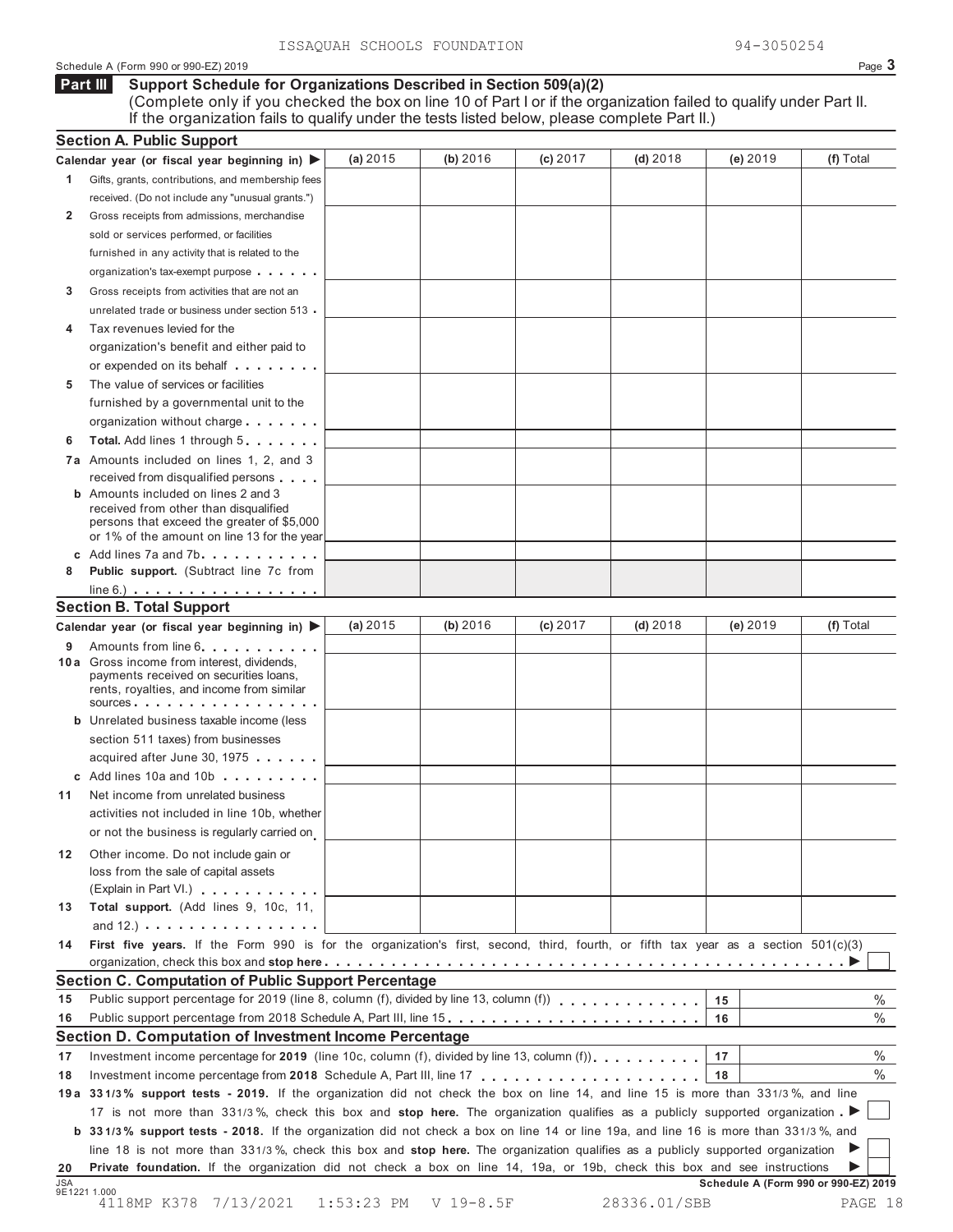#### Schedule A (Form 990 or 990-EZ) 2019 Page **3**

#### **Support Schedule for Organizations Described in Section 509(a)(2)** (Complete only if you checked the box on line 10 of Part I or if the organization failed to qualify under Part II. **Part III**

If the organization fails to qualify under the tests listed below, please complete Part II.)

|            | <b>Section A. Public Support</b>                                                                                                    |          |          |          |            |                                      |               |
|------------|-------------------------------------------------------------------------------------------------------------------------------------|----------|----------|----------|------------|--------------------------------------|---------------|
|            | Calendar year (or fiscal year beginning in) $\blacktriangleright$                                                                   | (a) 2015 | (b) 2016 | (c) 2017 | $(d)$ 2018 | (e) 2019                             | (f) Total     |
| 1.         | Gifts, grants, contributions, and membership fees                                                                                   |          |          |          |            |                                      |               |
|            | received. (Do not include any "unusual grants.")                                                                                    |          |          |          |            |                                      |               |
| 2          | Gross receipts from admissions, merchandise                                                                                         |          |          |          |            |                                      |               |
|            | sold or services performed, or facilities                                                                                           |          |          |          |            |                                      |               |
|            | furnished in any activity that is related to the                                                                                    |          |          |          |            |                                      |               |
|            | organization's tax-exempt purpose                                                                                                   |          |          |          |            |                                      |               |
| 3          | Gross receipts from activities that are not an                                                                                      |          |          |          |            |                                      |               |
|            | unrelated trade or business under section 513                                                                                       |          |          |          |            |                                      |               |
| 4          | Tax revenues levied for the                                                                                                         |          |          |          |            |                                      |               |
|            | organization's benefit and either paid to                                                                                           |          |          |          |            |                                      |               |
|            | or expended on its behalf                                                                                                           |          |          |          |            |                                      |               |
| 5          | The value of services or facilities                                                                                                 |          |          |          |            |                                      |               |
|            | furnished by a governmental unit to the                                                                                             |          |          |          |            |                                      |               |
|            | organization without charge                                                                                                         |          |          |          |            |                                      |               |
| 6          | Total. Add lines 1 through 5                                                                                                        |          |          |          |            |                                      |               |
|            | 7a Amounts included on lines 1, 2, and 3                                                                                            |          |          |          |            |                                      |               |
|            | received from disqualified persons                                                                                                  |          |          |          |            |                                      |               |
|            | <b>b</b> Amounts included on lines 2 and 3<br>received from other than disqualified                                                 |          |          |          |            |                                      |               |
|            | persons that exceed the greater of \$5,000                                                                                          |          |          |          |            |                                      |               |
|            | or 1% of the amount on line 13 for the year                                                                                         |          |          |          |            |                                      |               |
|            | c Add lines 7a and 7b                                                                                                               |          |          |          |            |                                      |               |
| 8          | Public support. (Subtract line 7c from                                                                                              |          |          |          |            |                                      |               |
|            | $line 6.)$                                                                                                                          |          |          |          |            |                                      |               |
|            | <b>Section B. Total Support</b>                                                                                                     |          |          |          |            |                                      |               |
|            | Calendar year (or fiscal year beginning in)                                                                                         | (a) 2015 | (b) 2016 | (c) 2017 | $(d)$ 2018 | (e) 2019                             | (f) Total     |
|            | 9 Amounts from line 6.<br>10 a Gross income from interest, dividends,                                                               |          |          |          |            |                                      |               |
|            | payments received on securities loans,                                                                                              |          |          |          |            |                                      |               |
|            | rents, royalties, and income from similar                                                                                           |          |          |          |            |                                      |               |
|            | sources.                                                                                                                            |          |          |          |            |                                      |               |
|            | <b>b</b> Unrelated business taxable income (less                                                                                    |          |          |          |            |                                      |               |
|            | section 511 taxes) from businesses<br>acquired after June 30, 1975                                                                  |          |          |          |            |                                      |               |
|            | c Add lines 10a and 10b                                                                                                             |          |          |          |            |                                      |               |
| 11         | Net income from unrelated business                                                                                                  |          |          |          |            |                                      |               |
|            | activities not included in line 10b, whether                                                                                        |          |          |          |            |                                      |               |
|            | or not the business is regularly carried on                                                                                         |          |          |          |            |                                      |               |
|            |                                                                                                                                     |          |          |          |            |                                      |               |
| 12         | Other income. Do not include gain or                                                                                                |          |          |          |            |                                      |               |
|            | loss from the sale of capital assets<br>(Explain in Part VI.)                                                                       |          |          |          |            |                                      |               |
| 13         | Total support. (Add lines 9, 10c, 11,                                                                                               |          |          |          |            |                                      |               |
|            | and $12.$ ) $\ldots$ $\ldots$ $\ldots$ $\ldots$ $\ldots$ $\ldots$ $\ldots$                                                          |          |          |          |            |                                      |               |
| 14         | First five years. If the Form 990 is for the organization's first, second, third, fourth, or fifth tax year as a section 501(c)(3)  |          |          |          |            |                                      |               |
|            |                                                                                                                                     |          |          |          |            |                                      |               |
|            | Section C. Computation of Public Support Percentage                                                                                 |          |          |          |            |                                      |               |
| 15         | Public support percentage for 2019 (line 8, column (f), divided by line 13, column (f)) $\ldots$ ,,,,,,,,,,,,,                      |          |          |          |            | $15\,$                               | $\%$          |
| 16         |                                                                                                                                     |          |          |          |            | 16                                   | $\frac{0}{0}$ |
|            | Section D. Computation of Investment Income Percentage                                                                              |          |          |          |            |                                      |               |
| 17         | Investment income percentage for 2019 (line 10c, column (f), divided by line 13, column (f)),                                       |          |          |          |            | 17                                   | $\%$          |
| 18         |                                                                                                                                     |          |          |          |            | 18                                   | $\%$          |
|            | 19a 331/3% support tests - 2019. If the organization did not check the box on line 14, and line 15 is more than 331/3%, and line    |          |          |          |            |                                      |               |
|            | 17 is not more than 331/3%, check this box and stop here. The organization qualifies as a publicly supported organization           |          |          |          |            |                                      |               |
|            | b 331/3% support tests - 2018. If the organization did not check a box on line 14 or line 19a, and line 16 is more than 331/3%, and |          |          |          |            |                                      |               |
|            | line 18 is not more than 331/3%, check this box and stop here. The organization qualifies as a publicly supported organization      |          |          |          |            |                                      |               |
| 20         | Private foundation. If the organization did not check a box on line 14, 19a, or 19b, check this box and see instructions            |          |          |          |            |                                      |               |
| <b>JSA</b> | 9E1221 1.000                                                                                                                        |          |          |          |            | Schedule A (Form 990 or 990-EZ) 2019 |               |
|            |                                                                                                                                     |          |          |          |            |                                      |               |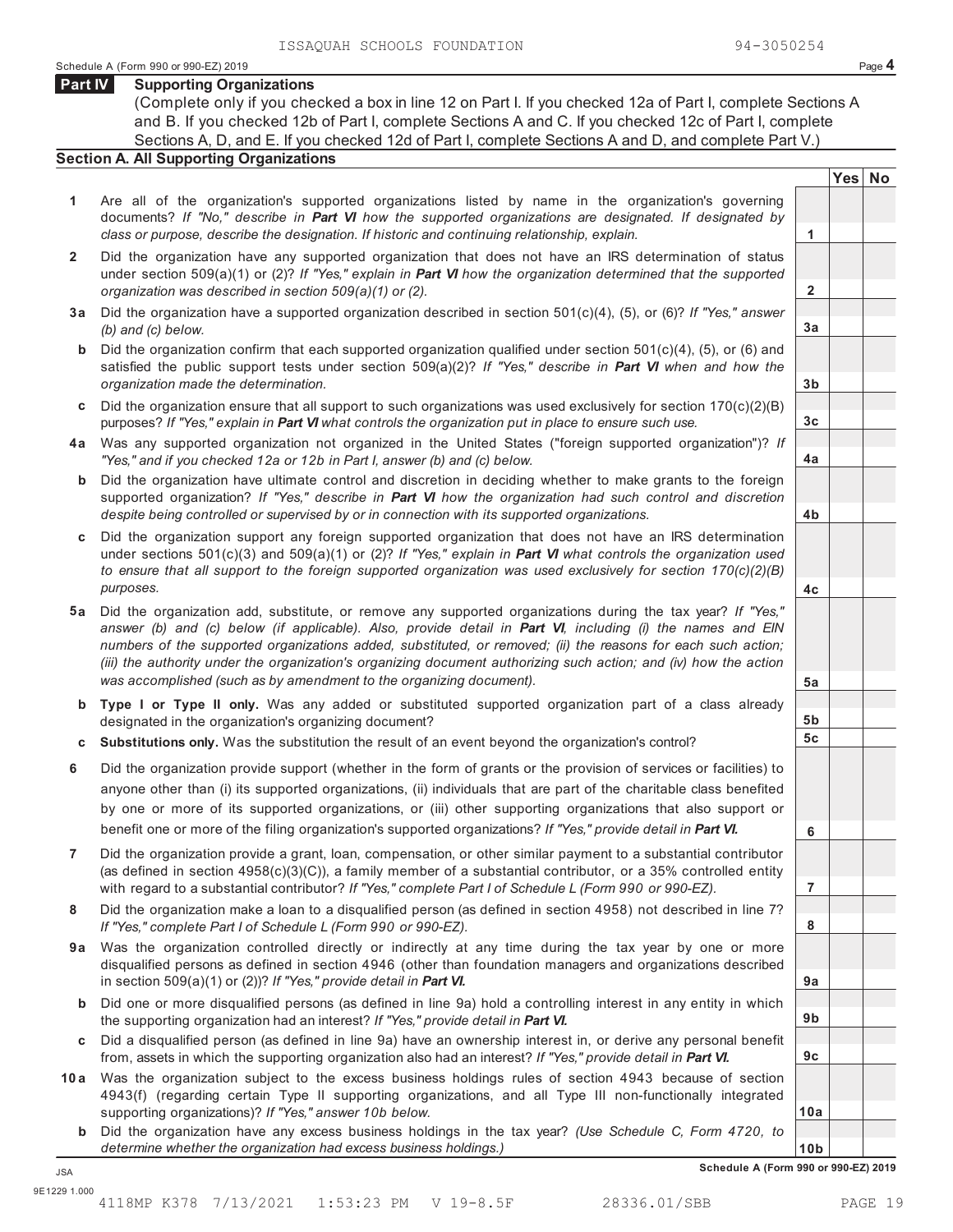**Yes No**

**2**

**3a**

**3b**

**3c**

**4a**

**4b**

**4c**

**5a**

**5b 5c**

**6**

**7**

**8**

**9a**

**9b**

**9c**

**10a**

#### **Part IV Supporting Organizations**

(Complete only if you checked a box in line 12 on Part I. If you checked 12a of Part I, complete Sections A and B. If you checked 12b of Part I, complete Sections A and C. If you checked 12c of Part I, complete Sections A, D, and E. If you checked 12d of Part I, complete Sections A and D, and complete Part V.)

## **Section A. All Supporting Organizations**

- **1** Are all of the organization's supported organizations listed by name in the organization's governing documents? *If "No," describe in Part VI how the supported organizations are designated. If designated by class or purpose, describe the designation. If historic and continuing relationship, explain.* **1**
- **2** Did the organization have any supported organization that does not have an IRS determination of status under section 509(a)(1) or (2)? *If "Yes," explain in Part VI how the organization determined that the supported organization was described in section 509(a)(1) or (2).*
- **3 a** Did the organization have a supported organization described in section 501(c)(4), (5), or (6)? *If "Yes," answer (b) and (c) below.*
- **b** Did the organization confirm that each supported organization qualified under section 501(c)(4), (5), or (6) and satisfied the public support tests under section 509(a)(2)? *If "Yes," describe in Part VI when and how the organization made the determination.*
- **c** Did the organization ensure that all support to such organizations was used exclusively for section 170(c)(2)(B) purposes? *If "Yes," explain in Part VI what controls the organization put in place to ensure such use.*
- **4 a** Was any supported organization not organized in the United States ("foreign supported organization")? *If "Yes," and if you checked 12a or 12b in Part I, answer (b) and (c) below.*
- **b** Did the organization have ultimate control and discretion in deciding whether to make grants to the foreign supported organization? *If "Yes," describe in Part VI how the organization had such control and discretion despite being controlled or supervised by or in connection with its supported organizations.*
- **c** Did the organization support any foreign supported organization that does not have an IRS determination under sections 501(c)(3) and 509(a)(1) or (2)? *If "Yes," explain in Part VI what controls the organization used to ensure that all support to the foreign supported organization was used exclusively for section 170(c)(2)(B) purposes.*
- **5 a** Did the organization add, substitute, or remove any supported organizations during the tax year? *If "Yes," answer (b) and (c) below (if applicable). Also, provide detail in Part VI, including (i) the names and EIN numbers of the supported organizations added, substituted, or removed; (ii) the reasons for each such action; (iii) the authority under the organization's organizing document authorizing such action; and (iv) how the action was accomplished (such as by amendment to the organizing document).*
- **b Type I or Type II only.** Was any added or substituted supported organization part of a class already designated in the organization's organizing document?
- **c Substitutions only.** Was the substitution the result of an event beyond the organization's control?
- **6** Did the organization provide support (whether in the form of grants or the provision of services or facilities) to anyone other than (i) its supported organizations, (ii) individuals that are part of the charitable class benefited by one or more of its supported organizations, or (iii) other supporting organizations that also support or benefit one or more of the filing organization's supported organizations? *If "Yes," provide detail in Part VI.*
- **7** Did the organization provide a grant, loan, compensation, or other similar payment to a substantial contributor (as defined in section 4958(c)(3)(C)), a family member of a substantial contributor, or a 35% controlled entity with regard to a substantial contributor? *If "Yes," complete Part I of Schedule L (Form 990 or 990-EZ).*
- **8** Did the organization make a loan to a disqualified person (as defined in section 4958) not described in line 7? *If "Yes," complete Part I of Schedule L (Form 990 or 990-EZ).*
- **a 9** Was the organization controlled directly or indirectly at any time during the tax year by one or more disqualified persons as defined in section 4946 (other than foundation managers and organizations described in section 509(a)(1) or (2))? *If "Yes," provide detail in Part VI.*
- **b** Did one or more disqualified persons (as defined in line 9a) hold a controlling interest in any entity in which the supporting organization had an interest? *If "Yes," provide detail in Part VI.*
- **c** Did a disqualified person (as defined in line 9a) have an ownership interest in, or derive any personal benefit from, assets in which the supporting organization also had an interest? *If "Yes," provide detail in Part VI.*
- **10 a** Was the organization subject to the excess business holdings rules of section 4943 because of section 4943(f) (regarding certain Type II supporting organizations, and all Type III non-functionally integrated supporting organizations)? *If "Yes," answer 10b below.*
	- **b** Did the organization have any excess business holdings in the tax year? *(Use Schedule C, Form 4720, to determine whether the organization had excess business holdings.)*

**10b Schedule A (Form 990 or 990-EZ) 2019** JSA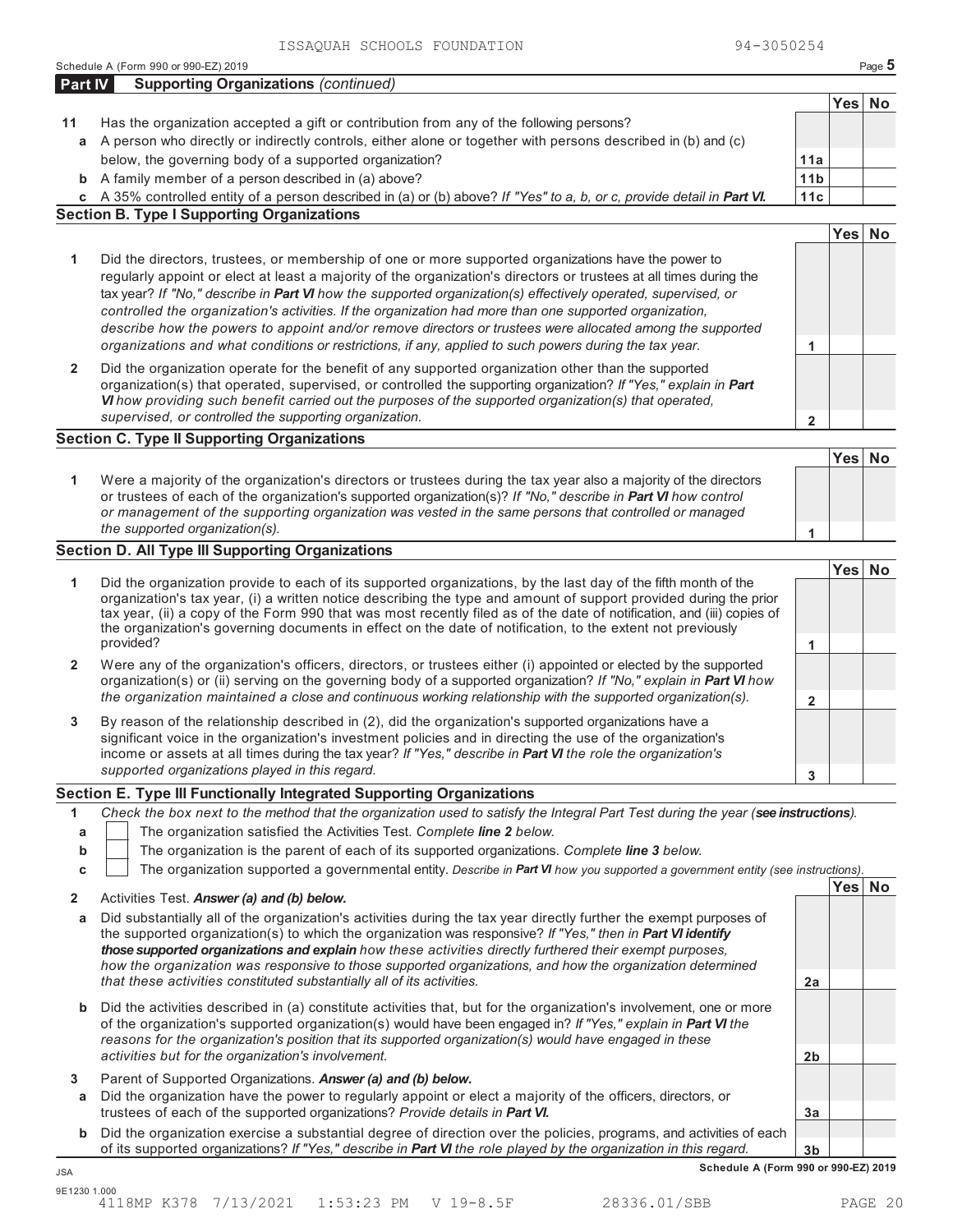Schedule A (Form 990 or 990-EZ) 2019 Page 5

| Part IV      | <b>Supporting Organizations (continued)</b>                                                                                                                                                                                            |                        |            |           |
|--------------|----------------------------------------------------------------------------------------------------------------------------------------------------------------------------------------------------------------------------------------|------------------------|------------|-----------|
|              |                                                                                                                                                                                                                                        |                        | Yes        | <b>No</b> |
| 11           | Has the organization accepted a gift or contribution from any of the following persons?                                                                                                                                                |                        |            |           |
| a            | A person who directly or indirectly controls, either alone or together with persons described in (b) and (c)                                                                                                                           |                        |            |           |
|              | below, the governing body of a supported organization?                                                                                                                                                                                 | 11a                    |            |           |
|              | <b>b</b> A family member of a person described in (a) above?<br>c A 35% controlled entity of a person described in (a) or (b) above? If "Yes" to a, b, or c, provide detail in Part VI.                                                | 11 <sub>b</sub><br>11c |            |           |
|              | <b>Section B. Type I Supporting Organizations</b>                                                                                                                                                                                      |                        |            |           |
|              |                                                                                                                                                                                                                                        |                        | Yes        | <b>No</b> |
| 1            | Did the directors, trustees, or membership of one or more supported organizations have the power to                                                                                                                                    |                        |            |           |
|              | regularly appoint or elect at least a majority of the organization's directors or trustees at all times during the                                                                                                                     |                        |            |           |
|              | tax year? If "No," describe in Part VI how the supported organization(s) effectively operated, supervised, or                                                                                                                          |                        |            |           |
|              | controlled the organization's activities. If the organization had more than one supported organization,                                                                                                                                |                        |            |           |
|              | describe how the powers to appoint and/or remove directors or trustees were allocated among the supported                                                                                                                              |                        |            |           |
|              | organizations and what conditions or restrictions, if any, applied to such powers during the tax year.                                                                                                                                 | 1                      |            |           |
| $\mathbf{2}$ | Did the organization operate for the benefit of any supported organization other than the supported                                                                                                                                    |                        |            |           |
|              | organization(s) that operated, supervised, or controlled the supporting organization? If "Yes," explain in Part                                                                                                                        |                        |            |           |
|              | VI how providing such benefit carried out the purposes of the supported organization(s) that operated,<br>supervised, or controlled the supporting organization.                                                                       |                        |            |           |
|              | <b>Section C. Type II Supporting Organizations</b>                                                                                                                                                                                     | $\mathbf 2$            |            |           |
|              |                                                                                                                                                                                                                                        |                        | Yes        | <b>No</b> |
|              | Were a majority of the organization's directors or trustees during the tax year also a majority of the directors                                                                                                                       |                        |            |           |
| 1            | or trustees of each of the organization's supported organization(s)? If "No," describe in Part VI how control                                                                                                                          |                        |            |           |
|              | or management of the supporting organization was vested in the same persons that controlled or managed                                                                                                                                 |                        |            |           |
|              | the supported organization(s).                                                                                                                                                                                                         | 1                      |            |           |
|              | <b>Section D. All Type III Supporting Organizations</b>                                                                                                                                                                                |                        |            |           |
|              |                                                                                                                                                                                                                                        |                        | <b>Yes</b> | <b>No</b> |
| 1            | Did the organization provide to each of its supported organizations, by the last day of the fifth month of the<br>organization's tax year, (i) a written notice describing the type and amount of support provided during the prior    |                        |            |           |
|              | tax year, (ii) a copy of the Form 990 that was most recently filed as of the date of notification, and (iii) copies of                                                                                                                 |                        |            |           |
|              | the organization's governing documents in effect on the date of notification, to the extent not previously                                                                                                                             |                        |            |           |
|              | provided?                                                                                                                                                                                                                              | 1                      |            |           |
| $\mathbf{2}$ | Were any of the organization's officers, directors, or trustees either (i) appointed or elected by the supported<br>organization(s) or (ii) serving on the governing body of a supported organization? If "No," explain in Part VI how |                        |            |           |
|              | the organization maintained a close and continuous working relationship with the supported organization(s).                                                                                                                            | $\overline{2}$         |            |           |
|              |                                                                                                                                                                                                                                        |                        |            |           |
| 3            | By reason of the relationship described in (2), did the organization's supported organizations have a<br>significant voice in the organization's investment policies and in directing the use of the organization's                    |                        |            |           |
|              | income or assets at all times during the tax year? If "Yes," describe in Part VI the role the organization's                                                                                                                           |                        |            |           |
|              | supported organizations played in this regard.                                                                                                                                                                                         | 3                      |            |           |
|              | Section E. Type III Functionally Integrated Supporting Organizations                                                                                                                                                                   |                        |            |           |
| 1            | Check the box next to the method that the organization used to satisfy the Integral Part Test during the year (see instructions).                                                                                                      |                        |            |           |
| a            | The organization satisfied the Activities Test. Complete line 2 below.                                                                                                                                                                 |                        |            |           |
| b            | The organization is the parent of each of its supported organizations. Complete line 3 below.                                                                                                                                          |                        |            |           |
| С            | The organization supported a governmental entity. Describe in Part VI how you supported a government entity (see instructions).                                                                                                        |                        |            |           |
| $\mathbf{2}$ | Activities Test. Answer (a) and (b) below.                                                                                                                                                                                             |                        |            | Yes No    |
| a            | Did substantially all of the organization's activities during the tax year directly further the exempt purposes of                                                                                                                     |                        |            |           |
|              | the supported organization(s) to which the organization was responsive? If "Yes," then in Part VI identify                                                                                                                             |                        |            |           |
|              | those supported organizations and explain how these activities directly furthered their exempt purposes,                                                                                                                               |                        |            |           |
|              | how the organization was responsive to those supported organizations, and how the organization determined<br>that these activities constituted substantially all of its activities.                                                    | 2a                     |            |           |
|              |                                                                                                                                                                                                                                        |                        |            |           |
| b            | Did the activities described in (a) constitute activities that, but for the organization's involvement, one or more                                                                                                                    |                        |            |           |
|              | of the organization's supported organization(s) would have been engaged in? If "Yes," explain in Part VI the<br>reasons for the organization's position that its supported organization(s) would have engaged in these                 |                        |            |           |
|              | activities but for the organization's involvement.                                                                                                                                                                                     | 2 <sub>b</sub>         |            |           |
| 3            | Parent of Supported Organizations. Answer (a) and (b) below.                                                                                                                                                                           |                        |            |           |
| а            | Did the organization have the power to regularly appoint or elect a majority of the officers, directors, or                                                                                                                            |                        |            |           |
|              | trustees of each of the supported organizations? Provide details in Part VI.                                                                                                                                                           | 3a                     |            |           |
| b            | Did the organization exercise a substantial degree of direction over the policies, programs, and activities of each                                                                                                                    |                        |            |           |
|              | of its supported organizations? If "Yes," describe in Part VI the role played by the organization in this regard.                                                                                                                      | 3 <sub>b</sub>         |            |           |
| <b>JSA</b>   | Schedule A (Form 990 or 990-EZ) 2019                                                                                                                                                                                                   |                        |            |           |
| 9E1230 1.000 | 4118MP K378 7/13/2021<br>$1:53:23$ PM<br>V 19-8.5F<br>28336.01/SBB                                                                                                                                                                     |                        |            | PAGE 20   |
|              |                                                                                                                                                                                                                                        |                        |            |           |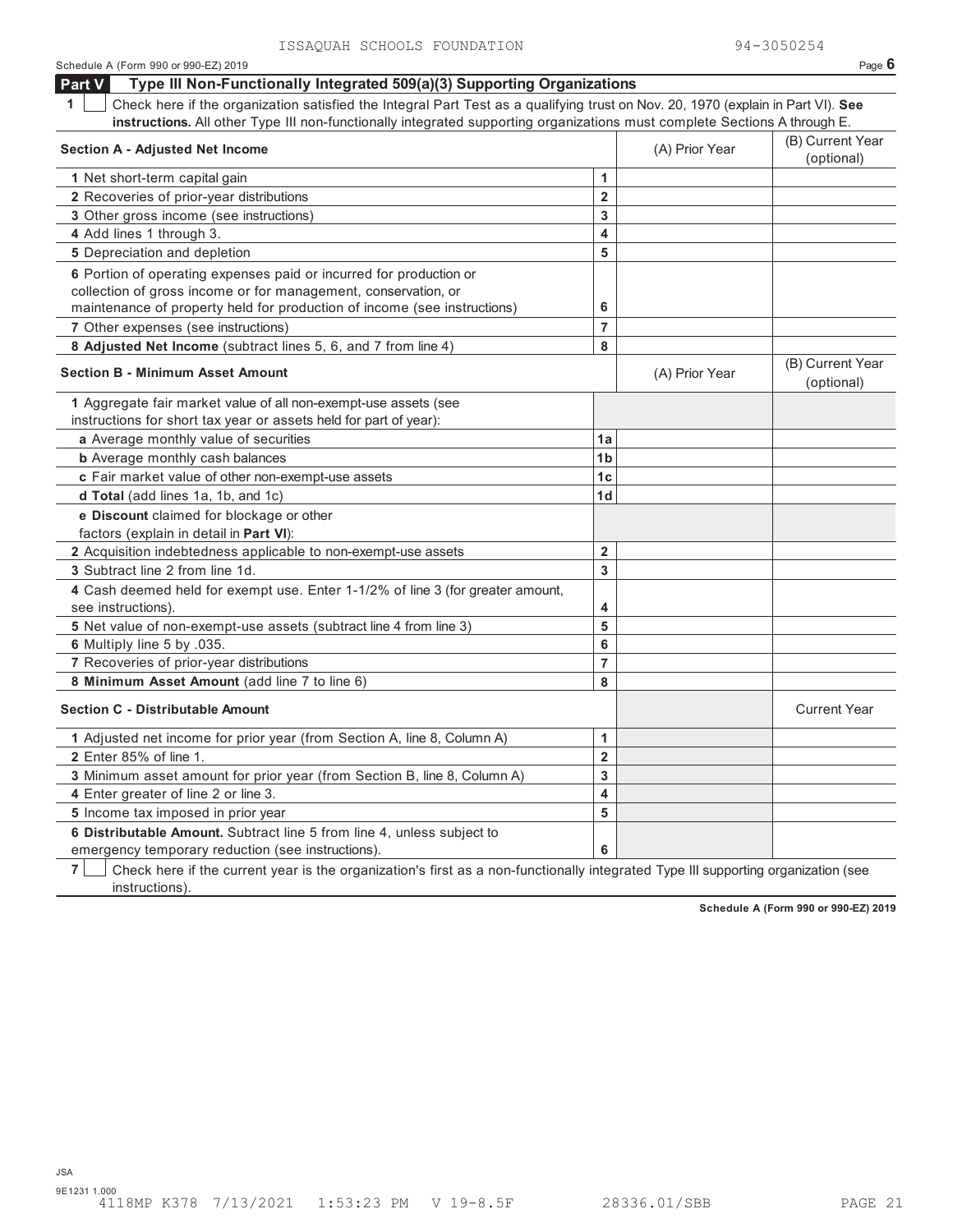| ISSAQUAN SUNUUDS FUUNDAIIUN                                                                                                           |                |                | シューコいついとつせ                     |
|---------------------------------------------------------------------------------------------------------------------------------------|----------------|----------------|--------------------------------|
| Schedule A (Form 990 or 990-EZ) 2019                                                                                                  |                |                | Page $6$                       |
| Type III Non-Functionally Integrated 509(a)(3) Supporting Organizations<br>Part V                                                     |                |                |                                |
| Check here if the organization satisfied the Integral Part Test as a qualifying trust on Nov. 20, 1970 (explain in Part VI). See<br>1 |                |                |                                |
| instructions. All other Type III non-functionally integrated supporting organizations must complete Sections A through E.             |                |                |                                |
| <b>Section A - Adjusted Net Income</b>                                                                                                |                | (A) Prior Year | (B) Current Year<br>(optional) |
| 1 Net short-term capital gain                                                                                                         | 1              |                |                                |
| 2 Recoveries of prior-year distributions                                                                                              | $\overline{2}$ |                |                                |
| 3 Other gross income (see instructions)                                                                                               | 3              |                |                                |
| 4 Add lines 1 through 3.                                                                                                              | 4              |                |                                |
| 5 Depreciation and depletion                                                                                                          | 5              |                |                                |
| 6 Portion of operating expenses paid or incurred for production or                                                                    |                |                |                                |
| collection of gross income or for management, conservation, or                                                                        |                |                |                                |
| maintenance of property held for production of income (see instructions)                                                              | 6              |                |                                |
| 7 Other expenses (see instructions)                                                                                                   | $\overline{7}$ |                |                                |
| 8 Adjusted Net Income (subtract lines 5, 6, and 7 from line 4)                                                                        | 8              |                |                                |
| <b>Section B - Minimum Asset Amount</b>                                                                                               |                | (A) Prior Year | (B) Current Year               |
|                                                                                                                                       |                |                | (optional)                     |
| 1 Aggregate fair market value of all non-exempt-use assets (see                                                                       |                |                |                                |
| instructions for short tax year or assets held for part of year):                                                                     |                |                |                                |
| a Average monthly value of securities                                                                                                 | 1a             |                |                                |
| <b>b</b> Average monthly cash balances                                                                                                | 1 <sub>b</sub> |                |                                |
| c Fair market value of other non-exempt-use assets                                                                                    | 1 <sub>c</sub> |                |                                |
| d Total (add lines 1a, 1b, and 1c)                                                                                                    | 1 <sub>d</sub> |                |                                |
| e Discount claimed for blockage or other                                                                                              |                |                |                                |
| factors (explain in detail in Part VI):                                                                                               |                |                |                                |
| 2 Acquisition indebtedness applicable to non-exempt-use assets                                                                        | $\overline{2}$ |                |                                |
| 3 Subtract line 2 from line 1d.                                                                                                       | 3              |                |                                |
| 4 Cash deemed held for exempt use. Enter 1-1/2% of line 3 (for greater amount,                                                        |                |                |                                |
| see instructions).                                                                                                                    | 4              |                |                                |
| 5 Net value of non-exempt-use assets (subtract line 4 from line 3)                                                                    | 5              |                |                                |
| 6 Multiply line 5 by .035.                                                                                                            | 6              |                |                                |
| 7 Recoveries of prior-year distributions                                                                                              | $\overline{7}$ |                |                                |
| 8 Minimum Asset Amount (add line 7 to line 6)                                                                                         | 8              |                |                                |
| <b>Section C - Distributable Amount</b>                                                                                               |                |                | <b>Current Year</b>            |
| 1 Adjusted net income for prior year (from Section A, line 8, Column A)                                                               | 1              |                |                                |
| 2 Enter 85% of line 1.                                                                                                                | $\overline{2}$ |                |                                |
| 3 Minimum asset amount for prior year (from Section B, line 8, Column A)                                                              | 3              |                |                                |
| 4 Enter greater of line 2 or line 3.                                                                                                  | 4              |                |                                |
| 5 Income tax imposed in prior year                                                                                                    | 5              |                |                                |
| 6 Distributable Amount. Subtract line 5 from line 4, unless subject to                                                                |                |                |                                |

emergency temporary reduction (see instructions).

**7** Check here if the current year is the organization's first as a non-functionally integrated Type III supporting organization (see instructions).

**Schedule A (Form 990 or 990-EZ) 2019**

**6**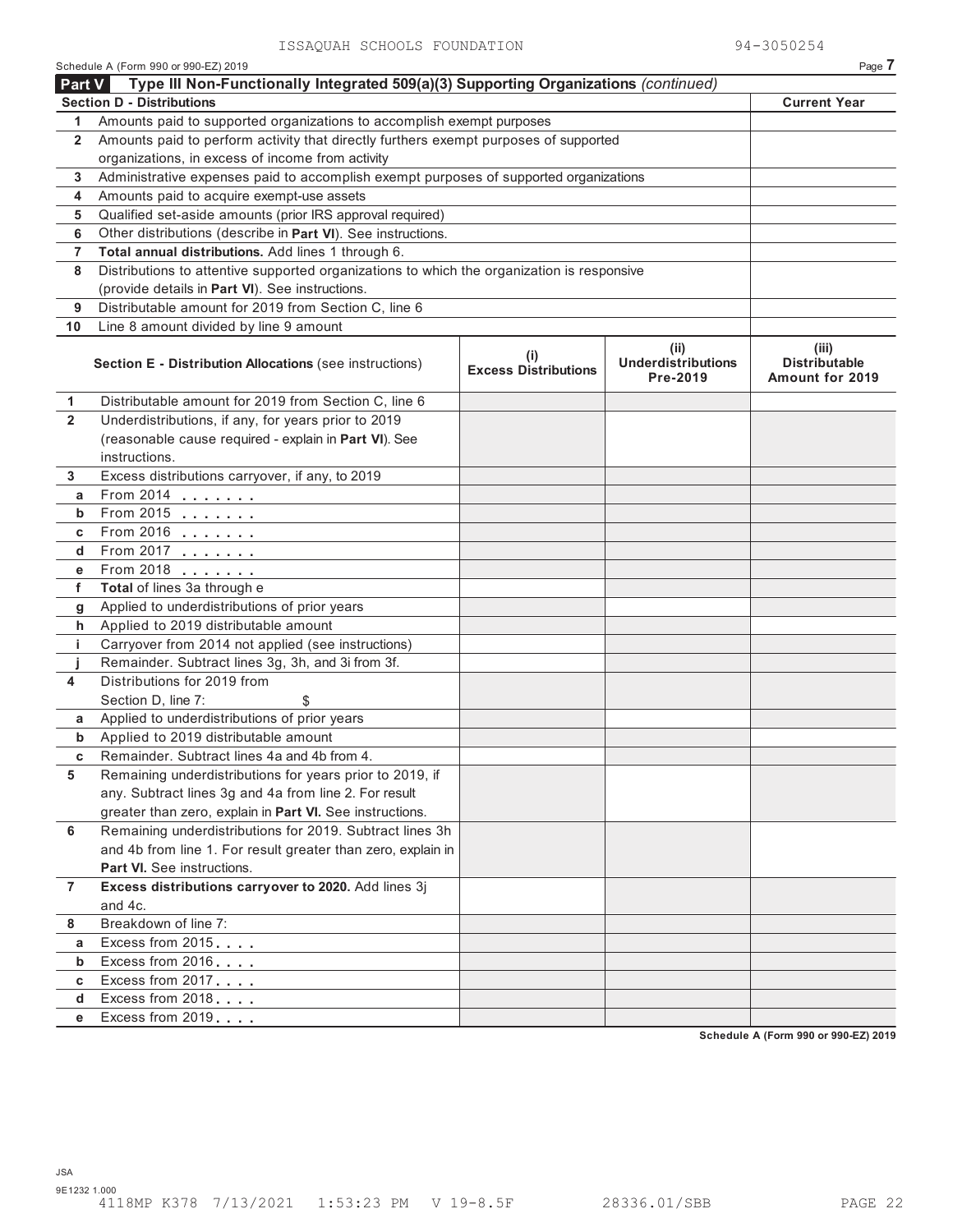|                | Schedule A (Form 990 or 990-EZ) 2019                                                       |                                             |                                               | Page 7                                                  |
|----------------|--------------------------------------------------------------------------------------------|---------------------------------------------|-----------------------------------------------|---------------------------------------------------------|
| <b>Part V</b>  | Type III Non-Functionally Integrated 509(a)(3) Supporting Organizations (continued)        |                                             |                                               |                                                         |
|                | <b>Section D - Distributions</b>                                                           |                                             |                                               | <b>Current Year</b>                                     |
| 1              | Amounts paid to supported organizations to accomplish exempt purposes                      |                                             |                                               |                                                         |
| 2              | Amounts paid to perform activity that directly furthers exempt purposes of supported       |                                             |                                               |                                                         |
|                | organizations, in excess of income from activity                                           |                                             |                                               |                                                         |
| 3              | Administrative expenses paid to accomplish exempt purposes of supported organizations      |                                             |                                               |                                                         |
| 4              | Amounts paid to acquire exempt-use assets                                                  |                                             |                                               |                                                         |
| 5              | Qualified set-aside amounts (prior IRS approval required)                                  |                                             |                                               |                                                         |
| 6              | Other distributions (describe in Part VI). See instructions.                               |                                             |                                               |                                                         |
| 7              | Total annual distributions. Add lines 1 through 6.                                         |                                             |                                               |                                                         |
| 8              | Distributions to attentive supported organizations to which the organization is responsive |                                             |                                               |                                                         |
|                | (provide details in Part VI). See instructions.                                            |                                             |                                               |                                                         |
| 9              | Distributable amount for 2019 from Section C, line 6                                       |                                             |                                               |                                                         |
| 10             | Line 8 amount divided by line 9 amount                                                     |                                             |                                               |                                                         |
|                | <b>Section E - Distribution Allocations (see instructions)</b>                             | $\mathbf{I}$<br><b>Excess Distributions</b> | (ii)<br><b>Underdistributions</b><br>Pre-2019 | (iii)<br><b>Distributable</b><br><b>Amount for 2019</b> |
| 1              | Distributable amount for 2019 from Section C, line 6                                       |                                             |                                               |                                                         |
| $\overline{2}$ | Underdistributions, if any, for years prior to 2019                                        |                                             |                                               |                                                         |
|                | (reasonable cause required - explain in Part VI). See                                      |                                             |                                               |                                                         |
|                | instructions.                                                                              |                                             |                                               |                                                         |
| 3              | Excess distributions carryover, if any, to 2019                                            |                                             |                                               |                                                         |
| а              | From 2014                                                                                  |                                             |                                               |                                                         |
| b              | From 2015 $\ldots$                                                                         |                                             |                                               |                                                         |
| c              | From 2016                                                                                  |                                             |                                               |                                                         |
| d              | From 2017 $\ldots$                                                                         |                                             |                                               |                                                         |
| е              | From 2018                                                                                  |                                             |                                               |                                                         |
| f              | Total of lines 3a through e                                                                |                                             |                                               |                                                         |
| g              | Applied to underdistributions of prior years                                               |                                             |                                               |                                                         |
| h              | Applied to 2019 distributable amount                                                       |                                             |                                               |                                                         |
| j.             | Carryover from 2014 not applied (see instructions)                                         |                                             |                                               |                                                         |
|                | Remainder. Subtract lines 3g, 3h, and 3i from 3f.                                          |                                             |                                               |                                                         |
| 4              | Distributions for 2019 from                                                                |                                             |                                               |                                                         |
|                | Section D, line 7:<br>\$                                                                   |                                             |                                               |                                                         |
| a              | Applied to underdistributions of prior years                                               |                                             |                                               |                                                         |
| b              | Applied to 2019 distributable amount                                                       |                                             |                                               |                                                         |
| C              | Remainder. Subtract lines 4a and 4b from 4.                                                |                                             |                                               |                                                         |
| 5              | Remaining underdistributions for years prior to 2019, if                                   |                                             |                                               |                                                         |
|                | any. Subtract lines 3g and 4a from line 2. For result                                      |                                             |                                               |                                                         |
|                | greater than zero, explain in Part VI. See instructions.                                   |                                             |                                               |                                                         |
| 6              | Remaining underdistributions for 2019. Subtract lines 3h                                   |                                             |                                               |                                                         |
|                | and 4b from line 1. For result greater than zero, explain in                               |                                             |                                               |                                                         |
|                | <b>Part VI.</b> See instructions.                                                          |                                             |                                               |                                                         |
| $\overline{7}$ | Excess distributions carryover to 2020. Add lines 3j                                       |                                             |                                               |                                                         |
|                | and 4c.                                                                                    |                                             |                                               |                                                         |
| 8              | Breakdown of line 7:                                                                       |                                             |                                               |                                                         |
| а              | Excess from 2015                                                                           |                                             |                                               |                                                         |
| b              | Excess from 2016                                                                           |                                             |                                               |                                                         |
| C              | Excess from 2017                                                                           |                                             |                                               |                                                         |
| d              | Excess from 2018                                                                           |                                             |                                               |                                                         |
| е              | Excess from 2019                                                                           |                                             |                                               |                                                         |
|                |                                                                                            |                                             |                                               |                                                         |

**Schedule A (Form 990 or 990-EZ) 2019**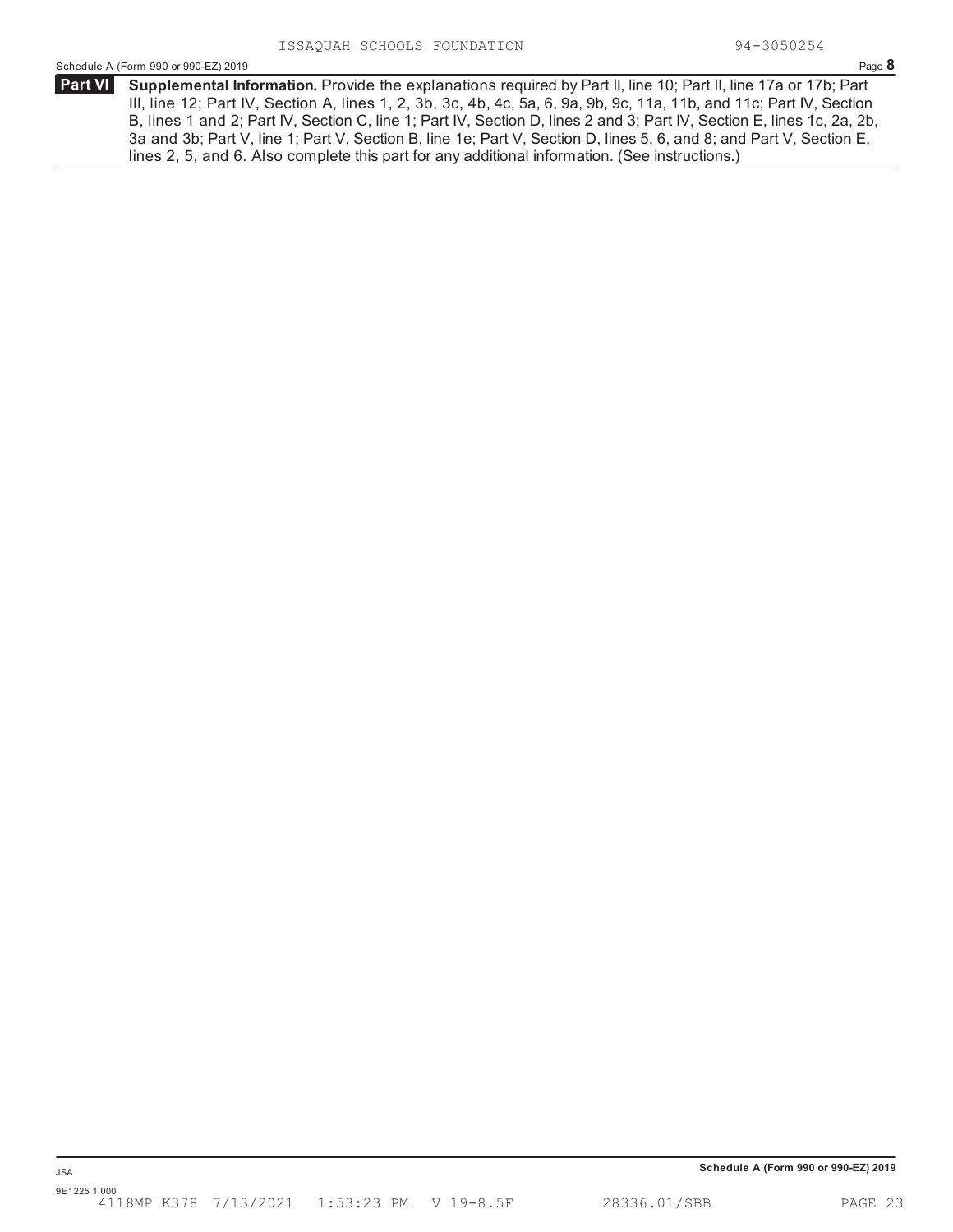**Supplemental Information.** Provide the explanations required by Part II, line 10; Part II, line 17a or 17b; Part **Part VI** III, line 12; Part IV, Section A, lines 1, 2, 3b, 3c, 4b, 4c, 5a, 6, 9a, 9b, 9c, 11a, 11b, and 11c; Part IV, Section B, lines 1 and 2; Part IV, Section C, line 1; Part IV, Section D, lines 2 and 3; Part IV, Section E, lines 1c, 2a, 2b, 3a and 3b; Part V, line 1; Part V, Section B, line 1e; Part V, Section D, lines 5, 6, and 8; and Part V, Section E, lines 2, 5, and 6. Also complete this part for any additional information. (See instructions.)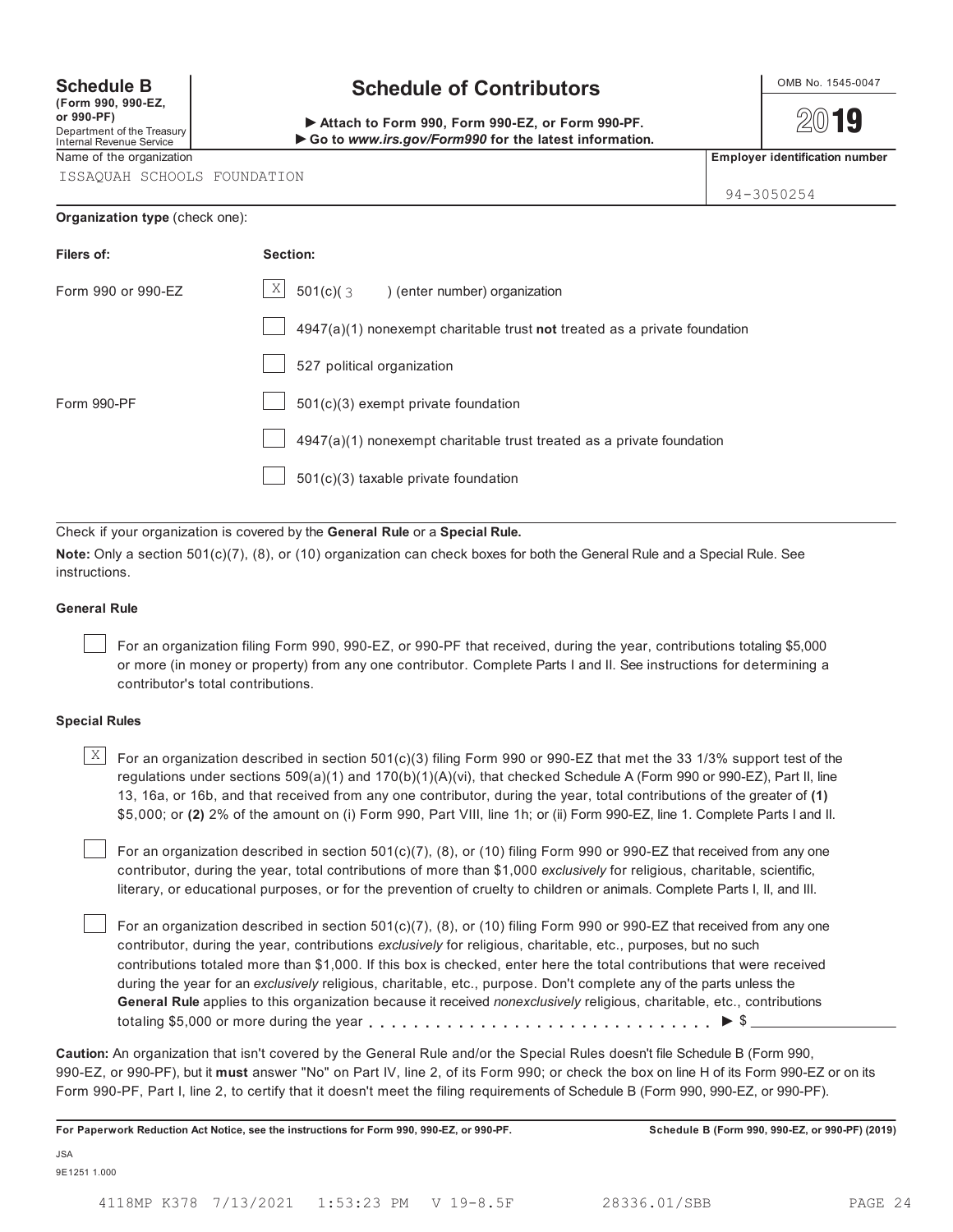**(Form 990, 990-EZ, or 990-PF)** Department of the Treasury Internal Revenue Service

## **Schedule B**  $\bigcup_{\text{OMB No. 1545-0047}}$

 **Attach to Form 990, Form 990-EZ, or Form 990-PF. Go to** *www.irs.gov/Form990* **for the latest information.**

2019

94-3050254

Name of the organization **Employer identification number Employer identification number** 

ISSAQUAH SCHOOLS FOUNDATION

#### **Organization type** (check one):

| Filers of:         | Section:                                                                    |
|--------------------|-----------------------------------------------------------------------------|
| Form 990 or 990-EZ | $\vert X \vert$<br>$501(c)$ $(3$<br>) (enter number) organization           |
|                    | $4947(a)(1)$ nonexempt charitable trust not treated as a private foundation |
|                    | 527 political organization                                                  |
| Form 990-PF        | $501(c)(3)$ exempt private foundation                                       |
|                    | 4947(a)(1) nonexempt charitable trust treated as a private foundation       |
|                    | $501(c)(3)$ taxable private foundation                                      |

Check if your organization is covered by the **General Rule** or a **Special Rule.**

**Note:** Only a section 501(c)(7), (8), or (10) organization can check boxes for both the General Rule and a Special Rule. See instructions.

#### **General Rule**

For an organization filing Form 990, 990-EZ, or 990-PF that received, during the year, contributions totaling \$5,000 or more (in money or property) from any one contributor. Complete Parts I and II. See instructions for determining a contributor's total contributions.

#### **Special Rules**

 $\mathbb{X}$   $\Box$  For an organization described in section 501(c)(3) filing Form 990 or 990-EZ that met the 33 1/3% support test of the regulations under sections 509(a)(1) and 170(b)(1)(A)(vi), that checked Schedule A (Form 990 or 990-EZ), Part II, line 13, 16a, or 16b, and that received from any one contributor, during the year, total contributions of the greater of **(1)** \$5,000; or **(2)** 2% of the amount on (i) Form 990, Part VIII, line 1h; or (ii) Form 990-EZ, line 1. Complete Parts I and II.

For an organization described in section 501(c)(7), (8), or (10) filing Form 990 or 990-EZ that received from any one contributor, during the year, total contributions of more than \$1,000 *exclusively* for religious, charitable, scientific, literary, or educational purposes, or for the prevention of cruelty to children or animals. Complete Parts I, II, and III.

For an organization described in section 501(c)(7), (8), or (10) filing Form 990 or 990-EZ that received from any one contributor, during the year, contributions *exclusively* for religious, charitable, etc., purposes, but no such contributions totaled more than \$1,000. If this box is checked, enter here the total contributions that were received during the year for an *exclusively* religious, charitable, etc., purpose. Don't complete any of the parts unless the **General Rule** applies to this organization because it received *nonexclusively* religious, charitable, etc., contributions totaling \$5,000 or more during the year  $\ldots \ldots \ldots \ldots \ldots \ldots \ldots \ldots \ldots \vdots$ 

**Caution:** An organization that isn't covered by the General Rule and/or the Special Rules doesn't file Schedule B (Form 990, 990-EZ, or 990-PF), but it **must** answer "No" on Part IV, line 2, of its Form 990; or check the box on line H of its Form 990-EZ or on its Form 990-PF, Part I, line 2, to certify that it doesn't meet the filing requirements of Schedule B (Form 990, 990-EZ, or 990-PF).

**For Paperwork Reduction Act Notice, see the instructions for Form 990, 990-EZ, or 990-PF. Schedule B (Form 990, 990-EZ, or 990-PF) (2019)**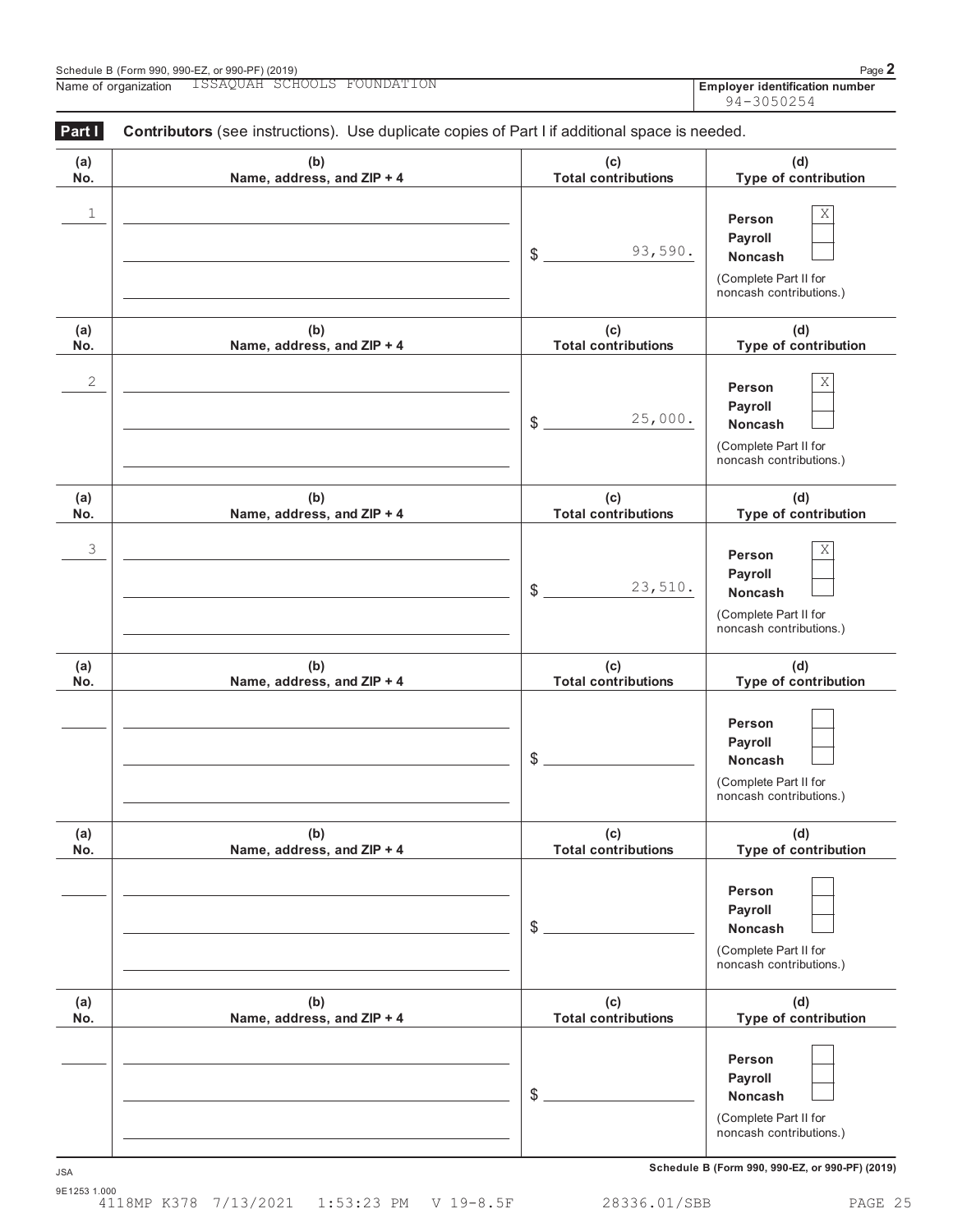| Schedule B (Form 990, 990-EZ, or 990-PF) (2019) |                                       | Page                                  |
|-------------------------------------------------|---------------------------------------|---------------------------------------|
| Name<br>∵ organization<br>nt.                   | :hootis<br>wundati<br>LSSAQUAH 1<br>. | <b>Employer identification number</b> |

| Part I     | Contributors (see instructions). Use duplicate copies of Part I if additional space is needed. |                                                                  |                                                                                       |  |  |  |
|------------|------------------------------------------------------------------------------------------------|------------------------------------------------------------------|---------------------------------------------------------------------------------------|--|--|--|
| (a)<br>No. | (b)<br>Name, address, and ZIP + 4                                                              | (c)<br>(d)<br><b>Total contributions</b><br>Type of contribution |                                                                                       |  |  |  |
| 1          |                                                                                                | 93,590.<br>\$                                                    | Χ<br>Person<br>Payroll<br>Noncash<br>(Complete Part II for<br>noncash contributions.) |  |  |  |
| (a)<br>No. | (b)<br>Name, address, and ZIP + 4                                                              | (c)<br><b>Total contributions</b>                                | (d)<br>Type of contribution                                                           |  |  |  |
| 2          |                                                                                                | 25,000.<br>\$                                                    | Χ<br>Person<br>Payroll<br>Noncash<br>(Complete Part II for<br>noncash contributions.) |  |  |  |
| (a)<br>No. | (b)<br>Name, address, and ZIP + 4                                                              | (c)<br><b>Total contributions</b>                                | (d)<br>Type of contribution                                                           |  |  |  |
| 3          |                                                                                                | 23,510.<br>\$                                                    | Χ<br>Person<br>Payroll<br>Noncash<br>(Complete Part II for<br>noncash contributions.) |  |  |  |
| (a)<br>No. | (b)<br>Name, address, and ZIP + 4                                                              | (c)<br><b>Total contributions</b>                                | (d)<br>Type of contribution                                                           |  |  |  |
|            |                                                                                                | \$                                                               | Person<br>Payroll<br>Noncash<br>(Complete Part II for<br>noncash contributions.)      |  |  |  |
| (a)<br>No. | (b)<br>Name, address, and ZIP + 4                                                              | (c)<br><b>Total contributions</b>                                | (d)<br>Type of contribution                                                           |  |  |  |
|            |                                                                                                | \$                                                               | Person<br>Payroll<br>Noncash<br>(Complete Part II for<br>noncash contributions.)      |  |  |  |
| (a)<br>No. | (b)<br>Name, address, and ZIP + 4                                                              | (c)<br><b>Total contributions</b>                                | (d)<br>Type of contribution                                                           |  |  |  |
|            |                                                                                                | \$                                                               | Person<br>Payroll<br>Noncash<br>(Complete Part II for<br>noncash contributions.)      |  |  |  |

**Schedule B (Form 990, 990-EZ, or 990-PF) (2019)** JSA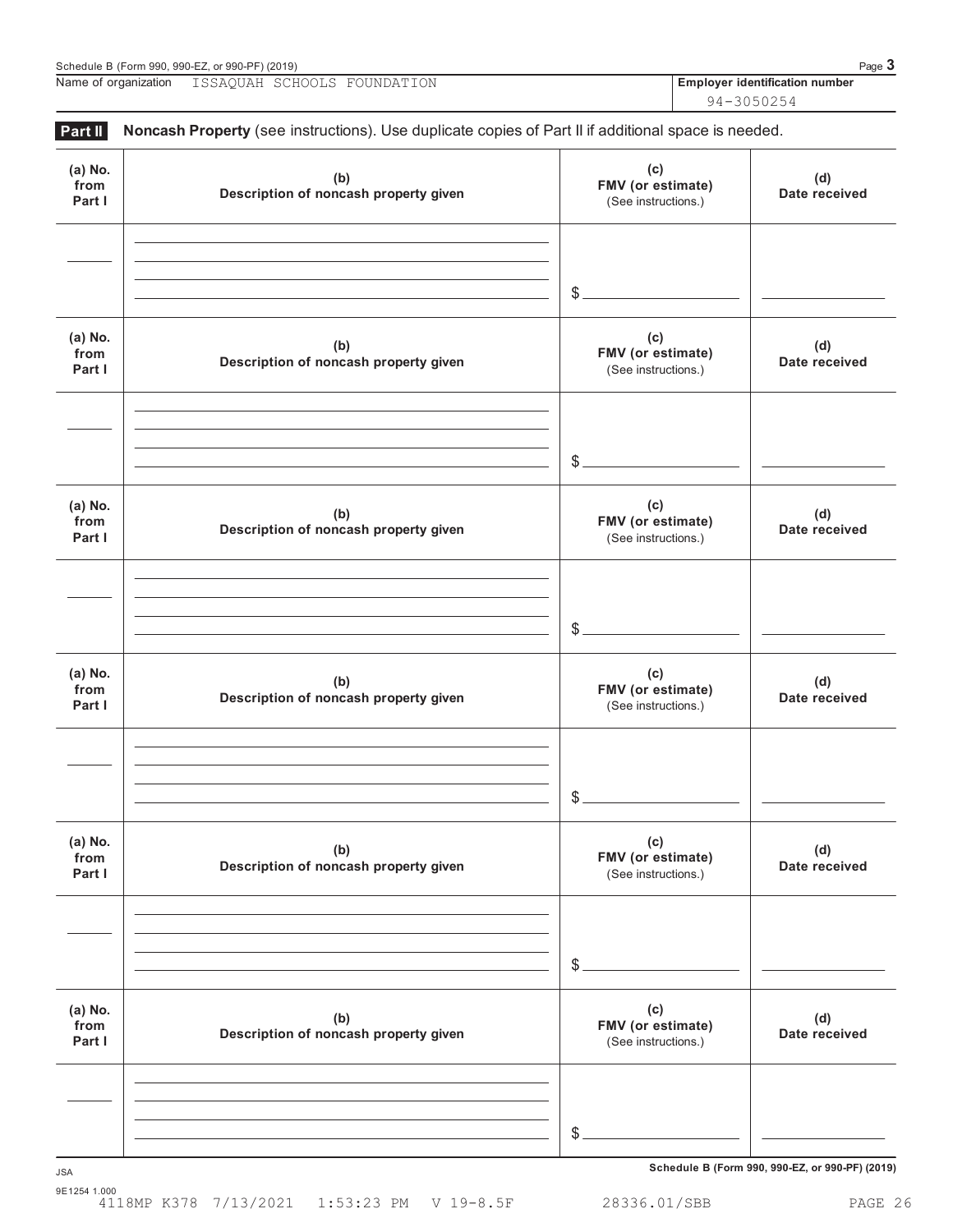| ISSAQUAH SCHOOLS FOUNDATION | Name of organization |  |  |  |  | <b>Employer identification number</b> |  |
|-----------------------------|----------------------|--|--|--|--|---------------------------------------|--|
|-----------------------------|----------------------|--|--|--|--|---------------------------------------|--|

94-3050254

| (a) No.<br>from<br>Part I | (b)<br>Description of noncash property given | (c)<br>FMV (or estimate)<br>(See instructions.) | (d)<br>Date received |
|---------------------------|----------------------------------------------|-------------------------------------------------|----------------------|
|                           |                                              | $\frac{1}{2}$                                   |                      |
| (a) No.<br>from<br>Part I | (b)<br>Description of noncash property given | (c)<br>FMV (or estimate)<br>(See instructions.) | (d)<br>Date received |
|                           |                                              | $\frac{1}{2}$                                   |                      |
| (a) No.<br>from<br>Part I | (b)<br>Description of noncash property given | (c)<br>FMV (or estimate)<br>(See instructions.) | (d)<br>Date received |
|                           |                                              | $$-$                                            |                      |
| (a) No.<br>from<br>Part I | (b)<br>Description of noncash property given | (c)<br>FMV (or estimate)<br>(See instructions.) | (d)<br>Date received |
|                           |                                              | $\mathcal{L}$                                   |                      |
| (a) No.<br>from<br>Part I | (b)<br>Description of noncash property given | (c)<br>FMV (or estimate)<br>(See instructions.) | (d)<br>Date received |
|                           |                                              | \$                                              |                      |
| (a) No.<br>from<br>Part I | (b)<br>Description of noncash property given | (c)<br>FMV (or estimate)<br>(See instructions.) | (d)<br>Date received |
|                           |                                              |                                                 |                      |
|                           |                                              | $\mathcal{S}$ .                                 |                      |

**Schedule B (Form 990, 990-EZ, or 990-PF) (2019)** JSA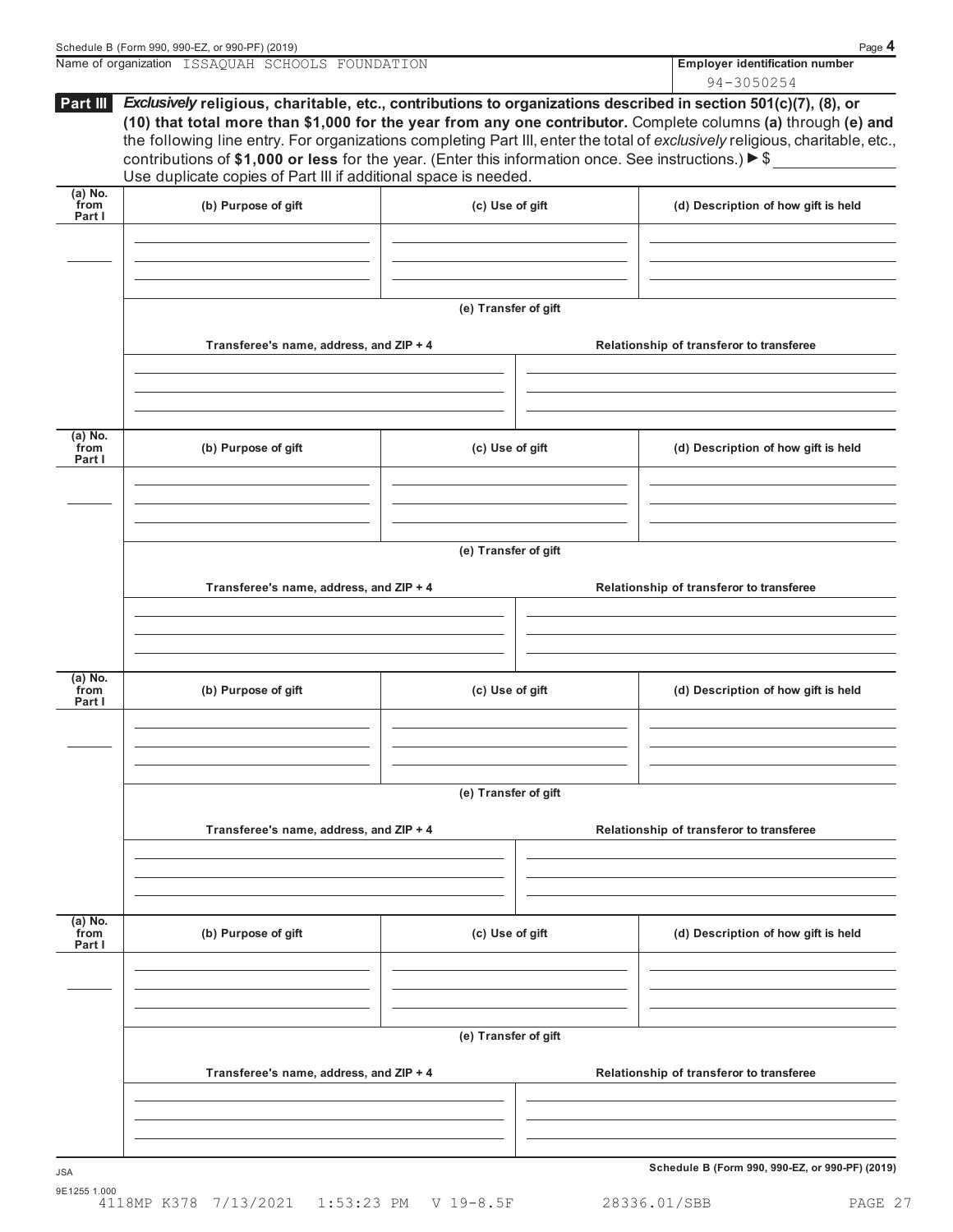|                             | Name of organization ISSAQUAH SCHOOLS FOUNDATION                                                                                                                                                                                                                                                                                                                                                                                                                                                                                                           |                      |  | <b>Employer identification number</b><br>94-3050254 |  |  |
|-----------------------------|------------------------------------------------------------------------------------------------------------------------------------------------------------------------------------------------------------------------------------------------------------------------------------------------------------------------------------------------------------------------------------------------------------------------------------------------------------------------------------------------------------------------------------------------------------|----------------------|--|-----------------------------------------------------|--|--|
| Part III                    | Exclusively religious, charitable, etc., contributions to organizations described in section 501(c)(7), (8), or<br>(10) that total more than \$1,000 for the year from any one contributor. Complete columns (a) through (e) and<br>the following line entry. For organizations completing Part III, enter the total of exclusively religious, charitable, etc.,<br>contributions of \$1,000 or less for the year. (Enter this information once. See instructions.) $\triangleright$ \$<br>Use duplicate copies of Part III if additional space is needed. |                      |  |                                                     |  |  |
| $(a)$ No.<br>from<br>Part I | (b) Purpose of gift                                                                                                                                                                                                                                                                                                                                                                                                                                                                                                                                        | (c) Use of gift      |  | (d) Description of how gift is held                 |  |  |
|                             |                                                                                                                                                                                                                                                                                                                                                                                                                                                                                                                                                            | (e) Transfer of gift |  |                                                     |  |  |
|                             | Transferee's name, address, and ZIP + 4                                                                                                                                                                                                                                                                                                                                                                                                                                                                                                                    |                      |  | Relationship of transferor to transferee            |  |  |
| (a) No.<br>from<br>Part I   | (b) Purpose of gift                                                                                                                                                                                                                                                                                                                                                                                                                                                                                                                                        | (c) Use of gift      |  | (d) Description of how gift is held                 |  |  |
|                             | Transferee's name, address, and ZIP + 4                                                                                                                                                                                                                                                                                                                                                                                                                                                                                                                    | (e) Transfer of gift |  | Relationship of transferor to transferee            |  |  |
| (a) No.<br>from<br>Part I   | (b) Purpose of gift                                                                                                                                                                                                                                                                                                                                                                                                                                                                                                                                        | (c) Use of gift      |  | (d) Description of how gift is held                 |  |  |
|                             |                                                                                                                                                                                                                                                                                                                                                                                                                                                                                                                                                            | (e) Transfer of gift |  |                                                     |  |  |
|                             | Transferee's name, address, and ZIP + 4                                                                                                                                                                                                                                                                                                                                                                                                                                                                                                                    |                      |  | Relationship of transferor to transferee            |  |  |
| (a) No.<br>from<br>Part I   | (c) Use of gift<br>(b) Purpose of gift                                                                                                                                                                                                                                                                                                                                                                                                                                                                                                                     |                      |  | (d) Description of how gift is held                 |  |  |
|                             | (e) Transfer of gift                                                                                                                                                                                                                                                                                                                                                                                                                                                                                                                                       |                      |  |                                                     |  |  |
|                             | Transferee's name, address, and ZIP + 4                                                                                                                                                                                                                                                                                                                                                                                                                                                                                                                    |                      |  | Relationship of transferor to transferee            |  |  |
| <b>JSA</b>                  |                                                                                                                                                                                                                                                                                                                                                                                                                                                                                                                                                            |                      |  | Schedule B (Form 990, 990-EZ, or 990-PF) (2019)     |  |  |

Schedule B (Form 990, 990-EZ, or 990-PF) (2019) Page **4**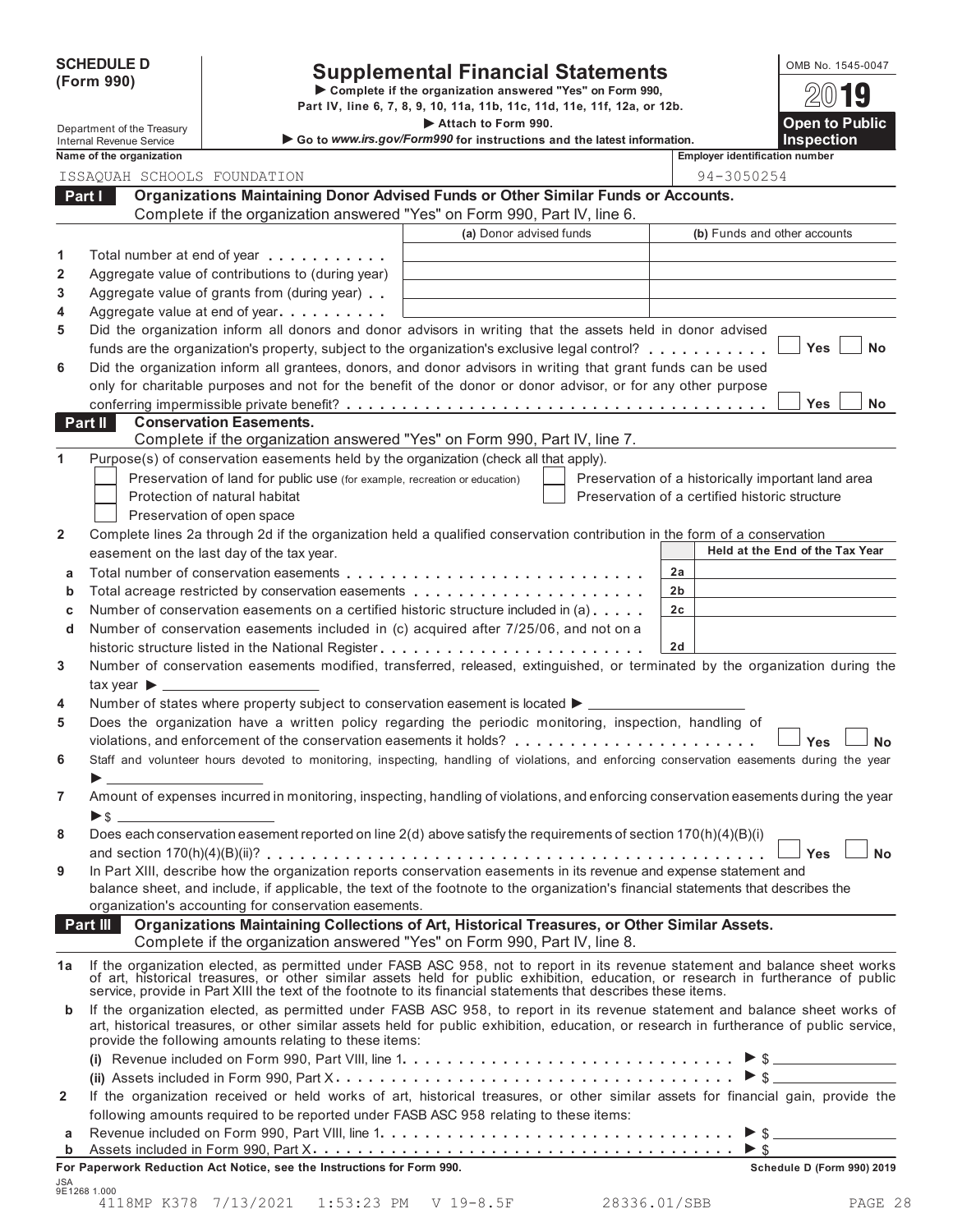| <b>SCHEDULE D</b> |  |
|-------------------|--|
| (Form 990)        |  |

# SCHEDULE D<br>
Supplemental Financial Statements<br>
Form 990) Part IV, line 6, 7, 8, 9, 10, 11a, 11b, 11c, 11d, 11e, 11f, 12a, or 12b.

**• Complete if the organization answered "Yes" on Form 990.** 2019<br> **Department of the Treasury Part IV**, line 6, 7, 8, 9, 10, 11a, 11b, 11c, 11d, 11e, 11f, 12a, or 12b.<br> **Attach to Form 990.** Open to Public

**■** Go to *www.irs.gov/Form990* for instructions and the latest information

|                | Internal Revenue Service                                                                                                                                                                                                       | $\sim$ GO to www.irs.gov/Formsso for instructions and the latest information.                | <b>IIISpection</b><br><b>Employer identification number</b> |
|----------------|--------------------------------------------------------------------------------------------------------------------------------------------------------------------------------------------------------------------------------|----------------------------------------------------------------------------------------------|-------------------------------------------------------------|
|                | Name of the organization                                                                                                                                                                                                       |                                                                                              | 94-3050254                                                  |
|                | ISSAQUAH SCHOOLS FOUNDATION                                                                                                                                                                                                    | Organizations Maintaining Donor Advised Funds or Other Similar Funds or Accounts.            |                                                             |
|                | Part I                                                                                                                                                                                                                         | Complete if the organization answered "Yes" on Form 990, Part IV, line 6.                    |                                                             |
|                |                                                                                                                                                                                                                                | (a) Donor advised funds                                                                      | (b) Funds and other accounts                                |
|                |                                                                                                                                                                                                                                |                                                                                              |                                                             |
| 1              | Total number at end of year<br>Aggregate value of contributions to (during year)                                                                                                                                               |                                                                                              |                                                             |
| 2<br>3         | Aggregate value of grants from (during year)                                                                                                                                                                                   |                                                                                              |                                                             |
| 4              | Aggregate value at end of year<br>                                                                                                                                                                                             |                                                                                              |                                                             |
| 5              | Did the organization inform all donors and donor advisors in writing that the assets held in donor advised                                                                                                                     |                                                                                              |                                                             |
|                | funds are the organization's property, subject to the organization's exclusive legal control?                                                                                                                                  |                                                                                              | <b>Yes</b><br><b>No</b>                                     |
| 6              | Did the organization inform all grantees, donors, and donor advisors in writing that grant funds can be used                                                                                                                   |                                                                                              |                                                             |
|                | only for charitable purposes and not for the benefit of the donor or donor advisor, or for any other purpose                                                                                                                   |                                                                                              |                                                             |
|                |                                                                                                                                                                                                                                |                                                                                              | <b>Yes</b><br><b>No</b>                                     |
|                | <b>Conservation Easements.</b><br>Part II                                                                                                                                                                                      |                                                                                              |                                                             |
|                |                                                                                                                                                                                                                                | Complete if the organization answered "Yes" on Form 990, Part IV, line 7.                    |                                                             |
| 1              | Purpose(s) of conservation easements held by the organization (check all that apply).                                                                                                                                          |                                                                                              |                                                             |
|                | Preservation of land for public use (for example, recreation or education)                                                                                                                                                     |                                                                                              | Preservation of a historically important land area          |
|                | Protection of natural habitat                                                                                                                                                                                                  |                                                                                              | Preservation of a certified historic structure              |
|                | Preservation of open space                                                                                                                                                                                                     |                                                                                              |                                                             |
| $\mathbf{2}$   | Complete lines 2a through 2d if the organization held a qualified conservation contribution in the form of a conservation                                                                                                      |                                                                                              |                                                             |
|                | easement on the last day of the tax year.                                                                                                                                                                                      |                                                                                              | Held at the End of the Tax Year                             |
| а              |                                                                                                                                                                                                                                |                                                                                              | 2a                                                          |
| b              |                                                                                                                                                                                                                                |                                                                                              | 2 <sub>b</sub>                                              |
| C              | Number of conservation easements on a certified historic structure included in (a)                                                                                                                                             |                                                                                              | 2 <sub>c</sub>                                              |
| d              | Number of conservation easements included in (c) acquired after 7/25/06, and not on a                                                                                                                                          |                                                                                              |                                                             |
|                |                                                                                                                                                                                                                                |                                                                                              | 2d                                                          |
| 3              | Number of conservation easements modified, transferred, released, extinguished, or terminated by the organization during the                                                                                                   |                                                                                              |                                                             |
|                |                                                                                                                                                                                                                                |                                                                                              |                                                             |
| 4              | Number of states where property subject to conservation easement is located ▶ _______                                                                                                                                          |                                                                                              |                                                             |
| 5              | Does the organization have a written policy regarding the periodic monitoring, inspection, handling of                                                                                                                         |                                                                                              |                                                             |
| 6              | Staff and volunteer hours devoted to monitoring, inspecting, handling of violations, and enforcing conservation easements during the year                                                                                      |                                                                                              | <b>Yes</b><br><b>No</b>                                     |
|                |                                                                                                                                                                                                                                |                                                                                              |                                                             |
| 7              | Amount of expenses incurred in monitoring, inspecting, handling of violations, and enforcing conservation easements during the year                                                                                            |                                                                                              |                                                             |
|                | $\triangleright$ \$                                                                                                                                                                                                            |                                                                                              |                                                             |
| 8              | Does each conservation easement reported on line 2(d) above satisfy the requirements of section 170(h)(4)(B)(i)                                                                                                                |                                                                                              |                                                             |
|                |                                                                                                                                                                                                                                |                                                                                              | <b>No</b><br>⊥ Yes                                          |
| 9              | In Part XIII, describe how the organization reports conservation easements in its revenue and expense statement and                                                                                                            |                                                                                              |                                                             |
|                | balance sheet, and include, if applicable, the text of the footnote to the organization's financial statements that describes the                                                                                              |                                                                                              |                                                             |
|                | organization's accounting for conservation easements.                                                                                                                                                                          |                                                                                              |                                                             |
|                | Part III                                                                                                                                                                                                                       | Organizations Maintaining Collections of Art, Historical Treasures, or Other Similar Assets. |                                                             |
|                |                                                                                                                                                                                                                                | Complete if the organization answered "Yes" on Form 990, Part IV, line 8.                    |                                                             |
| 1a             | If the organization elected, as permitted under FASB ASC 958, not to report in its revenue statement and balance sheet works                                                                                                   |                                                                                              |                                                             |
|                | of art, historical treasures, or other similar assets held for public exhibition, education, or research in furtherance of public service, provide in Part XIII the text of the footnote to its financial statements that desc |                                                                                              |                                                             |
| $\mathbf b$    | If the organization elected, as permitted under FASB ASC 958, to report in its revenue statement and balance sheet works of                                                                                                    |                                                                                              |                                                             |
|                | art, historical treasures, or other similar assets held for public exhibition, education, or research in furtherance of public service,<br>provide the following amounts relating to these items:                              |                                                                                              |                                                             |
|                |                                                                                                                                                                                                                                |                                                                                              |                                                             |
|                |                                                                                                                                                                                                                                |                                                                                              |                                                             |
| $\overline{2}$ | If the organization received or held works of art, historical treasures, or other similar assets for financial gain, provide the                                                                                               |                                                                                              |                                                             |
|                | following amounts required to be reported under FASB ASC 958 relating to these items:                                                                                                                                          |                                                                                              |                                                             |
| а              |                                                                                                                                                                                                                                |                                                                                              |                                                             |
| b              |                                                                                                                                                                                                                                |                                                                                              |                                                             |
|                | For Paperwork Reduction Act Notice, see the Instructions for Form 990.                                                                                                                                                         |                                                                                              | Schedule D (Form 990) 2019                                  |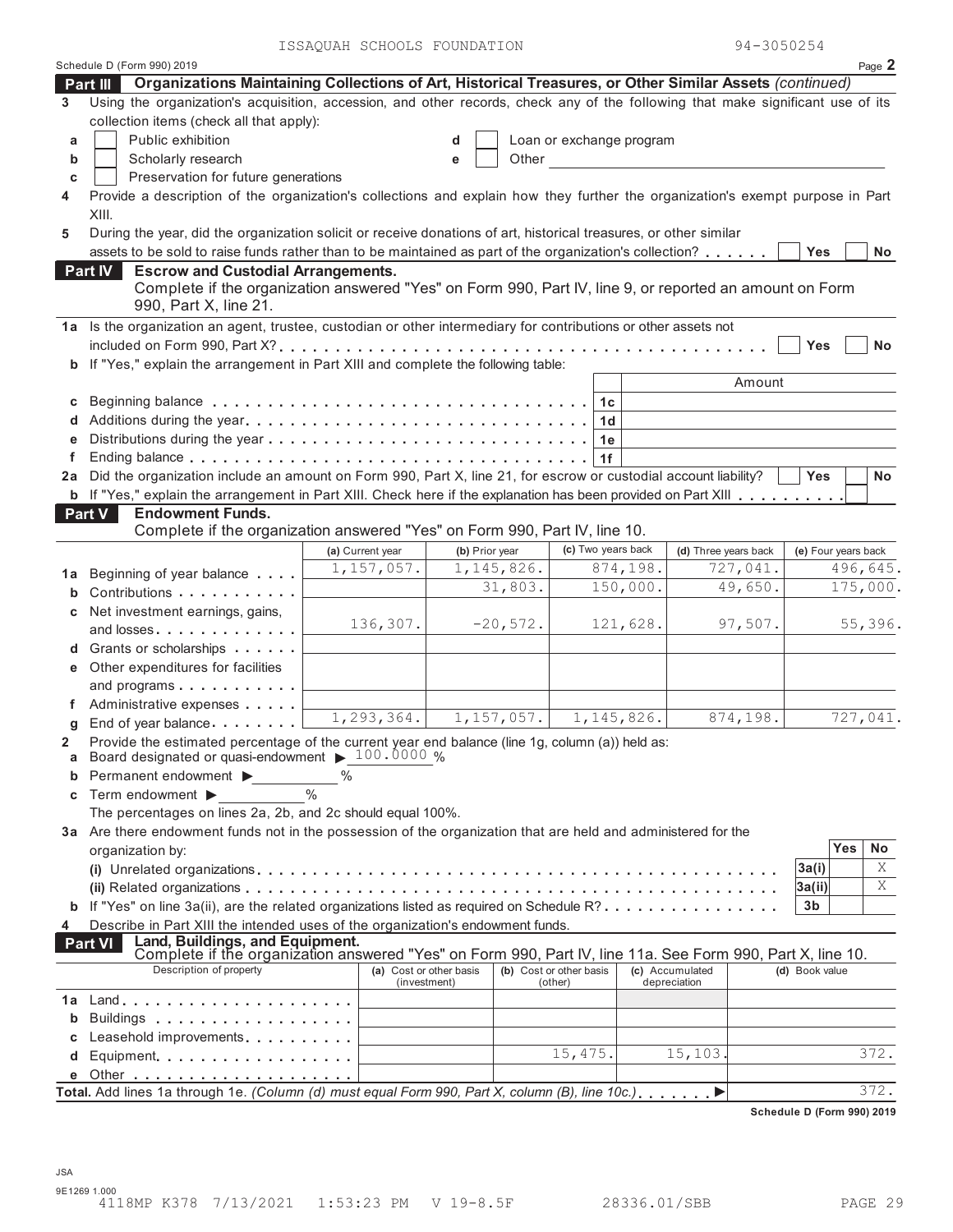| Schedule D (Form 990) 2019<br>Page 2<br>Organizations Maintaining Collections of Art, Historical Treasures, or Other Similar Assets (continued)<br>Part III<br>Using the organization's acquisition, accession, and other records, check any of the following that make significant use of its<br>3<br>collection items (check all that apply):<br>Public exhibition<br>Loan or exchange program<br>d<br>a<br>Scholarly research<br>b<br>Other<br>е<br>Preservation for future generations<br>C<br>Provide a description of the organization's collections and explain how they further the organization's exempt purpose in Part<br>4<br>XIII.<br>During the year, did the organization solicit or receive donations of art, historical treasures, or other similar<br>5<br>assets to be sold to raise funds rather than to be maintained as part of the organization's collection?<br><b>Yes</b><br>No<br><b>Escrow and Custodial Arrangements.</b><br>Part IV<br>Complete if the organization answered "Yes" on Form 990, Part IV, line 9, or reported an amount on Form<br>990, Part X, line 21.<br>1a Is the organization an agent, trustee, custodian or other intermediary for contributions or other assets not<br>Yes<br><b>No</b><br>b If "Yes," explain the arrangement in Part XIII and complete the following table:<br>Amount<br>С<br>1c<br>1d<br>1e<br>1f<br>Did the organization include an amount on Form 990, Part X, line 21, for escrow or custodial account liability?<br><b>Yes</b><br><b>No</b><br>2a<br>b If "Yes," explain the arrangement in Part XIII. Check here if the explanation has been provided on Part XIII<br>Part V<br><b>Endowment Funds.</b><br>Complete if the organization answered "Yes" on Form 990, Part IV, line 10.<br>(c) Two years back<br>(b) Prior year<br>(d) Three years back<br>(e) Four years back<br>(a) Current year<br>727,041.<br>1, 157, 057.<br>1, 145, 826.<br>874,198.<br>496,645.<br>1a Beginning of year balance<br>150,000.<br>49,650.<br>175,000.<br>31,803.<br>Contributions<br>b<br>Net investment earnings, gains,<br>c<br>136,307.<br>$-20,572.$<br>121,628.<br>97,507.<br>55,396.<br>and losses<br>d Grants or scholarships<br>e Other expenditures for facilities<br>and programs<br>Administrative expenses<br>1,293,364.<br>1, 157, 057.<br>727,041.<br>1, 145, 826.<br>874,198.<br>End of year balance<br>g<br>Provide the estimated percentage of the current year end balance (line 1g, column (a)) held as:<br>a Board designated or quasi-endowment > 100.0000 %<br>Permanent endowment ><br>$\%$<br>Term endowment ▶<br>С<br>The percentages on lines 2a, 2b, and 2c should equal 100%.<br>3a Are there endowment funds not in the possession of the organization that are held and administered for the<br>Yes<br>No<br>organization by:<br>Χ<br>3a(i)<br>Χ<br>3a(ii)<br><b>b</b> If "Yes" on line 3a(ii), are the related organizations listed as required on Schedule R?<br>3b<br>Describe in Part XIII the intended uses of the organization's endowment funds.<br>4<br>Land, Buildings, and Equipment.<br><b>Part VI</b><br>Complete if the organization answered "Yes" on Form 990, Part IV, line 11a. See Form 990, Part X, line 10.<br>Description of property<br>(b) Cost or other basis<br>(a) Cost or other basis<br>(c) Accumulated<br>(d) Book value<br>(investment)<br>depreciation<br>(other)<br>1a Land<br>Buildings<br>Leasehold improvements<br>15, 475.<br>15,103.<br>372.<br>Equipment<br>372.<br>Total. Add lines 1a through 1e. (Column (d) must equal Form 990, Part X, column (B), line 10c.), , |  | ISSAQUAN SUNUUS PUUNDAIIUN |  |  |  |  |  | フォーコロンロムコキ |  |  |
|----------------------------------------------------------------------------------------------------------------------------------------------------------------------------------------------------------------------------------------------------------------------------------------------------------------------------------------------------------------------------------------------------------------------------------------------------------------------------------------------------------------------------------------------------------------------------------------------------------------------------------------------------------------------------------------------------------------------------------------------------------------------------------------------------------------------------------------------------------------------------------------------------------------------------------------------------------------------------------------------------------------------------------------------------------------------------------------------------------------------------------------------------------------------------------------------------------------------------------------------------------------------------------------------------------------------------------------------------------------------------------------------------------------------------------------------------------------------------------------------------------------------------------------------------------------------------------------------------------------------------------------------------------------------------------------------------------------------------------------------------------------------------------------------------------------------------------------------------------------------------------------------------------------------------------------------------------------------------------------------------------------------------------------------------------------------------------------------------------------------------------------------------------------------------------------------------------------------------------------------------------------------------------------------------------------------------------------------------------------------------------------------------------------------------------------------------------------------------------------------------------------------------------------------------------------------------------------------------------------------------------------------------------------------------------------------------------------------------------------------------------------------------------------------------------------------------------------------------------------------------------------------------------------------------------------------------------------------------------------------------------------------------------------------------------------------------------------------------------------------------------------------------------------------------------------------------------------------------------------------------------------------------------------------------------------------------------------------------------------------------------------------------------------------------------------------------------------------------------------------------------------------------------------------------------------------------------------------------------|--|----------------------------|--|--|--|--|--|------------|--|--|
|                                                                                                                                                                                                                                                                                                                                                                                                                                                                                                                                                                                                                                                                                                                                                                                                                                                                                                                                                                                                                                                                                                                                                                                                                                                                                                                                                                                                                                                                                                                                                                                                                                                                                                                                                                                                                                                                                                                                                                                                                                                                                                                                                                                                                                                                                                                                                                                                                                                                                                                                                                                                                                                                                                                                                                                                                                                                                                                                                                                                                                                                                                                                                                                                                                                                                                                                                                                                                                                                                                                                                                                                          |  |                            |  |  |  |  |  |            |  |  |
|                                                                                                                                                                                                                                                                                                                                                                                                                                                                                                                                                                                                                                                                                                                                                                                                                                                                                                                                                                                                                                                                                                                                                                                                                                                                                                                                                                                                                                                                                                                                                                                                                                                                                                                                                                                                                                                                                                                                                                                                                                                                                                                                                                                                                                                                                                                                                                                                                                                                                                                                                                                                                                                                                                                                                                                                                                                                                                                                                                                                                                                                                                                                                                                                                                                                                                                                                                                                                                                                                                                                                                                                          |  |                            |  |  |  |  |  |            |  |  |
|                                                                                                                                                                                                                                                                                                                                                                                                                                                                                                                                                                                                                                                                                                                                                                                                                                                                                                                                                                                                                                                                                                                                                                                                                                                                                                                                                                                                                                                                                                                                                                                                                                                                                                                                                                                                                                                                                                                                                                                                                                                                                                                                                                                                                                                                                                                                                                                                                                                                                                                                                                                                                                                                                                                                                                                                                                                                                                                                                                                                                                                                                                                                                                                                                                                                                                                                                                                                                                                                                                                                                                                                          |  |                            |  |  |  |  |  |            |  |  |
|                                                                                                                                                                                                                                                                                                                                                                                                                                                                                                                                                                                                                                                                                                                                                                                                                                                                                                                                                                                                                                                                                                                                                                                                                                                                                                                                                                                                                                                                                                                                                                                                                                                                                                                                                                                                                                                                                                                                                                                                                                                                                                                                                                                                                                                                                                                                                                                                                                                                                                                                                                                                                                                                                                                                                                                                                                                                                                                                                                                                                                                                                                                                                                                                                                                                                                                                                                                                                                                                                                                                                                                                          |  |                            |  |  |  |  |  |            |  |  |
|                                                                                                                                                                                                                                                                                                                                                                                                                                                                                                                                                                                                                                                                                                                                                                                                                                                                                                                                                                                                                                                                                                                                                                                                                                                                                                                                                                                                                                                                                                                                                                                                                                                                                                                                                                                                                                                                                                                                                                                                                                                                                                                                                                                                                                                                                                                                                                                                                                                                                                                                                                                                                                                                                                                                                                                                                                                                                                                                                                                                                                                                                                                                                                                                                                                                                                                                                                                                                                                                                                                                                                                                          |  |                            |  |  |  |  |  |            |  |  |
|                                                                                                                                                                                                                                                                                                                                                                                                                                                                                                                                                                                                                                                                                                                                                                                                                                                                                                                                                                                                                                                                                                                                                                                                                                                                                                                                                                                                                                                                                                                                                                                                                                                                                                                                                                                                                                                                                                                                                                                                                                                                                                                                                                                                                                                                                                                                                                                                                                                                                                                                                                                                                                                                                                                                                                                                                                                                                                                                                                                                                                                                                                                                                                                                                                                                                                                                                                                                                                                                                                                                                                                                          |  |                            |  |  |  |  |  |            |  |  |
|                                                                                                                                                                                                                                                                                                                                                                                                                                                                                                                                                                                                                                                                                                                                                                                                                                                                                                                                                                                                                                                                                                                                                                                                                                                                                                                                                                                                                                                                                                                                                                                                                                                                                                                                                                                                                                                                                                                                                                                                                                                                                                                                                                                                                                                                                                                                                                                                                                                                                                                                                                                                                                                                                                                                                                                                                                                                                                                                                                                                                                                                                                                                                                                                                                                                                                                                                                                                                                                                                                                                                                                                          |  |                            |  |  |  |  |  |            |  |  |
|                                                                                                                                                                                                                                                                                                                                                                                                                                                                                                                                                                                                                                                                                                                                                                                                                                                                                                                                                                                                                                                                                                                                                                                                                                                                                                                                                                                                                                                                                                                                                                                                                                                                                                                                                                                                                                                                                                                                                                                                                                                                                                                                                                                                                                                                                                                                                                                                                                                                                                                                                                                                                                                                                                                                                                                                                                                                                                                                                                                                                                                                                                                                                                                                                                                                                                                                                                                                                                                                                                                                                                                                          |  |                            |  |  |  |  |  |            |  |  |
|                                                                                                                                                                                                                                                                                                                                                                                                                                                                                                                                                                                                                                                                                                                                                                                                                                                                                                                                                                                                                                                                                                                                                                                                                                                                                                                                                                                                                                                                                                                                                                                                                                                                                                                                                                                                                                                                                                                                                                                                                                                                                                                                                                                                                                                                                                                                                                                                                                                                                                                                                                                                                                                                                                                                                                                                                                                                                                                                                                                                                                                                                                                                                                                                                                                                                                                                                                                                                                                                                                                                                                                                          |  |                            |  |  |  |  |  |            |  |  |
|                                                                                                                                                                                                                                                                                                                                                                                                                                                                                                                                                                                                                                                                                                                                                                                                                                                                                                                                                                                                                                                                                                                                                                                                                                                                                                                                                                                                                                                                                                                                                                                                                                                                                                                                                                                                                                                                                                                                                                                                                                                                                                                                                                                                                                                                                                                                                                                                                                                                                                                                                                                                                                                                                                                                                                                                                                                                                                                                                                                                                                                                                                                                                                                                                                                                                                                                                                                                                                                                                                                                                                                                          |  |                            |  |  |  |  |  |            |  |  |
|                                                                                                                                                                                                                                                                                                                                                                                                                                                                                                                                                                                                                                                                                                                                                                                                                                                                                                                                                                                                                                                                                                                                                                                                                                                                                                                                                                                                                                                                                                                                                                                                                                                                                                                                                                                                                                                                                                                                                                                                                                                                                                                                                                                                                                                                                                                                                                                                                                                                                                                                                                                                                                                                                                                                                                                                                                                                                                                                                                                                                                                                                                                                                                                                                                                                                                                                                                                                                                                                                                                                                                                                          |  |                            |  |  |  |  |  |            |  |  |
|                                                                                                                                                                                                                                                                                                                                                                                                                                                                                                                                                                                                                                                                                                                                                                                                                                                                                                                                                                                                                                                                                                                                                                                                                                                                                                                                                                                                                                                                                                                                                                                                                                                                                                                                                                                                                                                                                                                                                                                                                                                                                                                                                                                                                                                                                                                                                                                                                                                                                                                                                                                                                                                                                                                                                                                                                                                                                                                                                                                                                                                                                                                                                                                                                                                                                                                                                                                                                                                                                                                                                                                                          |  |                            |  |  |  |  |  |            |  |  |
|                                                                                                                                                                                                                                                                                                                                                                                                                                                                                                                                                                                                                                                                                                                                                                                                                                                                                                                                                                                                                                                                                                                                                                                                                                                                                                                                                                                                                                                                                                                                                                                                                                                                                                                                                                                                                                                                                                                                                                                                                                                                                                                                                                                                                                                                                                                                                                                                                                                                                                                                                                                                                                                                                                                                                                                                                                                                                                                                                                                                                                                                                                                                                                                                                                                                                                                                                                                                                                                                                                                                                                                                          |  |                            |  |  |  |  |  |            |  |  |
|                                                                                                                                                                                                                                                                                                                                                                                                                                                                                                                                                                                                                                                                                                                                                                                                                                                                                                                                                                                                                                                                                                                                                                                                                                                                                                                                                                                                                                                                                                                                                                                                                                                                                                                                                                                                                                                                                                                                                                                                                                                                                                                                                                                                                                                                                                                                                                                                                                                                                                                                                                                                                                                                                                                                                                                                                                                                                                                                                                                                                                                                                                                                                                                                                                                                                                                                                                                                                                                                                                                                                                                                          |  |                            |  |  |  |  |  |            |  |  |
|                                                                                                                                                                                                                                                                                                                                                                                                                                                                                                                                                                                                                                                                                                                                                                                                                                                                                                                                                                                                                                                                                                                                                                                                                                                                                                                                                                                                                                                                                                                                                                                                                                                                                                                                                                                                                                                                                                                                                                                                                                                                                                                                                                                                                                                                                                                                                                                                                                                                                                                                                                                                                                                                                                                                                                                                                                                                                                                                                                                                                                                                                                                                                                                                                                                                                                                                                                                                                                                                                                                                                                                                          |  |                            |  |  |  |  |  |            |  |  |
|                                                                                                                                                                                                                                                                                                                                                                                                                                                                                                                                                                                                                                                                                                                                                                                                                                                                                                                                                                                                                                                                                                                                                                                                                                                                                                                                                                                                                                                                                                                                                                                                                                                                                                                                                                                                                                                                                                                                                                                                                                                                                                                                                                                                                                                                                                                                                                                                                                                                                                                                                                                                                                                                                                                                                                                                                                                                                                                                                                                                                                                                                                                                                                                                                                                                                                                                                                                                                                                                                                                                                                                                          |  |                            |  |  |  |  |  |            |  |  |
|                                                                                                                                                                                                                                                                                                                                                                                                                                                                                                                                                                                                                                                                                                                                                                                                                                                                                                                                                                                                                                                                                                                                                                                                                                                                                                                                                                                                                                                                                                                                                                                                                                                                                                                                                                                                                                                                                                                                                                                                                                                                                                                                                                                                                                                                                                                                                                                                                                                                                                                                                                                                                                                                                                                                                                                                                                                                                                                                                                                                                                                                                                                                                                                                                                                                                                                                                                                                                                                                                                                                                                                                          |  |                            |  |  |  |  |  |            |  |  |
|                                                                                                                                                                                                                                                                                                                                                                                                                                                                                                                                                                                                                                                                                                                                                                                                                                                                                                                                                                                                                                                                                                                                                                                                                                                                                                                                                                                                                                                                                                                                                                                                                                                                                                                                                                                                                                                                                                                                                                                                                                                                                                                                                                                                                                                                                                                                                                                                                                                                                                                                                                                                                                                                                                                                                                                                                                                                                                                                                                                                                                                                                                                                                                                                                                                                                                                                                                                                                                                                                                                                                                                                          |  |                            |  |  |  |  |  |            |  |  |
|                                                                                                                                                                                                                                                                                                                                                                                                                                                                                                                                                                                                                                                                                                                                                                                                                                                                                                                                                                                                                                                                                                                                                                                                                                                                                                                                                                                                                                                                                                                                                                                                                                                                                                                                                                                                                                                                                                                                                                                                                                                                                                                                                                                                                                                                                                                                                                                                                                                                                                                                                                                                                                                                                                                                                                                                                                                                                                                                                                                                                                                                                                                                                                                                                                                                                                                                                                                                                                                                                                                                                                                                          |  |                            |  |  |  |  |  |            |  |  |
|                                                                                                                                                                                                                                                                                                                                                                                                                                                                                                                                                                                                                                                                                                                                                                                                                                                                                                                                                                                                                                                                                                                                                                                                                                                                                                                                                                                                                                                                                                                                                                                                                                                                                                                                                                                                                                                                                                                                                                                                                                                                                                                                                                                                                                                                                                                                                                                                                                                                                                                                                                                                                                                                                                                                                                                                                                                                                                                                                                                                                                                                                                                                                                                                                                                                                                                                                                                                                                                                                                                                                                                                          |  |                            |  |  |  |  |  |            |  |  |
|                                                                                                                                                                                                                                                                                                                                                                                                                                                                                                                                                                                                                                                                                                                                                                                                                                                                                                                                                                                                                                                                                                                                                                                                                                                                                                                                                                                                                                                                                                                                                                                                                                                                                                                                                                                                                                                                                                                                                                                                                                                                                                                                                                                                                                                                                                                                                                                                                                                                                                                                                                                                                                                                                                                                                                                                                                                                                                                                                                                                                                                                                                                                                                                                                                                                                                                                                                                                                                                                                                                                                                                                          |  |                            |  |  |  |  |  |            |  |  |
|                                                                                                                                                                                                                                                                                                                                                                                                                                                                                                                                                                                                                                                                                                                                                                                                                                                                                                                                                                                                                                                                                                                                                                                                                                                                                                                                                                                                                                                                                                                                                                                                                                                                                                                                                                                                                                                                                                                                                                                                                                                                                                                                                                                                                                                                                                                                                                                                                                                                                                                                                                                                                                                                                                                                                                                                                                                                                                                                                                                                                                                                                                                                                                                                                                                                                                                                                                                                                                                                                                                                                                                                          |  |                            |  |  |  |  |  |            |  |  |
|                                                                                                                                                                                                                                                                                                                                                                                                                                                                                                                                                                                                                                                                                                                                                                                                                                                                                                                                                                                                                                                                                                                                                                                                                                                                                                                                                                                                                                                                                                                                                                                                                                                                                                                                                                                                                                                                                                                                                                                                                                                                                                                                                                                                                                                                                                                                                                                                                                                                                                                                                                                                                                                                                                                                                                                                                                                                                                                                                                                                                                                                                                                                                                                                                                                                                                                                                                                                                                                                                                                                                                                                          |  |                            |  |  |  |  |  |            |  |  |
|                                                                                                                                                                                                                                                                                                                                                                                                                                                                                                                                                                                                                                                                                                                                                                                                                                                                                                                                                                                                                                                                                                                                                                                                                                                                                                                                                                                                                                                                                                                                                                                                                                                                                                                                                                                                                                                                                                                                                                                                                                                                                                                                                                                                                                                                                                                                                                                                                                                                                                                                                                                                                                                                                                                                                                                                                                                                                                                                                                                                                                                                                                                                                                                                                                                                                                                                                                                                                                                                                                                                                                                                          |  |                            |  |  |  |  |  |            |  |  |
|                                                                                                                                                                                                                                                                                                                                                                                                                                                                                                                                                                                                                                                                                                                                                                                                                                                                                                                                                                                                                                                                                                                                                                                                                                                                                                                                                                                                                                                                                                                                                                                                                                                                                                                                                                                                                                                                                                                                                                                                                                                                                                                                                                                                                                                                                                                                                                                                                                                                                                                                                                                                                                                                                                                                                                                                                                                                                                                                                                                                                                                                                                                                                                                                                                                                                                                                                                                                                                                                                                                                                                                                          |  |                            |  |  |  |  |  |            |  |  |
|                                                                                                                                                                                                                                                                                                                                                                                                                                                                                                                                                                                                                                                                                                                                                                                                                                                                                                                                                                                                                                                                                                                                                                                                                                                                                                                                                                                                                                                                                                                                                                                                                                                                                                                                                                                                                                                                                                                                                                                                                                                                                                                                                                                                                                                                                                                                                                                                                                                                                                                                                                                                                                                                                                                                                                                                                                                                                                                                                                                                                                                                                                                                                                                                                                                                                                                                                                                                                                                                                                                                                                                                          |  |                            |  |  |  |  |  |            |  |  |
|                                                                                                                                                                                                                                                                                                                                                                                                                                                                                                                                                                                                                                                                                                                                                                                                                                                                                                                                                                                                                                                                                                                                                                                                                                                                                                                                                                                                                                                                                                                                                                                                                                                                                                                                                                                                                                                                                                                                                                                                                                                                                                                                                                                                                                                                                                                                                                                                                                                                                                                                                                                                                                                                                                                                                                                                                                                                                                                                                                                                                                                                                                                                                                                                                                                                                                                                                                                                                                                                                                                                                                                                          |  |                            |  |  |  |  |  |            |  |  |
|                                                                                                                                                                                                                                                                                                                                                                                                                                                                                                                                                                                                                                                                                                                                                                                                                                                                                                                                                                                                                                                                                                                                                                                                                                                                                                                                                                                                                                                                                                                                                                                                                                                                                                                                                                                                                                                                                                                                                                                                                                                                                                                                                                                                                                                                                                                                                                                                                                                                                                                                                                                                                                                                                                                                                                                                                                                                                                                                                                                                                                                                                                                                                                                                                                                                                                                                                                                                                                                                                                                                                                                                          |  |                            |  |  |  |  |  |            |  |  |
|                                                                                                                                                                                                                                                                                                                                                                                                                                                                                                                                                                                                                                                                                                                                                                                                                                                                                                                                                                                                                                                                                                                                                                                                                                                                                                                                                                                                                                                                                                                                                                                                                                                                                                                                                                                                                                                                                                                                                                                                                                                                                                                                                                                                                                                                                                                                                                                                                                                                                                                                                                                                                                                                                                                                                                                                                                                                                                                                                                                                                                                                                                                                                                                                                                                                                                                                                                                                                                                                                                                                                                                                          |  |                            |  |  |  |  |  |            |  |  |
|                                                                                                                                                                                                                                                                                                                                                                                                                                                                                                                                                                                                                                                                                                                                                                                                                                                                                                                                                                                                                                                                                                                                                                                                                                                                                                                                                                                                                                                                                                                                                                                                                                                                                                                                                                                                                                                                                                                                                                                                                                                                                                                                                                                                                                                                                                                                                                                                                                                                                                                                                                                                                                                                                                                                                                                                                                                                                                                                                                                                                                                                                                                                                                                                                                                                                                                                                                                                                                                                                                                                                                                                          |  |                            |  |  |  |  |  |            |  |  |
|                                                                                                                                                                                                                                                                                                                                                                                                                                                                                                                                                                                                                                                                                                                                                                                                                                                                                                                                                                                                                                                                                                                                                                                                                                                                                                                                                                                                                                                                                                                                                                                                                                                                                                                                                                                                                                                                                                                                                                                                                                                                                                                                                                                                                                                                                                                                                                                                                                                                                                                                                                                                                                                                                                                                                                                                                                                                                                                                                                                                                                                                                                                                                                                                                                                                                                                                                                                                                                                                                                                                                                                                          |  |                            |  |  |  |  |  |            |  |  |
|                                                                                                                                                                                                                                                                                                                                                                                                                                                                                                                                                                                                                                                                                                                                                                                                                                                                                                                                                                                                                                                                                                                                                                                                                                                                                                                                                                                                                                                                                                                                                                                                                                                                                                                                                                                                                                                                                                                                                                                                                                                                                                                                                                                                                                                                                                                                                                                                                                                                                                                                                                                                                                                                                                                                                                                                                                                                                                                                                                                                                                                                                                                                                                                                                                                                                                                                                                                                                                                                                                                                                                                                          |  |                            |  |  |  |  |  |            |  |  |
|                                                                                                                                                                                                                                                                                                                                                                                                                                                                                                                                                                                                                                                                                                                                                                                                                                                                                                                                                                                                                                                                                                                                                                                                                                                                                                                                                                                                                                                                                                                                                                                                                                                                                                                                                                                                                                                                                                                                                                                                                                                                                                                                                                                                                                                                                                                                                                                                                                                                                                                                                                                                                                                                                                                                                                                                                                                                                                                                                                                                                                                                                                                                                                                                                                                                                                                                                                                                                                                                                                                                                                                                          |  |                            |  |  |  |  |  |            |  |  |
|                                                                                                                                                                                                                                                                                                                                                                                                                                                                                                                                                                                                                                                                                                                                                                                                                                                                                                                                                                                                                                                                                                                                                                                                                                                                                                                                                                                                                                                                                                                                                                                                                                                                                                                                                                                                                                                                                                                                                                                                                                                                                                                                                                                                                                                                                                                                                                                                                                                                                                                                                                                                                                                                                                                                                                                                                                                                                                                                                                                                                                                                                                                                                                                                                                                                                                                                                                                                                                                                                                                                                                                                          |  |                            |  |  |  |  |  |            |  |  |
|                                                                                                                                                                                                                                                                                                                                                                                                                                                                                                                                                                                                                                                                                                                                                                                                                                                                                                                                                                                                                                                                                                                                                                                                                                                                                                                                                                                                                                                                                                                                                                                                                                                                                                                                                                                                                                                                                                                                                                                                                                                                                                                                                                                                                                                                                                                                                                                                                                                                                                                                                                                                                                                                                                                                                                                                                                                                                                                                                                                                                                                                                                                                                                                                                                                                                                                                                                                                                                                                                                                                                                                                          |  |                            |  |  |  |  |  |            |  |  |
|                                                                                                                                                                                                                                                                                                                                                                                                                                                                                                                                                                                                                                                                                                                                                                                                                                                                                                                                                                                                                                                                                                                                                                                                                                                                                                                                                                                                                                                                                                                                                                                                                                                                                                                                                                                                                                                                                                                                                                                                                                                                                                                                                                                                                                                                                                                                                                                                                                                                                                                                                                                                                                                                                                                                                                                                                                                                                                                                                                                                                                                                                                                                                                                                                                                                                                                                                                                                                                                                                                                                                                                                          |  |                            |  |  |  |  |  |            |  |  |
|                                                                                                                                                                                                                                                                                                                                                                                                                                                                                                                                                                                                                                                                                                                                                                                                                                                                                                                                                                                                                                                                                                                                                                                                                                                                                                                                                                                                                                                                                                                                                                                                                                                                                                                                                                                                                                                                                                                                                                                                                                                                                                                                                                                                                                                                                                                                                                                                                                                                                                                                                                                                                                                                                                                                                                                                                                                                                                                                                                                                                                                                                                                                                                                                                                                                                                                                                                                                                                                                                                                                                                                                          |  |                            |  |  |  |  |  |            |  |  |
|                                                                                                                                                                                                                                                                                                                                                                                                                                                                                                                                                                                                                                                                                                                                                                                                                                                                                                                                                                                                                                                                                                                                                                                                                                                                                                                                                                                                                                                                                                                                                                                                                                                                                                                                                                                                                                                                                                                                                                                                                                                                                                                                                                                                                                                                                                                                                                                                                                                                                                                                                                                                                                                                                                                                                                                                                                                                                                                                                                                                                                                                                                                                                                                                                                                                                                                                                                                                                                                                                                                                                                                                          |  |                            |  |  |  |  |  |            |  |  |
|                                                                                                                                                                                                                                                                                                                                                                                                                                                                                                                                                                                                                                                                                                                                                                                                                                                                                                                                                                                                                                                                                                                                                                                                                                                                                                                                                                                                                                                                                                                                                                                                                                                                                                                                                                                                                                                                                                                                                                                                                                                                                                                                                                                                                                                                                                                                                                                                                                                                                                                                                                                                                                                                                                                                                                                                                                                                                                                                                                                                                                                                                                                                                                                                                                                                                                                                                                                                                                                                                                                                                                                                          |  |                            |  |  |  |  |  |            |  |  |
|                                                                                                                                                                                                                                                                                                                                                                                                                                                                                                                                                                                                                                                                                                                                                                                                                                                                                                                                                                                                                                                                                                                                                                                                                                                                                                                                                                                                                                                                                                                                                                                                                                                                                                                                                                                                                                                                                                                                                                                                                                                                                                                                                                                                                                                                                                                                                                                                                                                                                                                                                                                                                                                                                                                                                                                                                                                                                                                                                                                                                                                                                                                                                                                                                                                                                                                                                                                                                                                                                                                                                                                                          |  |                            |  |  |  |  |  |            |  |  |
|                                                                                                                                                                                                                                                                                                                                                                                                                                                                                                                                                                                                                                                                                                                                                                                                                                                                                                                                                                                                                                                                                                                                                                                                                                                                                                                                                                                                                                                                                                                                                                                                                                                                                                                                                                                                                                                                                                                                                                                                                                                                                                                                                                                                                                                                                                                                                                                                                                                                                                                                                                                                                                                                                                                                                                                                                                                                                                                                                                                                                                                                                                                                                                                                                                                                                                                                                                                                                                                                                                                                                                                                          |  |                            |  |  |  |  |  |            |  |  |
|                                                                                                                                                                                                                                                                                                                                                                                                                                                                                                                                                                                                                                                                                                                                                                                                                                                                                                                                                                                                                                                                                                                                                                                                                                                                                                                                                                                                                                                                                                                                                                                                                                                                                                                                                                                                                                                                                                                                                                                                                                                                                                                                                                                                                                                                                                                                                                                                                                                                                                                                                                                                                                                                                                                                                                                                                                                                                                                                                                                                                                                                                                                                                                                                                                                                                                                                                                                                                                                                                                                                                                                                          |  |                            |  |  |  |  |  |            |  |  |
|                                                                                                                                                                                                                                                                                                                                                                                                                                                                                                                                                                                                                                                                                                                                                                                                                                                                                                                                                                                                                                                                                                                                                                                                                                                                                                                                                                                                                                                                                                                                                                                                                                                                                                                                                                                                                                                                                                                                                                                                                                                                                                                                                                                                                                                                                                                                                                                                                                                                                                                                                                                                                                                                                                                                                                                                                                                                                                                                                                                                                                                                                                                                                                                                                                                                                                                                                                                                                                                                                                                                                                                                          |  |                            |  |  |  |  |  |            |  |  |
|                                                                                                                                                                                                                                                                                                                                                                                                                                                                                                                                                                                                                                                                                                                                                                                                                                                                                                                                                                                                                                                                                                                                                                                                                                                                                                                                                                                                                                                                                                                                                                                                                                                                                                                                                                                                                                                                                                                                                                                                                                                                                                                                                                                                                                                                                                                                                                                                                                                                                                                                                                                                                                                                                                                                                                                                                                                                                                                                                                                                                                                                                                                                                                                                                                                                                                                                                                                                                                                                                                                                                                                                          |  |                            |  |  |  |  |  |            |  |  |
|                                                                                                                                                                                                                                                                                                                                                                                                                                                                                                                                                                                                                                                                                                                                                                                                                                                                                                                                                                                                                                                                                                                                                                                                                                                                                                                                                                                                                                                                                                                                                                                                                                                                                                                                                                                                                                                                                                                                                                                                                                                                                                                                                                                                                                                                                                                                                                                                                                                                                                                                                                                                                                                                                                                                                                                                                                                                                                                                                                                                                                                                                                                                                                                                                                                                                                                                                                                                                                                                                                                                                                                                          |  |                            |  |  |  |  |  |            |  |  |
|                                                                                                                                                                                                                                                                                                                                                                                                                                                                                                                                                                                                                                                                                                                                                                                                                                                                                                                                                                                                                                                                                                                                                                                                                                                                                                                                                                                                                                                                                                                                                                                                                                                                                                                                                                                                                                                                                                                                                                                                                                                                                                                                                                                                                                                                                                                                                                                                                                                                                                                                                                                                                                                                                                                                                                                                                                                                                                                                                                                                                                                                                                                                                                                                                                                                                                                                                                                                                                                                                                                                                                                                          |  |                            |  |  |  |  |  |            |  |  |
|                                                                                                                                                                                                                                                                                                                                                                                                                                                                                                                                                                                                                                                                                                                                                                                                                                                                                                                                                                                                                                                                                                                                                                                                                                                                                                                                                                                                                                                                                                                                                                                                                                                                                                                                                                                                                                                                                                                                                                                                                                                                                                                                                                                                                                                                                                                                                                                                                                                                                                                                                                                                                                                                                                                                                                                                                                                                                                                                                                                                                                                                                                                                                                                                                                                                                                                                                                                                                                                                                                                                                                                                          |  |                            |  |  |  |  |  |            |  |  |
|                                                                                                                                                                                                                                                                                                                                                                                                                                                                                                                                                                                                                                                                                                                                                                                                                                                                                                                                                                                                                                                                                                                                                                                                                                                                                                                                                                                                                                                                                                                                                                                                                                                                                                                                                                                                                                                                                                                                                                                                                                                                                                                                                                                                                                                                                                                                                                                                                                                                                                                                                                                                                                                                                                                                                                                                                                                                                                                                                                                                                                                                                                                                                                                                                                                                                                                                                                                                                                                                                                                                                                                                          |  |                            |  |  |  |  |  |            |  |  |
|                                                                                                                                                                                                                                                                                                                                                                                                                                                                                                                                                                                                                                                                                                                                                                                                                                                                                                                                                                                                                                                                                                                                                                                                                                                                                                                                                                                                                                                                                                                                                                                                                                                                                                                                                                                                                                                                                                                                                                                                                                                                                                                                                                                                                                                                                                                                                                                                                                                                                                                                                                                                                                                                                                                                                                                                                                                                                                                                                                                                                                                                                                                                                                                                                                                                                                                                                                                                                                                                                                                                                                                                          |  |                            |  |  |  |  |  |            |  |  |
|                                                                                                                                                                                                                                                                                                                                                                                                                                                                                                                                                                                                                                                                                                                                                                                                                                                                                                                                                                                                                                                                                                                                                                                                                                                                                                                                                                                                                                                                                                                                                                                                                                                                                                                                                                                                                                                                                                                                                                                                                                                                                                                                                                                                                                                                                                                                                                                                                                                                                                                                                                                                                                                                                                                                                                                                                                                                                                                                                                                                                                                                                                                                                                                                                                                                                                                                                                                                                                                                                                                                                                                                          |  |                            |  |  |  |  |  |            |  |  |
|                                                                                                                                                                                                                                                                                                                                                                                                                                                                                                                                                                                                                                                                                                                                                                                                                                                                                                                                                                                                                                                                                                                                                                                                                                                                                                                                                                                                                                                                                                                                                                                                                                                                                                                                                                                                                                                                                                                                                                                                                                                                                                                                                                                                                                                                                                                                                                                                                                                                                                                                                                                                                                                                                                                                                                                                                                                                                                                                                                                                                                                                                                                                                                                                                                                                                                                                                                                                                                                                                                                                                                                                          |  |                            |  |  |  |  |  |            |  |  |
|                                                                                                                                                                                                                                                                                                                                                                                                                                                                                                                                                                                                                                                                                                                                                                                                                                                                                                                                                                                                                                                                                                                                                                                                                                                                                                                                                                                                                                                                                                                                                                                                                                                                                                                                                                                                                                                                                                                                                                                                                                                                                                                                                                                                                                                                                                                                                                                                                                                                                                                                                                                                                                                                                                                                                                                                                                                                                                                                                                                                                                                                                                                                                                                                                                                                                                                                                                                                                                                                                                                                                                                                          |  |                            |  |  |  |  |  |            |  |  |
|                                                                                                                                                                                                                                                                                                                                                                                                                                                                                                                                                                                                                                                                                                                                                                                                                                                                                                                                                                                                                                                                                                                                                                                                                                                                                                                                                                                                                                                                                                                                                                                                                                                                                                                                                                                                                                                                                                                                                                                                                                                                                                                                                                                                                                                                                                                                                                                                                                                                                                                                                                                                                                                                                                                                                                                                                                                                                                                                                                                                                                                                                                                                                                                                                                                                                                                                                                                                                                                                                                                                                                                                          |  |                            |  |  |  |  |  |            |  |  |

**Schedule D (Form 990) 2019**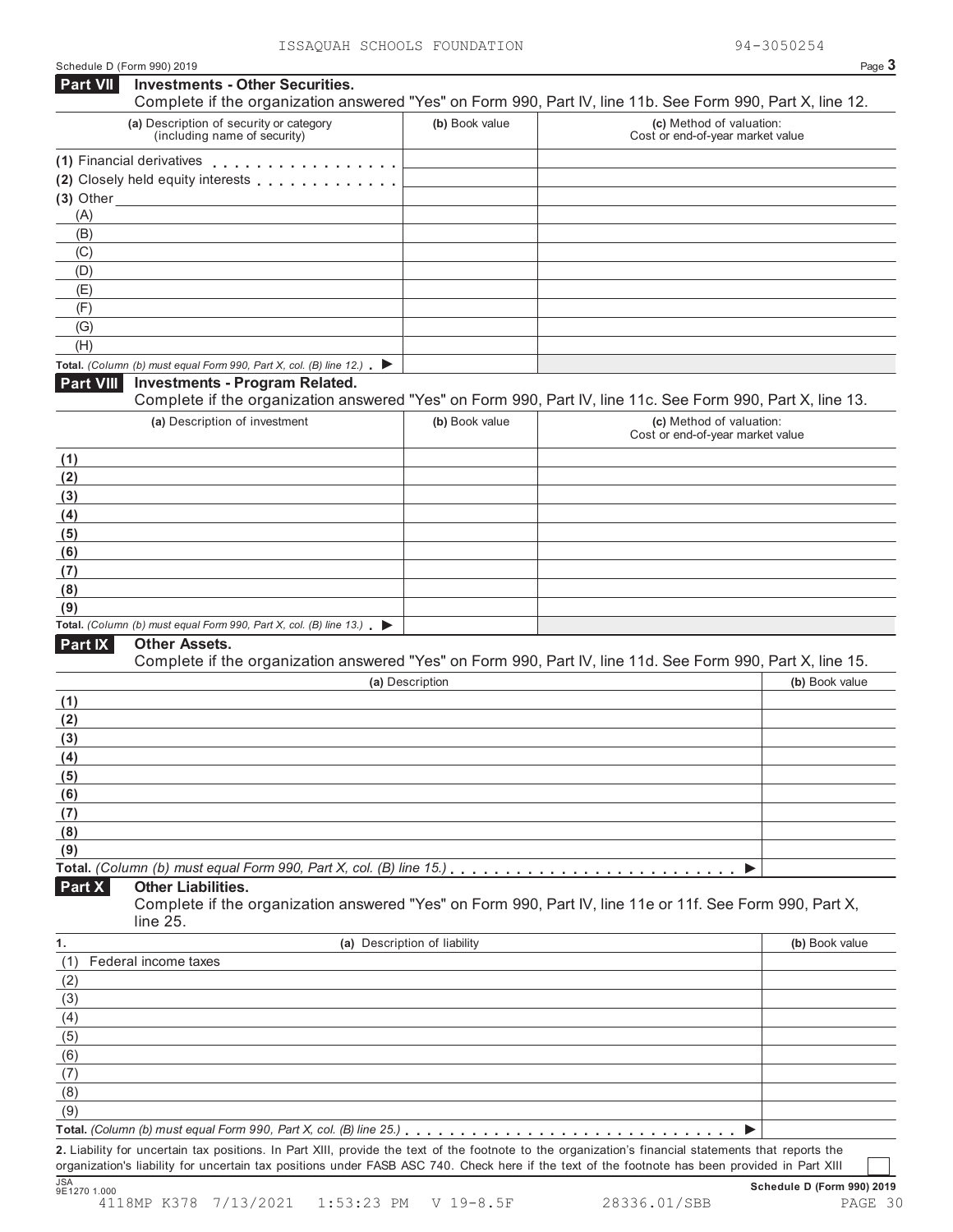| <b>Part VII</b>                                                                                                                            | Schedule D (Form 990) 2019                                                               |                              | Page 3                                                                                                     |
|--------------------------------------------------------------------------------------------------------------------------------------------|------------------------------------------------------------------------------------------|------------------------------|------------------------------------------------------------------------------------------------------------|
|                                                                                                                                            | <b>Investments - Other Securities.</b>                                                   |                              | Complete if the organization answered "Yes" on Form 990, Part IV, line 11b. See Form 990, Part X, line 12. |
|                                                                                                                                            | (a) Description of security or category<br>(including name of security)                  | (b) Book value               | (c) Method of valuation:<br>Cost or end-of-year market value                                               |
|                                                                                                                                            | (1) Financial derivatives                                                                |                              |                                                                                                            |
|                                                                                                                                            | (2) Closely held equity interests [1] [1] Closely held equity interests                  |                              |                                                                                                            |
|                                                                                                                                            | $(3)$ Other                                                                              |                              |                                                                                                            |
| (A)                                                                                                                                        |                                                                                          |                              |                                                                                                            |
| (B)                                                                                                                                        |                                                                                          |                              |                                                                                                            |
| (C)                                                                                                                                        |                                                                                          |                              |                                                                                                            |
| (D)<br>(E)                                                                                                                                 |                                                                                          |                              |                                                                                                            |
| (F)                                                                                                                                        |                                                                                          |                              |                                                                                                            |
| (G)                                                                                                                                        |                                                                                          |                              |                                                                                                            |
| (H)                                                                                                                                        |                                                                                          |                              |                                                                                                            |
|                                                                                                                                            | Total. (Column (b) must equal Form 990, Part X, col. (B) line 12.) $\blacktriangleright$ |                              |                                                                                                            |
| Part VIII                                                                                                                                  | <b>Investments - Program Related.</b>                                                    |                              | Complete if the organization answered "Yes" on Form 990, Part IV, line 11c. See Form 990, Part X, line 13. |
|                                                                                                                                            | (a) Description of investment                                                            | (b) Book value               | (c) Method of valuation:<br>Cost or end-of-year market value                                               |
|                                                                                                                                            |                                                                                          |                              |                                                                                                            |
| (1)<br>(2)                                                                                                                                 |                                                                                          |                              |                                                                                                            |
| (3)                                                                                                                                        |                                                                                          |                              |                                                                                                            |
| (4)                                                                                                                                        |                                                                                          |                              |                                                                                                            |
| (5)                                                                                                                                        |                                                                                          |                              |                                                                                                            |
| (6)                                                                                                                                        |                                                                                          |                              |                                                                                                            |
| (7)                                                                                                                                        |                                                                                          |                              |                                                                                                            |
|                                                                                                                                            |                                                                                          |                              |                                                                                                            |
|                                                                                                                                            |                                                                                          |                              |                                                                                                            |
| (8)<br>(9)                                                                                                                                 |                                                                                          |                              |                                                                                                            |
|                                                                                                                                            | Total. (Column (b) must equal Form 990, Part X, col. (B) line 13.) $\blacktriangleright$ |                              |                                                                                                            |
| Part IX                                                                                                                                    | <b>Other Assets.</b>                                                                     |                              | Complete if the organization answered "Yes" on Form 990, Part IV, line 11d. See Form 990, Part X, line 15. |
|                                                                                                                                            |                                                                                          | (a) Description              | (b) Book value                                                                                             |
|                                                                                                                                            |                                                                                          |                              |                                                                                                            |
|                                                                                                                                            |                                                                                          |                              |                                                                                                            |
|                                                                                                                                            |                                                                                          |                              |                                                                                                            |
|                                                                                                                                            |                                                                                          |                              |                                                                                                            |
|                                                                                                                                            |                                                                                          |                              |                                                                                                            |
|                                                                                                                                            |                                                                                          |                              |                                                                                                            |
|                                                                                                                                            |                                                                                          |                              |                                                                                                            |
|                                                                                                                                            |                                                                                          |                              |                                                                                                            |
|                                                                                                                                            |                                                                                          |                              | ▶                                                                                                          |
|                                                                                                                                            | <b>Other Liabilities.</b><br>line 25.                                                    |                              | Complete if the organization answered "Yes" on Form 990, Part IV, line 11e or 11f. See Form 990, Part X,   |
|                                                                                                                                            |                                                                                          | (a) Description of liability | (b) Book value                                                                                             |
|                                                                                                                                            | Federal income taxes                                                                     |                              |                                                                                                            |
|                                                                                                                                            |                                                                                          |                              |                                                                                                            |
|                                                                                                                                            |                                                                                          |                              |                                                                                                            |
|                                                                                                                                            |                                                                                          |                              |                                                                                                            |
|                                                                                                                                            |                                                                                          |                              |                                                                                                            |
|                                                                                                                                            |                                                                                          |                              |                                                                                                            |
|                                                                                                                                            |                                                                                          |                              |                                                                                                            |
|                                                                                                                                            |                                                                                          |                              |                                                                                                            |
| (1)<br>(2)<br>(3)<br>(4)<br>(5)<br>(6)<br>(7)<br>(8)<br>(9)<br>Part X<br>1.<br>(1)<br>(2)<br>(3)<br>(4)<br>(5)<br>(6)<br>(7)<br>(8)<br>(9) |                                                                                          |                              |                                                                                                            |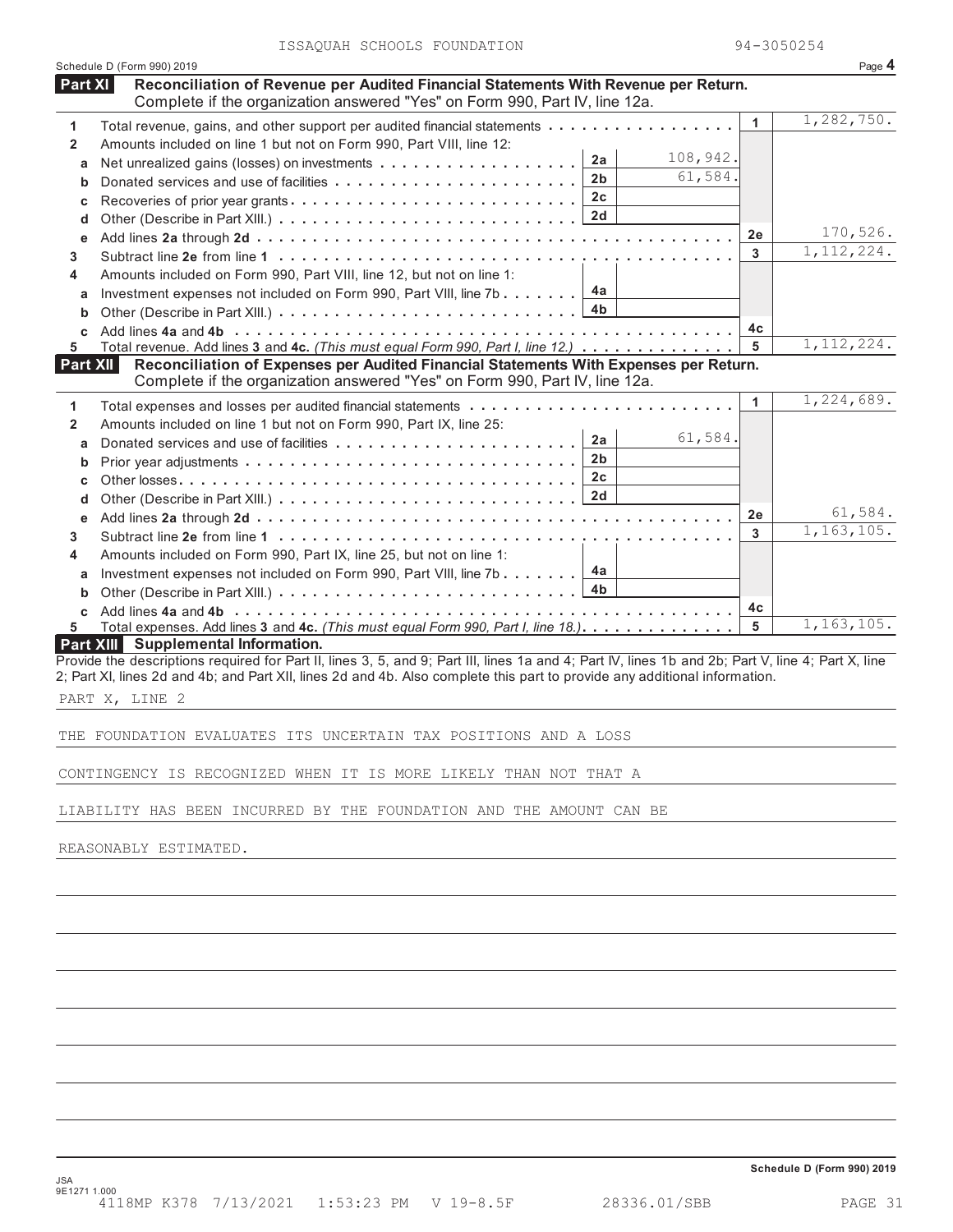| ISSAQUAH SCHOOLS FOUNDATION |  |
|-----------------------------|--|
|-----------------------------|--|

|                     | ISSAQUAH SUNUULS FUUNDAIIUN                                                                                                                                                                                                                                                      | ツォーコいついとつす   |                          |
|---------------------|----------------------------------------------------------------------------------------------------------------------------------------------------------------------------------------------------------------------------------------------------------------------------------|--------------|--------------------------|
| Part XI             | Schedule D (Form 990) 2019<br>Reconciliation of Revenue per Audited Financial Statements With Revenue per Return.                                                                                                                                                                |              | Page 4                   |
|                     | Complete if the organization answered "Yes" on Form 990, Part IV, line 12a.                                                                                                                                                                                                      |              |                          |
|                     | Total revenue, gains, and other support per audited financial statements                                                                                                                                                                                                         | $\mathbf{1}$ | 1,282,750.               |
| 1<br>$\overline{2}$ | Amounts included on line 1 but not on Form 990, Part VIII, line 12:                                                                                                                                                                                                              |              |                          |
| а                   | 108,942.<br>2a                                                                                                                                                                                                                                                                   |              |                          |
| b                   | 61,584.<br>2 <sub>b</sub>                                                                                                                                                                                                                                                        |              |                          |
| c                   | 2c<br>Recoveries of prior year grants                                                                                                                                                                                                                                            |              |                          |
| d                   | 2d                                                                                                                                                                                                                                                                               |              |                          |
| е                   |                                                                                                                                                                                                                                                                                  | 2е           | 170,526.                 |
| 3.                  |                                                                                                                                                                                                                                                                                  | 3            | 1, 112, 224.             |
| 4                   | Amounts included on Form 990, Part VIII, line 12, but not on line 1:                                                                                                                                                                                                             |              |                          |
| а                   | 4a<br>Investment expenses not included on Form 990, Part VIII, line 7b                                                                                                                                                                                                           |              |                          |
| b                   | 4b                                                                                                                                                                                                                                                                               |              |                          |
| C.                  |                                                                                                                                                                                                                                                                                  | 4c           |                          |
| 5.                  | Total revenue. Add lines 3 and 4c. (This must equal Form 990, Part I, line 12.)                                                                                                                                                                                                  | 5            | 1, 112, 224.             |
| <b>Part XII</b>     | Reconciliation of Expenses per Audited Financial Statements With Expenses per Return.                                                                                                                                                                                            |              |                          |
|                     | Complete if the organization answered "Yes" on Form 990, Part IV, line 12a.                                                                                                                                                                                                      |              | $\overline{1,224,689}$ . |
| 1                   |                                                                                                                                                                                                                                                                                  | 1            |                          |
| $\overline{2}$      | Amounts included on line 1 but not on Form 990, Part IX, line 25:<br>61,584.                                                                                                                                                                                                     |              |                          |
| a                   | 2a<br>2 <sub>b</sub>                                                                                                                                                                                                                                                             |              |                          |
| b                   | 2 <sub>c</sub>                                                                                                                                                                                                                                                                   |              |                          |
| c                   | 2d                                                                                                                                                                                                                                                                               |              |                          |
| d                   |                                                                                                                                                                                                                                                                                  | 2е           | 61,584.                  |
| е<br>3.             |                                                                                                                                                                                                                                                                                  | 3            | 1, 163, 105.             |
| 4                   | Amounts included on Form 990, Part IX, line 25, but not on line 1:                                                                                                                                                                                                               |              |                          |
| а                   | 4a<br>Investment expenses not included on Form 990, Part VIII, line 7b                                                                                                                                                                                                           |              |                          |
| b                   | 4b                                                                                                                                                                                                                                                                               |              |                          |
| C                   |                                                                                                                                                                                                                                                                                  | 4c           |                          |
| 5.                  | Total expenses. Add lines 3 and 4c. (This must equal Form 990, Part I, line 18.)                                                                                                                                                                                                 | 5            | 1,163,105.               |
|                     | <b>Part XIII</b> Supplemental Information.                                                                                                                                                                                                                                       |              |                          |
|                     | Provide the descriptions required for Part II, lines 3, 5, and 9; Part III, lines 1a and 4; Part IV, lines 1b and 2b; Part V, line 4; Part X, line<br>2; Part XI, lines 2d and 4b; and Part XII, lines 2d and 4b. Also complete this part to provide any additional information. |              |                          |
|                     |                                                                                                                                                                                                                                                                                  |              |                          |
|                     | PART X, LINE 2                                                                                                                                                                                                                                                                   |              |                          |
|                     | THE FOUNDATION EVALUATES ITS UNCERTAIN TAX POSITIONS AND A LOSS                                                                                                                                                                                                                  |              |                          |
|                     |                                                                                                                                                                                                                                                                                  |              |                          |
|                     | CONTINGENCY IS RECOGNIZED WHEN IT IS MORE LIKELY THAN NOT THAT A                                                                                                                                                                                                                 |              |                          |
|                     |                                                                                                                                                                                                                                                                                  |              |                          |
|                     | LIABILITY HAS BEEN INCURRED BY THE FOUNDATION AND THE AMOUNT CAN BE                                                                                                                                                                                                              |              |                          |
|                     |                                                                                                                                                                                                                                                                                  |              |                          |
|                     | REASONABLY ESTIMATED.                                                                                                                                                                                                                                                            |              |                          |
|                     |                                                                                                                                                                                                                                                                                  |              |                          |
|                     |                                                                                                                                                                                                                                                                                  |              |                          |
|                     |                                                                                                                                                                                                                                                                                  |              |                          |
|                     |                                                                                                                                                                                                                                                                                  |              |                          |
|                     |                                                                                                                                                                                                                                                                                  |              |                          |
|                     |                                                                                                                                                                                                                                                                                  |              |                          |
|                     |                                                                                                                                                                                                                                                                                  |              |                          |
|                     |                                                                                                                                                                                                                                                                                  |              |                          |
|                     |                                                                                                                                                                                                                                                                                  |              |                          |
|                     |                                                                                                                                                                                                                                                                                  |              |                          |
|                     |                                                                                                                                                                                                                                                                                  |              |                          |

**Schedule D (Form 990) 2019**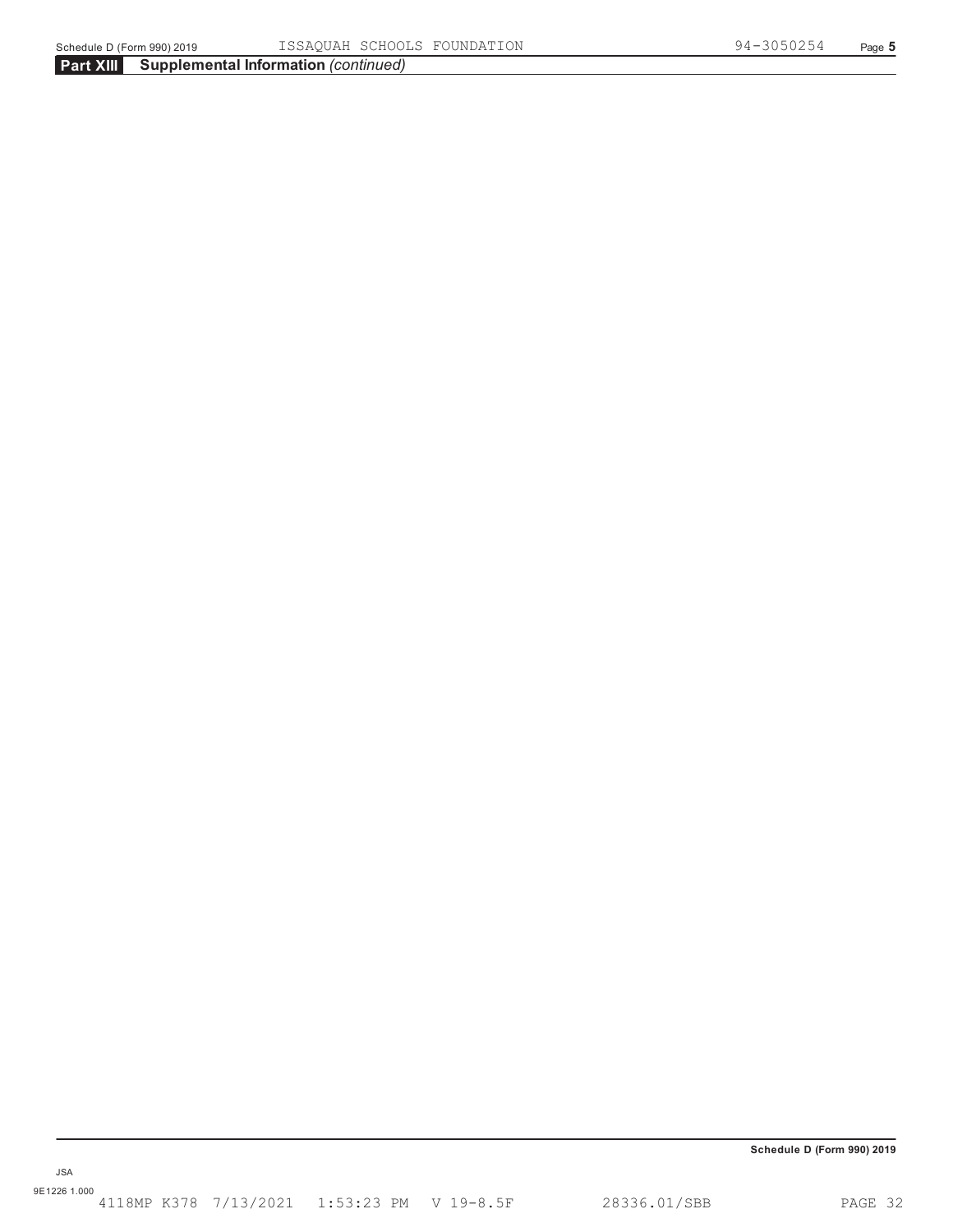**Schedule D (Form 990) 2019**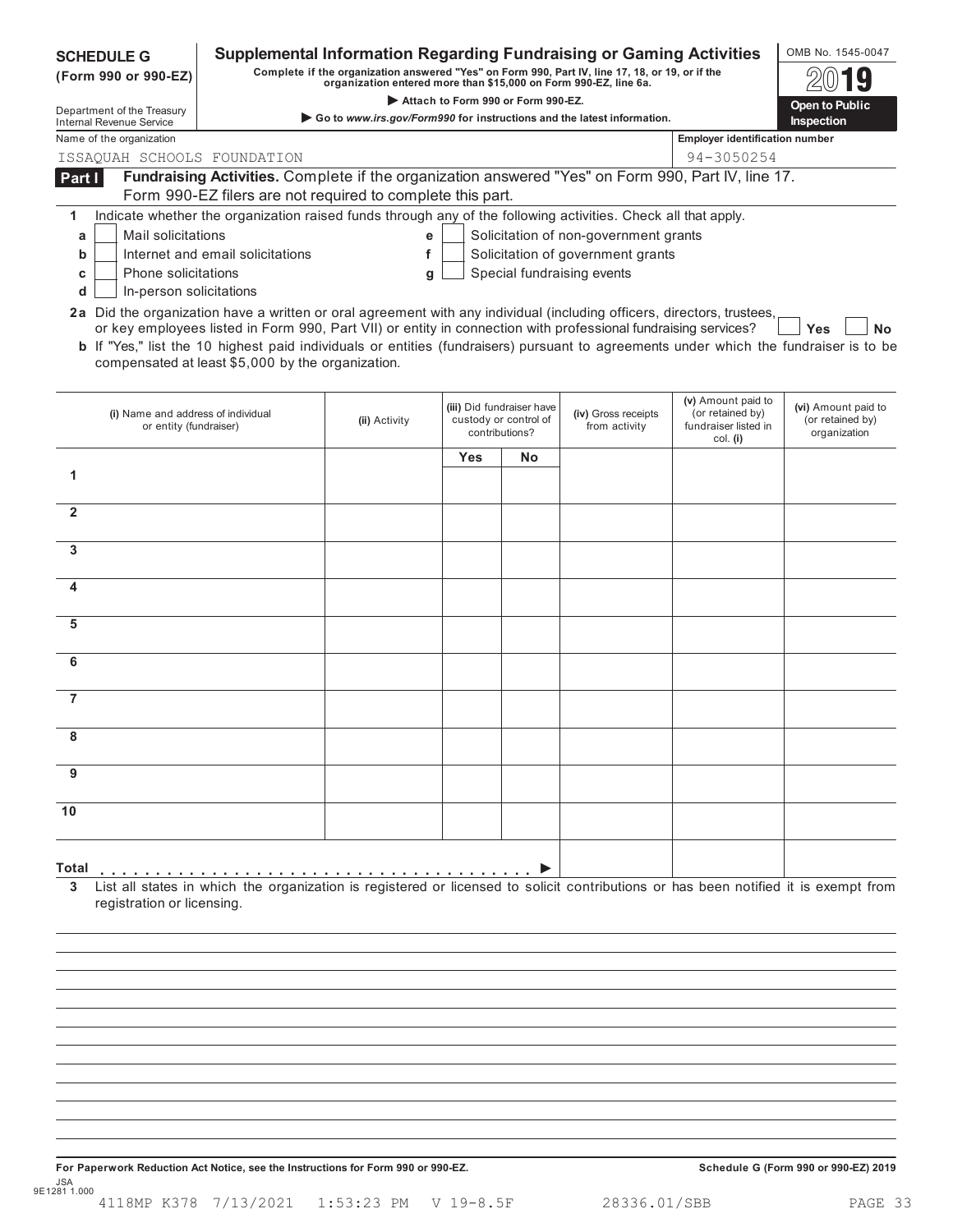| <b>SCHEDULE G</b><br>(Form 990 or 990-EZ)                                                                              |                                                                                                                                                                                                                                                                                                                     | <b>Supplemental Information Regarding Fundraising or Gaming Activities</b><br>Complete if the organization answered "Yes" on Form 990, Part IV, line 17, 18, or 19, or if the<br>organization entered more than \$15,000 on Form 990-EZ, line 6a. |                                    |                                                                      |                                       |                                                                            | OMB No. 1545-0047                                       |
|------------------------------------------------------------------------------------------------------------------------|---------------------------------------------------------------------------------------------------------------------------------------------------------------------------------------------------------------------------------------------------------------------------------------------------------------------|---------------------------------------------------------------------------------------------------------------------------------------------------------------------------------------------------------------------------------------------------|------------------------------------|----------------------------------------------------------------------|---------------------------------------|----------------------------------------------------------------------------|---------------------------------------------------------|
| Department of the Treasury                                                                                             |                                                                                                                                                                                                                                                                                                                     |                                                                                                                                                                                                                                                   | Attach to Form 990 or Form 990-EZ. |                                                                      |                                       |                                                                            | Open to Public                                          |
| Internal Revenue Service                                                                                               |                                                                                                                                                                                                                                                                                                                     | Go to www.irs.gov/Form990 for instructions and the latest information.                                                                                                                                                                            |                                    |                                                                      |                                       |                                                                            | Inspection                                              |
| Name of the organization                                                                                               |                                                                                                                                                                                                                                                                                                                     |                                                                                                                                                                                                                                                   |                                    |                                                                      |                                       | <b>Employer identification number</b>                                      |                                                         |
| ISSAQUAH SCHOOLS FOUNDATION                                                                                            |                                                                                                                                                                                                                                                                                                                     |                                                                                                                                                                                                                                                   |                                    |                                                                      |                                       | 94-3050254                                                                 |                                                         |
| Part I                                                                                                                 | Fundraising Activities. Complete if the organization answered "Yes" on Form 990, Part IV, line 17.                                                                                                                                                                                                                  |                                                                                                                                                                                                                                                   |                                    |                                                                      |                                       |                                                                            |                                                         |
|                                                                                                                        | Form 990-EZ filers are not required to complete this part.                                                                                                                                                                                                                                                          |                                                                                                                                                                                                                                                   |                                    |                                                                      |                                       |                                                                            |                                                         |
| 1                                                                                                                      | Indicate whether the organization raised funds through any of the following activities. Check all that apply.                                                                                                                                                                                                       |                                                                                                                                                                                                                                                   |                                    |                                                                      |                                       |                                                                            |                                                         |
| Mail solicitations<br>а                                                                                                |                                                                                                                                                                                                                                                                                                                     | e                                                                                                                                                                                                                                                 |                                    |                                                                      | Solicitation of non-government grants |                                                                            |                                                         |
| b                                                                                                                      | Internet and email solicitations                                                                                                                                                                                                                                                                                    | f                                                                                                                                                                                                                                                 |                                    |                                                                      | Solicitation of government grants     |                                                                            |                                                         |
| Phone solicitations<br>с                                                                                               |                                                                                                                                                                                                                                                                                                                     | a                                                                                                                                                                                                                                                 |                                    |                                                                      | Special fundraising events            |                                                                            |                                                         |
| In-person solicitations<br>d                                                                                           |                                                                                                                                                                                                                                                                                                                     |                                                                                                                                                                                                                                                   |                                    |                                                                      |                                       |                                                                            |                                                         |
| 2a Did the organization have a written or oral agreement with any individual (including officers, directors, trustees, | or key employees listed in Form 990, Part VII) or entity in connection with professional fundraising services?<br><b>b</b> If "Yes," list the 10 highest paid individuals or entities (fundraisers) pursuant to agreements under which the fundraiser is to be<br>compensated at least \$5,000 by the organization. |                                                                                                                                                                                                                                                   |                                    |                                                                      |                                       |                                                                            | <b>Yes</b><br><b>No</b>                                 |
| (i) Name and address of individual<br>or entity (fundraiser)                                                           |                                                                                                                                                                                                                                                                                                                     | (ii) Activity                                                                                                                                                                                                                                     |                                    | (iii) Did fundraiser have<br>custody or control of<br>contributions? | (iv) Gross receipts<br>from activity  | (v) Amount paid to<br>(or retained by)<br>fundraiser listed in<br>col. (i) | (vi) Amount paid to<br>(or retained by)<br>organization |
|                                                                                                                        |                                                                                                                                                                                                                                                                                                                     |                                                                                                                                                                                                                                                   | Yes                                | <b>No</b>                                                            |                                       |                                                                            |                                                         |
| 1                                                                                                                      |                                                                                                                                                                                                                                                                                                                     |                                                                                                                                                                                                                                                   |                                    |                                                                      |                                       |                                                                            |                                                         |
| $\mathbf{2}$                                                                                                           |                                                                                                                                                                                                                                                                                                                     |                                                                                                                                                                                                                                                   |                                    |                                                                      |                                       |                                                                            |                                                         |
| 3                                                                                                                      |                                                                                                                                                                                                                                                                                                                     |                                                                                                                                                                                                                                                   |                                    |                                                                      |                                       |                                                                            |                                                         |
|                                                                                                                        |                                                                                                                                                                                                                                                                                                                     |                                                                                                                                                                                                                                                   |                                    |                                                                      |                                       |                                                                            |                                                         |
| 5                                                                                                                      |                                                                                                                                                                                                                                                                                                                     |                                                                                                                                                                                                                                                   |                                    |                                                                      |                                       |                                                                            |                                                         |
| 6                                                                                                                      |                                                                                                                                                                                                                                                                                                                     |                                                                                                                                                                                                                                                   |                                    |                                                                      |                                       |                                                                            |                                                         |
| 7                                                                                                                      |                                                                                                                                                                                                                                                                                                                     |                                                                                                                                                                                                                                                   |                                    |                                                                      |                                       |                                                                            |                                                         |
| 8                                                                                                                      |                                                                                                                                                                                                                                                                                                                     |                                                                                                                                                                                                                                                   |                                    |                                                                      |                                       |                                                                            |                                                         |
|                                                                                                                        |                                                                                                                                                                                                                                                                                                                     |                                                                                                                                                                                                                                                   |                                    |                                                                      |                                       |                                                                            |                                                         |
| 9                                                                                                                      |                                                                                                                                                                                                                                                                                                                     |                                                                                                                                                                                                                                                   |                                    |                                                                      |                                       |                                                                            |                                                         |
| 10                                                                                                                     |                                                                                                                                                                                                                                                                                                                     |                                                                                                                                                                                                                                                   |                                    |                                                                      |                                       |                                                                            |                                                         |
| Total<br>registration or licensing.                                                                                    | List all states in which the organization is registered or licensed to solicit contributions or has been notified it is exempt from                                                                                                                                                                                 |                                                                                                                                                                                                                                                   |                                    |                                                                      |                                       |                                                                            |                                                         |
|                                                                                                                        |                                                                                                                                                                                                                                                                                                                     |                                                                                                                                                                                                                                                   |                                    |                                                                      |                                       |                                                                            |                                                         |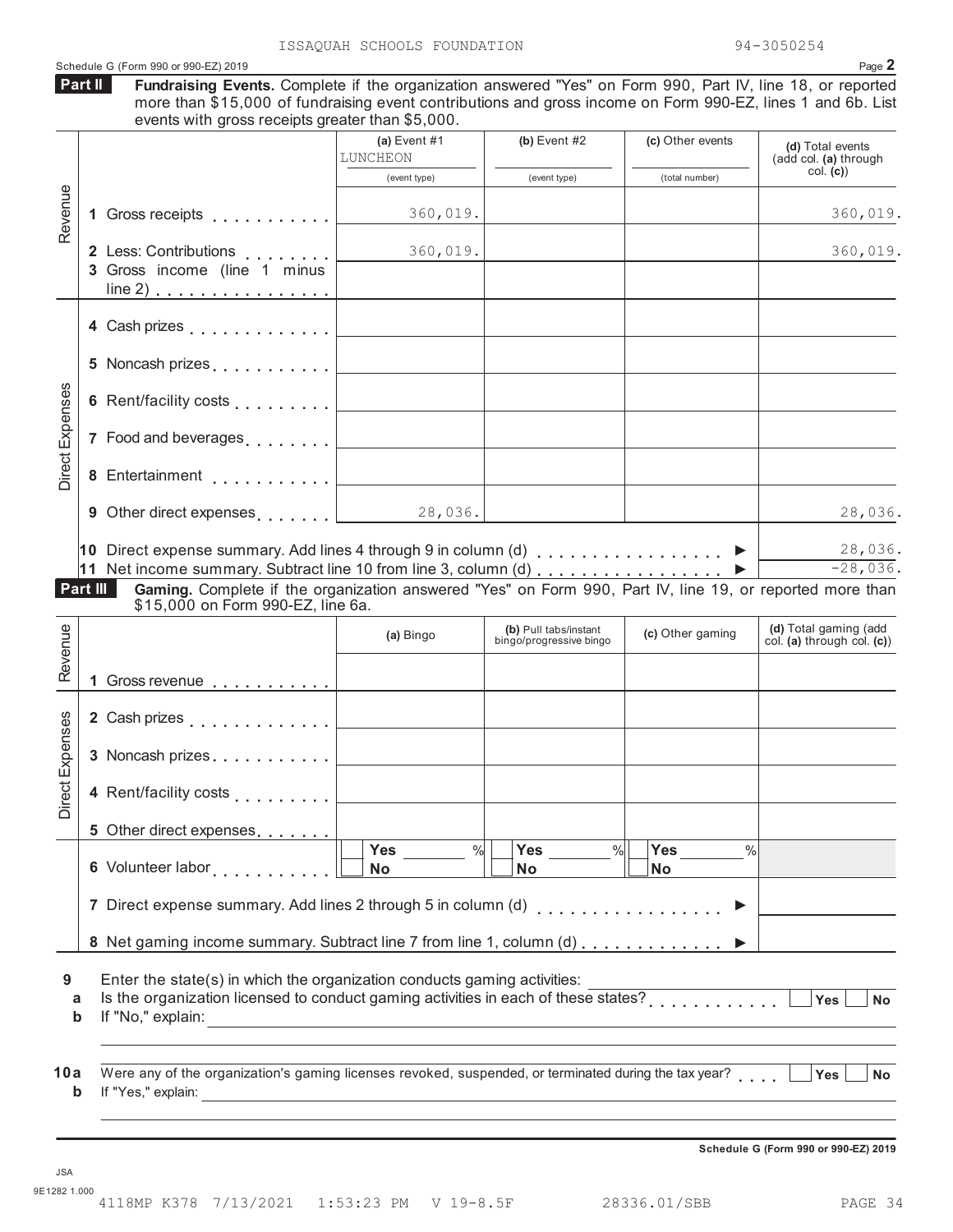|                        | Schedule G (Form 990 or 990-EZ) 2019                                                                                                                                                                                                                 |                                |                         |                                   | Page 2                                    |
|------------------------|------------------------------------------------------------------------------------------------------------------------------------------------------------------------------------------------------------------------------------------------------|--------------------------------|-------------------------|-----------------------------------|-------------------------------------------|
| Part II                | Fundraising Events. Complete if the organization answered "Yes" on Form 990, Part IV, line 18, or reported                                                                                                                                           |                                |                         |                                   |                                           |
|                        | more than \$15,000 of fundraising event contributions and gross income on Form 990-EZ, lines 1 and 6b. List<br>events with gross receipts greater than \$5,000.                                                                                      |                                |                         |                                   |                                           |
|                        |                                                                                                                                                                                                                                                      |                                |                         | (c) Other events                  |                                           |
|                        |                                                                                                                                                                                                                                                      | (a) Event $#1$<br>LUNCHEON     | $(b)$ Event #2          |                                   | (d) Total events<br>(add col. (a) through |
|                        |                                                                                                                                                                                                                                                      | (event type)                   | (event type)            | (total number)                    | col. (c)                                  |
|                        |                                                                                                                                                                                                                                                      |                                |                         |                                   |                                           |
| Revenue                | 1 Gross receipts                                                                                                                                                                                                                                     | 360,019.                       |                         |                                   | 360,019.                                  |
|                        |                                                                                                                                                                                                                                                      |                                |                         |                                   |                                           |
|                        | 2 Less: Contributions                                                                                                                                                                                                                                | 360,019.                       |                         |                                   | 360,019.                                  |
|                        | 3 Gross income (line 1 minus                                                                                                                                                                                                                         |                                |                         |                                   |                                           |
|                        | $line 2)$                                                                                                                                                                                                                                            |                                |                         |                                   |                                           |
|                        |                                                                                                                                                                                                                                                      |                                |                         |                                   |                                           |
|                        |                                                                                                                                                                                                                                                      |                                |                         |                                   |                                           |
|                        | 5 Noncash prizes <u>  _ _ _ _ _ _ _ _ _ _ _</u>                                                                                                                                                                                                      |                                |                         |                                   |                                           |
|                        |                                                                                                                                                                                                                                                      |                                |                         |                                   |                                           |
|                        | 6 Rent/facility costs <u>  _ _ _ _ _ _ _ _ _ _ _ _</u>                                                                                                                                                                                               |                                |                         |                                   |                                           |
|                        |                                                                                                                                                                                                                                                      |                                |                         |                                   |                                           |
| <b>Direct Expenses</b> | 7 Food and beverages [                                                                                                                                                                                                                               |                                |                         |                                   |                                           |
|                        |                                                                                                                                                                                                                                                      |                                |                         |                                   |                                           |
|                        | 8 Entertainment <u>  _ _ _ _ _ _ _ _ _ _ _</u>                                                                                                                                                                                                       |                                |                         |                                   |                                           |
|                        |                                                                                                                                                                                                                                                      |                                |                         |                                   |                                           |
|                        | 9 Other direct expenses $\ldots$ . $\boxed{\phantom{a} \phantom{a}}$ 28, 036.                                                                                                                                                                        |                                |                         |                                   | 28,036.                                   |
|                        | 10 Direct expense summary. Add lines 4 through 9 in column (d) $\ldots \ldots \ldots \ldots$                                                                                                                                                         |                                |                         |                                   | 28,036.                                   |
|                        |                                                                                                                                                                                                                                                      |                                |                         |                                   | $-28,036.$                                |
| Part III               | Gaming. Complete if the organization answered "Yes" on Form 990, Part IV, line 19, or reported more than                                                                                                                                             |                                |                         |                                   |                                           |
|                        | \$15,000 on Form 990-EZ, line 6a.                                                                                                                                                                                                                    |                                |                         |                                   |                                           |
|                        |                                                                                                                                                                                                                                                      | (a) Bingo                      | (b) Pull tabs/instant   | (c) Other gaming                  | (d) Total gaming (add                     |
|                        |                                                                                                                                                                                                                                                      |                                | bingo/progressive bingo |                                   | col. (a) through col. (c))                |
| Revenue                |                                                                                                                                                                                                                                                      |                                |                         |                                   |                                           |
|                        | 1 Gross revenue                                                                                                                                                                                                                                      |                                |                         |                                   |                                           |
|                        | 2 Cash prizes                                                                                                                                                                                                                                        |                                |                         |                                   |                                           |
| penses                 |                                                                                                                                                                                                                                                      |                                |                         |                                   |                                           |
|                        | 3 Noncash prizes                                                                                                                                                                                                                                     |                                |                         |                                   |                                           |
|                        |                                                                                                                                                                                                                                                      |                                |                         |                                   |                                           |
| Direct Ex              | 4 Rent/facility costs [1, 1, 1, 1, 1]                                                                                                                                                                                                                |                                |                         |                                   |                                           |
|                        |                                                                                                                                                                                                                                                      |                                |                         |                                   |                                           |
|                        | 5 Other direct expenses                                                                                                                                                                                                                              |                                |                         |                                   |                                           |
|                        |                                                                                                                                                                                                                                                      | Yes<br>$\sqrt{2}$<br><b>No</b> | Yes $\sim$<br><b>No</b> | Yes<br>$\frac{9}{6}$<br><b>No</b> |                                           |
|                        |                                                                                                                                                                                                                                                      |                                |                         |                                   |                                           |
|                        | 7 Direct expense summary. Add lines 2 through 5 in column (d)                                                                                                                                                                                        |                                |                         | . <b>.</b><br>▶                   |                                           |
|                        |                                                                                                                                                                                                                                                      |                                |                         |                                   |                                           |
|                        | 8 Net gaming income summary. Subtract line 7 from line 1, column (d) ▶                                                                                                                                                                               |                                |                         |                                   |                                           |
|                        |                                                                                                                                                                                                                                                      |                                |                         |                                   |                                           |
| 9                      | Enter the state(s) in which the organization conducts gaming activities:<br>Is the organization licensed to conduct gaming activities in each of these states?<br>Is the organization licensed to conduct gaming activities in each of these states? |                                |                         |                                   |                                           |
| a                      |                                                                                                                                                                                                                                                      |                                |                         |                                   | $\overline{Yes}$<br><b>No</b>             |
| $\mathbf b$            |                                                                                                                                                                                                                                                      |                                |                         |                                   |                                           |
|                        |                                                                                                                                                                                                                                                      |                                |                         |                                   |                                           |
| 10a                    | Were any of the organization's gaming licenses revoked, suspended, or terminated during the tax year?                                                                                                                                                |                                |                         |                                   | Yes <br><b>No</b>                         |
| b                      |                                                                                                                                                                                                                                                      |                                |                         |                                   |                                           |
|                        |                                                                                                                                                                                                                                                      |                                |                         |                                   |                                           |

**Schedule G (Form 990 or 990-EZ) 2019**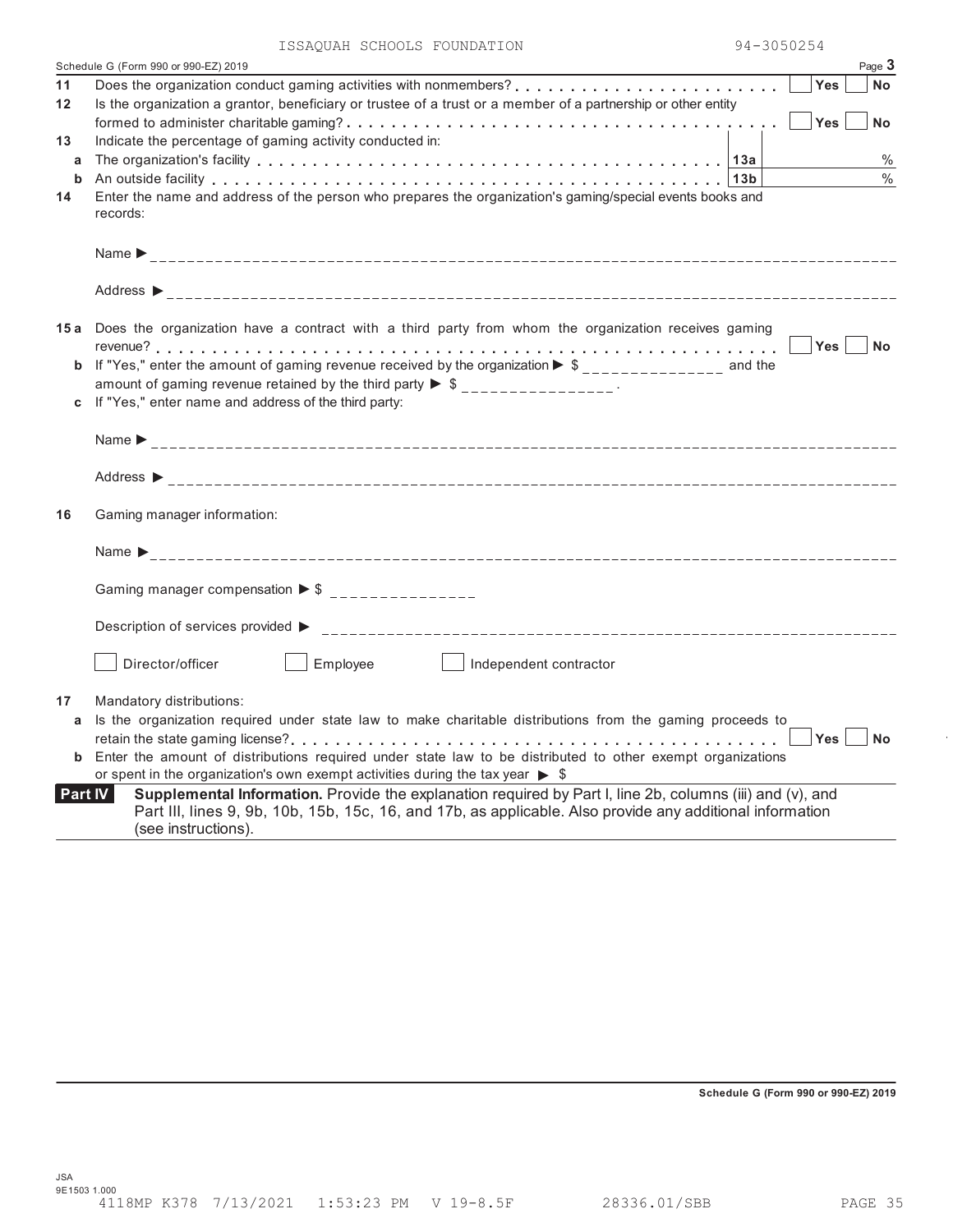|                | 94-3050254<br>ISSAQUAH SCHOOLS FOUNDATION                                                                                    |
|----------------|------------------------------------------------------------------------------------------------------------------------------|
|                | Schedule G (Form 990 or 990-EZ) 2019<br>Page 3                                                                               |
| 11             | <b>Yes</b><br><b>No</b>                                                                                                      |
| 12             | Is the organization a grantor, beneficiary or trustee of a trust or a member of a partnership or other entity                |
|                | Yes  <br><b>No</b>                                                                                                           |
| 13             | Indicate the percentage of gaming activity conducted in:                                                                     |
| a              | $\%$                                                                                                                         |
|                | $\frac{0}{0}$                                                                                                                |
| 14             | Enter the name and address of the person who prepares the organization's gaming/special events books and                     |
|                | records:                                                                                                                     |
|                |                                                                                                                              |
|                |                                                                                                                              |
|                |                                                                                                                              |
|                |                                                                                                                              |
|                |                                                                                                                              |
|                | 15a Does the organization have a contract with a third party from whom the organization receives gaming                      |
|                | Yes <br>No                                                                                                                   |
|                | <b>b</b> If "Yes," enter the amount of gaming revenue received by the organization $\triangleright$ \$______________ and the |
|                | amount of gaming revenue retained by the third party $\triangleright$ \$ _______________.                                    |
|                | c If "Yes," enter name and address of the third party:                                                                       |
|                |                                                                                                                              |
|                |                                                                                                                              |
|                |                                                                                                                              |
| 16             | Gaming manager information:                                                                                                  |
|                |                                                                                                                              |
|                |                                                                                                                              |
|                |                                                                                                                              |
|                | Gaming manager compensation $\triangleright$ \$ ________________                                                             |
|                |                                                                                                                              |
|                |                                                                                                                              |
|                |                                                                                                                              |
|                | Employee<br>Director/officer<br>Independent contractor                                                                       |
|                |                                                                                                                              |
| 17             | Mandatory distributions:                                                                                                     |
|                | a Is the organization required under state law to make charitable distributions from the gaming proceeds to                  |
|                | . . $\Box$ Yes $\Box$ No                                                                                                     |
|                | <b>b</b> Enter the amount of distributions required under state law to be distributed to other exempt organizations          |
|                | or spent in the organization's own exempt activities during the tax year $\triangleright$ \$                                 |
| <b>Part IV</b> | Supplemental Information. Provide the explanation required by Part I, line 2b, columns (iii) and (v), and                    |
|                | Part III, lines 9, 9b, 10b, 15b, 15c, 16, and 17b, as applicable. Also provide any additional information                    |
|                | (see instructions).                                                                                                          |
|                |                                                                                                                              |

**Schedule G (Form 990 or 990-EZ) 2019**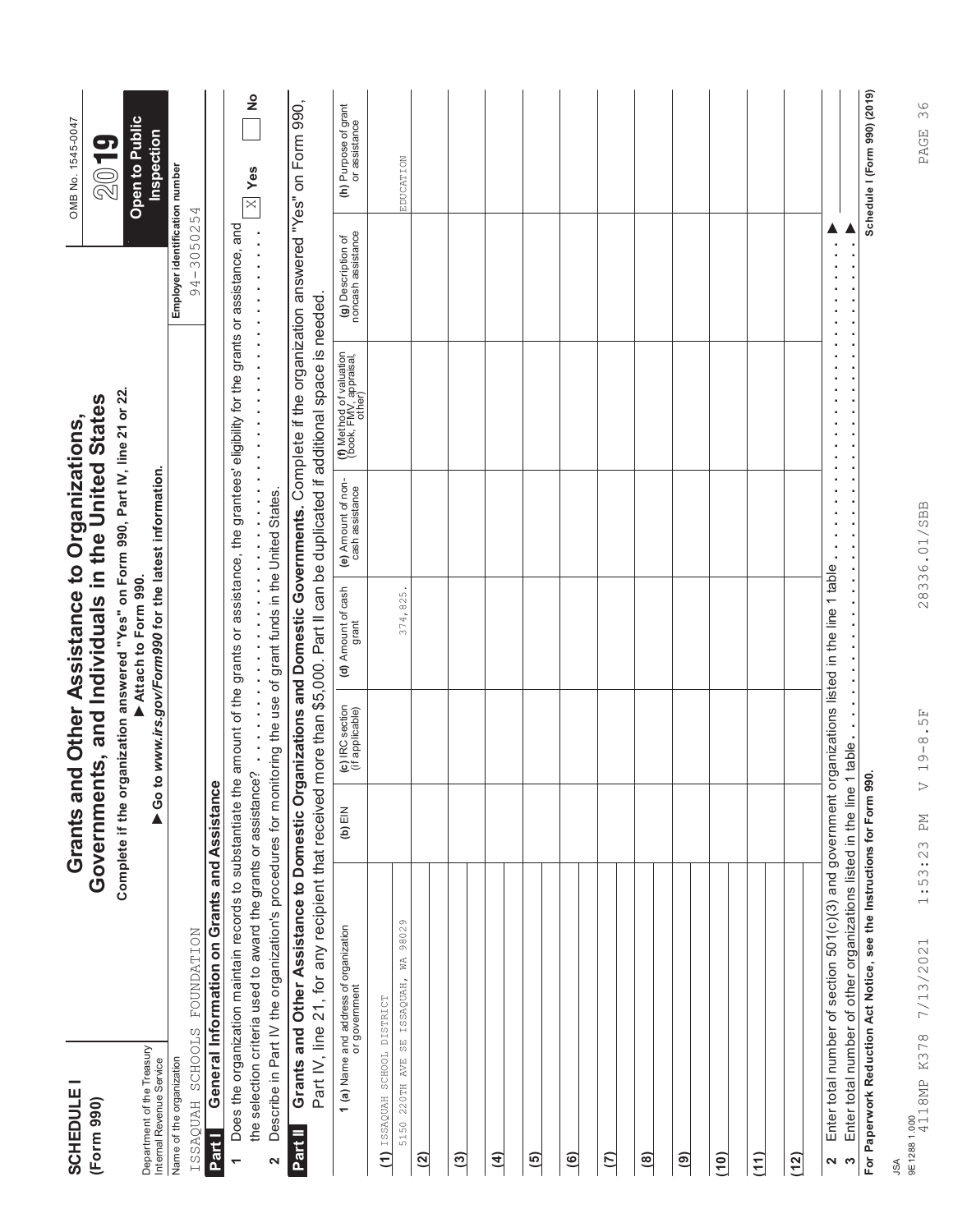| <b>SCHEDULE</b><br>(Form 990)                          |                                                                                                                                                                                                                                                                           |                        |                                    | Governments, and Individuals in the United States<br>Grants and Other Assistance to Organizations,                                                         |                                       |                                                                                                 |                                              | OMB No. 1545-0047<br><b>9</b><br>20   |
|--------------------------------------------------------|---------------------------------------------------------------------------------------------------------------------------------------------------------------------------------------------------------------------------------------------------------------------------|------------------------|------------------------------------|------------------------------------------------------------------------------------------------------------------------------------------------------------|---------------------------------------|-------------------------------------------------------------------------------------------------|----------------------------------------------|---------------------------------------|
| Department of the Treasury<br>Internal Revenue Service |                                                                                                                                                                                                                                                                           | $\triangleright$ Go to |                                    | Complete if the organization answered "Yes" on Form 990, Part IV, line 21 or 22.<br>www.irs.gov/Form990 for the latest information.<br>Attach to Form 990. |                                       |                                                                                                 |                                              | Open to Public<br>Inspection          |
| ISSAQUAH SCHOOLS<br>Name of the organization           | FOUNDATION                                                                                                                                                                                                                                                                |                        |                                    |                                                                                                                                                            |                                       |                                                                                                 | Employer identification number<br>94-3050254 |                                       |
| Part I                                                 | General Information on Grants and Assistance                                                                                                                                                                                                                              |                        |                                    |                                                                                                                                                            |                                       |                                                                                                 |                                              |                                       |
| $\overline{\phantom{0}}$                               | the selection criteria used to award the grants or assistance?<br>Does the organization maintain records to substantiate the                                                                                                                                              |                        |                                    |                                                                                                                                                            |                                       | amount of the grants or assistance, the grantees' eligibility for the grants or assistance, and |                                              | $\frac{1}{2}$<br>$\times$   Yes       |
| 2                                                      | Describe in Part IV the organization's procedures for monitoring the use of grant funds in the United States.                                                                                                                                                             |                        |                                    |                                                                                                                                                            |                                       |                                                                                                 |                                              |                                       |
| Part II                                                | Grants and Other Assistance to Domestic Organizations and Domestic Governments. Complete if the organization answered "Yes" on Form 990,<br>Part IV, line 21, for any recipient that received more than \$5,000. Part II can be duplicated if additional space is needed. |                        |                                    |                                                                                                                                                            |                                       |                                                                                                 |                                              |                                       |
|                                                        | <b>1 (a)</b> Name and address of organization<br>or government                                                                                                                                                                                                            | (b) $EIN$              | (c) IRC section<br>(if applicable) | (d) Amount of cash<br>grant                                                                                                                                | (e) Amount of non-<br>cash assistance | (f) Method of valuation<br>(book, FMV, appraisal,<br>other)                                     | (g) Description of<br>noncash assistance     | (h) Purpose of grant<br>or assistance |
| (1) ISSAQUAH SCHOOL DISTRICT<br>$220TH$ AVE<br>5150    | SE ISSAQUAH, WA 98029                                                                                                                                                                                                                                                     |                        |                                    | 374,825                                                                                                                                                    |                                       |                                                                                                 |                                              | EDUCATION                             |
| $\widetilde{a}$                                        |                                                                                                                                                                                                                                                                           |                        |                                    |                                                                                                                                                            |                                       |                                                                                                 |                                              |                                       |
| <u>ි</u>                                               |                                                                                                                                                                                                                                                                           |                        |                                    |                                                                                                                                                            |                                       |                                                                                                 |                                              |                                       |
| $\widehat{4}$                                          |                                                                                                                                                                                                                                                                           |                        |                                    |                                                                                                                                                            |                                       |                                                                                                 |                                              |                                       |
| $\overline{5}$                                         |                                                                                                                                                                                                                                                                           |                        |                                    |                                                                                                                                                            |                                       |                                                                                                 |                                              |                                       |
| $\overline{6}$                                         |                                                                                                                                                                                                                                                                           |                        |                                    |                                                                                                                                                            |                                       |                                                                                                 |                                              |                                       |
| $\overline{c}$                                         |                                                                                                                                                                                                                                                                           |                        |                                    |                                                                                                                                                            |                                       |                                                                                                 |                                              |                                       |
| $\mathbf{a}$                                           |                                                                                                                                                                                                                                                                           |                        |                                    |                                                                                                                                                            |                                       |                                                                                                 |                                              |                                       |
| $\widehat{\mathbf{e}}$                                 |                                                                                                                                                                                                                                                                           |                        |                                    |                                                                                                                                                            |                                       |                                                                                                 |                                              |                                       |
| (10)                                                   |                                                                                                                                                                                                                                                                           |                        |                                    |                                                                                                                                                            |                                       |                                                                                                 |                                              |                                       |
| (11)                                                   |                                                                                                                                                                                                                                                                           |                        |                                    |                                                                                                                                                            |                                       |                                                                                                 |                                              |                                       |
| (12)                                                   |                                                                                                                                                                                                                                                                           |                        |                                    |                                                                                                                                                            |                                       |                                                                                                 |                                              |                                       |
| S<br>2                                                 | Enter total number of section 501(c)(3) and government organizations listed in the line 1 table<br>Enter total number of other organizations listed in the line 1                                                                                                         |                        | table                              |                                                                                                                                                            |                                       |                                                                                                 |                                              |                                       |
|                                                        | For Paperwork Reduction Act Notice, see the Instructions for Form 990.                                                                                                                                                                                                    |                        |                                    |                                                                                                                                                            |                                       |                                                                                                 |                                              | Schedule I (Form 990) (2019)          |
| <b>ASL</b>                                             |                                                                                                                                                                                                                                                                           |                        |                                    |                                                                                                                                                            |                                       |                                                                                                 |                                              |                                       |

PAGE 36

28336.01/SBB

4118MP K378 7/13/2021 1:53:23 PM V 19-8.5F 28336.01/SBB PAGE 369E12881.000<br>4118MP K378 7/13/2021 1:53:23 PM V 19-8.5F

9E1288 1.000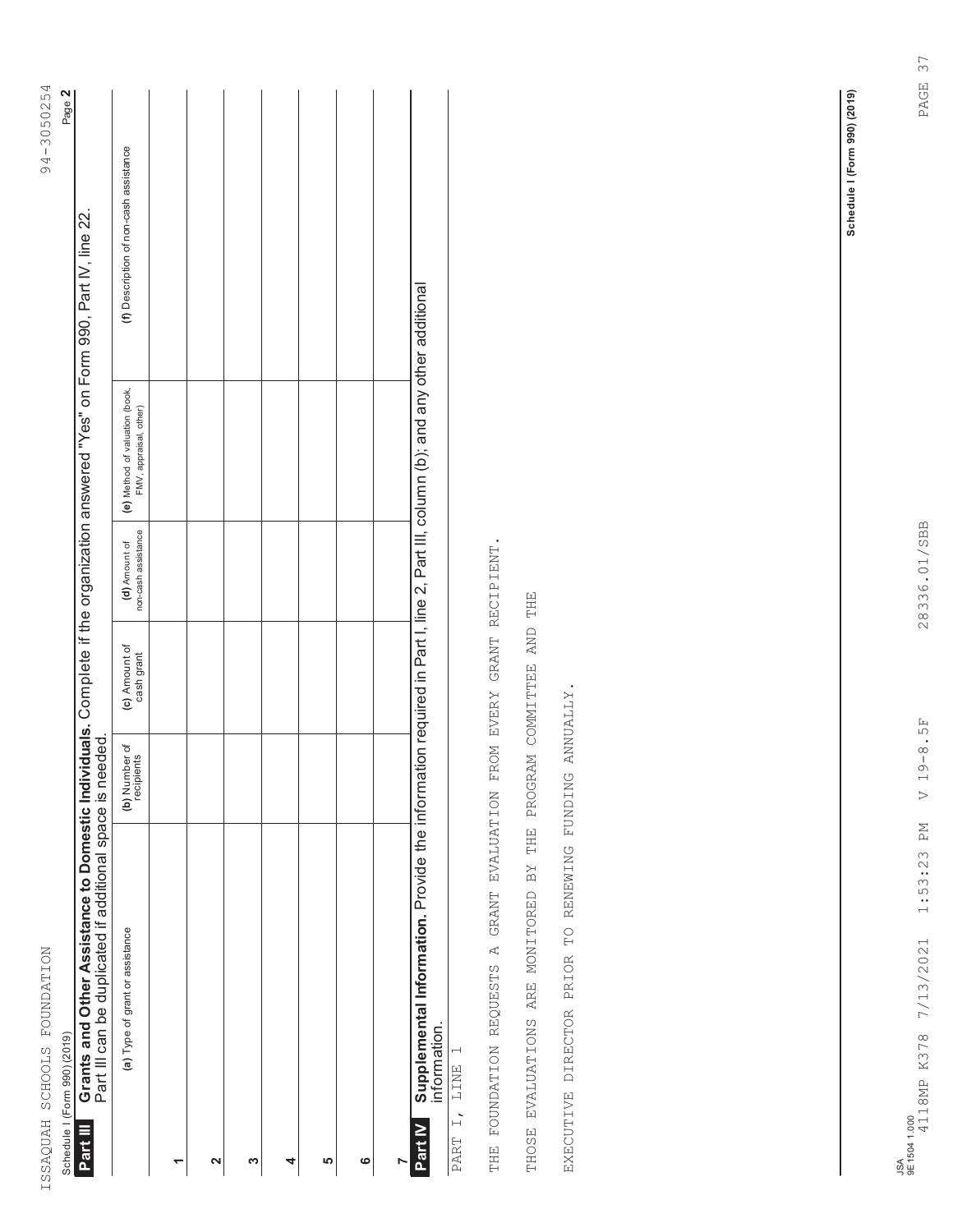|                        | Schedule I (Form 990) (2019)                                                                                                                                                                 |                             |                             |                                      |                                                                                  | Page 2                                 |  |
|------------------------|----------------------------------------------------------------------------------------------------------------------------------------------------------------------------------------------|-----------------------------|-----------------------------|--------------------------------------|----------------------------------------------------------------------------------|----------------------------------------|--|
| Part III               | Grants and Other Assistance to Domestic Individuals. Complete if the organization answered "Yes" on Form 990, Part IV, line 22.<br>Part III can be duplicated if additional space is needed. |                             |                             |                                      |                                                                                  |                                        |  |
|                        | (a) Type of grant or assistance                                                                                                                                                              | (b) Number of<br>recipients | (c) Amount of<br>cash grant | non-cash assistance<br>(d) Amount of | (e) Method of valuation (book,<br>FMV, appraisal, other)                         | (f) Description of non-cash assistance |  |
|                        |                                                                                                                                                                                              |                             |                             |                                      |                                                                                  |                                        |  |
| 2                      |                                                                                                                                                                                              |                             |                             |                                      |                                                                                  |                                        |  |
| ∾                      |                                                                                                                                                                                              |                             |                             |                                      |                                                                                  |                                        |  |
| 4                      |                                                                                                                                                                                              |                             |                             |                                      |                                                                                  |                                        |  |
| ιΩ                     |                                                                                                                                                                                              |                             |                             |                                      |                                                                                  |                                        |  |
| ဖ                      |                                                                                                                                                                                              |                             |                             |                                      |                                                                                  |                                        |  |
|                        |                                                                                                                                                                                              |                             |                             |                                      |                                                                                  |                                        |  |
| Part                   | Supplemental Information. Provide the inform<br>information.                                                                                                                                 |                             |                             |                                      | ation required in Part I, line 2, Part III, column (b); and any other additional |                                        |  |
| $\overline{z}$<br>PART | $\overline{\phantom{0}}$<br>LINE                                                                                                                                                             |                             |                             |                                      |                                                                                  |                                        |  |
|                        | THE FOUNDATION REQUESTS A GRANT EVALUATION                                                                                                                                                   |                             | FROM EVERY GRANT RECIPIENT. |                                      |                                                                                  |                                        |  |
| THOSE                  | THE<br>BY<br>EVALUATIONS ARE MONITORED                                                                                                                                                       | PROGRAM COMMITTEE           | AND                         | THE                                  |                                                                                  |                                        |  |
|                        | EXECUTIVE DIRECTOR PRIOR TO RENEWINDINDING ANNUALLY.                                                                                                                                         |                             |                             |                                      |                                                                                  |                                        |  |
|                        |                                                                                                                                                                                              |                             |                             |                                      |                                                                                  |                                        |  |

Schedule I (Form 990) (2019) **Schedule I (Form 990) (2019)**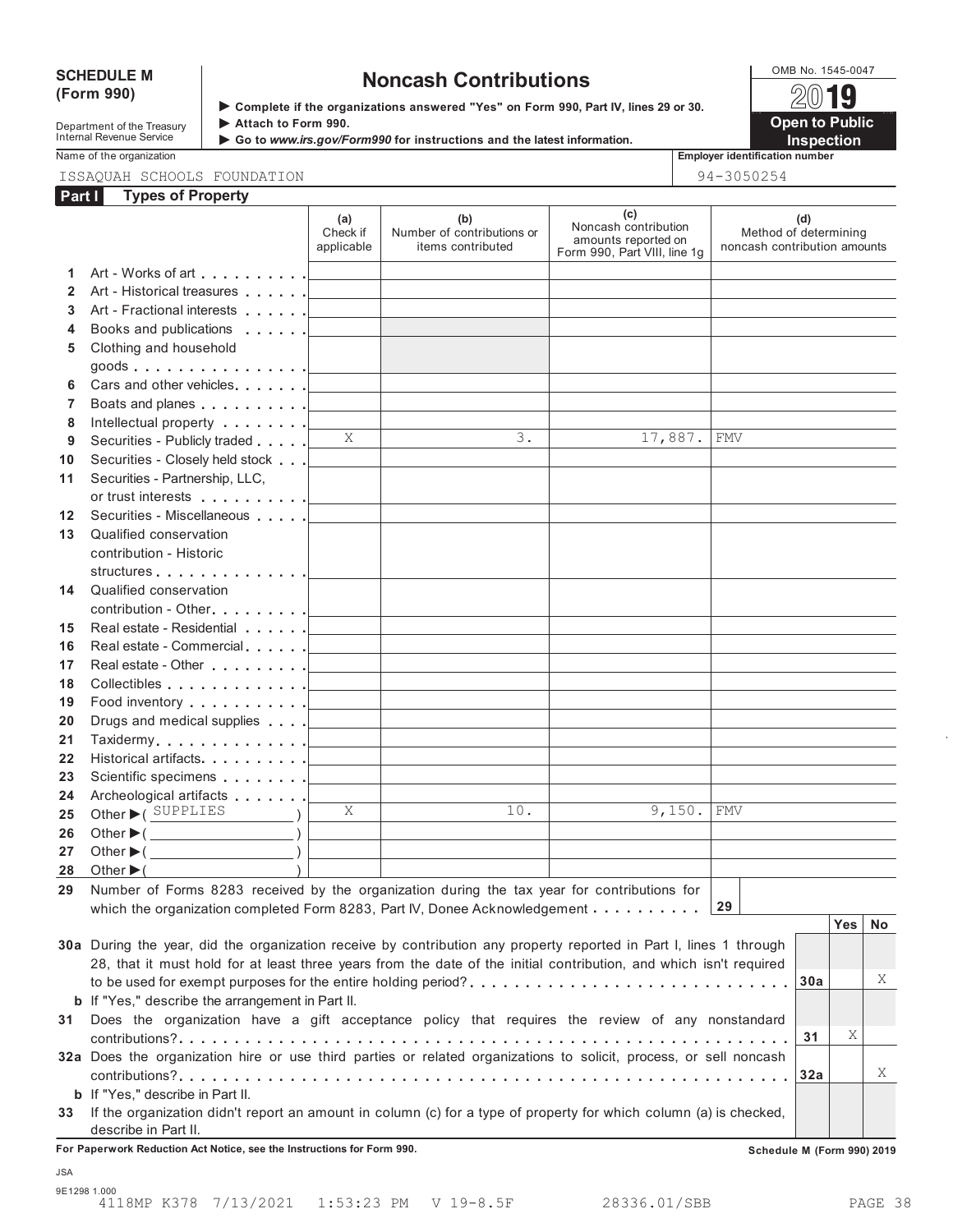# **(Form 990)**

# SCHEDULE M<br>
(Form 990) **Solutions**<br> **Solutions** answered "Yes" on Form 990, Part IV lines 29 or 30<br> **Solutions**

**Department of the Treasury <b>Attach to Form 990.**<br>
Internal Revenue Service **Attach to Form 990.**<br> **Attach to Form 990.**<br> **Attach to Form 990.** 

**Complete if the organizations answered "Yes" on Form 990, Part IV, lines 29 or 30.**

**Open to Public** ▶ Go to *www.irs.gov/Form990* for instructions and the latest information. **INSPECTION** 

Name of the organization **Employer identification number Employer identification number** 

#### ISSAQUAH SCHOOLS FOUNDATION 94-3050254

| Part I       | <b>Types of Property</b>                                                                                           |                               |                                                        |                                                                                    |                                                              |    |
|--------------|--------------------------------------------------------------------------------------------------------------------|-------------------------------|--------------------------------------------------------|------------------------------------------------------------------------------------|--------------------------------------------------------------|----|
|              |                                                                                                                    | (a)<br>Check if<br>applicable | (b)<br>Number of contributions or<br>items contributed | (c)<br>Noncash contribution<br>amounts reported on<br>Form 990, Part VIII, line 1g | (d)<br>Method of determining<br>noncash contribution amounts |    |
| 1.           | Art - Works of art                                                                                                 |                               |                                                        |                                                                                    |                                                              |    |
| $\mathbf{2}$ | Art - Historical treasures                                                                                         |                               |                                                        |                                                                                    |                                                              |    |
| 3            |                                                                                                                    |                               |                                                        |                                                                                    |                                                              |    |
| 4            | Books and publications <b>Exercise</b> 1                                                                           |                               |                                                        |                                                                                    |                                                              |    |
| 5            | Clothing and household                                                                                             |                               |                                                        |                                                                                    |                                                              |    |
|              | goods <u>  _ _ _ _ _</u>                                                                                           |                               |                                                        |                                                                                    |                                                              |    |
| 6            |                                                                                                                    |                               |                                                        |                                                                                    |                                                              |    |
| 7            |                                                                                                                    |                               |                                                        |                                                                                    |                                                              |    |
| 8            |                                                                                                                    |                               |                                                        |                                                                                    |                                                              |    |
| 9            | Securities - Publicly traded                                                                                       | X                             | $\overline{3}$ .                                       | 17,887.                                                                            | FMV                                                          |    |
| 10           | Securities - Closely held stock                                                                                    |                               |                                                        |                                                                                    |                                                              |    |
| 11           | Securities - Partnership, LLC,                                                                                     |                               |                                                        |                                                                                    |                                                              |    |
|              |                                                                                                                    |                               |                                                        |                                                                                    |                                                              |    |
| 12           | Securities - Miscellaneous                                                                                         |                               |                                                        |                                                                                    |                                                              |    |
| 13           | Qualified conservation                                                                                             |                               |                                                        |                                                                                    |                                                              |    |
|              | contribution - Historic                                                                                            |                               |                                                        |                                                                                    |                                                              |    |
|              | structures                                                                                                         |                               |                                                        |                                                                                    |                                                              |    |
| 14           | Qualified conservation                                                                                             |                               |                                                        |                                                                                    |                                                              |    |
|              | contribution - Other <u>  _ _ _ _ _</u>                                                                            |                               |                                                        |                                                                                    |                                                              |    |
| 15           | Real estate - Residential New York 1                                                                               |                               |                                                        |                                                                                    |                                                              |    |
| 16           | Real estate - Commercial                                                                                           |                               |                                                        |                                                                                    |                                                              |    |
| 17           | Real estate - Other <u>  _ _ _ _ _</u>                                                                             |                               |                                                        |                                                                                    |                                                              |    |
| 18           | Collectibles <u>  _ _ _ _ _</u>                                                                                    |                               |                                                        |                                                                                    |                                                              |    |
| 19           |                                                                                                                    |                               |                                                        |                                                                                    |                                                              |    |
| 20           | Drugs and medical supplies <b>Fig. 1.1 Contains and School</b>                                                     |                               |                                                        |                                                                                    |                                                              |    |
| 21           | Taxidermy                                                                                                          |                               |                                                        |                                                                                    |                                                              |    |
| 22           | Historical artifacts                                                                                               |                               |                                                        |                                                                                    |                                                              |    |
| 23           | Scientific specimens <u>  _ _ _ _ _</u>                                                                            |                               |                                                        |                                                                                    |                                                              |    |
| 24           | Archeological artifacts [1994]<br>Other C SUPPLIES                                                                 | X                             | 10.                                                    | 9,150.                                                                             | <b>FMV</b>                                                   |    |
| 25           |                                                                                                                    |                               |                                                        |                                                                                    |                                                              |    |
| 26<br>27     | Other $\blacktriangleright$ ( $\qquad \qquad$<br>Other $\blacktriangleright$ ( $\qquad \qquad$                     |                               |                                                        |                                                                                    |                                                              |    |
| 28           | Other $\blacktriangleright$ (                                                                                      |                               |                                                        |                                                                                    |                                                              |    |
| 29           | Number of Forms 8283 received by the organization during the tax year for contributions for                        |                               |                                                        |                                                                                    |                                                              |    |
|              | which the organization completed Form 8283, Part IV, Donee Acknowledgement                                         |                               |                                                        |                                                                                    | 29                                                           |    |
|              |                                                                                                                    |                               |                                                        |                                                                                    | <b>Yes</b>                                                   | No |
|              | 30a During the year, did the organization receive by contribution any property reported in Part I, lines 1 through |                               |                                                        |                                                                                    |                                                              |    |
|              | 28, that it must hold for at least three years from the date of the initial contribution, and which isn't required |                               |                                                        |                                                                                    |                                                              |    |
|              | to be used for exempt purposes for the entire holding period?                                                      |                               |                                                        |                                                                                    | 30a                                                          | Χ  |
|              | <b>b</b> If "Yes," describe the arrangement in Part II.                                                            |                               |                                                        |                                                                                    |                                                              |    |
| 31           | Does the organization have a gift acceptance policy that requires the review of any nonstandard                    |                               |                                                        |                                                                                    |                                                              |    |
|              |                                                                                                                    |                               |                                                        |                                                                                    | Χ<br>31                                                      |    |
|              | 32a Does the organization hire or use third parties or related organizations to solicit, process, or sell noncash  |                               |                                                        |                                                                                    |                                                              |    |
|              |                                                                                                                    |                               |                                                        |                                                                                    | 32a                                                          | Χ  |
|              | <b>b</b> If "Yes," describe in Part II.                                                                            |                               |                                                        |                                                                                    |                                                              |    |
| 33           | If the organization didn't report an amount in column (c) for a type of property for which column (a) is checked,  |                               |                                                        |                                                                                    |                                                              |    |
|              | describe in Part II.                                                                                               |                               |                                                        |                                                                                    |                                                              |    |

**For Paperwork Reduction Act Notice, see the Instructions for Form 990. Schedule M (Form 990) 2019**

JSA

9E1298 1.000 4118MP K378 7/13/2021 1:53:23 PM V 19-8.5F 28336.01/SBB PAGE 38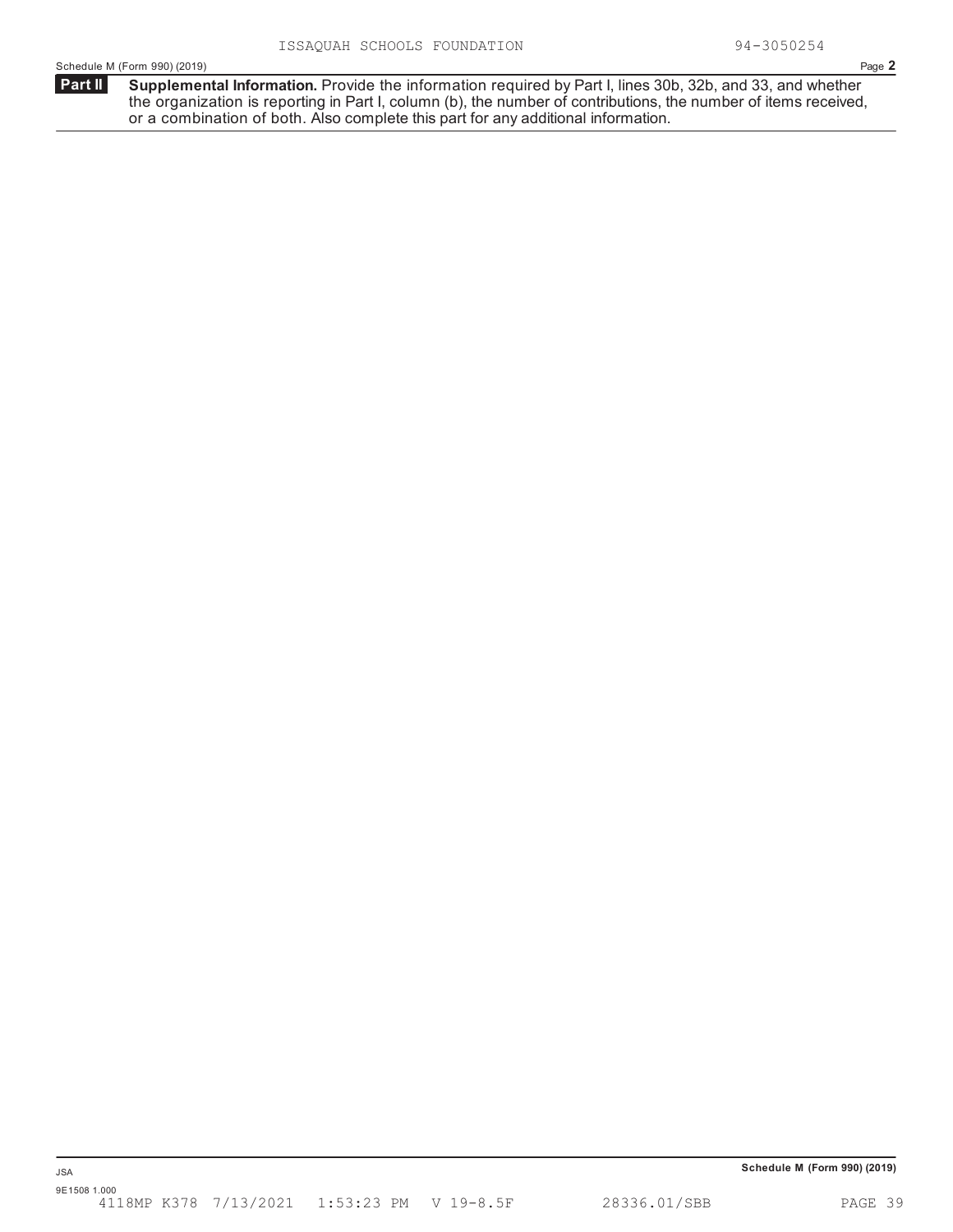**Supplemental Information.** Provide the information required by Part I, lines 30b, 32b, and 33, and whether the organization is reporting in Part I, column (b), the number of contributions, the number of items received, or a combination of both. Also complete this part for any additional information. **Part II**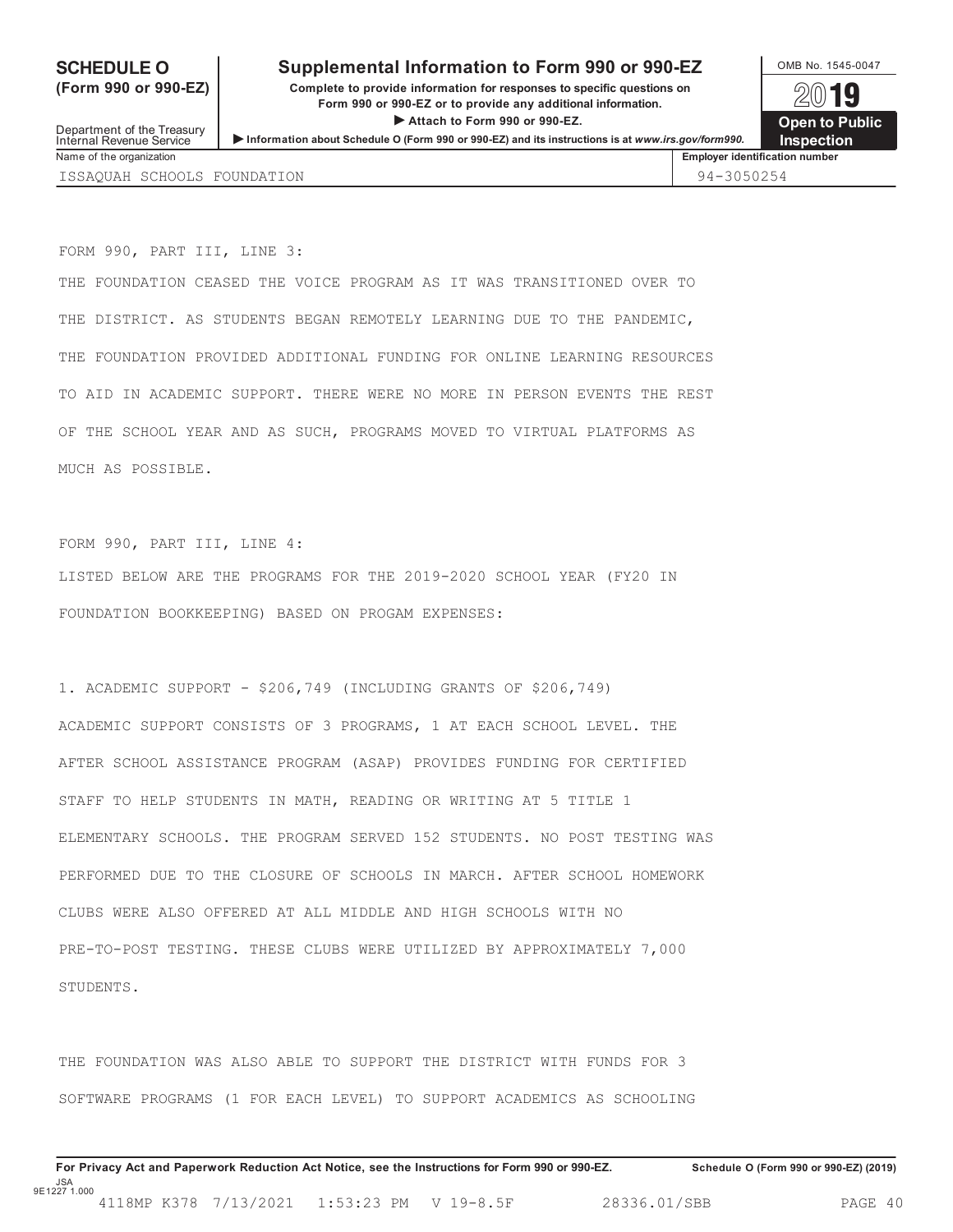### **SCHEDULE O** Supplemental Information to Form 990 or 990-EZ <br>  $\frac{\text{OMB No. }1545-0047}{\text{OMB No. }1545-0047}$

**(Form 990 or 990-EZ) Complete to provide information for responses to specific questions on** plete to provide information for responses to specific questions on  $\Box$   $\Box$   $\Box$ **Attach to provide any additional information.**<br>
<del>● Attach</del> to Form 990 or 990-EZ. **Internal Revenue Service 
Internal Revenue Service 
Internal Revenue Service 
Internal Revenue Service 
Internal Revenue Service

<b>Internal Revenue Service Internal Revenue Service Internal Revenue Service Inter** 

| Vame of the organization |  |
|--------------------------|--|

**Employer identification number** ISSAQUAH SCHOOLS FOUNDATION 94-3050254

FORM 990, PART III, LINE 3:

THE FOUNDATION CEASED THE VOICE PROGRAM AS IT WAS TRANSITIONED OVER TO THE DISTRICT. AS STUDENTS BEGAN REMOTELY LEARNING DUE TO THE PANDEMIC, THE FOUNDATION PROVIDED ADDITIONAL FUNDING FOR ONLINE LEARNING RESOURCES TO AID IN ACADEMIC SUPPORT. THERE WERE NO MORE IN PERSON EVENTS THE REST OF THE SCHOOL YEAR AND AS SUCH, PROGRAMS MOVED TO VIRTUAL PLATFORMS AS MUCH AS POSSIBLE.

FORM 990, PART III, LINE 4:

LISTED BELOW ARE THE PROGRAMS FOR THE 2019-2020 SCHOOL YEAR (FY20 IN FOUNDATION BOOKKEEPING) BASED ON PROGAM EXPENSES:

1. ACADEMIC SUPPORT - \$206,749 (INCLUDING GRANTS OF \$206,749) ACADEMIC SUPPORT CONSISTS OF 3 PROGRAMS, 1 AT EACH SCHOOL LEVEL. THE AFTER SCHOOL ASSISTANCE PROGRAM (ASAP) PROVIDES FUNDING FOR CERTIFIED STAFF TO HELP STUDENTS IN MATH, READING OR WRITING AT 5 TITLE 1 ELEMENTARY SCHOOLS. THE PROGRAM SERVED 152 STUDENTS. NO POST TESTING WAS PERFORMED DUE TO THE CLOSURE OF SCHOOLS IN MARCH. AFTER SCHOOL HOMEWORK CLUBS WERE ALSO OFFERED AT ALL MIDDLE AND HIGH SCHOOLS WITH NO PRE-TO-POST TESTING. THESE CLUBS WERE UTILIZED BY APPROXIMATELY 7,000 STUDENTS.

THE FOUNDATION WAS ALSO ABLE TO SUPPORT THE DISTRICT WITH FUNDS FOR 3 SOFTWARE PROGRAMS (1 FOR EACH LEVEL) TO SUPPORT ACADEMICS AS SCHOOLING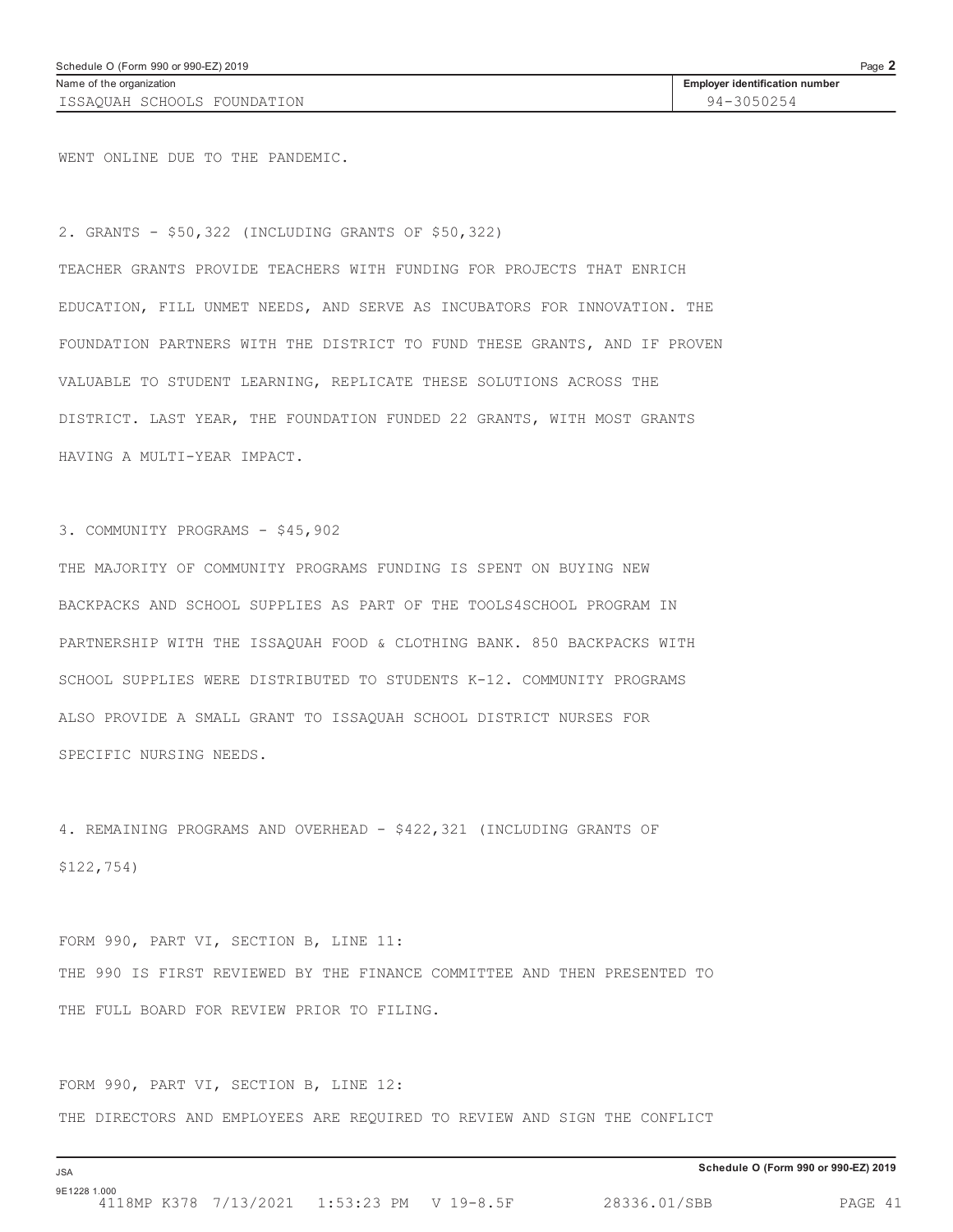WENT ONLINE DUE TO THE PANDEMIC.

2. GRANTS - \$50,322 (INCLUDING GRANTS OF \$50,322)

TEACHER GRANTS PROVIDE TEACHERS WITH FUNDING FOR PROJECTS THAT ENRICH EDUCATION, FILL UNMET NEEDS, AND SERVE AS INCUBATORS FOR INNOVATION. THE FOUNDATION PARTNERS WITH THE DISTRICT TO FUND THESE GRANTS, AND IF PROVEN VALUABLE TO STUDENT LEARNING, REPLICATE THESE SOLUTIONS ACROSS THE DISTRICT. LAST YEAR, THE FOUNDATION FUNDED 22 GRANTS, WITH MOST GRANTS HAVING A MULTI-YEAR IMPACT.

3. COMMUNITY PROGRAMS - \$45,902

THE MAJORITY OF COMMUNITY PROGRAMS FUNDING IS SPENT ON BUYING NEW BACKPACKS AND SCHOOL SUPPLIES AS PART OF THE TOOLS4SCHOOL PROGRAM IN PARTNERSHIP WITH THE ISSAQUAH FOOD & CLOTHING BANK. 850 BACKPACKS WITH SCHOOL SUPPLIES WERE DISTRIBUTED TO STUDENTS K-12. COMMUNITY PROGRAMS ALSO PROVIDE A SMALL GRANT TO ISSAQUAH SCHOOL DISTRICT NURSES FOR SPECIFIC NURSING NEEDS.

4. REMAINING PROGRAMS AND OVERHEAD - \$422,321 (INCLUDING GRANTS OF \$122,754)

FORM 990, PART VI, SECTION B, LINE 11: THE 990 IS FIRST REVIEWED BY THE FINANCE COMMITTEE AND THEN PRESENTED TO THE FULL BOARD FOR REVIEW PRIOR TO FILING.

FORM 990, PART VI, SECTION B, LINE 12: THE DIRECTORS AND EMPLOYEES ARE REQUIRED TO REVIEW AND SIGN THE CONFLICT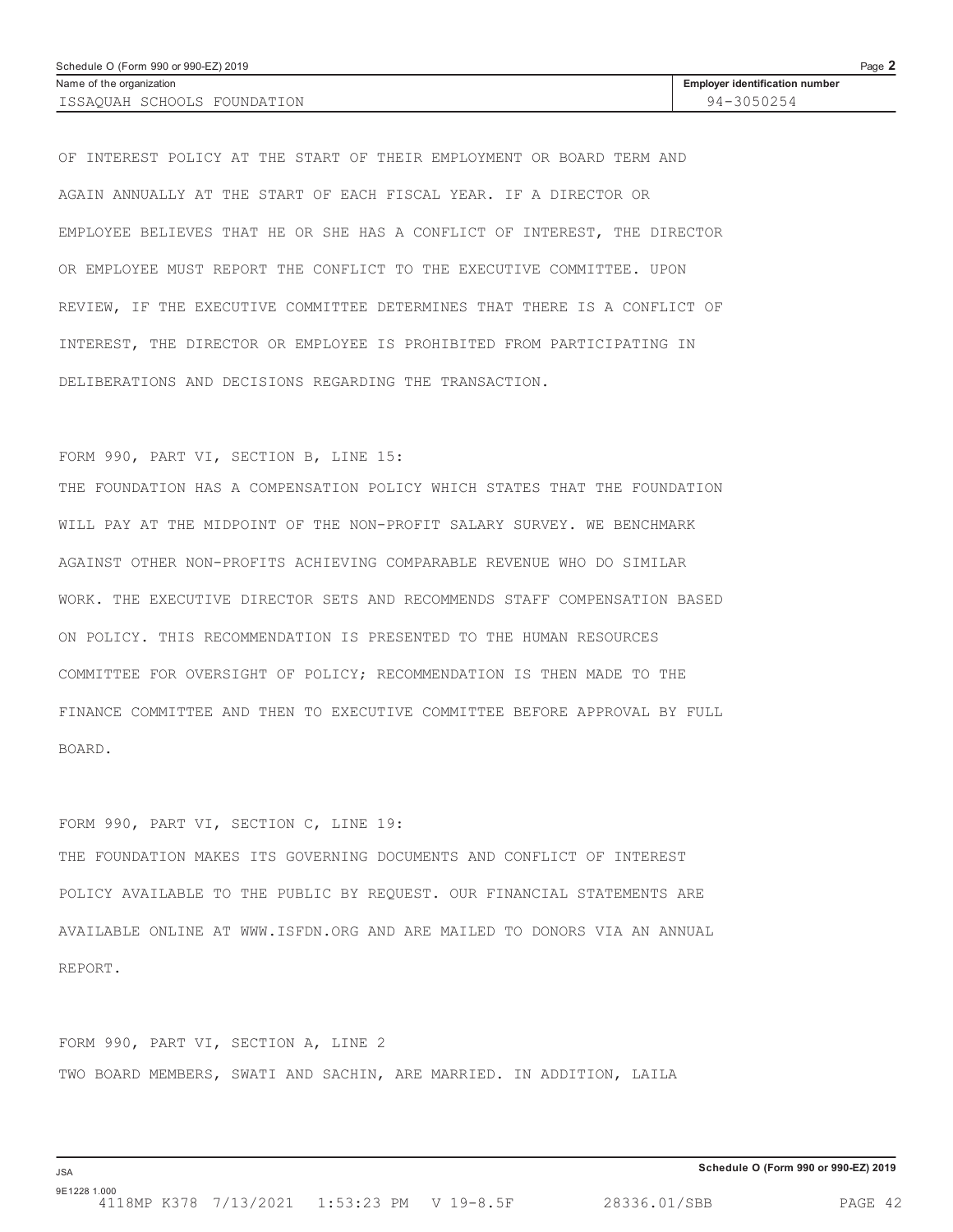| Schedule O (Form 990 or 990-EZ) 2019 |                                       | Page 2 |
|--------------------------------------|---------------------------------------|--------|
| Name of the organization             | <b>Employer identification number</b> |        |
| ISSAOUAH SCHOOLS FOUNDATION          | 94-3050254                            |        |

OF INTEREST POLICY AT THE START OF THEIR EMPLOYMENT OR BOARD TERM AND AGAIN ANNUALLY AT THE START OF EACH FISCAL YEAR. IF A DIRECTOR OR EMPLOYEE BELIEVES THAT HE OR SHE HAS A CONFLICT OF INTEREST, THE DIRECTOR OR EMPLOYEE MUST REPORT THE CONFLICT TO THE EXECUTIVE COMMITTEE. UPON REVIEW, IF THE EXECUTIVE COMMITTEE DETERMINES THAT THERE IS A CONFLICT OF INTEREST, THE DIRECTOR OR EMPLOYEE IS PROHIBITED FROM PARTICIPATING IN DELIBERATIONS AND DECISIONS REGARDING THE TRANSACTION.

#### FORM 990, PART VI, SECTION B, LINE 15:

THE FOUNDATION HAS A COMPENSATION POLICY WHICH STATES THAT THE FOUNDATION WILL PAY AT THE MIDPOINT OF THE NON-PROFIT SALARY SURVEY. WE BENCHMARK AGAINST OTHER NON-PROFITS ACHIEVING COMPARABLE REVENUE WHO DO SIMILAR WORK. THE EXECUTIVE DIRECTOR SETS AND RECOMMENDS STAFF COMPENSATION BASED ON POLICY. THIS RECOMMENDATION IS PRESENTED TO THE HUMAN RESOURCES COMMITTEE FOR OVERSIGHT OF POLICY; RECOMMENDATION IS THEN MADE TO THE FINANCE COMMITTEE AND THEN TO EXECUTIVE COMMITTEE BEFORE APPROVAL BY FULL BOARD.

## FORM 990, PART VI, SECTION C, LINE 19: THE FOUNDATION MAKES ITS GOVERNING DOCUMENTS AND CONFLICT OF INTEREST POLICY AVAILABLE TO THE PUBLIC BY REQUEST. OUR FINANCIAL STATEMENTS ARE AVAILABLE ONLINE AT WWW.ISFDN.ORG AND ARE MAILED TO DONORS VIA AN ANNUAL REPORT.

FORM 990, PART VI, SECTION A, LINE 2 TWO BOARD MEMBERS, SWATI AND SACHIN, ARE MARRIED. IN ADDITION, LAILA